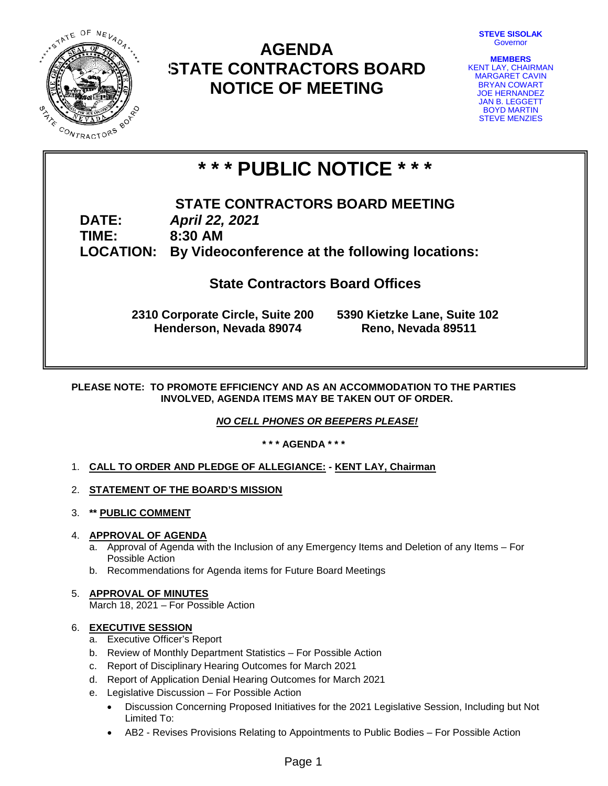

# **AGENDA STATE CONTRACTORS BOARD NOTICE OF MEETING**



**MEMBERS** KENT LAY, CHAIRMAN MARGARET CAVIN BRYAN COWART JOE HERNANDEZ JAN B. LEGGETT BOYD MARTIN STEVE MENZIES

# **\* \* \* PUBLIC NOTICE \* \* \***

**STATE CONTRACTORS BOARD MEETING DATE:** *April 22, 2021* **TIME: 8:30 AM LOCATION: By Videoconference at the following locations:**

# **State Contractors Board Offices**

**2310 Corporate Circle, Suite 200 5390 Kietzke Lane, Suite 102 Henderson, Nevada 89074 Reno, Nevada 89511**

**PLEASE NOTE: TO PROMOTE EFFICIENCY AND AS AN ACCOMMODATION TO THE PARTIES INVOLVED, AGENDA ITEMS MAY BE TAKEN OUT OF ORDER.**

*NO CELL PHONES OR BEEPERS PLEASE!* 

**\* \* \* AGENDA \* \* \***

- 1. **CALL TO ORDER AND PLEDGE OF ALLEGIANCE: - KENT LAY, Chairman**
- 2. **STATEMENT OF THE BOARD'S MISSION**
- 3. **\*\* PUBLIC COMMENT**

# 4. **APPROVAL OF AGENDA**

- a. Approval of Agenda with the Inclusion of any Emergency Items and Deletion of any Items For Possible Action
- b. Recommendations for Agenda items for Future Board Meetings

# 5. **APPROVAL OF MINUTES**

March 18, 2021 – For Possible Action

# 6. **EXECUTIVE SESSION**

- a. Executive Officer's Report
- b. Review of Monthly Department Statistics For Possible Action
- c. Report of Disciplinary Hearing Outcomes for March 2021
- d. Report of Application Denial Hearing Outcomes for March 2021
- e. Legislative Discussion For Possible Action
	- Discussion Concerning Proposed Initiatives for the 2021 Legislative Session, Including but Not Limited To:
	- AB2 Revises Provisions Relating to Appointments to Public Bodies For Possible Action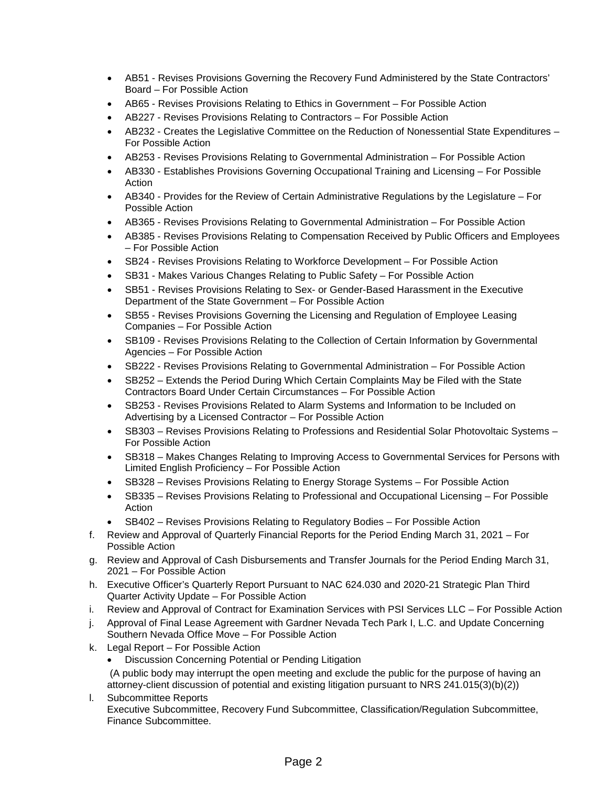- AB51 Revises Provisions Governing the Recovery Fund Administered by the State Contractors' Board – For Possible Action
- AB65 Revises Provisions Relating to Ethics in Government For Possible Action
- AB227 Revises Provisions Relating to Contractors For Possible Action
- AB232 Creates the Legislative Committee on the Reduction of Nonessential State Expenditures For Possible Action
- AB253 Revises Provisions Relating to Governmental Administration For Possible Action
- AB330 Establishes Provisions Governing Occupational Training and Licensing For Possible Action
- AB340 Provides for the Review of Certain Administrative Regulations by the Legislature For Possible Action
- AB365 Revises Provisions Relating to Governmental Administration For Possible Action
- AB385 Revises Provisions Relating to Compensation Received by Public Officers and Employees – For Possible Action
- SB24 Revises Provisions Relating to Workforce Development For Possible Action
- SB31 Makes Various Changes Relating to Public Safety For Possible Action
- SB51 Revises Provisions Relating to Sex- or Gender-Based Harassment in the Executive Department of the State Government – For Possible Action
- SB55 Revises Provisions Governing the Licensing and Regulation of Employee Leasing Companies – For Possible Action
- SB109 Revises Provisions Relating to the Collection of Certain Information by Governmental Agencies – For Possible Action
- SB222 Revises Provisions Relating to Governmental Administration For Possible Action
- SB252 Extends the Period During Which Certain Complaints May be Filed with the State Contractors Board Under Certain Circumstances – For Possible Action
- SB253 Revises Provisions Related to Alarm Systems and Information to be Included on Advertising by a Licensed Contractor – For Possible Action
- SB303 Revises Provisions Relating to Professions and Residential Solar Photovoltaic Systems For Possible Action
- SB318 Makes Changes Relating to Improving Access to Governmental Services for Persons with Limited English Proficiency – For Possible Action
- SB328 Revises Provisions Relating to Energy Storage Systems For Possible Action
- SB335 Revises Provisions Relating to Professional and Occupational Licensing For Possible Action
- SB402 Revises Provisions Relating to Regulatory Bodies For Possible Action
- f. Review and Approval of Quarterly Financial Reports for the Period Ending March 31, 2021 For Possible Action
- g. Review and Approval of Cash Disbursements and Transfer Journals for the Period Ending March 31, 2021 – For Possible Action
- h. Executive Officer's Quarterly Report Pursuant to NAC 624.030 and 2020-21 Strategic Plan Third Quarter Activity Update – For Possible Action
- i. Review and Approval of Contract for Examination Services with PSI Services LLC For Possible Action
- j. Approval of Final Lease Agreement with Gardner Nevada Tech Park I, L.C. and Update Concerning Southern Nevada Office Move – For Possible Action
- k. Legal Report For Possible Action
	- Discussion Concerning Potential or Pending Litigation

(A public body may interrupt the open meeting and exclude the public for the purpose of having an attorney-client discussion of potential and existing litigation pursuant to NRS 241.015(3)(b)(2))

l. Subcommittee Reports Executive Subcommittee, Recovery Fund Subcommittee, Classification/Regulation Subcommittee, Finance Subcommittee.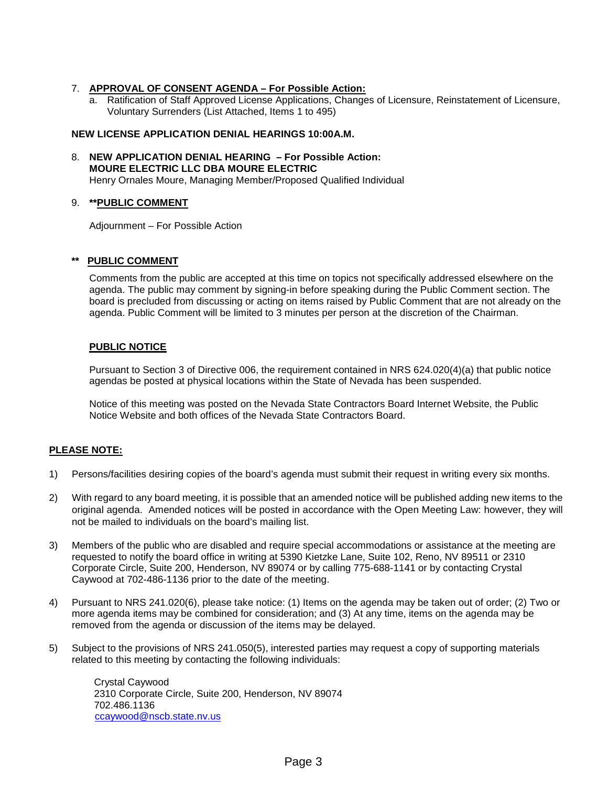#### 7. **APPROVAL OF CONSENT AGENDA – For Possible Action:**

a. Ratification of Staff Approved License Applications, Changes of Licensure, Reinstatement of Licensure, Voluntary Surrenders (List Attached, Items 1 to 495)

#### **NEW LICENSE APPLICATION DENIAL HEARINGS 10:00A.M.**

#### 8. **NEW APPLICATION DENIAL HEARING – For Possible Action: MOURE ELECTRIC LLC DBA MOURE ELECTRIC** Henry Ornales Moure, Managing Member/Proposed Qualified Individual

#### 9. **\*\*PUBLIC COMMENT**

Adjournment – For Possible Action

#### **PUBLIC COMMENT**

Comments from the public are accepted at this time on topics not specifically addressed elsewhere on the agenda. The public may comment by signing-in before speaking during the Public Comment section. The board is precluded from discussing or acting on items raised by Public Comment that are not already on the agenda. Public Comment will be limited to 3 minutes per person at the discretion of the Chairman.

#### **PUBLIC NOTICE**

Pursuant to Section 3 of Directive 006, the requirement contained in NRS 624.020(4)(a) that public notice agendas be posted at physical locations within the State of Nevada has been suspended.

Notice of this meeting was posted on the Nevada State Contractors Board Internet Website, the Public Notice Website and both offices of the Nevada State Contractors Board.

#### **PLEASE NOTE:**

- 1) Persons/facilities desiring copies of the board's agenda must submit their request in writing every six months.
- 2) With regard to any board meeting, it is possible that an amended notice will be published adding new items to the original agenda. Amended notices will be posted in accordance with the Open Meeting Law: however, they will not be mailed to individuals on the board's mailing list.
- 3) Members of the public who are disabled and require special accommodations or assistance at the meeting are requested to notify the board office in writing at 5390 Kietzke Lane, Suite 102, Reno, NV 89511 or 2310 Corporate Circle, Suite 200, Henderson, NV 89074 or by calling 775-688-1141 or by contacting Crystal Caywood at 702-486-1136 prior to the date of the meeting.
- 4) Pursuant to NRS 241.020(6), please take notice: (1) Items on the agenda may be taken out of order; (2) Two or more agenda items may be combined for consideration; and (3) At any time, items on the agenda may be removed from the agenda or discussion of the items may be delayed.
- 5) Subject to the provisions of NRS 241.050(5), interested parties may request a copy of supporting materials related to this meeting by contacting the following individuals:

Crystal Caywood 2310 Corporate Circle, Suite 200, Henderson, NV 89074 702.486.1136 [ccaywood@nscb.state.nv.us](mailto:ccaywood@nscb.state.nv.us)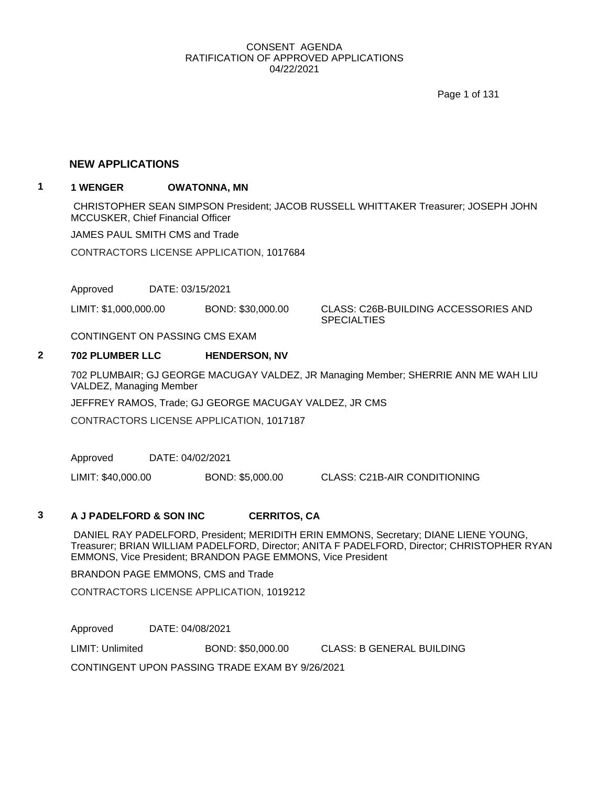Page 1 of 131

## **NEW APPLICATIONS**

# **1 1 WENGER OWATONNA, MN**

CHRISTOPHER SEAN SIMPSON President; JACOB RUSSELL WHITTAKER Treasurer; JOSEPH JOHN MCCUSKER, Chief Financial Officer

JAMES PAUL SMITH CMS and Trade

CONTRACTORS LICENSE APPLICATION, 1017684

Approved DATE: 03/15/2021

LIMIT: \$1,000,000.00 BOND: \$30,000.00 CLASS: C26B-BUILDING ACCESSORIES AND

**SPECIALTIES** 

CONTINGENT ON PASSING CMS EXAM

## **2 702 PLUMBER LLC HENDERSON, NV**

702 PLUMBAIR; GJ GEORGE MACUGAY VALDEZ, JR Managing Member; SHERRIE ANN ME WAH LIU VALDEZ, Managing Member

JEFFREY RAMOS, Trade; GJ GEORGE MACUGAY VALDEZ, JR CMS

CONTRACTORS LICENSE APPLICATION, 1017187

Approved DATE: 04/02/2021

LIMIT: \$40,000.00 BOND: \$5,000.00 CLASS: C21B-AIR CONDITIONING

#### **3 A J PADELFORD & SON INC CERRITOS, CA**

DANIEL RAY PADELFORD, President; MERIDITH ERIN EMMONS, Secretary; DIANE LIENE YOUNG, Treasurer; BRIAN WILLIAM PADELFORD, Director; ANITA F PADELFORD, Director; CHRISTOPHER RYAN EMMONS, Vice President; BRANDON PAGE EMMONS, Vice President

BRANDON PAGE EMMONS, CMS and Trade

CONTRACTORS LICENSE APPLICATION, 1019212

Approved DATE: 04/08/2021

LIMIT: Unlimited BOND: \$50,000.00 CLASS: B GENERAL BUILDING

CONTINGENT UPON PASSING TRADE EXAM BY 9/26/2021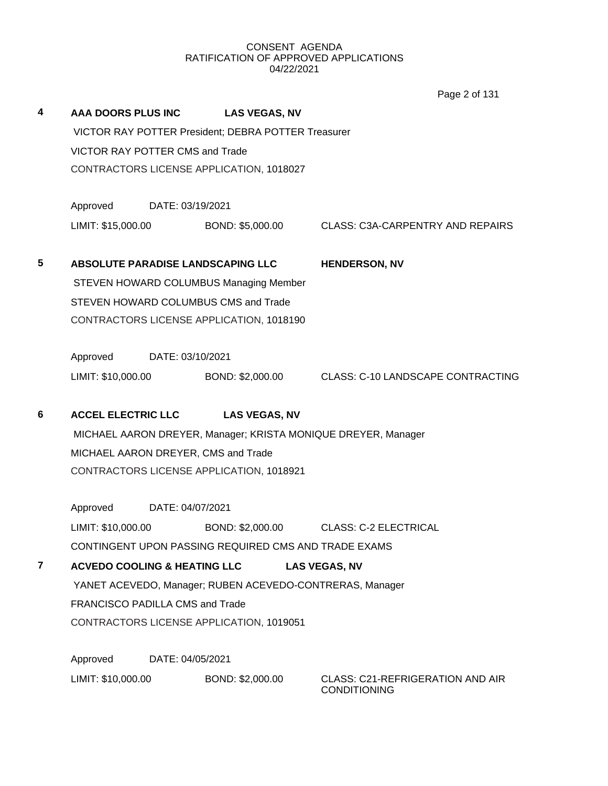Page 2 of 131

| 4                       | <b>AAA DOORS PLUS INC</b>                                |                                          | <b>LAS VEGAS, NV</b>                                          |                                                                |  |  |  |
|-------------------------|----------------------------------------------------------|------------------------------------------|---------------------------------------------------------------|----------------------------------------------------------------|--|--|--|
|                         |                                                          |                                          | VICTOR RAY POTTER President; DEBRA POTTER Treasurer           |                                                                |  |  |  |
|                         | VICTOR RAY POTTER CMS and Trade                          |                                          |                                                               |                                                                |  |  |  |
|                         |                                                          |                                          | CONTRACTORS LICENSE APPLICATION, 1018027                      |                                                                |  |  |  |
|                         | Approved DATE: 03/19/2021                                |                                          |                                                               |                                                                |  |  |  |
|                         | LIMIT: \$15,000.00                                       |                                          |                                                               | BOND: \$5,000.00 CLASS: C3A-CARPENTRY AND REPAIRS              |  |  |  |
| $\overline{\mathbf{5}}$ |                                                          |                                          | ABSOLUTE PARADISE LANDSCAPING LLC                             | <b>HENDERSON, NV</b>                                           |  |  |  |
|                         |                                                          |                                          | STEVEN HOWARD COLUMBUS Managing Member                        |                                                                |  |  |  |
|                         |                                                          |                                          | STEVEN HOWARD COLUMBUS CMS and Trade                          |                                                                |  |  |  |
|                         |                                                          | CONTRACTORS LICENSE APPLICATION, 1018190 |                                                               |                                                                |  |  |  |
|                         | Approved DATE: 03/10/2021                                |                                          |                                                               |                                                                |  |  |  |
|                         | LIMIT: \$10,000.00                                       |                                          |                                                               | BOND: \$2,000.00 CLASS: C-10 LANDSCAPE CONTRACTING             |  |  |  |
| 6                       |                                                          |                                          | ACCEL ELECTRIC LLC LAS VEGAS, NV                              |                                                                |  |  |  |
|                         |                                                          |                                          | MICHAEL AARON DREYER, Manager; KRISTA MONIQUE DREYER, Manager |                                                                |  |  |  |
|                         | MICHAEL AARON DREYER, CMS and Trade                      |                                          |                                                               |                                                                |  |  |  |
|                         |                                                          |                                          | CONTRACTORS LICENSE APPLICATION, 1018921                      |                                                                |  |  |  |
|                         | Approved DATE: 04/07/2021                                |                                          |                                                               |                                                                |  |  |  |
|                         | LIMIT: \$10,000.00                                       |                                          |                                                               | BOND: \$2,000.00 CLASS: C-2 ELECTRICAL                         |  |  |  |
|                         | CONTINGENT UPON PASSING REQUIRED CMS AND TRADE EXAMS     |                                          |                                                               |                                                                |  |  |  |
| 7                       | <b>ACVEDO COOLING &amp; HEATING LLC</b>                  |                                          |                                                               | <b>LAS VEGAS, NV</b>                                           |  |  |  |
|                         | YANET ACEVEDO, Manager; RUBEN ACEVEDO-CONTRERAS, Manager |                                          |                                                               |                                                                |  |  |  |
|                         |                                                          | FRANCISCO PADILLA CMS and Trade          |                                                               |                                                                |  |  |  |
|                         |                                                          |                                          | CONTRACTORS LICENSE APPLICATION, 1019051                      |                                                                |  |  |  |
|                         | Approved                                                 | DATE: 04/05/2021                         |                                                               |                                                                |  |  |  |
|                         | LIMIT: \$10,000.00                                       |                                          | BOND: \$2,000.00                                              | <b>CLASS: C21-REFRIGERATION AND AIR</b><br><b>CONDITIONING</b> |  |  |  |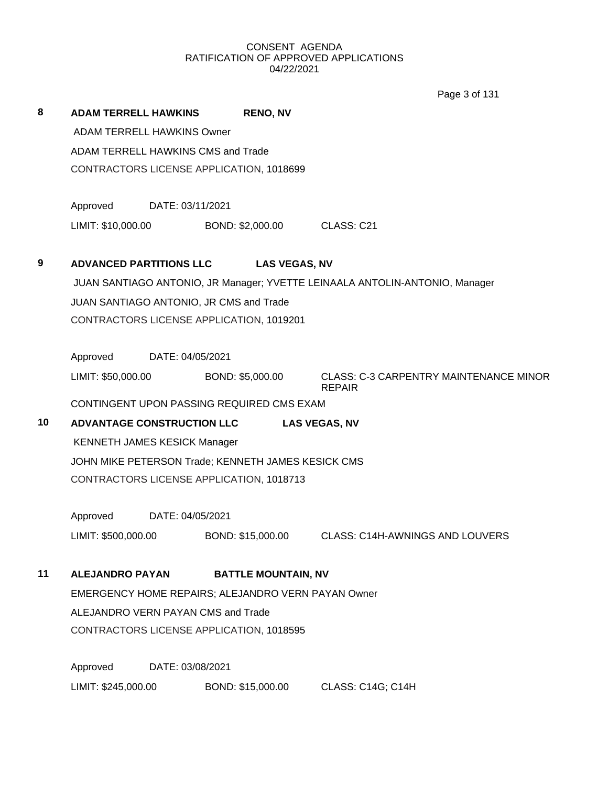Page 3 of 131

| 8  | <b>ADAM TERRELL HAWKINS</b>       |                                     | <b>RENO, NV</b>                                    |                                                                             |  |  |  |
|----|-----------------------------------|-------------------------------------|----------------------------------------------------|-----------------------------------------------------------------------------|--|--|--|
|    | <b>ADAM TERRELL HAWKINS Owner</b> |                                     |                                                    |                                                                             |  |  |  |
|    |                                   |                                     | ADAM TERRELL HAWKINS CMS and Trade                 |                                                                             |  |  |  |
|    |                                   |                                     | CONTRACTORS LICENSE APPLICATION, 1018699           |                                                                             |  |  |  |
|    | Approved                          | DATE: 03/11/2021                    |                                                    |                                                                             |  |  |  |
|    | LIMIT: \$10,000.00                |                                     | BOND: \$2,000.00                                   | CLASS: C21                                                                  |  |  |  |
| 9  | <b>ADVANCED PARTITIONS LLC</b>    |                                     | <b>LAS VEGAS, NV</b>                               |                                                                             |  |  |  |
|    |                                   |                                     |                                                    | JUAN SANTIAGO ANTONIO, JR Manager; YVETTE LEINAALA ANTOLIN-ANTONIO, Manager |  |  |  |
|    |                                   |                                     | JUAN SANTIAGO ANTONIO, JR CMS and Trade            |                                                                             |  |  |  |
|    |                                   |                                     | CONTRACTORS LICENSE APPLICATION, 1019201           |                                                                             |  |  |  |
|    | Approved                          | DATE: 04/05/2021                    |                                                    |                                                                             |  |  |  |
|    | LIMIT: \$50,000.00                |                                     | BOND: \$5,000.00                                   | <b>CLASS: C-3 CARPENTRY MAINTENANCE MINOR</b><br><b>REPAIR</b>              |  |  |  |
|    |                                   |                                     | CONTINGENT UPON PASSING REQUIRED CMS EXAM          |                                                                             |  |  |  |
| 10 | <b>ADVANTAGE CONSTRUCTION LLC</b> |                                     |                                                    | <b>LAS VEGAS, NV</b>                                                        |  |  |  |
|    |                                   | <b>KENNETH JAMES KESICK Manager</b> |                                                    |                                                                             |  |  |  |
|    |                                   |                                     | JOHN MIKE PETERSON Trade; KENNETH JAMES KESICK CMS |                                                                             |  |  |  |
|    |                                   |                                     | CONTRACTORS LICENSE APPLICATION, 1018713           |                                                                             |  |  |  |
|    | Approved                          | DATE: 04/05/2021                    |                                                    |                                                                             |  |  |  |
|    | LIMIT: \$500,000.00               |                                     | BOND: \$15,000.00                                  | <b>CLASS: C14H-AWNINGS AND LOUVERS</b>                                      |  |  |  |
| 11 | <b>ALEJANDRO PAYAN</b>            |                                     | <b>BATTLE MOUNTAIN, NV</b>                         |                                                                             |  |  |  |
|    |                                   |                                     | EMERGENCY HOME REPAIRS; ALEJANDRO VERN PAYAN Owner |                                                                             |  |  |  |
|    |                                   |                                     | ALEJANDRO VERN PAYAN CMS and Trade                 |                                                                             |  |  |  |
|    |                                   |                                     | CONTRACTORS LICENSE APPLICATION, 1018595           |                                                                             |  |  |  |
|    | Approved                          | DATE: 03/08/2021                    |                                                    |                                                                             |  |  |  |
|    | LIMIT: \$245,000.00               |                                     | BOND: \$15,000.00                                  | CLASS: C14G; C14H                                                           |  |  |  |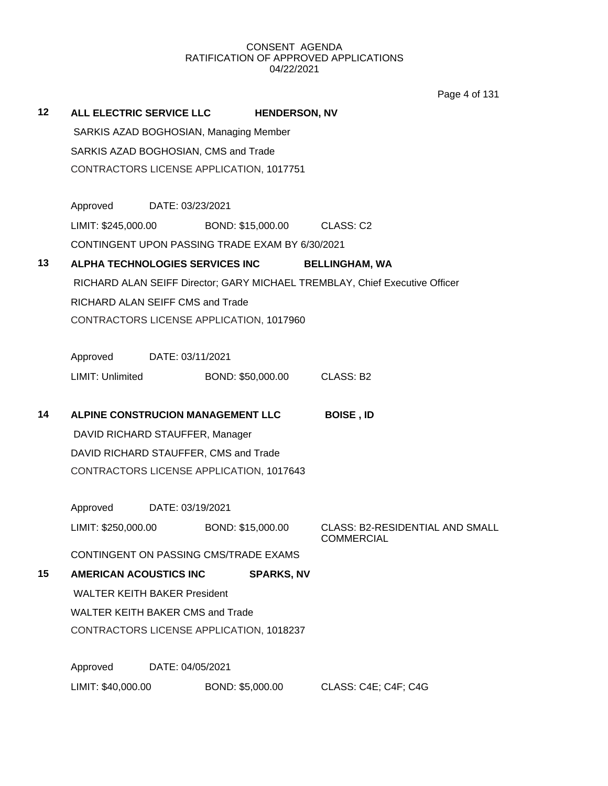Page 4 of 131

| 12 |                               | ALL ELECTRIC SERVICE LLC                        | <b>HENDERSON, NV</b> |                                                                             |
|----|-------------------------------|-------------------------------------------------|----------------------|-----------------------------------------------------------------------------|
|    |                               | SARKIS AZAD BOGHOSIAN, Managing Member          |                      |                                                                             |
|    |                               | SARKIS AZAD BOGHOSIAN, CMS and Trade            |                      |                                                                             |
|    |                               | CONTRACTORS LICENSE APPLICATION, 1017751        |                      |                                                                             |
|    |                               |                                                 |                      |                                                                             |
|    | Approved                      | DATE: 03/23/2021                                |                      |                                                                             |
|    | LIMIT: \$245,000.00           |                                                 | BOND: \$15,000.00    | CLASS: C2                                                                   |
|    |                               | CONTINGENT UPON PASSING TRADE EXAM BY 6/30/2021 |                      |                                                                             |
| 13 |                               | ALPHA TECHNOLOGIES SERVICES INC                 |                      | <b>BELLINGHAM, WA</b>                                                       |
|    |                               |                                                 |                      | RICHARD ALAN SEIFF Director; GARY MICHAEL TREMBLAY, Chief Executive Officer |
|    |                               | RICHARD ALAN SEIFF CMS and Trade                |                      |                                                                             |
|    |                               | CONTRACTORS LICENSE APPLICATION, 1017960        |                      |                                                                             |
|    |                               |                                                 |                      |                                                                             |
|    | Approved                      | DATE: 03/11/2021                                |                      |                                                                             |
|    | LIMIT: Unlimited              |                                                 | BOND: \$50,000.00    | CLASS: B2                                                                   |
|    |                               |                                                 |                      |                                                                             |
| 14 |                               | ALPINE CONSTRUCION MANAGEMENT LLC               |                      | <b>BOISE, ID</b>                                                            |
|    |                               | DAVID RICHARD STAUFFER, Manager                 |                      |                                                                             |
|    |                               | DAVID RICHARD STAUFFER, CMS and Trade           |                      |                                                                             |
|    |                               | CONTRACTORS LICENSE APPLICATION, 1017643        |                      |                                                                             |
|    | Approved                      | DATE: 03/19/2021                                |                      |                                                                             |
|    | LIMIT: \$250,000.00           |                                                 | BOND: \$15,000.00    | <b>CLASS: B2-RESIDENTIAL AND SMALL</b><br><b>COMMERCIAL</b>                 |
|    |                               | CONTINGENT ON PASSING CMS/TRADE EXAMS           |                      |                                                                             |
| 15 | <b>AMERICAN ACOUSTICS INC</b> |                                                 | <b>SPARKS, NV</b>    |                                                                             |
|    |                               | <b>WALTER KEITH BAKER President</b>             |                      |                                                                             |
|    |                               | <b>WALTER KEITH BAKER CMS and Trade</b>         |                      |                                                                             |
|    |                               | CONTRACTORS LICENSE APPLICATION, 1018237        |                      |                                                                             |
|    |                               |                                                 |                      |                                                                             |
|    | Approved                      | DATE: 04/05/2021                                |                      |                                                                             |
|    |                               |                                                 |                      |                                                                             |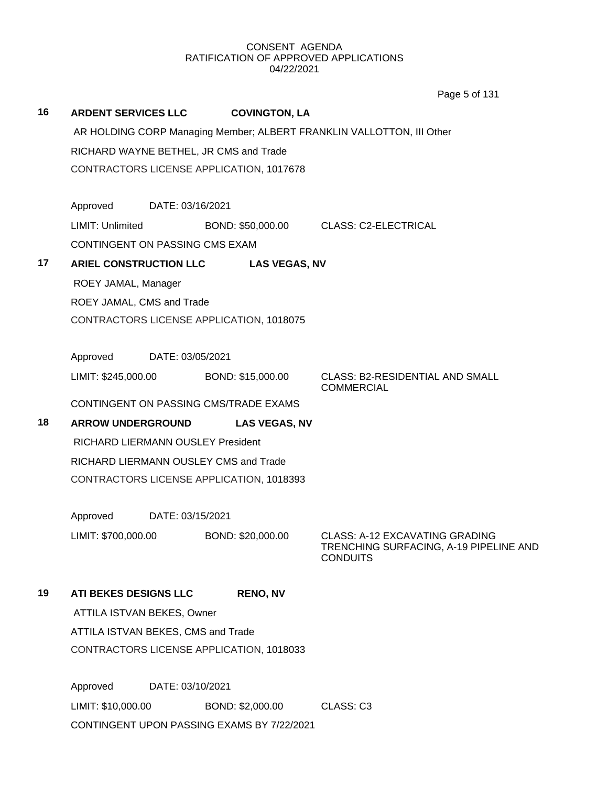**16 ARDENT SERVICES LLC COVINGTON, LA** AR HOLDING CORP Managing Member; ALBERT FRANKLIN VALLOTTON, III Other RICHARD WAYNE BETHEL, JR CMS and Trade CONTRACTORS LICENSE APPLICATION, 1017678 Approved DATE: 03/16/2021 LIMIT: Unlimited BOND: \$50,000.00 CLASS: C2-ELECTRICAL CONTINGENT ON PASSING CMS EXAM **17 ARIEL CONSTRUCTION LLC LAS VEGAS, NV** ROEY JAMAL, Manager ROEY JAMAL, CMS and Trade CONTRACTORS LICENSE APPLICATION, 1018075 Approved DATE: 03/05/2021 LIMIT: \$245,000.00 BOND: \$15,000.00 CLASS: B2-RESIDENTIAL AND SMALL COMMERCIAL CONTINGENT ON PASSING CMS/TRADE EXAMS **18 ARROW UNDERGROUND LAS VEGAS, NV** RICHARD LIERMANN OUSLEY President RICHARD LIERMANN OUSLEY CMS and Trade CONTRACTORS LICENSE APPLICATION, 1018393 Approved DATE: 03/15/2021 LIMIT: \$700,000.00 BOND: \$20,000.00 CLASS: A-12 EXCAVATING GRADING TRENCHING SURFACING, A-19 PIPELINE AND **CONDUITS 19 ATI BEKES DESIGNS LLC RENO, NV** ATTILA ISTVAN BEKES, Owner ATTILA ISTVAN BEKES, CMS and Trade CONTRACTORS LICENSE APPLICATION, 1018033 Page 5 of 131

Approved DATE: 03/10/2021 LIMIT: \$10,000.00 BOND: \$2,000.00 CLASS: C3 CONTINGENT UPON PASSING EXAMS BY 7/22/2021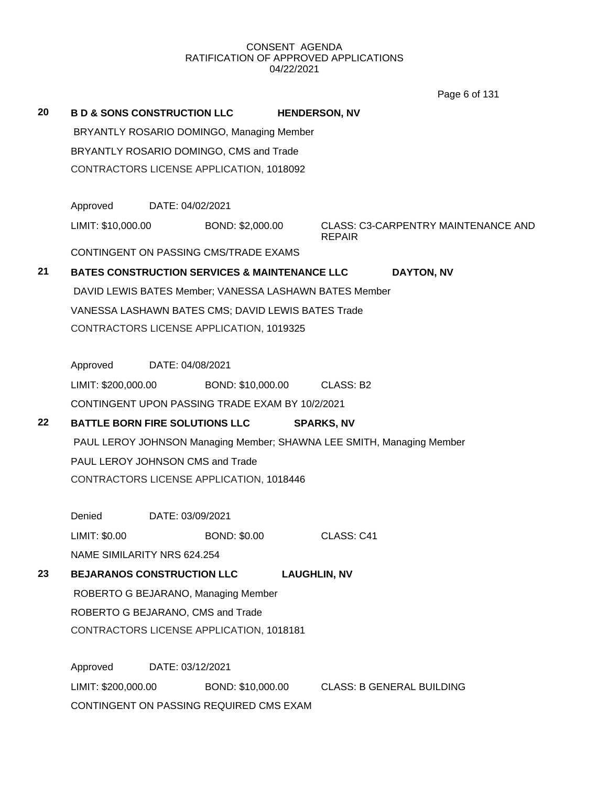Page 6 of 131

| 20      |                                           | <b>B D &amp; SONS CONSTRUCTION LLC</b>                                |  | <b>HENDERSON, NV</b> |                                            |  |  |
|---------|-------------------------------------------|-----------------------------------------------------------------------|--|----------------------|--------------------------------------------|--|--|
|         | BRYANTLY ROSARIO DOMINGO, Managing Member |                                                                       |  |                      |                                            |  |  |
|         |                                           | BRYANTLY ROSARIO DOMINGO, CMS and Trade                               |  |                      |                                            |  |  |
|         |                                           | CONTRACTORS LICENSE APPLICATION, 1018092                              |  |                      |                                            |  |  |
|         |                                           |                                                                       |  |                      |                                            |  |  |
|         |                                           | Approved DATE: 04/02/2021                                             |  |                      |                                            |  |  |
|         | LIMIT: \$10,000.00                        | BOND: \$2,000.00                                                      |  | <b>REPAIR</b>        | <b>CLASS: C3-CARPENTRY MAINTENANCE AND</b> |  |  |
|         |                                           | CONTINGENT ON PASSING CMS/TRADE EXAMS                                 |  |                      |                                            |  |  |
| 21      |                                           | <b>BATES CONSTRUCTION SERVICES &amp; MAINTENANCE LLC</b>              |  |                      | <b>DAYTON, NV</b>                          |  |  |
|         |                                           | DAVID LEWIS BATES Member; VANESSA LASHAWN BATES Member                |  |                      |                                            |  |  |
|         |                                           | VANESSA LASHAWN BATES CMS; DAVID LEWIS BATES Trade                    |  |                      |                                            |  |  |
|         |                                           | CONTRACTORS LICENSE APPLICATION, 1019325                              |  |                      |                                            |  |  |
|         |                                           |                                                                       |  |                      |                                            |  |  |
|         |                                           | Approved DATE: 04/08/2021                                             |  |                      |                                            |  |  |
|         | LIMIT: \$200,000.00                       | BOND: \$10,000.00                                                     |  | CLASS: B2            |                                            |  |  |
|         |                                           | CONTINGENT UPON PASSING TRADE EXAM BY 10/2/2021                       |  |                      |                                            |  |  |
| $22 \,$ |                                           | <b>BATTLE BORN FIRE SOLUTIONS LLC</b>                                 |  | <b>SPARKS, NV</b>    |                                            |  |  |
|         |                                           | PAUL LEROY JOHNSON Managing Member; SHAWNA LEE SMITH, Managing Member |  |                      |                                            |  |  |
|         |                                           | PAUL LEROY JOHNSON CMS and Trade                                      |  |                      |                                            |  |  |
|         |                                           | CONTRACTORS LICENSE APPLICATION, 1018446                              |  |                      |                                            |  |  |
|         |                                           |                                                                       |  |                      |                                            |  |  |
|         | Denied                                    | DATE: 03/09/2021                                                      |  |                      |                                            |  |  |
|         | LIMIT: \$0.00                             | <b>BOND: \$0.00</b>                                                   |  | CLASS: C41           |                                            |  |  |
|         |                                           | NAME SIMILARITY NRS 624.254                                           |  |                      |                                            |  |  |
| 23      |                                           | <b>BEJARANOS CONSTRUCTION LLC</b>                                     |  | <b>LAUGHLIN, NV</b>  |                                            |  |  |
|         |                                           | ROBERTO G BEJARANO, Managing Member                                   |  |                      |                                            |  |  |
|         |                                           | ROBERTO G BEJARANO, CMS and Trade                                     |  |                      |                                            |  |  |
|         |                                           | CONTRACTORS LICENSE APPLICATION, 1018181                              |  |                      |                                            |  |  |
|         |                                           |                                                                       |  |                      |                                            |  |  |
|         | Approved                                  | DATE: 03/12/2021                                                      |  |                      |                                            |  |  |
|         | LIMIT: \$200,000.00                       | BOND: \$10,000.00                                                     |  |                      | <b>CLASS: B GENERAL BUILDING</b>           |  |  |
|         |                                           | CONTINGENT ON PASSING REQUIRED CMS EXAM                               |  |                      |                                            |  |  |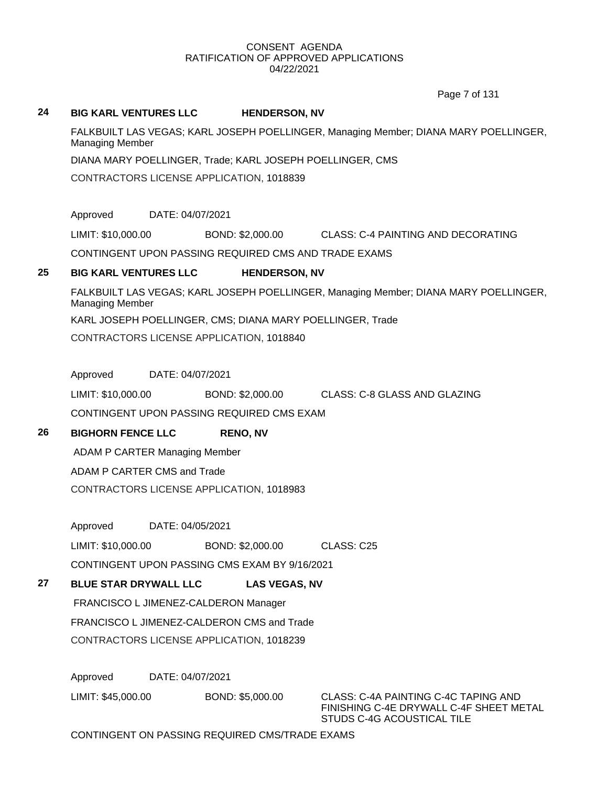Page 7 of 131

## **24 BIG KARL VENTURES LLC HENDERSON, NV**

FALKBUILT LAS VEGAS; KARL JOSEPH POELLINGER, Managing Member; DIANA MARY POELLINGER, Managing Member

DIANA MARY POELLINGER, Trade; KARL JOSEPH POELLINGER, CMS

CONTRACTORS LICENSE APPLICATION, 1018839

Approved DATE: 04/07/2021

LIMIT: \$10,000.00 BOND: \$2,000.00 CLASS: C-4 PAINTING AND DECORATING

CONTINGENT UPON PASSING REQUIRED CMS AND TRADE EXAMS

# **25 BIG KARL VENTURES LLC HENDERSON, NV**

FALKBUILT LAS VEGAS; KARL JOSEPH POELLINGER, Managing Member; DIANA MARY POELLINGER, Managing Member

KARL JOSEPH POELLINGER, CMS; DIANA MARY POELLINGER, Trade

CONTRACTORS LICENSE APPLICATION, 1018840

Approved DATE: 04/07/2021

LIMIT: \$10,000.00 BOND: \$2,000.00 CLASS: C-8 GLASS AND GLAZING

CONTINGENT UPON PASSING REQUIRED CMS EXAM

# **26 BIGHORN FENCE LLC RENO, NV**

ADAM P CARTER Managing Member

ADAM P CARTER CMS and Trade

CONTRACTORS LICENSE APPLICATION, 1018983

Approved DATE: 04/05/2021

LIMIT: \$10,000.00 BOND: \$2,000.00 CLASS: C25

CONTINGENT UPON PASSING CMS EXAM BY 9/16/2021

# **27 BLUE STAR DRYWALL LLC LAS VEGAS, NV**

FRANCISCO L JIMENEZ-CALDERON Manager FRANCISCO L JIMENEZ-CALDERON CMS and Trade CONTRACTORS LICENSE APPLICATION, 1018239

Approved DATE: 04/07/2021

LIMIT: \$45,000.00 BOND: \$5,000.00 CLASS: C-4A PAINTING C-4C TAPING AND

FINISHING C-4E DRYWALL C-4F SHEET METAL STUDS C-4G ACOUSTICAL TILE

# CONTINGENT ON PASSING REQUIRED CMS/TRADE EXAMS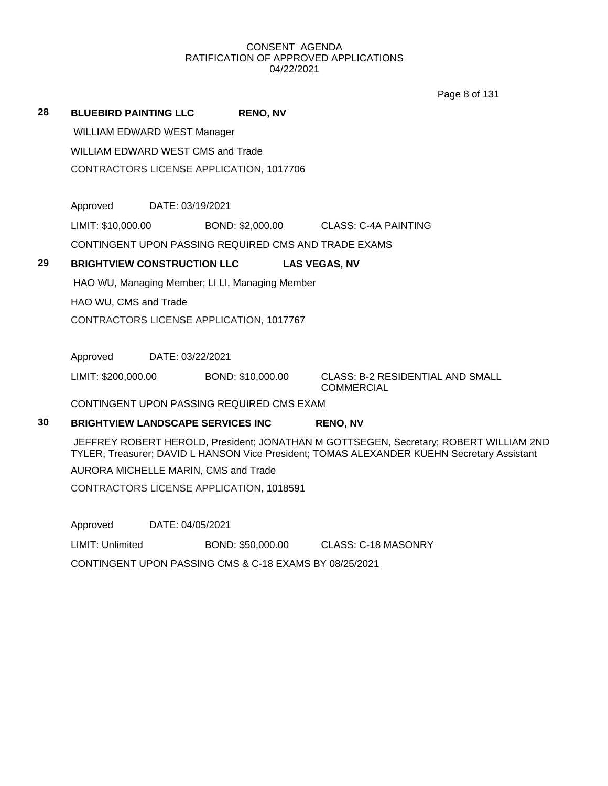Page 8 of 131

|    |                              |                                                      |                   |                                                       | Page 8 or 131 |
|----|------------------------------|------------------------------------------------------|-------------------|-------------------------------------------------------|---------------|
| 28 | <b>BLUEBIRD PAINTING LLC</b> |                                                      | <b>RENO, NV</b>   |                                                       |               |
|    |                              | <b>WILLIAM EDWARD WEST Manager</b>                   |                   |                                                       |               |
|    |                              | WILLIAM EDWARD WEST CMS and Trade                    |                   |                                                       |               |
|    |                              | CONTRACTORS LICENSE APPLICATION, 1017706             |                   |                                                       |               |
|    |                              |                                                      |                   |                                                       |               |
|    | Approved DATE: 03/19/2021    |                                                      |                   |                                                       |               |
|    | LIMIT: \$10,000.00           |                                                      | BOND: \$2,000.00  | CLASS: C-4A PAINTING                                  |               |
|    |                              | CONTINGENT UPON PASSING REQUIRED CMS AND TRADE EXAMS |                   |                                                       |               |
| 29 |                              | <b>BRIGHTVIEW CONSTRUCTION LLC</b>                   |                   | <b>LAS VEGAS, NV</b>                                  |               |
|    |                              | HAO WU, Managing Member; LI LI, Managing Member      |                   |                                                       |               |
|    | HAO WU, CMS and Trade        |                                                      |                   |                                                       |               |
|    |                              | CONTRACTORS LICENSE APPLICATION, 1017767             |                   |                                                       |               |
|    |                              |                                                      |                   |                                                       |               |
|    | Approved                     | DATE: 03/22/2021                                     |                   |                                                       |               |
|    | LIMIT: \$200,000.00          |                                                      | BOND: \$10,000.00 | CLASS: B-2 RESIDENTIAL AND SMALL<br><b>COMMERCIAL</b> |               |
|    |                              | CONTINGENT UPON PASSING REQUIRED CMS EXAM            |                   |                                                       |               |

**30 BRIGHTVIEW LANDSCAPE SERVICES INC RENO, NV**

JEFFREY ROBERT HEROLD, President; JONATHAN M GOTTSEGEN, Secretary; ROBERT WILLIAM 2ND TYLER, Treasurer; DAVID L HANSON Vice President; TOMAS ALEXANDER KUEHN Secretary Assistant AURORA MICHELLE MARIN, CMS and Trade CONTRACTORS LICENSE APPLICATION, 1018591

Approved DATE: 04/05/2021

LIMIT: Unlimited BOND: \$50,000.00 CLASS: C-18 MASONRY

CONTINGENT UPON PASSING CMS & C-18 EXAMS BY 08/25/2021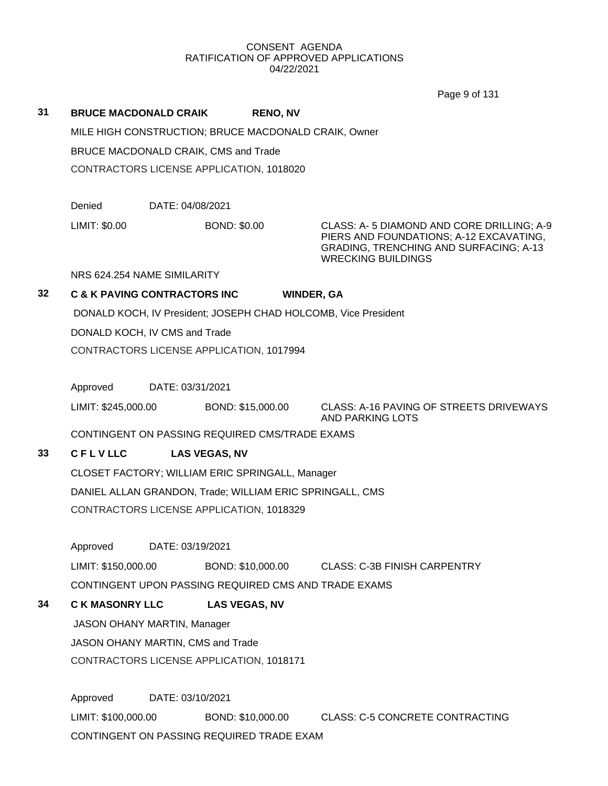Page 9 of 131

## **31 BRUCE MACDONALD CRAIK RENO, NV**

MILE HIGH CONSTRUCTION; BRUCE MACDONALD CRAIK, Owner

BRUCE MACDONALD CRAIK, CMS and Trade

CONTRACTORS LICENSE APPLICATION, 1018020

Denied DATE: 04/08/2021

LIMIT: \$0.00 BOND: \$0.00 CLASS: A- 5 DIAMOND AND CORE DRILLING; A-9 PIERS AND FOUNDATIONS; A-12 EXCAVATING, GRADING, TRENCHING AND SURFACING; A-13 WRECKING BUILDINGS

NRS 624.254 NAME SIMILARITY

# **32 C & K PAVING CONTRACTORS INC WINDER, GA**

DONALD KOCH, IV President; JOSEPH CHAD HOLCOMB, Vice President

DONALD KOCH, IV CMS and Trade

CONTRACTORS LICENSE APPLICATION, 1017994

Approved DATE: 03/31/2021

LIMIT: \$245,000.00 BOND: \$15,000.00 CLASS: A-16 PAVING OF STREETS DRIVEWAYS AND PARKING LOTS

CONTINGENT ON PASSING REQUIRED CMS/TRADE EXAMS

# **33 C F L V LLC LAS VEGAS, NV**

CLOSET FACTORY; WILLIAM ERIC SPRINGALL, Manager DANIEL ALLAN GRANDON, Trade; WILLIAM ERIC SPRINGALL, CMS CONTRACTORS LICENSE APPLICATION, 1018329

Approved DATE: 03/19/2021

LIMIT: \$150,000.00 BOND: \$10,000.00 CLASS: C-3B FINISH CARPENTRY CONTINGENT UPON PASSING REQUIRED CMS AND TRADE EXAMS

# **34 C K MASONRY LLC LAS VEGAS, NV**

JASON OHANY MARTIN, Manager

JASON OHANY MARTIN, CMS and Trade

CONTRACTORS LICENSE APPLICATION, 1018171

Approved DATE: 03/10/2021 LIMIT: \$100,000.00 BOND: \$10,000.00 CLASS: C-5 CONCRETE CONTRACTING CONTINGENT ON PASSING REQUIRED TRADE EXAM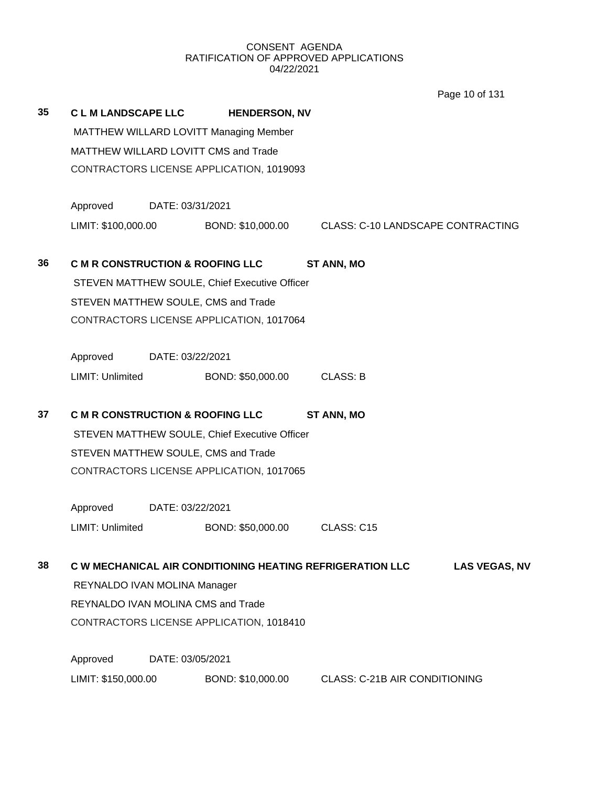Page 10 of 131

| 35 | <b>CLM LANDSCAPE LLC</b>                    |                                          | <b>HENDERSON, NV</b>                          |                                                                                          |  |  |  |
|----|---------------------------------------------|------------------------------------------|-----------------------------------------------|------------------------------------------------------------------------------------------|--|--|--|
|    |                                             |                                          | MATTHEW WILLARD LOVITT Managing Member        |                                                                                          |  |  |  |
|    |                                             |                                          | MATTHEW WILLARD LOVITT CMS and Trade          |                                                                                          |  |  |  |
|    |                                             |                                          | CONTRACTORS LICENSE APPLICATION, 1019093      |                                                                                          |  |  |  |
|    | Approved                                    | DATE: 03/31/2021                         |                                               |                                                                                          |  |  |  |
|    | LIMIT: \$100,000.00                         |                                          |                                               | BOND: \$10,000.00 CLASS: C-10 LANDSCAPE CONTRACTING                                      |  |  |  |
| 36 | <b>C M R CONSTRUCTION &amp; ROOFING LLC</b> |                                          |                                               | <b>ST ANN, MO</b>                                                                        |  |  |  |
|    |                                             |                                          | STEVEN MATTHEW SOULE, Chief Executive Officer |                                                                                          |  |  |  |
|    |                                             |                                          | STEVEN MATTHEW SOULE, CMS and Trade           |                                                                                          |  |  |  |
|    |                                             | CONTRACTORS LICENSE APPLICATION, 1017064 |                                               |                                                                                          |  |  |  |
|    | Approved DATE: 03/22/2021                   |                                          |                                               |                                                                                          |  |  |  |
|    | LIMIT: Unlimited                            |                                          | BOND: \$50,000.00                             | <b>CLASS: B</b>                                                                          |  |  |  |
| 37 | <b>C M R CONSTRUCTION &amp; ROOFING LLC</b> |                                          |                                               | <b>ST ANN, MO</b>                                                                        |  |  |  |
|    |                                             |                                          | STEVEN MATTHEW SOULE, Chief Executive Officer |                                                                                          |  |  |  |
|    |                                             |                                          | STEVEN MATTHEW SOULE, CMS and Trade           |                                                                                          |  |  |  |
|    |                                             |                                          | CONTRACTORS LICENSE APPLICATION, 1017065      |                                                                                          |  |  |  |
|    | Approved                                    | DATE: 03/22/2021                         |                                               |                                                                                          |  |  |  |
|    | LIMIT: Unlimited                            |                                          | BOND: \$50,000.00                             | CLASS: C15                                                                               |  |  |  |
| 38 |                                             |                                          |                                               | <b>C W MECHANICAL AIR CONDITIONING HEATING REFRIGERATION LLC</b><br><b>LAS VEGAS, NV</b> |  |  |  |
|    | REYNALDO IVAN MOLINA Manager                |                                          |                                               |                                                                                          |  |  |  |
|    |                                             | REYNALDO IVAN MOLINA CMS and Trade       |                                               |                                                                                          |  |  |  |
|    |                                             | CONTRACTORS LICENSE APPLICATION, 1018410 |                                               |                                                                                          |  |  |  |
|    | Approved                                    | DATE: 03/05/2021                         |                                               |                                                                                          |  |  |  |
|    | LIMIT: \$150,000.00                         |                                          |                                               |                                                                                          |  |  |  |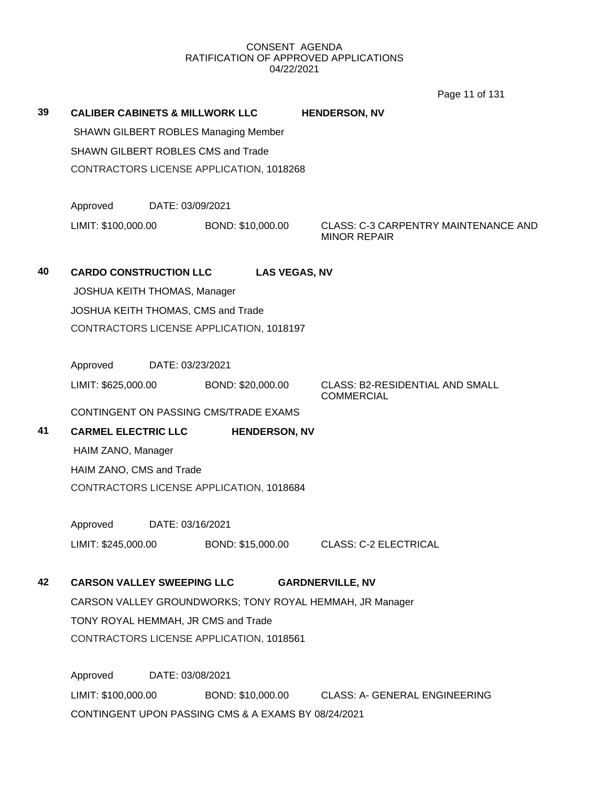Page 11 of 131

| 39 | <b>CALIBER CABINETS &amp; MILLWORK LLC</b> |                  |                                             |  | <b>HENDERSON, NV</b>                                               |  |  |  |
|----|--------------------------------------------|------------------|---------------------------------------------|--|--------------------------------------------------------------------|--|--|--|
|    |                                            |                  | <b>SHAWN GILBERT ROBLES Managing Member</b> |  |                                                                    |  |  |  |
|    | <b>SHAWN GILBERT ROBLES CMS and Trade</b>  |                  |                                             |  |                                                                    |  |  |  |
|    | CONTRACTORS LICENSE APPLICATION, 1018268   |                  |                                             |  |                                                                    |  |  |  |
|    |                                            |                  |                                             |  |                                                                    |  |  |  |
|    | Approved                                   | DATE: 03/09/2021 |                                             |  |                                                                    |  |  |  |
|    | LIMIT: \$100,000.00                        |                  | BOND: \$10,000.00                           |  | <b>CLASS: C-3 CARPENTRY MAINTENANCE AND</b><br><b>MINOR REPAIR</b> |  |  |  |
| 40 | <b>CARDO CONSTRUCTION LLC</b>              |                  | <b>LAS VEGAS, NV</b>                        |  |                                                                    |  |  |  |
|    | JOSHUA KEITH THOMAS, Manager               |                  |                                             |  |                                                                    |  |  |  |
|    |                                            |                  | JOSHUA KEITH THOMAS, CMS and Trade          |  |                                                                    |  |  |  |
|    | CONTRACTORS LICENSE APPLICATION, 1018197   |                  |                                             |  |                                                                    |  |  |  |
|    | Approved                                   | DATE: 03/23/2021 |                                             |  |                                                                    |  |  |  |
|    | LIMIT: \$625,000.00                        |                  | BOND: \$20,000.00                           |  | <b>CLASS: B2-RESIDENTIAL AND SMALL</b><br><b>COMMERCIAL</b>        |  |  |  |
|    |                                            |                  | CONTINGENT ON PASSING CMS/TRADE EXAMS       |  |                                                                    |  |  |  |
| 41 | <b>CARMEL ELECTRIC LLC</b>                 |                  | <b>HENDERSON, NV</b>                        |  |                                                                    |  |  |  |
|    | HAIM ZANO, Manager                         |                  |                                             |  |                                                                    |  |  |  |
|    | HAIM ZANO, CMS and Trade                   |                  |                                             |  |                                                                    |  |  |  |
|    | CONTRACTORS LICENSE APPLICATION, 1018684   |                  |                                             |  |                                                                    |  |  |  |
|    | Approved                                   | DATE: 03/16/2021 |                                             |  |                                                                    |  |  |  |
|    | LIMIT: \$245,000.00                        |                  | BOND: \$15,000.00                           |  | <b>CLASS: C-2 ELECTRICAL</b>                                       |  |  |  |
| 42 | <b>CARSON VALLEY SWEEPING LLC</b>          |                  |                                             |  | <b>GARDNERVILLE, NV</b>                                            |  |  |  |
|    |                                            |                  |                                             |  | CARSON VALLEY GROUNDWORKS; TONY ROYAL HEMMAH, JR Manager           |  |  |  |
|    |                                            |                  | TONY ROYAL HEMMAH, JR CMS and Trade         |  |                                                                    |  |  |  |
|    |                                            |                  | CONTRACTORS LICENSE APPLICATION, 1018561    |  |                                                                    |  |  |  |
|    |                                            |                  |                                             |  |                                                                    |  |  |  |

Approved DATE: 03/08/2021 LIMIT: \$100,000.00 BOND: \$10,000.00 CLASS: A- GENERAL ENGINEERING CONTINGENT UPON PASSING CMS & A EXAMS BY 08/24/2021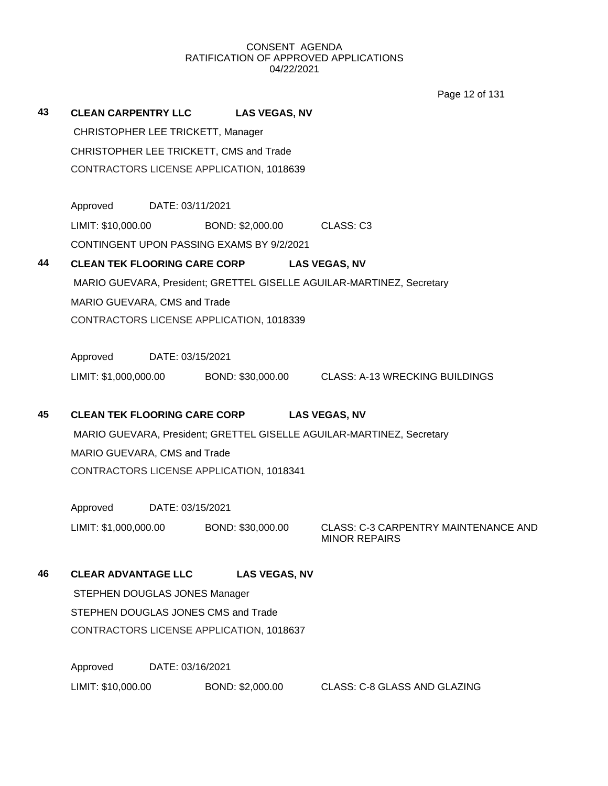Page 12 of 131

| 43 | <b>CLEAN CARPENTRY LLC</b>              |                                          | <b>LAS VEGAS, NV</b>                      |                                                                       |  |  |  |  |
|----|-----------------------------------------|------------------------------------------|-------------------------------------------|-----------------------------------------------------------------------|--|--|--|--|
|    | CHRISTOPHER LEE TRICKETT, Manager       |                                          |                                           |                                                                       |  |  |  |  |
|    | CHRISTOPHER LEE TRICKETT, CMS and Trade |                                          |                                           |                                                                       |  |  |  |  |
|    |                                         | CONTRACTORS LICENSE APPLICATION, 1018639 |                                           |                                                                       |  |  |  |  |
|    | Approved                                | DATE: 03/11/2021                         |                                           |                                                                       |  |  |  |  |
|    | LIMIT: \$10,000.00                      |                                          | BOND: \$2,000.00                          | CLASS: C3                                                             |  |  |  |  |
|    |                                         |                                          | CONTINGENT UPON PASSING EXAMS BY 9/2/2021 |                                                                       |  |  |  |  |
| 44 |                                         |                                          | <b>CLEAN TEK FLOORING CARE CORP</b>       | <b>LAS VEGAS, NV</b>                                                  |  |  |  |  |
|    |                                         |                                          |                                           | MARIO GUEVARA, President; GRETTEL GISELLE AGUILAR-MARTINEZ, Secretary |  |  |  |  |
|    | MARIO GUEVARA, CMS and Trade            |                                          |                                           |                                                                       |  |  |  |  |
|    |                                         | CONTRACTORS LICENSE APPLICATION, 1018339 |                                           |                                                                       |  |  |  |  |
|    | Approved                                | DATE: 03/15/2021                         |                                           |                                                                       |  |  |  |  |
|    |                                         |                                          | LIMIT: \$1,000,000.00 BOND: \$30,000.00   | <b>CLASS: A-13 WRECKING BUILDINGS</b>                                 |  |  |  |  |
| 45 |                                         |                                          | <b>CLEAN TEK FLOORING CARE CORP</b>       | <b>LAS VEGAS, NV</b>                                                  |  |  |  |  |
|    |                                         |                                          |                                           | MARIO GUEVARA, President; GRETTEL GISELLE AGUILAR-MARTINEZ, Secretary |  |  |  |  |
|    | MARIO GUEVARA, CMS and Trade            |                                          |                                           |                                                                       |  |  |  |  |
|    |                                         |                                          | CONTRACTORS LICENSE APPLICATION, 1018341  |                                                                       |  |  |  |  |
|    | Approved                                | DATE: 03/15/2021                         |                                           |                                                                       |  |  |  |  |
|    | LIMIT: \$1,000,000.00                   |                                          | BOND: \$30,000.00                         | <b>CLASS: C-3 CARPENTRY MAINTENANCE AND</b><br><b>MINOR REPAIRS</b>   |  |  |  |  |
| 46 | <b>CLEAR ADVANTAGE LLC</b>              |                                          | <b>LAS VEGAS, NV</b>                      |                                                                       |  |  |  |  |
|    | STEPHEN DOUGLAS JONES Manager           |                                          |                                           |                                                                       |  |  |  |  |
|    |                                         |                                          | STEPHEN DOUGLAS JONES CMS and Trade       |                                                                       |  |  |  |  |
|    |                                         |                                          | CONTRACTORS LICENSE APPLICATION, 1018637  |                                                                       |  |  |  |  |
|    | Approved                                | DATE: 03/16/2021                         |                                           |                                                                       |  |  |  |  |
|    | LIMIT: \$10,000.00                      |                                          | BOND: \$2,000.00                          | <b>CLASS: C-8 GLASS AND GLAZING</b>                                   |  |  |  |  |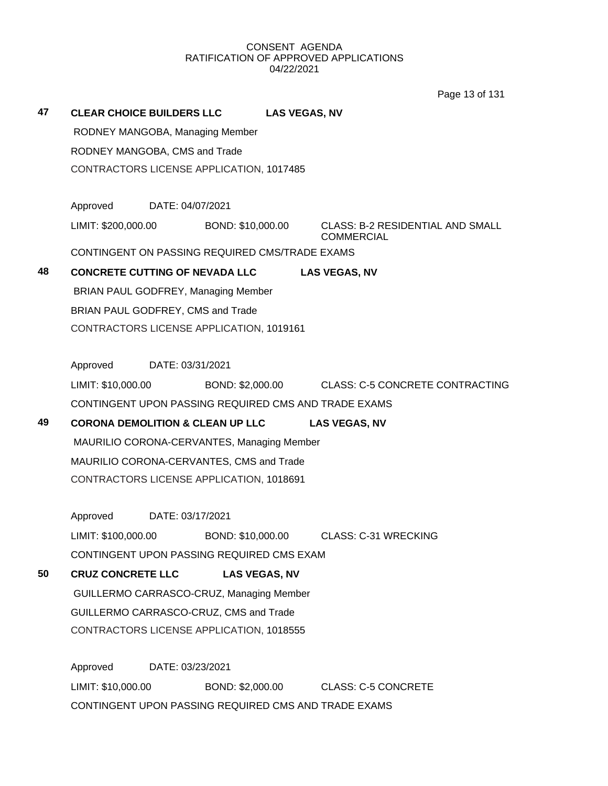Page 13 of 131

|    |                                                                                    |                  |                      |                      | וטו וט טו ק                                                  |
|----|------------------------------------------------------------------------------------|------------------|----------------------|----------------------|--------------------------------------------------------------|
| 47 | <b>CLEAR CHOICE BUILDERS LLC</b>                                                   |                  |                      | <b>LAS VEGAS, NV</b> |                                                              |
|    | RODNEY MANGOBA, Managing Member                                                    |                  |                      |                      |                                                              |
|    | RODNEY MANGOBA, CMS and Trade                                                      |                  |                      |                      |                                                              |
|    | CONTRACTORS LICENSE APPLICATION, 1017485                                           |                  |                      |                      |                                                              |
|    |                                                                                    |                  |                      |                      |                                                              |
|    | Approved                                                                           | DATE: 04/07/2021 |                      |                      |                                                              |
|    | LIMIT: \$200,000.00                                                                |                  | BOND: \$10,000.00    |                      | <b>CLASS: B-2 RESIDENTIAL AND SMALL</b><br><b>COMMERCIAL</b> |
|    | CONTINGENT ON PASSING REQUIRED CMS/TRADE EXAMS                                     |                  |                      |                      |                                                              |
| 48 | <b>CONCRETE CUTTING OF NEVADA LLC</b>                                              |                  |                      |                      | <b>LAS VEGAS, NV</b>                                         |
|    | BRIAN PAUL GODFREY, Managing Member                                                |                  |                      |                      |                                                              |
|    | BRIAN PAUL GODFREY, CMS and Trade                                                  |                  |                      |                      |                                                              |
|    | CONTRACTORS LICENSE APPLICATION, 1019161                                           |                  |                      |                      |                                                              |
|    |                                                                                    |                  |                      |                      |                                                              |
|    | Approved                                                                           | DATE: 03/31/2021 |                      |                      |                                                              |
|    | LIMIT: \$10,000.00                                                                 |                  |                      |                      | BOND: \$2,000.00 CLASS: C-5 CONCRETE CONTRACTING             |
|    | CONTINGENT UPON PASSING REQUIRED CMS AND TRADE EXAMS                               |                  |                      |                      |                                                              |
| 49 | <b>CORONA DEMOLITION &amp; CLEAN UP LLC</b>                                        |                  |                      |                      | <b>LAS VEGAS, NV</b>                                         |
|    | MAURILIO CORONA-CERVANTES, Managing Member                                         |                  |                      |                      |                                                              |
|    | MAURILIO CORONA-CERVANTES, CMS and Trade                                           |                  |                      |                      |                                                              |
|    | CONTRACTORS LICENSE APPLICATION, 1018691                                           |                  |                      |                      |                                                              |
|    | Approved                                                                           | DATE: 03/17/2021 |                      |                      |                                                              |
|    | LIMIT: \$100,000.00                                                                |                  | BOND: \$10,000.00    |                      | <b>CLASS: C-31 WRECKING</b>                                  |
|    | CONTINGENT UPON PASSING REQUIRED CMS EXAM                                          |                  |                      |                      |                                                              |
| 50 |                                                                                    |                  |                      |                      |                                                              |
|    | <b>CRUZ CONCRETE LLC</b>                                                           |                  | <b>LAS VEGAS, NV</b> |                      |                                                              |
|    | GUILLERMO CARRASCO-CRUZ, Managing Member<br>GUILLERMO CARRASCO-CRUZ, CMS and Trade |                  |                      |                      |                                                              |
|    | CONTRACTORS LICENSE APPLICATION, 1018555                                           |                  |                      |                      |                                                              |
|    |                                                                                    |                  |                      |                      |                                                              |
|    | Approved                                                                           | DATE: 03/23/2021 |                      |                      |                                                              |
|    | LIMIT: \$10,000.00                                                                 |                  |                      |                      | BOND: \$2,000.00 CLASS: C-5 CONCRETE                         |
|    | CONTINGENT UPON PASSING REQUIRED CMS AND TRADE EXAMS                               |                  |                      |                      |                                                              |
|    |                                                                                    |                  |                      |                      |                                                              |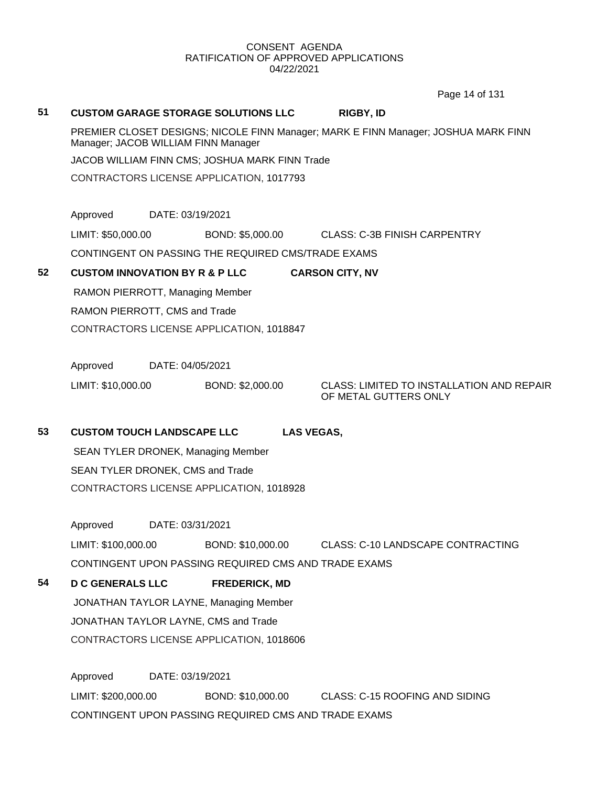Page 14 of 131

# **51 CUSTOM GARAGE STORAGE SOLUTIONS LLC RIGBY, ID** PREMIER CLOSET DESIGNS; NICOLE FINN Manager; MARK E FINN Manager; JOSHUA MARK FINN Manager; JACOB WILLIAM FINN Manager JACOB WILLIAM FINN CMS; JOSHUA MARK FINN Trade CONTRACTORS LICENSE APPLICATION, 1017793 Approved DATE: 03/19/2021 LIMIT: \$50,000.00 BOND: \$5,000.00 CLASS: C-3B FINISH CARPENTRY CONTINGENT ON PASSING THE REQUIRED CMS/TRADE EXAMS **52 CUSTOM INNOVATION BY R & P LLC CARSON CITY, NV** RAMON PIERROTT, Managing Member RAMON PIERROTT, CMS and Trade CONTRACTORS LICENSE APPLICATION, 1018847 Approved DATE: 04/05/2021 LIMIT: \$10,000.00 BOND: \$2,000.00 CLASS: LIMITED TO INSTALLATION AND REPAIR OF METAL GUTTERS ONLY **53 CUSTOM TOUCH LANDSCAPE LLC LAS VEGAS,**  SEAN TYLER DRONEK, Managing Member SEAN TYLER DRONEK, CMS and Trade CONTRACTORS LICENSE APPLICATION, 1018928 Approved DATE: 03/31/2021 LIMIT: \$100,000.00 BOND: \$10,000.00 CLASS: C-10 LANDSCAPE CONTRACTING CONTINGENT UPON PASSING REQUIRED CMS AND TRADE EXAMS **54 D C GENERALS LLC FREDERICK, MD** JONATHAN TAYLOR LAYNE, Managing Member JONATHAN TAYLOR LAYNE, CMS and Trade CONTRACTORS LICENSE APPLICATION, 1018606 Approved DATE: 03/19/2021

LIMIT: \$200,000.00 BOND: \$10,000.00 CLASS: C-15 ROOFING AND SIDING CONTINGENT UPON PASSING REQUIRED CMS AND TRADE EXAMS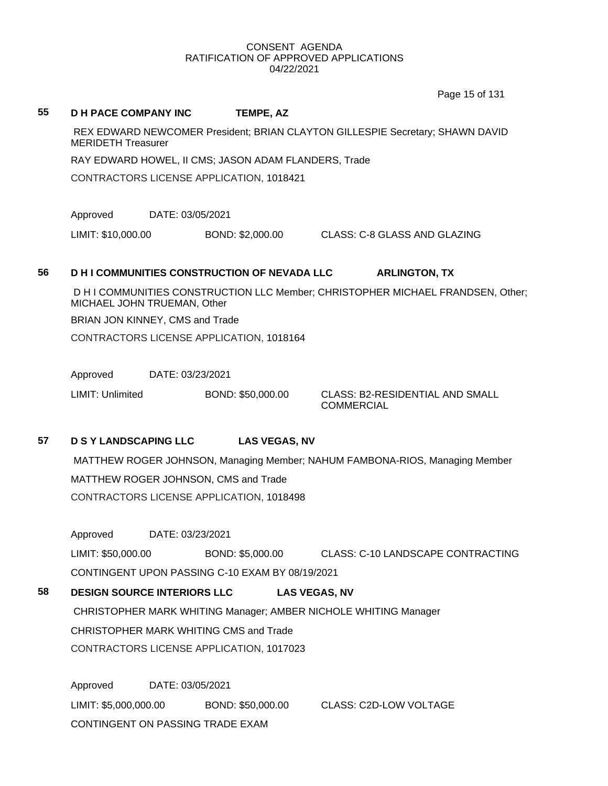Page 15 of 131

#### **55 D H PACE COMPANY INC TEMPE, AZ**

REX EDWARD NEWCOMER President; BRIAN CLAYTON GILLESPIE Secretary; SHAWN DAVID MERIDETH Treasurer

RAY EDWARD HOWEL, II CMS; JASON ADAM FLANDERS, Trade

CONTRACTORS LICENSE APPLICATION, 1018421

Approved DATE: 03/05/2021

LIMIT: \$10,000.00 BOND: \$2,000.00 CLASS: C-8 GLASS AND GLAZING

# **56 D H I COMMUNITIES CONSTRUCTION OF NEVADA LLC ARLINGTON, TX**

D H I COMMUNITIES CONSTRUCTION LLC Member; CHRISTOPHER MICHAEL FRANDSEN, Other; MICHAEL JOHN TRUEMAN, Other

BRIAN JON KINNEY, CMS and Trade

CONTRACTORS LICENSE APPLICATION, 1018164

Approved DATE: 03/23/2021

LIMIT: Unlimited BOND: \$50,000.00 CLASS: B2-RESIDENTIAL AND SMALL

COMMERCIAL

# **57 D S Y LANDSCAPING LLC LAS VEGAS, NV**

MATTHEW ROGER JOHNSON, Managing Member; NAHUM FAMBONA-RIOS, Managing Member MATTHEW ROGER JOHNSON, CMS and Trade CONTRACTORS LICENSE APPLICATION, 1018498

Approved DATE: 03/23/2021

LIMIT: \$50,000.00 BOND: \$5,000.00 CLASS: C-10 LANDSCAPE CONTRACTING CONTINGENT UPON PASSING C-10 EXAM BY 08/19/2021

# **58 DESIGN SOURCE INTERIORS LLC LAS VEGAS, NV**

CHRISTOPHER MARK WHITING Manager; AMBER NICHOLE WHITING Manager CHRISTOPHER MARK WHITING CMS and Trade CONTRACTORS LICENSE APPLICATION, 1017023

Approved DATE: 03/05/2021 LIMIT: \$5,000,000.00 BOND: \$50,000.00 CLASS: C2D-LOW VOLTAGE CONTINGENT ON PASSING TRADE EXAM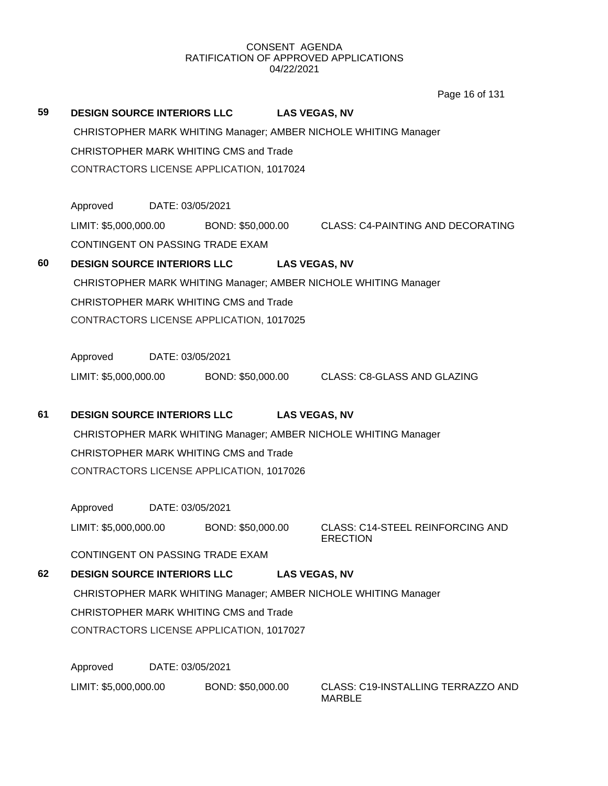Page 16 of 131

| 59 | <b>DESIGN SOURCE INTERIORS LLC</b>                              |                  |                   |                      | <b>LAS VEGAS, NV</b>                                                      |  |  |  |
|----|-----------------------------------------------------------------|------------------|-------------------|----------------------|---------------------------------------------------------------------------|--|--|--|
|    | CHRISTOPHER MARK WHITING Manager; AMBER NICHOLE WHITING Manager |                  |                   |                      |                                                                           |  |  |  |
|    | CHRISTOPHER MARK WHITING CMS and Trade                          |                  |                   |                      |                                                                           |  |  |  |
|    | CONTRACTORS LICENSE APPLICATION, 1017024                        |                  |                   |                      |                                                                           |  |  |  |
|    |                                                                 |                  |                   |                      |                                                                           |  |  |  |
|    | Approved                                                        | DATE: 03/05/2021 |                   |                      |                                                                           |  |  |  |
|    |                                                                 |                  |                   |                      | LIMIT: \$5,000,000.00 BOND: \$50,000.00 CLASS: C4-PAINTING AND DECORATING |  |  |  |
|    | CONTINGENT ON PASSING TRADE EXAM                                |                  |                   |                      |                                                                           |  |  |  |
| 60 | DESIGN SOURCE INTERIORS LLC LAS VEGAS, NV                       |                  |                   |                      |                                                                           |  |  |  |
|    |                                                                 |                  |                   |                      | CHRISTOPHER MARK WHITING Manager; AMBER NICHOLE WHITING Manager           |  |  |  |
|    | CHRISTOPHER MARK WHITING CMS and Trade                          |                  |                   |                      |                                                                           |  |  |  |
|    | CONTRACTORS LICENSE APPLICATION, 1017025                        |                  |                   |                      |                                                                           |  |  |  |
|    |                                                                 |                  |                   |                      |                                                                           |  |  |  |
|    | Approved                                                        | DATE: 03/05/2021 |                   |                      |                                                                           |  |  |  |
|    | LIMIT: \$5,000,000.00                                           |                  |                   |                      | BOND: \$50,000.00 CLASS: C8-GLASS AND GLAZING                             |  |  |  |
|    |                                                                 |                  |                   |                      |                                                                           |  |  |  |
| 61 | <b>DESIGN SOURCE INTERIORS LLC</b>                              |                  |                   | <b>LAS VEGAS, NV</b> |                                                                           |  |  |  |
|    | CHRISTOPHER MARK WHITING Manager; AMBER NICHOLE WHITING Manager |                  |                   |                      |                                                                           |  |  |  |
|    | CHRISTOPHER MARK WHITING CMS and Trade                          |                  |                   |                      |                                                                           |  |  |  |
|    | CONTRACTORS LICENSE APPLICATION, 1017026                        |                  |                   |                      |                                                                           |  |  |  |
|    |                                                                 |                  |                   |                      |                                                                           |  |  |  |
|    | Approved                                                        | DATE: 03/05/2021 |                   |                      |                                                                           |  |  |  |
|    | LIMIT: \$5,000,000.00                                           |                  | BOND: \$50,000.00 |                      | <b>CLASS: C14-STEEL REINFORCING AND</b>                                   |  |  |  |
|    | CONTINGENT ON PASSING TRADE EXAM                                |                  |                   |                      | <b>ERECTION</b>                                                           |  |  |  |
|    |                                                                 |                  |                   |                      |                                                                           |  |  |  |
| 62 | <b>DESIGN SOURCE INTERIORS LLC</b>                              |                  |                   |                      | <b>LAS VEGAS, NV</b>                                                      |  |  |  |
|    |                                                                 |                  |                   |                      | CHRISTOPHER MARK WHITING Manager; AMBER NICHOLE WHITING Manager           |  |  |  |
|    | CHRISTOPHER MARK WHITING CMS and Trade                          |                  |                   |                      |                                                                           |  |  |  |
|    | CONTRACTORS LICENSE APPLICATION, 1017027                        |                  |                   |                      |                                                                           |  |  |  |
|    |                                                                 |                  |                   |                      |                                                                           |  |  |  |
|    | Approved                                                        | DATE: 03/05/2021 |                   |                      |                                                                           |  |  |  |

LIMIT: \$5,000,000.00 BOND: \$50,000.00 CLASS: C19-INSTALLING TERRAZZO AND

MARBLE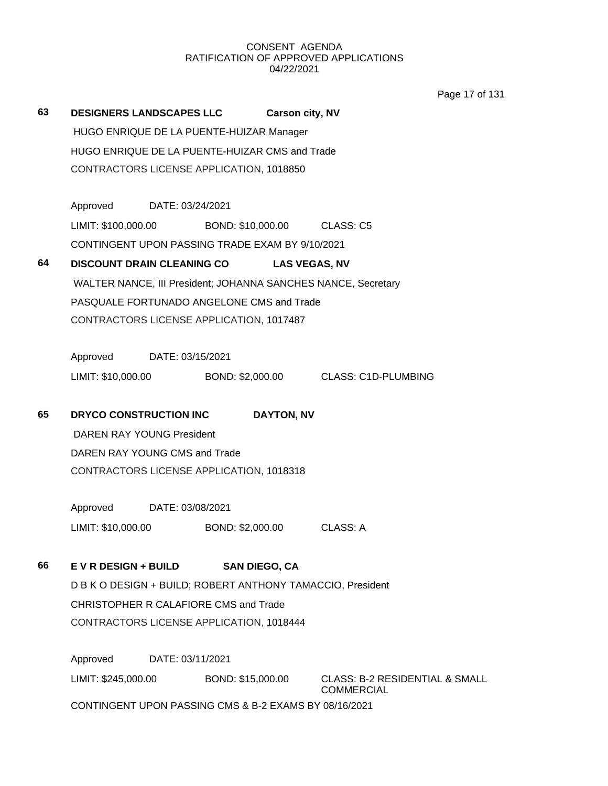Page 17 of 131

|    |                                       |                  |                                                       |                                                                | i ayo 17 Ui |
|----|---------------------------------------|------------------|-------------------------------------------------------|----------------------------------------------------------------|-------------|
| 63 | <b>DESIGNERS LANDSCAPES LLC</b>       |                  |                                                       | <b>Carson city, NV</b>                                         |             |
|    |                                       |                  | HUGO ENRIQUE DE LA PUENTE-HUIZAR Manager              |                                                                |             |
|    |                                       |                  | HUGO ENRIQUE DE LA PUENTE-HUIZAR CMS and Trade        |                                                                |             |
|    |                                       |                  | CONTRACTORS LICENSE APPLICATION, 1018850              |                                                                |             |
|    |                                       |                  |                                                       |                                                                |             |
|    | Approved DATE: 03/24/2021             |                  |                                                       |                                                                |             |
|    |                                       |                  | LIMIT: \$100,000.00 BOND: \$10,000.00 CLASS: C5       |                                                                |             |
|    |                                       |                  | CONTINGENT UPON PASSING TRADE EXAM BY 9/10/2021       |                                                                |             |
| 64 | <b>DISCOUNT DRAIN CLEANING CO</b>     |                  |                                                       | <b>LAS VEGAS, NV</b>                                           |             |
|    |                                       |                  |                                                       | WALTER NANCE, III President; JOHANNA SANCHES NANCE, Secretary  |             |
|    |                                       |                  | PASQUALE FORTUNADO ANGELONE CMS and Trade             |                                                                |             |
|    |                                       |                  | CONTRACTORS LICENSE APPLICATION, 1017487              |                                                                |             |
|    |                                       |                  |                                                       |                                                                |             |
|    | Approved DATE: 03/15/2021             |                  |                                                       |                                                                |             |
|    | LIMIT: \$10,000.00                    |                  |                                                       | BOND: \$2,000.00 CLASS: C1D-PLUMBING                           |             |
|    |                                       |                  |                                                       |                                                                |             |
| 65 | DRYCO CONSTRUCTION INC                |                  | <b>DAYTON, NV</b>                                     |                                                                |             |
|    | DAREN RAY YOUNG President             |                  |                                                       |                                                                |             |
|    | DAREN RAY YOUNG CMS and Trade         |                  |                                                       |                                                                |             |
|    |                                       |                  | CONTRACTORS LICENSE APPLICATION, 1018318              |                                                                |             |
|    |                                       |                  |                                                       |                                                                |             |
|    | Approved DATE: 03/08/2021             |                  |                                                       |                                                                |             |
|    | LIMIT: \$10,000.00                    |                  | BOND: \$2,000.00                                      | <b>CLASS: A</b>                                                |             |
|    |                                       |                  |                                                       |                                                                |             |
| 66 | <b>EVR DESIGN + BUILD</b>             |                  | <b>SAN DIEGO, CA</b>                                  |                                                                |             |
|    |                                       |                  |                                                       | D B K O DESIGN + BUILD; ROBERT ANTHONY TAMACCIO, President     |             |
|    | CHRISTOPHER R CALAFIORE CMS and Trade |                  |                                                       |                                                                |             |
|    |                                       |                  | CONTRACTORS LICENSE APPLICATION, 1018444              |                                                                |             |
|    |                                       |                  |                                                       |                                                                |             |
|    | Approved                              | DATE: 03/11/2021 |                                                       |                                                                |             |
|    | LIMIT: \$245,000.00                   |                  | BOND: \$15,000.00                                     | <b>CLASS: B-2 RESIDENTIAL &amp; SMALL</b><br><b>COMMERCIAL</b> |             |
|    |                                       |                  | CONTINGENT UPON PASSING CMS & B-2 EXAMS BY 08/16/2021 |                                                                |             |
|    |                                       |                  |                                                       |                                                                |             |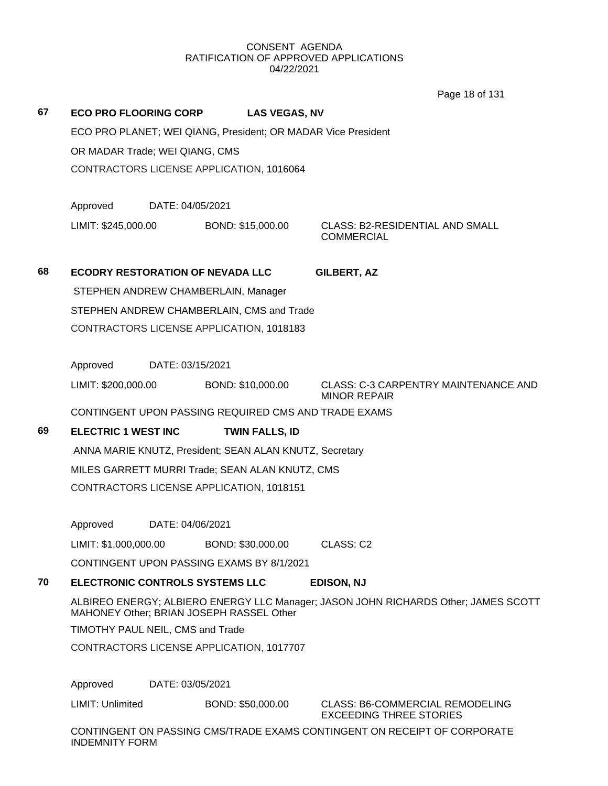Page 18 of 131

|    |                                                               |                       | Page 18 of 131                                                                     |
|----|---------------------------------------------------------------|-----------------------|------------------------------------------------------------------------------------|
| 67 | <b>ECO PRO FLOORING CORP</b>                                  | <b>LAS VEGAS, NV</b>  |                                                                                    |
|    | ECO PRO PLANET; WEI QIANG, President; OR MADAR Vice President |                       |                                                                                    |
|    | OR MADAR Trade; WEI QIANG, CMS                                |                       |                                                                                    |
|    | CONTRACTORS LICENSE APPLICATION, 1016064                      |                       |                                                                                    |
|    |                                                               |                       |                                                                                    |
|    | Approved<br>DATE: 04/05/2021                                  |                       |                                                                                    |
|    | LIMIT: \$245,000.00                                           | BOND: \$15,000.00     | <b>CLASS: B2-RESIDENTIAL AND SMALL</b><br><b>COMMERCIAL</b>                        |
| 68 | <b>ECODRY RESTORATION OF NEVADA LLC</b>                       |                       | <b>GILBERT, AZ</b>                                                                 |
|    | STEPHEN ANDREW CHAMBERLAIN, Manager                           |                       |                                                                                    |
|    | STEPHEN ANDREW CHAMBERLAIN, CMS and Trade                     |                       |                                                                                    |
|    | CONTRACTORS LICENSE APPLICATION, 1018183                      |                       |                                                                                    |
|    |                                                               |                       |                                                                                    |
|    | Approved<br>DATE: 03/15/2021                                  |                       |                                                                                    |
|    | LIMIT: \$200,000.00                                           | BOND: \$10,000.00     | <b>CLASS: C-3 CARPENTRY MAINTENANCE AND</b><br><b>MINOR REPAIR</b>                 |
|    | CONTINGENT UPON PASSING REQUIRED CMS AND TRADE EXAMS          |                       |                                                                                    |
| 69 | <b>ELECTRIC 1 WEST INC</b>                                    | <b>TWIN FALLS, ID</b> |                                                                                    |
|    | ANNA MARIE KNUTZ, President; SEAN ALAN KNUTZ, Secretary       |                       |                                                                                    |
|    | MILES GARRETT MURRI Trade; SEAN ALAN KNUTZ, CMS               |                       |                                                                                    |
|    | CONTRACTORS LICENSE APPLICATION, 1018151                      |                       |                                                                                    |
|    |                                                               |                       |                                                                                    |
|    | DATE: 04/06/2021<br>Approved                                  |                       |                                                                                    |
|    | LIMIT: \$1,000,000.00                                         | BOND: \$30,000.00     | CLASS: C2                                                                          |
|    | CONTINGENT UPON PASSING EXAMS BY 8/1/2021                     |                       |                                                                                    |
| 70 | ELECTRONIC CONTROLS SYSTEMS LLC                               |                       | <b>EDISON, NJ</b>                                                                  |
|    | MAHONEY Other; BRIAN JOSEPH RASSEL Other                      |                       | ALBIREO ENERGY; ALBIERO ENERGY LLC Manager; JASON JOHN RICHARDS Other; JAMES SCOTT |
|    | TIMOTHY PAUL NEIL, CMS and Trade                              |                       |                                                                                    |
|    | CONTRACTORS LICENSE APPLICATION, 1017707                      |                       |                                                                                    |
|    |                                                               |                       |                                                                                    |
|    | DATE: 03/05/2021<br>Approved                                  |                       |                                                                                    |
|    | LIMIT: Unlimited                                              | BOND: \$50,000.00     | <b>CLASS: B6-COMMERCIAL REMODELING</b><br><b>EXCEEDING THREE STORIES</b>           |
|    | <b>INDEMNITY FORM</b>                                         |                       | CONTINGENT ON PASSING CMS/TRADE EXAMS CONTINGENT ON RECEIPT OF CORPORATE           |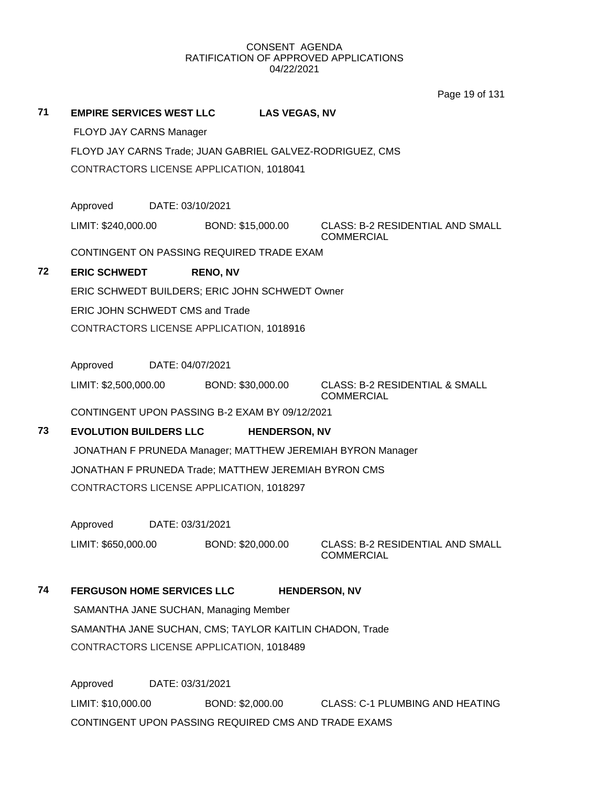Page 19 of 131

# **71 EMPIRE SERVICES WEST LLC LAS VEGAS, NV**

FLOYD JAY CARNS Manager

FLOYD JAY CARNS Trade; JUAN GABRIEL GALVEZ-RODRIGUEZ, CMS

CONTRACTORS LICENSE APPLICATION, 1018041

Approved DATE: 03/10/2021

LIMIT: \$240,000.00 BOND: \$15,000.00 CLASS: B-2 RESIDENTIAL AND SMALL

**COMMERCIAL** 

CONTINGENT ON PASSING REQUIRED TRADE EXAM

# **72 ERIC SCHWEDT RENO, NV**

ERIC SCHWEDT BUILDERS; ERIC JOHN SCHWEDT Owner ERIC JOHN SCHWEDT CMS and Trade

CONTRACTORS LICENSE APPLICATION, 1018916

Approved DATE: 04/07/2021

LIMIT: \$2,500,000.00 BOND: \$30,000.00 CLASS: B-2 RESIDENTIAL & SMALL

**COMMERCIAL** 

CONTINGENT UPON PASSING B-2 EXAM BY 09/12/2021

# **73 EVOLUTION BUILDERS LLC HENDERSON, NV**

JONATHAN F PRUNEDA Manager; MATTHEW JEREMIAH BYRON Manager JONATHAN F PRUNEDA Trade; MATTHEW JEREMIAH BYRON CMS CONTRACTORS LICENSE APPLICATION, 1018297

Approved DATE: 03/31/2021

LIMIT: \$650,000.00 BOND: \$20,000.00 CLASS: B-2 RESIDENTIAL AND SMALL

COMMERCIAL

# **74 FERGUSON HOME SERVICES LLC HENDERSON, NV**

SAMANTHA JANE SUCHAN, Managing Member SAMANTHA JANE SUCHAN, CMS; TAYLOR KAITLIN CHADON, Trade CONTRACTORS LICENSE APPLICATION, 1018489

Approved DATE: 03/31/2021 LIMIT: \$10,000.00 BOND: \$2,000.00 CLASS: C-1 PLUMBING AND HEATING CONTINGENT UPON PASSING REQUIRED CMS AND TRADE EXAMS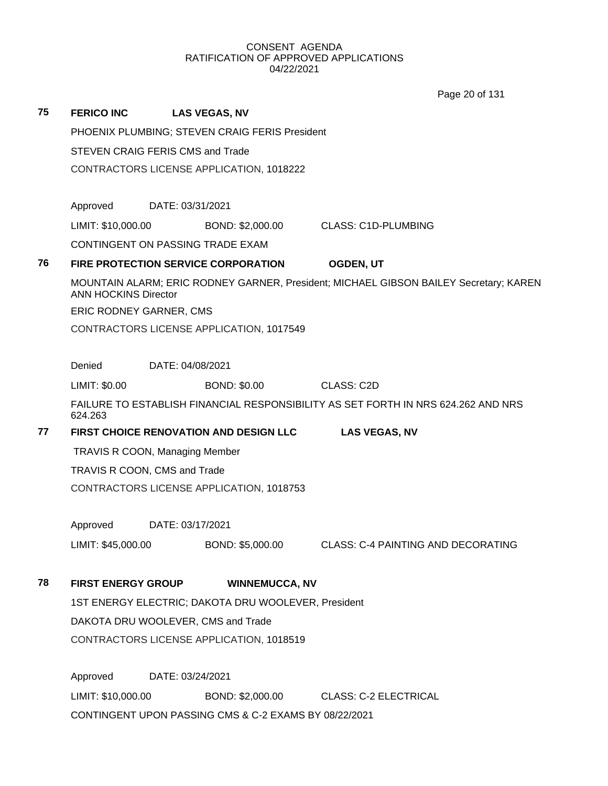Page 20 of 131

| 75 | <b>FERICO INC</b>                                     |                  | <b>LAS VEGAS, NV</b>                                |                                                                                       |  |  |
|----|-------------------------------------------------------|------------------|-----------------------------------------------------|---------------------------------------------------------------------------------------|--|--|
|    | PHOENIX PLUMBING; STEVEN CRAIG FERIS President        |                  |                                                     |                                                                                       |  |  |
|    | <b>STEVEN CRAIG FERIS CMS and Trade</b>               |                  |                                                     |                                                                                       |  |  |
|    |                                                       |                  | CONTRACTORS LICENSE APPLICATION, 1018222            |                                                                                       |  |  |
|    |                                                       |                  |                                                     |                                                                                       |  |  |
|    | Approved                                              | DATE: 03/31/2021 |                                                     |                                                                                       |  |  |
|    | LIMIT: \$10,000.00                                    |                  | BOND: \$2,000.00                                    | <b>CLASS: C1D-PLUMBING</b>                                                            |  |  |
|    | CONTINGENT ON PASSING TRADE EXAM                      |                  |                                                     |                                                                                       |  |  |
| 76 |                                                       |                  | <b>FIRE PROTECTION SERVICE CORPORATION</b>          | <b>OGDEN, UT</b>                                                                      |  |  |
|    | <b>ANN HOCKINS Director</b>                           |                  |                                                     | MOUNTAIN ALARM; ERIC RODNEY GARNER, President; MICHAEL GIBSON BAILEY Secretary; KAREN |  |  |
|    | ERIC RODNEY GARNER, CMS                               |                  |                                                     |                                                                                       |  |  |
|    |                                                       |                  | CONTRACTORS LICENSE APPLICATION, 1017549            |                                                                                       |  |  |
|    |                                                       |                  |                                                     |                                                                                       |  |  |
|    | Denied                                                | DATE: 04/08/2021 |                                                     |                                                                                       |  |  |
|    | LIMIT: \$0.00                                         |                  | <b>BOND: \$0.00</b>                                 | CLASS: C2D                                                                            |  |  |
|    | 624.263                                               |                  |                                                     | FAILURE TO ESTABLISH FINANCIAL RESPONSIBILITY AS SET FORTH IN NRS 624.262 AND NRS     |  |  |
| 77 |                                                       |                  | FIRST CHOICE RENOVATION AND DESIGN LLC              | <b>LAS VEGAS, NV</b>                                                                  |  |  |
|    | <b>TRAVIS R COON, Managing Member</b>                 |                  |                                                     |                                                                                       |  |  |
|    | TRAVIS R COON, CMS and Trade                          |                  |                                                     |                                                                                       |  |  |
|    |                                                       |                  | CONTRACTORS LICENSE APPLICATION, 1018753            |                                                                                       |  |  |
|    |                                                       |                  |                                                     |                                                                                       |  |  |
|    | Approved                                              | DATE: 03/17/2021 |                                                     |                                                                                       |  |  |
|    | LIMIT: \$45,000.00                                    |                  | BOND: \$5,000.00                                    | <b>CLASS: C-4 PAINTING AND DECORATING</b>                                             |  |  |
|    |                                                       |                  |                                                     |                                                                                       |  |  |
| 78 | <b>FIRST ENERGY GROUP</b>                             |                  | <b>WINNEMUCCA, NV</b>                               |                                                                                       |  |  |
|    |                                                       |                  | 1ST ENERGY ELECTRIC; DAKOTA DRU WOOLEVER, President |                                                                                       |  |  |
|    | DAKOTA DRU WOOLEVER, CMS and Trade                    |                  |                                                     |                                                                                       |  |  |
|    | CONTRACTORS LICENSE APPLICATION, 1018519              |                  |                                                     |                                                                                       |  |  |
|    |                                                       |                  |                                                     |                                                                                       |  |  |
|    | Approved                                              | DATE: 03/24/2021 |                                                     |                                                                                       |  |  |
|    | LIMIT: \$10,000.00                                    |                  |                                                     | BOND: \$2,000.00 CLASS: C-2 ELECTRICAL                                                |  |  |
|    | CONTINGENT UPON PASSING CMS & C-2 EXAMS BY 08/22/2021 |                  |                                                     |                                                                                       |  |  |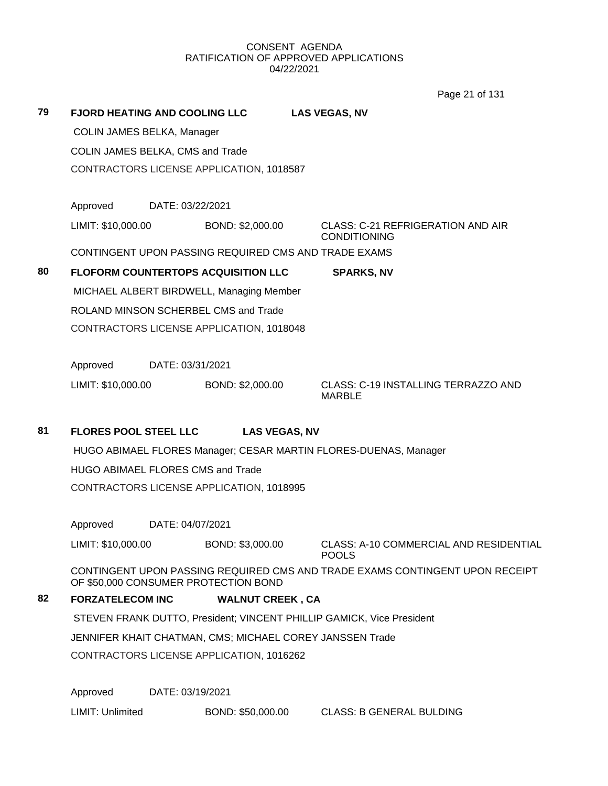Page 21 of 131

|    |                                            |                  |                                          | $0.90 \leq t \leq 10$                                                        |  |
|----|--------------------------------------------|------------------|------------------------------------------|------------------------------------------------------------------------------|--|
| 79 | <b>FJORD HEATING AND COOLING LLC</b>       |                  |                                          | <b>LAS VEGAS, NV</b>                                                         |  |
|    | COLIN JAMES BELKA, Manager                 |                  |                                          |                                                                              |  |
|    | COLIN JAMES BELKA, CMS and Trade           |                  |                                          |                                                                              |  |
|    |                                            |                  | CONTRACTORS LICENSE APPLICATION, 1018587 |                                                                              |  |
|    |                                            |                  |                                          |                                                                              |  |
|    | Approved                                   | DATE: 03/22/2021 |                                          |                                                                              |  |
|    | LIMIT: \$10,000.00                         |                  | BOND: \$2,000.00                         | <b>CLASS: C-21 REFRIGERATION AND AIR</b><br><b>CONDITIONING</b>              |  |
|    |                                            |                  |                                          | CONTINGENT UPON PASSING REQUIRED CMS AND TRADE EXAMS                         |  |
| 80 | <b>FLOFORM COUNTERTOPS ACQUISITION LLC</b> |                  |                                          | <b>SPARKS, NV</b>                                                            |  |
|    |                                            |                  | MICHAEL ALBERT BIRDWELL, Managing Member |                                                                              |  |
|    | ROLAND MINSON SCHERBEL CMS and Trade       |                  |                                          |                                                                              |  |
|    |                                            |                  | CONTRACTORS LICENSE APPLICATION, 1018048 |                                                                              |  |
|    |                                            |                  |                                          |                                                                              |  |
|    | Approved                                   | DATE: 03/31/2021 |                                          |                                                                              |  |
|    | LIMIT: \$10,000.00                         |                  | BOND: \$2,000.00                         | CLASS: C-19 INSTALLING TERRAZZO AND<br><b>MARBLE</b>                         |  |
| 81 | <b>FLORES POOL STEEL LLC</b>               |                  | <b>LAS VEGAS, NV</b>                     |                                                                              |  |
|    |                                            |                  |                                          | HUGO ABIMAEL FLORES Manager; CESAR MARTIN FLORES-DUENAS, Manager             |  |
|    | <b>HUGO ABIMAEL FLORES CMS and Trade</b>   |                  |                                          |                                                                              |  |
|    |                                            |                  | CONTRACTORS LICENSE APPLICATION, 1018995 |                                                                              |  |
|    | Approved                                   | DATE: 04/07/2021 |                                          |                                                                              |  |
|    | LIMIT: \$10,000.00                         |                  | BOND: \$3,000.00                         | CLASS: A-10 COMMERCIAL AND RESIDENTIAL<br><b>POOLS</b>                       |  |
|    | OF \$50,000 CONSUMER PROTECTION BOND       |                  |                                          | CONTINGENT UPON PASSING REQUIRED CMS AND TRADE EXAMS CONTINGENT UPON RECEIPT |  |
| 82 | <b>FORZATELECOM INC</b>                    |                  | <b>WALNUT CREEK, CA</b>                  |                                                                              |  |
|    |                                            |                  |                                          | STEVEN FRANK DUTTO, President; VINCENT PHILLIP GAMICK, Vice President        |  |
|    |                                            |                  |                                          | JENNIFER KHAIT CHATMAN, CMS; MICHAEL COREY JANSSEN Trade                     |  |
|    |                                            |                  | CONTRACTORS LICENSE APPLICATION, 1016262 |                                                                              |  |
|    |                                            |                  |                                          |                                                                              |  |

Approved DATE: 03/19/2021

LIMIT: Unlimited BOND: \$50,000.00 CLASS: B GENERAL BULDING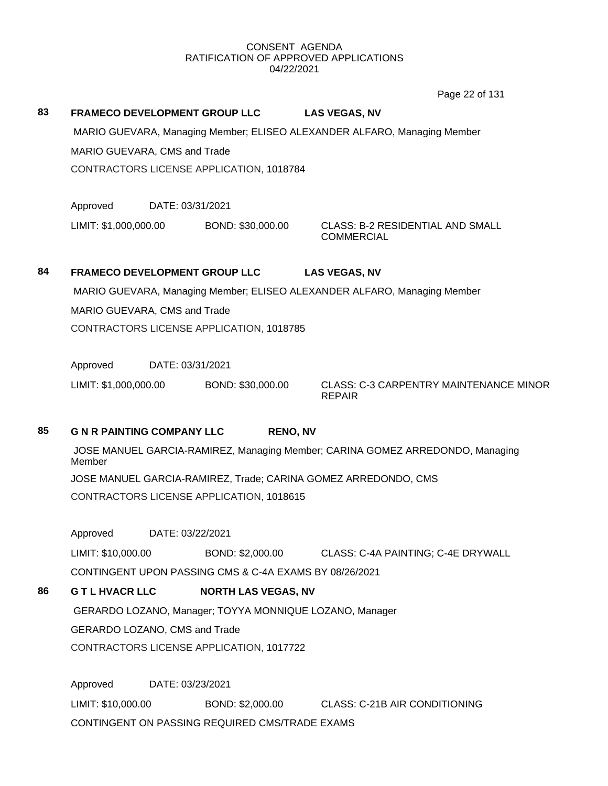Page 22 of 131

| 83 | <b>FRAMECO DEVELOPMENT GROUP LLC</b><br>MARIO GUEVARA, CMS and Trade<br>CONTRACTORS LICENSE APPLICATION, 1018784 |                            | <b>LAS VEGAS, NV</b><br>MARIO GUEVARA, Managing Member; ELISEO ALEXANDER ALFARO, Managing Member |  |  |  |
|----|------------------------------------------------------------------------------------------------------------------|----------------------------|--------------------------------------------------------------------------------------------------|--|--|--|
|    | Approved<br>DATE: 03/31/2021                                                                                     |                            |                                                                                                  |  |  |  |
|    | LIMIT: \$1,000,000.00                                                                                            | BOND: \$30,000.00          | <b>CLASS: B-2 RESIDENTIAL AND SMALL</b><br><b>COMMERCIAL</b>                                     |  |  |  |
| 84 | <b>FRAMECO DEVELOPMENT GROUP LLC</b>                                                                             |                            | <b>LAS VEGAS, NV</b>                                                                             |  |  |  |
|    |                                                                                                                  |                            | MARIO GUEVARA, Managing Member; ELISEO ALEXANDER ALFARO, Managing Member                         |  |  |  |
|    | MARIO GUEVARA, CMS and Trade                                                                                     |                            |                                                                                                  |  |  |  |
|    | CONTRACTORS LICENSE APPLICATION, 1018785                                                                         |                            |                                                                                                  |  |  |  |
|    |                                                                                                                  |                            |                                                                                                  |  |  |  |
|    | Approved<br>DATE: 03/31/2021                                                                                     |                            |                                                                                                  |  |  |  |
|    | LIMIT: \$1,000,000.00                                                                                            | BOND: \$30,000.00          | <b>CLASS: C-3 CARPENTRY MAINTENANCE MINOR</b><br><b>REPAIR</b>                                   |  |  |  |
| 85 | <b>G N R PAINTING COMPANY LLC</b>                                                                                | <b>RENO, NV</b>            |                                                                                                  |  |  |  |
|    | JOSE MANUEL GARCIA-RAMIREZ, Managing Member; CARINA GOMEZ ARREDONDO, Managing<br>Member                          |                            |                                                                                                  |  |  |  |
|    |                                                                                                                  |                            | JOSE MANUEL GARCIA-RAMIREZ, Trade; CARINA GOMEZ ARREDONDO, CMS                                   |  |  |  |
|    | CONTRACTORS LICENSE APPLICATION, 1018615                                                                         |                            |                                                                                                  |  |  |  |
|    | Approved<br>DATE: 03/22/2021                                                                                     |                            |                                                                                                  |  |  |  |
|    | LIMIT: \$10,000.00                                                                                               | BOND: \$2,000.00           | CLASS: C-4A PAINTING; C-4E DRYWALL                                                               |  |  |  |
|    | CONTINGENT UPON PASSING CMS & C-4A EXAMS BY 08/26/2021                                                           |                            |                                                                                                  |  |  |  |
| 86 | <b>G T L HVACR LLC</b>                                                                                           | <b>NORTH LAS VEGAS, NV</b> |                                                                                                  |  |  |  |
|    | GERARDO LOZANO, Manager; TOYYA MONNIQUE LOZANO, Manager                                                          |                            |                                                                                                  |  |  |  |
|    | GERARDO LOZANO, CMS and Trade                                                                                    |                            |                                                                                                  |  |  |  |
|    | CONTRACTORS LICENSE APPLICATION, 1017722                                                                         |                            |                                                                                                  |  |  |  |
|    | Approved<br>DATE: 03/23/2021                                                                                     |                            |                                                                                                  |  |  |  |
|    | LIMIT: \$10,000.00                                                                                               |                            | BOND: \$2,000.00 CLASS: C-21B AIR CONDITIONING                                                   |  |  |  |
|    | CONTINGENT ON PASSING REQUIRED CMS/TRADE EXAMS                                                                   |                            |                                                                                                  |  |  |  |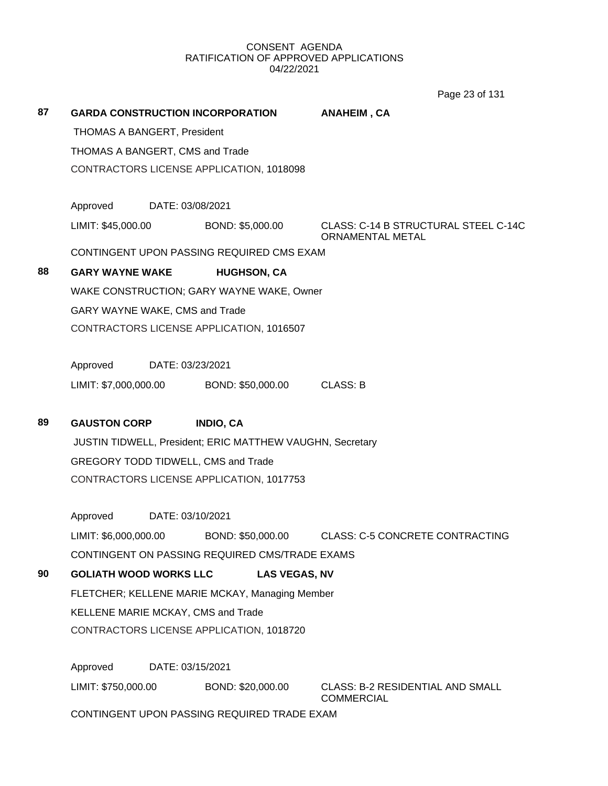Page 23 of 131

| 87 | <b>GARDA CONSTRUCTION INCORPORATION</b> |                  |                                                           | ANAHEIM, CA                                                     |  |
|----|-----------------------------------------|------------------|-----------------------------------------------------------|-----------------------------------------------------------------|--|
|    | <b>THOMAS A BANGERT, President</b>      |                  |                                                           |                                                                 |  |
|    | THOMAS A BANGERT, CMS and Trade         |                  |                                                           |                                                                 |  |
|    |                                         |                  | CONTRACTORS LICENSE APPLICATION, 1018098                  |                                                                 |  |
|    | Approved DATE: 03/08/2021               |                  |                                                           |                                                                 |  |
|    | LIMIT: \$45,000.00                      |                  | BOND: \$5,000.00                                          | CLASS: C-14 B STRUCTURAL STEEL C-14C<br><b>ORNAMENTAL METAL</b> |  |
|    |                                         |                  | CONTINGENT UPON PASSING REQUIRED CMS EXAM                 |                                                                 |  |
| 88 | <b>GARY WAYNE WAKE</b>                  |                  | <b>HUGHSON, CA</b>                                        |                                                                 |  |
|    |                                         |                  | WAKE CONSTRUCTION; GARY WAYNE WAKE, Owner                 |                                                                 |  |
|    | GARY WAYNE WAKE, CMS and Trade          |                  |                                                           |                                                                 |  |
|    |                                         |                  | CONTRACTORS LICENSE APPLICATION, 1016507                  |                                                                 |  |
|    | Approved                                | DATE: 03/23/2021 |                                                           |                                                                 |  |
|    | LIMIT: \$7,000,000.00                   |                  | BOND: \$50,000.00                                         | <b>CLASS: B</b>                                                 |  |
|    |                                         |                  |                                                           |                                                                 |  |
| 89 | <b>GAUSTON CORP</b>                     |                  | <b>INDIO, CA</b>                                          |                                                                 |  |
|    |                                         |                  |                                                           |                                                                 |  |
|    |                                         |                  | JUSTIN TIDWELL, President; ERIC MATTHEW VAUGHN, Secretary |                                                                 |  |
|    |                                         |                  | GREGORY TODD TIDWELL, CMS and Trade                       |                                                                 |  |
|    |                                         |                  | CONTRACTORS LICENSE APPLICATION, 1017753                  |                                                                 |  |
|    | Approved                                | DATE: 03/10/2021 |                                                           |                                                                 |  |
|    | LIMIT: \$6,000,000.00                   |                  | BOND: \$50,000.00                                         | <b>CLASS: C-5 CONCRETE CONTRACTING</b>                          |  |
|    |                                         |                  | CONTINGENT ON PASSING REQUIRED CMS/TRADE EXAMS            |                                                                 |  |
| 90 | <b>GOLIATH WOOD WORKS LLC</b>           |                  | <b>LAS VEGAS, NV</b>                                      |                                                                 |  |
|    |                                         |                  | FLETCHER; KELLENE MARIE MCKAY, Managing Member            |                                                                 |  |
|    | KELLENE MARIE MCKAY, CMS and Trade      |                  |                                                           |                                                                 |  |
|    |                                         |                  | CONTRACTORS LICENSE APPLICATION, 1018720                  |                                                                 |  |
|    | Approved                                | DATE: 03/15/2021 |                                                           |                                                                 |  |
|    | LIMIT: \$750,000.00                     |                  | BOND: \$20,000.00                                         | CLASS: B-2 RESIDENTIAL AND SMALL<br><b>COMMERCIAL</b>           |  |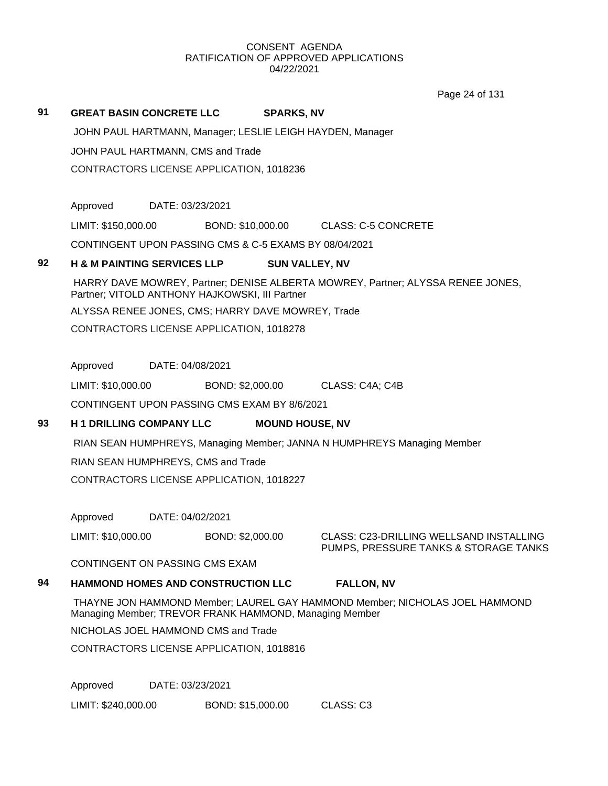Page 24 of 131

### **91 GREAT BASIN CONCRETE LLC SPARKS, NV**

JOHN PAUL HARTMANN, Manager; LESLIE LEIGH HAYDEN, Manager

JOHN PAUL HARTMANN, CMS and Trade

CONTRACTORS LICENSE APPLICATION, 1018236

Approved DATE: 03/23/2021

LIMIT: \$150,000.00 BOND: \$10,000.00 CLASS: C-5 CONCRETE

CONTINGENT UPON PASSING CMS & C-5 EXAMS BY 08/04/2021

## **92 H & M PAINTING SERVICES LLP SUN VALLEY, NV**

HARRY DAVE MOWREY, Partner; DENISE ALBERTA MOWREY, Partner; ALYSSA RENEE JONES, Partner; VITOLD ANTHONY HAJKOWSKI, III Partner

ALYSSA RENEE JONES, CMS; HARRY DAVE MOWREY, Trade

CONTRACTORS LICENSE APPLICATION, 1018278

Approved DATE: 04/08/2021

LIMIT: \$10,000.00 BOND: \$2,000.00 CLASS: C4A; C4B

CONTINGENT UPON PASSING CMS EXAM BY 8/6/2021

# **93 H 1 DRILLING COMPANY LLC MOUND HOUSE, NV**

RIAN SEAN HUMPHREYS, Managing Member; JANNA N HUMPHREYS Managing Member

RIAN SEAN HUMPHREYS, CMS and Trade

CONTRACTORS LICENSE APPLICATION, 1018227

Approved DATE: 04/02/2021

LIMIT: \$10,000.00 BOND: \$2,000.00 CLASS: C23-DRILLING WELLSAND INSTALLING PUMPS, PRESSURE TANKS & STORAGE TANKS

CONTINGENT ON PASSING CMS EXAM

# **94 HAMMOND HOMES AND CONSTRUCTION LLC FALLON, NV**

THAYNE JON HAMMOND Member; LAUREL GAY HAMMOND Member; NICHOLAS JOEL HAMMOND Managing Member; TREVOR FRANK HAMMOND, Managing Member

NICHOLAS JOEL HAMMOND CMS and Trade

CONTRACTORS LICENSE APPLICATION, 1018816

Approved DATE: 03/23/2021

LIMIT: \$240,000.00 BOND: \$15,000.00 CLASS: C3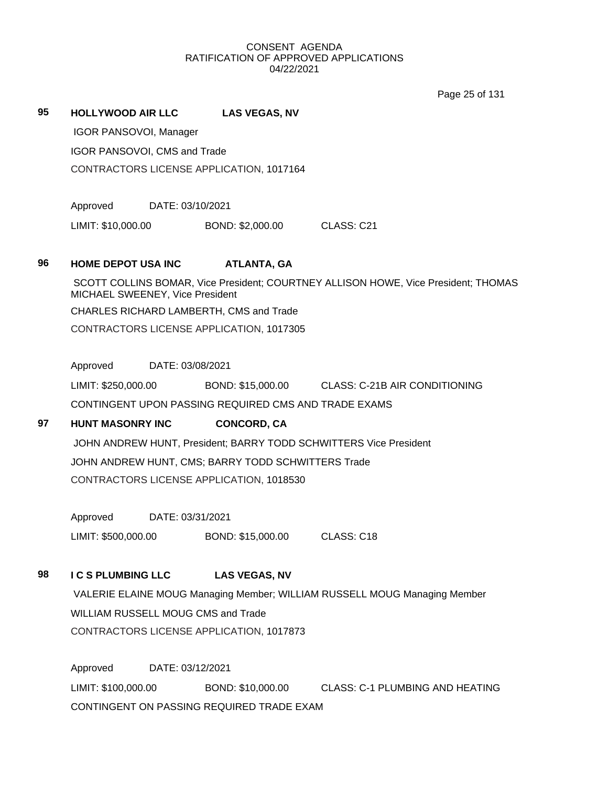Page 25 of 131

### **95 HOLLYWOOD AIR LLC LAS VEGAS, NV**

IGOR PANSOVOI, Manager

IGOR PANSOVOI, CMS and Trade

CONTRACTORS LICENSE APPLICATION, 1017164

Approved DATE: 03/10/2021

LIMIT: \$10,000.00 BOND: \$2,000.00 CLASS: C21

## **96 HOME DEPOT USA INC ATLANTA, GA**

SCOTT COLLINS BOMAR, Vice President; COURTNEY ALLISON HOWE, Vice President; THOMAS MICHAEL SWEENEY, Vice President CHARLES RICHARD LAMBERTH, CMS and Trade CONTRACTORS LICENSE APPLICATION, 1017305

Approved DATE: 03/08/2021

LIMIT: \$250,000.00 BOND: \$15,000.00 CLASS: C-21B AIR CONDITIONING CONTINGENT UPON PASSING REQUIRED CMS AND TRADE EXAMS

# **97 HUNT MASONRY INC CONCORD, CA**

JOHN ANDREW HUNT, President; BARRY TODD SCHWITTERS Vice President JOHN ANDREW HUNT, CMS; BARRY TODD SCHWITTERS Trade CONTRACTORS LICENSE APPLICATION, 1018530

Approved DATE: 03/31/2021 LIMIT: \$500,000.00 BOND: \$15,000.00 CLASS: C18

# **98 I C S PLUMBING LLC LAS VEGAS, NV**

VALERIE ELAINE MOUG Managing Member; WILLIAM RUSSELL MOUG Managing Member WILLIAM RUSSELL MOUG CMS and Trade CONTRACTORS LICENSE APPLICATION, 1017873

Approved DATE: 03/12/2021 LIMIT: \$100,000.00 BOND: \$10,000.00 CLASS: C-1 PLUMBING AND HEATING CONTINGENT ON PASSING REQUIRED TRADE EXAM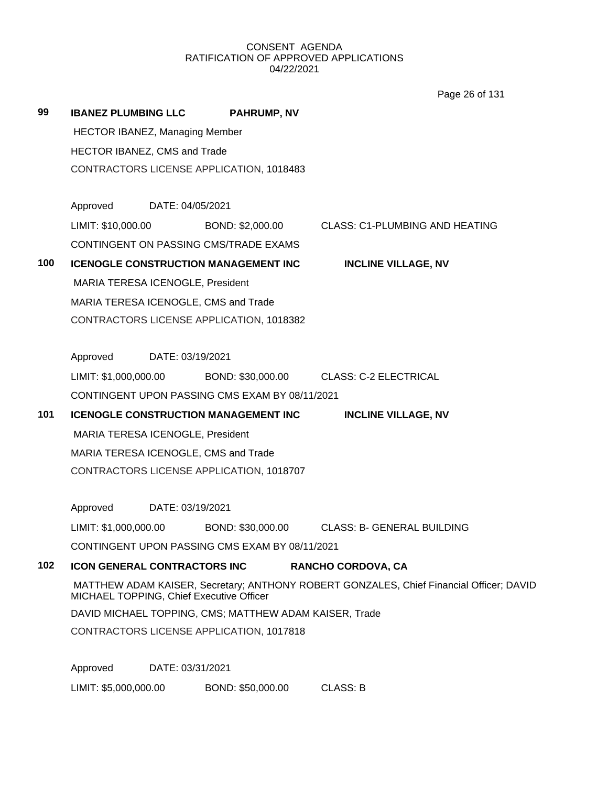Page 26 of 131

| 99  | <b>IBANEZ PLUMBING LLC</b>                                                                                                          |                                                        | <b>PAHRUMP, NV</b>                             |                                                                    |  |  |  |  |
|-----|-------------------------------------------------------------------------------------------------------------------------------------|--------------------------------------------------------|------------------------------------------------|--------------------------------------------------------------------|--|--|--|--|
|     | <b>HECTOR IBANEZ, Managing Member</b>                                                                                               |                                                        |                                                |                                                                    |  |  |  |  |
|     | HECTOR IBANEZ, CMS and Trade                                                                                                        |                                                        |                                                |                                                                    |  |  |  |  |
|     |                                                                                                                                     | CONTRACTORS LICENSE APPLICATION, 1018483               |                                                |                                                                    |  |  |  |  |
|     | Approved DATE: 04/05/2021                                                                                                           |                                                        |                                                |                                                                    |  |  |  |  |
|     | LIMIT: \$10,000.00                                                                                                                  |                                                        |                                                | BOND: \$2,000.00 CLASS: C1-PLUMBING AND HEATING                    |  |  |  |  |
|     |                                                                                                                                     |                                                        | CONTINGENT ON PASSING CMS/TRADE EXAMS          |                                                                    |  |  |  |  |
| 100 |                                                                                                                                     |                                                        | <b>ICENOGLE CONSTRUCTION MANAGEMENT INC</b>    | <b>INCLINE VILLAGE, NV</b>                                         |  |  |  |  |
|     | MARIA TERESA ICENOGLE, President                                                                                                    |                                                        |                                                |                                                                    |  |  |  |  |
|     |                                                                                                                                     |                                                        | MARIA TERESA ICENOGLE, CMS and Trade           |                                                                    |  |  |  |  |
|     |                                                                                                                                     |                                                        | CONTRACTORS LICENSE APPLICATION, 1018382       |                                                                    |  |  |  |  |
|     | Approved                                                                                                                            | DATE: 03/19/2021                                       |                                                |                                                                    |  |  |  |  |
|     |                                                                                                                                     |                                                        |                                                | LIMIT: \$1,000,000.00 BOND: \$30,000.00 CLASS: C-2 ELECTRICAL      |  |  |  |  |
|     |                                                                                                                                     |                                                        | CONTINGENT UPON PASSING CMS EXAM BY 08/11/2021 |                                                                    |  |  |  |  |
| 101 |                                                                                                                                     |                                                        | <b>ICENOGLE CONSTRUCTION MANAGEMENT INC</b>    | <b>INCLINE VILLAGE, NV</b>                                         |  |  |  |  |
|     | MARIA TERESA ICENOGLE, President                                                                                                    |                                                        |                                                |                                                                    |  |  |  |  |
|     |                                                                                                                                     |                                                        | MARIA TERESA ICENOGLE, CMS and Trade           |                                                                    |  |  |  |  |
|     |                                                                                                                                     |                                                        | CONTRACTORS LICENSE APPLICATION, 1018707       |                                                                    |  |  |  |  |
|     | Approved DATE: 03/19/2021                                                                                                           |                                                        |                                                |                                                                    |  |  |  |  |
|     |                                                                                                                                     |                                                        |                                                | LIMIT: \$1,000,000.00 BOND: \$30,000.00 CLASS: B- GENERAL BUILDING |  |  |  |  |
|     |                                                                                                                                     |                                                        | CONTINGENT UPON PASSING CMS EXAM BY 08/11/2021 |                                                                    |  |  |  |  |
| 102 | <b>ICON GENERAL CONTRACTORS INC</b>                                                                                                 |                                                        |                                                | <b>RANCHO CORDOVA, CA</b>                                          |  |  |  |  |
|     | MATTHEW ADAM KAISER, Secretary; ANTHONY ROBERT GONZALES, Chief Financial Officer; DAVID<br>MICHAEL TOPPING, Chief Executive Officer |                                                        |                                                |                                                                    |  |  |  |  |
|     |                                                                                                                                     | DAVID MICHAEL TOPPING, CMS; MATTHEW ADAM KAISER, Trade |                                                |                                                                    |  |  |  |  |
|     |                                                                                                                                     | CONTRACTORS LICENSE APPLICATION, 1017818               |                                                |                                                                    |  |  |  |  |
|     | Approved                                                                                                                            | DATE: 03/31/2021                                       |                                                |                                                                    |  |  |  |  |
|     | LIMIT: \$5,000,000.00                                                                                                               |                                                        | BOND: \$50,000.00                              | <b>CLASS: B</b>                                                    |  |  |  |  |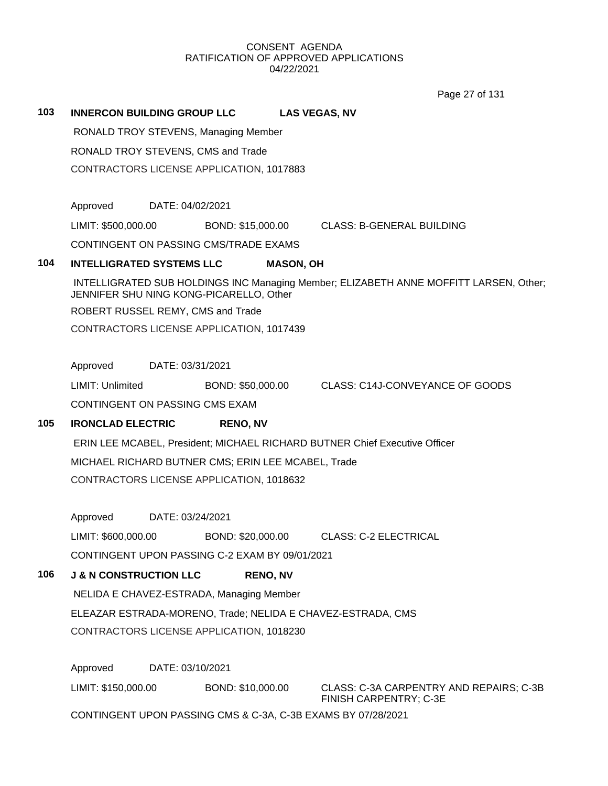Page 27 of 131

**103 INNERCON BUILDING GROUP LLC LAS VEGAS, NV** RONALD TROY STEVENS, Managing Member RONALD TROY STEVENS, CMS and Trade CONTRACTORS LICENSE APPLICATION, 1017883 Approved DATE: 04/02/2021 LIMIT: \$500,000.00 BOND: \$15,000.00 CLASS: B-GENERAL BUILDING CONTINGENT ON PASSING CMS/TRADE EXAMS **104 INTELLIGRATED SYSTEMS LLC MASON, OH** INTELLIGRATED SUB HOLDINGS INC Managing Member; ELIZABETH ANNE MOFFITT LARSEN, Other; JENNIFER SHU NING KONG-PICARELLO, Other ROBERT RUSSEL REMY, CMS and Trade CONTRACTORS LICENSE APPLICATION, 1017439 Approved DATE: 03/31/2021 LIMIT: Unlimited BOND: \$50,000.00 CLASS: C14J-CONVEYANCE OF GOODS CONTINGENT ON PASSING CMS EXAM **105 IRONCLAD ELECTRIC RENO, NV** ERIN LEE MCABEL, President; MICHAEL RICHARD BUTNER Chief Executive Officer MICHAEL RICHARD BUTNER CMS; ERIN LEE MCABEL, Trade CONTRACTORS LICENSE APPLICATION, 1018632 Approved DATE: 03/24/2021 LIMIT: \$600,000.00 BOND: \$20,000.00 CLASS: C-2 ELECTRICAL CONTINGENT UPON PASSING C-2 EXAM BY 09/01/2021 **106 J & N CONSTRUCTION LLC RENO, NV** NELIDA E CHAVEZ-ESTRADA, Managing Member ELEAZAR ESTRADA-MORENO, Trade; NELIDA E CHAVEZ-ESTRADA, CMS CONTRACTORS LICENSE APPLICATION, 1018230 Approved DATE: 03/10/2021 LIMIT: \$150,000.00 BOND: \$10,000.00 CLASS: C-3A CARPENTRY AND REPAIRS; C-3B FINISH CARPENTRY; C-3E

CONTINGENT UPON PASSING CMS & C-3A, C-3B EXAMS BY 07/28/2021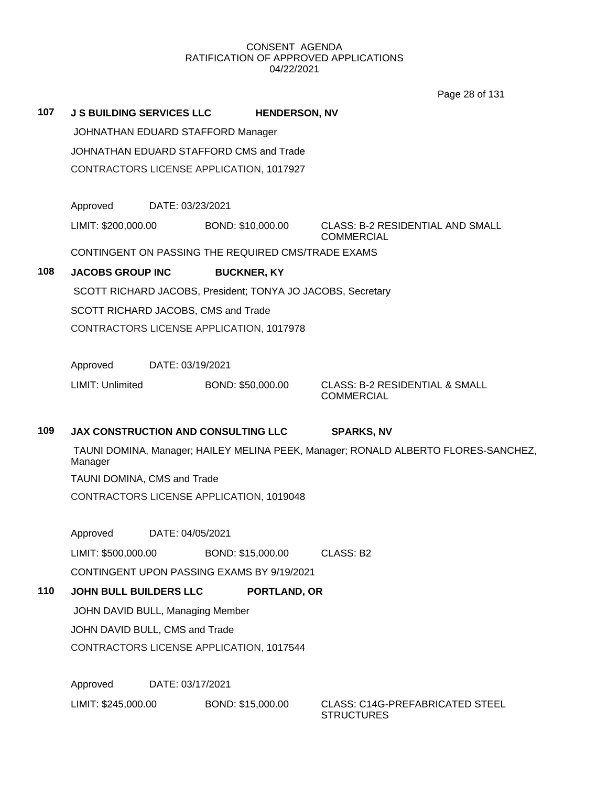Page 28 of 131

|     |                                                    |                  |                    |                      | Page 28 or 131                                                                     |  |
|-----|----------------------------------------------------|------------------|--------------------|----------------------|------------------------------------------------------------------------------------|--|
| 107 | <b>J S BUILDING SERVICES LLC</b>                   |                  |                    | <b>HENDERSON, NV</b> |                                                                                    |  |
|     | JOHNATHAN EDUARD STAFFORD Manager                  |                  |                    |                      |                                                                                    |  |
|     | JOHNATHAN EDUARD STAFFORD CMS and Trade            |                  |                    |                      |                                                                                    |  |
|     | CONTRACTORS LICENSE APPLICATION, 1017927           |                  |                    |                      |                                                                                    |  |
|     |                                                    |                  |                    |                      |                                                                                    |  |
|     | Approved                                           | DATE: 03/23/2021 |                    |                      |                                                                                    |  |
|     | LIMIT: \$200,000.00                                |                  | BOND: \$10,000.00  |                      | <b>CLASS: B-2 RESIDENTIAL AND SMALL</b><br><b>COMMERCIAL</b>                       |  |
|     | CONTINGENT ON PASSING THE REQUIRED CMS/TRADE EXAMS |                  |                    |                      |                                                                                    |  |
| 108 | <b>JACOBS GROUP INC</b>                            |                  | <b>BUCKNER, KY</b> |                      |                                                                                    |  |
|     |                                                    |                  |                    |                      | SCOTT RICHARD JACOBS, President; TONYA JO JACOBS, Secretary                        |  |
|     | SCOTT RICHARD JACOBS, CMS and Trade                |                  |                    |                      |                                                                                    |  |
|     | CONTRACTORS LICENSE APPLICATION, 1017978           |                  |                    |                      |                                                                                    |  |
|     | Approved                                           | DATE: 03/19/2021 |                    |                      |                                                                                    |  |
|     | <b>LIMIT: Unlimited</b>                            |                  | BOND: \$50,000.00  |                      | <b>CLASS: B-2 RESIDENTIAL &amp; SMALL</b><br><b>COMMERCIAL</b>                     |  |
| 109 | <b>JAX CONSTRUCTION AND CONSULTING LLC</b>         |                  |                    |                      | <b>SPARKS, NV</b>                                                                  |  |
|     | Manager                                            |                  |                    |                      | TAUNI DOMINA, Manager; HAILEY MELINA PEEK, Manager; RONALD ALBERTO FLORES-SANCHEZ, |  |
|     | TAUNI DOMINA, CMS and Trade                        |                  |                    |                      |                                                                                    |  |
|     | CONTRACTORS LICENSE APPLICATION, 1019048           |                  |                    |                      |                                                                                    |  |
|     | Approved                                           | DATE: 04/05/2021 |                    |                      |                                                                                    |  |
|     |                                                    |                  |                    |                      |                                                                                    |  |
|     | LIMIT: \$500,000.00                                |                  | BOND: \$15,000.00  |                      | CLASS: B2                                                                          |  |
|     | CONTINGENT UPON PASSING EXAMS BY 9/19/2021         |                  |                    |                      |                                                                                    |  |

# **110 JOHN BULL BUILDERS LLC PORTLAND, OR**

JOHN DAVID BULL, Managing Member JOHN DAVID BULL, CMS and Trade CONTRACTORS LICENSE APPLICATION, 1017544

Approved DATE: 03/17/2021

LIMIT: \$245,000.00 BOND: \$15,000.00 CLASS: C14G-PREFABRICATED STEEL

**STRUCTURES**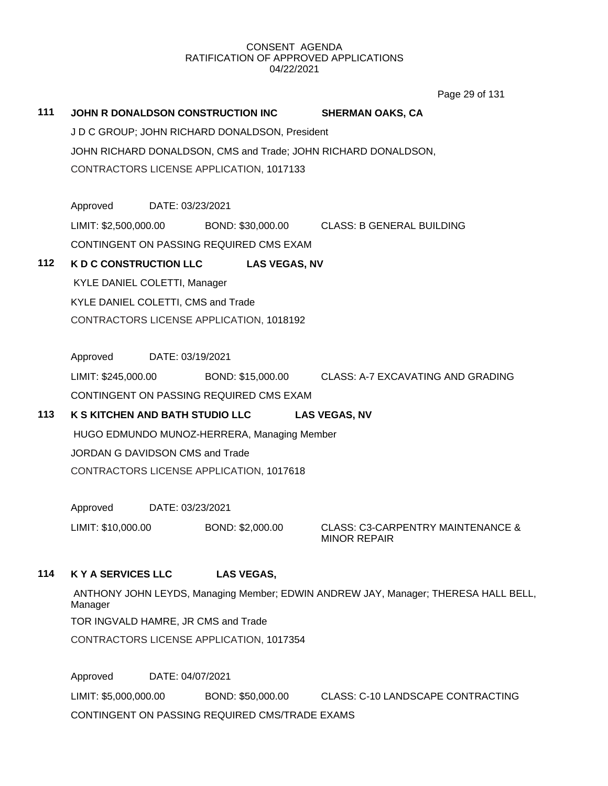Page 29 of 131

# **111 JOHN R DONALDSON CONSTRUCTION INC SHERMAN OAKS, CA** J D C GROUP; JOHN RICHARD DONALDSON, President JOHN RICHARD DONALDSON, CMS and Trade; JOHN RICHARD DONALDSON, CONTRACTORS LICENSE APPLICATION, 1017133 Approved DATE: 03/23/2021 LIMIT: \$2,500,000.00 BOND: \$30,000.00 CLASS: B GENERAL BUILDING CONTINGENT ON PASSING REQUIRED CMS EXAM **112 K D C CONSTRUCTION LLC LAS VEGAS, NV** KYLE DANIEL COLETTI, Manager KYLE DANIEL COLETTI, CMS and Trade CONTRACTORS LICENSE APPLICATION, 1018192 Approved DATE: 03/19/2021 LIMIT: \$245,000.00 BOND: \$15,000.00 CLASS: A-7 EXCAVATING AND GRADING CONTINGENT ON PASSING REQUIRED CMS EXAM **113 K S KITCHEN AND BATH STUDIO LLC LAS VEGAS, NV** HUGO EDMUNDO MUNOZ-HERRERA, Managing Member JORDAN G DAVIDSON CMS and Trade CONTRACTORS LICENSE APPLICATION, 1017618 Approved DATE: 03/23/2021 LIMIT: \$10,000.00 BOND: \$2,000.00 CLASS: C3-CARPENTRY MAINTENANCE & MINOR REPAIR **114 K Y A SERVICES LLC LAS VEGAS,**  ANTHONY JOHN LEYDS, Managing Member; EDWIN ANDREW JAY, Manager; THERESA HALL BELL, Manager TOR INGVALD HAMRE, JR CMS and Trade CONTRACTORS LICENSE APPLICATION, 1017354 Approved DATE: 04/07/2021

LIMIT: \$5,000,000.00 BOND: \$50,000.00 CLASS: C-10 LANDSCAPE CONTRACTING CONTINGENT ON PASSING REQUIRED CMS/TRADE EXAMS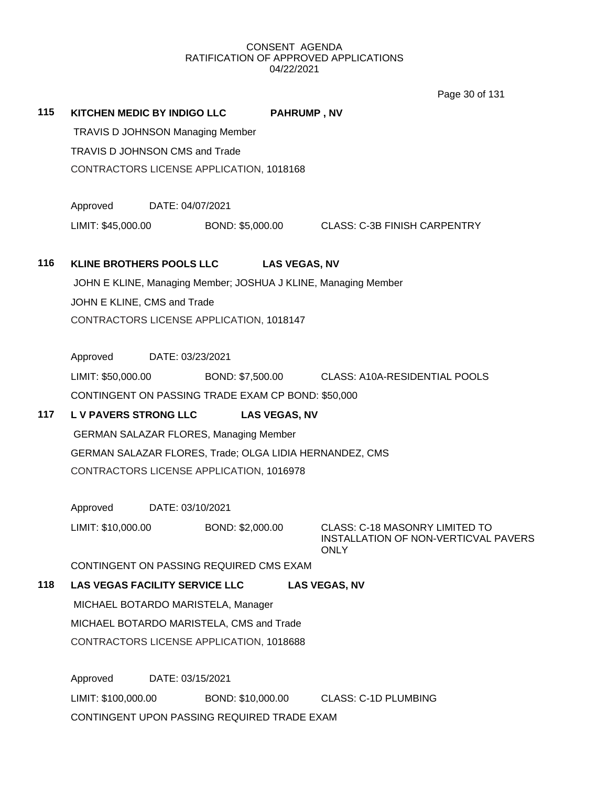Page 30 of 131

| 115 | KITCHEN MEDIC BY INDIGO LLC             |                                                                | <b>PAHRUMP, NV</b>                                                                    |  |  |  |  |
|-----|-----------------------------------------|----------------------------------------------------------------|---------------------------------------------------------------------------------------|--|--|--|--|
|     | <b>TRAVIS D JOHNSON Managing Member</b> |                                                                |                                                                                       |  |  |  |  |
|     | TRAVIS D JOHNSON CMS and Trade          |                                                                |                                                                                       |  |  |  |  |
|     |                                         | CONTRACTORS LICENSE APPLICATION, 1018168                       |                                                                                       |  |  |  |  |
|     |                                         |                                                                |                                                                                       |  |  |  |  |
|     | Approved                                | DATE: 04/07/2021                                               |                                                                                       |  |  |  |  |
|     | LIMIT: \$45,000.00                      | BOND: \$5,000.00                                               | <b>CLASS: C-3B FINISH CARPENTRY</b>                                                   |  |  |  |  |
|     |                                         |                                                                |                                                                                       |  |  |  |  |
| 116 | <b>KLINE BROTHERS POOLS LLC</b>         | <b>LAS VEGAS, NV</b>                                           |                                                                                       |  |  |  |  |
|     |                                         | JOHN E KLINE, Managing Member; JOSHUA J KLINE, Managing Member |                                                                                       |  |  |  |  |
|     | JOHN E KLINE, CMS and Trade             |                                                                |                                                                                       |  |  |  |  |
|     |                                         | CONTRACTORS LICENSE APPLICATION, 1018147                       |                                                                                       |  |  |  |  |
|     |                                         |                                                                |                                                                                       |  |  |  |  |
|     | Approved                                | DATE: 03/23/2021                                               |                                                                                       |  |  |  |  |
|     | LIMIT: \$50,000.00                      |                                                                | BOND: \$7,500.00 CLASS: A10A-RESIDENTIAL POOLS                                        |  |  |  |  |
|     |                                         | CONTINGENT ON PASSING TRADE EXAM CP BOND: \$50,000             |                                                                                       |  |  |  |  |
| 117 | <b>LV PAVERS STRONG LLC</b>             | <b>LAS VEGAS, NV</b>                                           |                                                                                       |  |  |  |  |
|     |                                         | <b>GERMAN SALAZAR FLORES, Managing Member</b>                  |                                                                                       |  |  |  |  |
|     |                                         | GERMAN SALAZAR FLORES, Trade; OLGA LIDIA HERNANDEZ, CMS        |                                                                                       |  |  |  |  |
|     |                                         | CONTRACTORS LICENSE APPLICATION, 1016978                       |                                                                                       |  |  |  |  |
|     |                                         |                                                                |                                                                                       |  |  |  |  |
|     | Approved                                | DATE: 03/10/2021                                               |                                                                                       |  |  |  |  |
|     | LIMIT: \$10,000.00                      | BOND: \$2,000.00                                               | CLASS: C-18 MASONRY LIMITED TO<br>INSTALLATION OF NON-VERTICVAL PAVERS<br><b>ONLY</b> |  |  |  |  |
|     |                                         | CONTINGENT ON PASSING REQUIRED CMS EXAM                        |                                                                                       |  |  |  |  |
| 118 | <b>LAS VEGAS FACILITY SERVICE LLC</b>   |                                                                | <b>LAS VEGAS, NV</b>                                                                  |  |  |  |  |
|     | MICHAEL BOTARDO MARISTELA, Manager      |                                                                |                                                                                       |  |  |  |  |
|     |                                         | MICHAEL BOTARDO MARISTELA, CMS and Trade                       |                                                                                       |  |  |  |  |
|     |                                         | CONTRACTORS LICENSE APPLICATION, 1018688                       |                                                                                       |  |  |  |  |
|     |                                         |                                                                |                                                                                       |  |  |  |  |
|     | Approved                                | DATE: 03/15/2021                                               |                                                                                       |  |  |  |  |
|     | LIMIT: \$100,000.00                     | BOND: \$10,000.00                                              | <b>CLASS: C-1D PLUMBING</b>                                                           |  |  |  |  |
|     |                                         | CONTINGENT UPON PASSING REQUIRED TRADE EXAM                    |                                                                                       |  |  |  |  |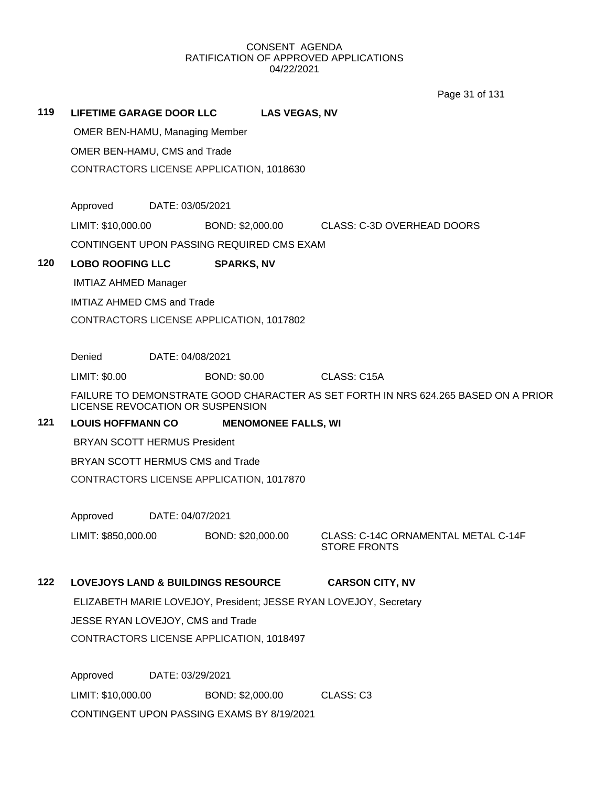Page 31 of 131

# **119 LIFETIME GARAGE DOOR LLC LAS VEGAS, NV**

OMER BEN-HAMU, Managing Member

OMER BEN-HAMU, CMS and Trade

CONTRACTORS LICENSE APPLICATION, 1018630

Approved DATE: 03/05/2021

LIMIT: \$10,000.00 BOND: \$2,000.00 CLASS: C-3D OVERHEAD DOORS

CONTINGENT UPON PASSING REQUIRED CMS EXAM

## **120 LOBO ROOFING LLC SPARKS, NV**

IMTIAZ AHMED Manager

IMTIAZ AHMED CMS and Trade

CONTRACTORS LICENSE APPLICATION, 1017802

Denied DATE: 04/08/2021

LIMIT: \$0.00 BOND: \$0.00 CLASS: C15A

FAILURE TO DEMONSTRATE GOOD CHARACTER AS SET FORTH IN NRS 624.265 BASED ON A PRIOR LICENSE REVOCATION OR SUSPENSION

# **121 LOUIS HOFFMANN CO MENOMONEE FALLS, WI**

BRYAN SCOTT HERMUS President

BRYAN SCOTT HERMUS CMS and Trade

CONTRACTORS LICENSE APPLICATION, 1017870

Approved DATE: 04/07/2021

LIMIT: \$850,000.00 BOND: \$20,000.00 CLASS: C-14C ORNAMENTAL METAL C-14F

STORE FRONTS

# **122 LOVEJOYS LAND & BUILDINGS RESOURCE CARSON CITY, NV**

ELIZABETH MARIE LOVEJOY, President; JESSE RYAN LOVEJOY, Secretary

JESSE RYAN LOVEJOY, CMS and Trade

CONTRACTORS LICENSE APPLICATION, 1018497

Approved DATE: 03/29/2021 LIMIT: \$10,000.00 BOND: \$2,000.00 CLASS: C3 CONTINGENT UPON PASSING EXAMS BY 8/19/2021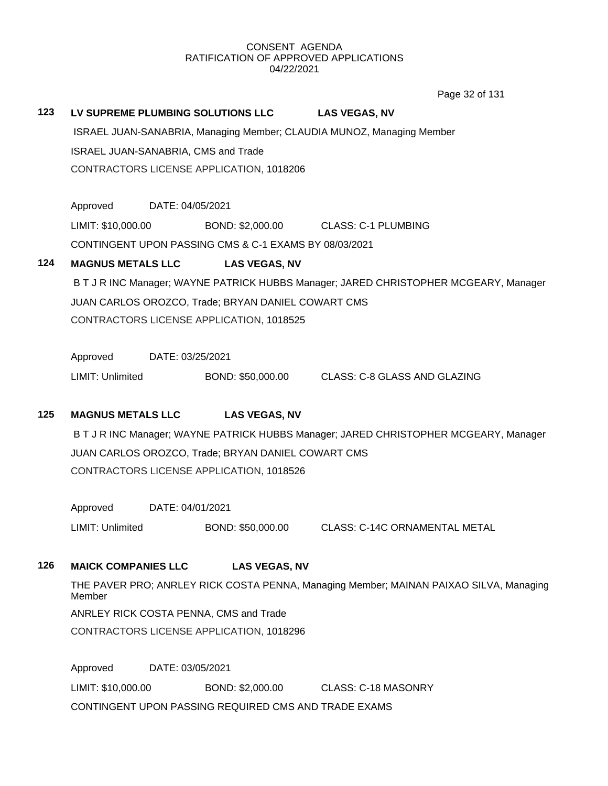Page 32 of 131

# **123 LV SUPREME PLUMBING SOLUTIONS LLC LAS VEGAS, NV**

ISRAEL JUAN-SANABRIA, Managing Member; CLAUDIA MUNOZ, Managing Member ISRAEL JUAN-SANABRIA, CMS and Trade CONTRACTORS LICENSE APPLICATION, 1018206

Approved DATE: 04/05/2021

LIMIT: \$10,000.00 BOND: \$2,000.00 CLASS: C-1 PLUMBING

CONTINGENT UPON PASSING CMS & C-1 EXAMS BY 08/03/2021

# **124 MAGNUS METALS LLC LAS VEGAS, NV**

B T J R INC Manager; WAYNE PATRICK HUBBS Manager; JARED CHRISTOPHER MCGEARY, Manager JUAN CARLOS OROZCO, Trade; BRYAN DANIEL COWART CMS CONTRACTORS LICENSE APPLICATION, 1018525

Approved DATE: 03/25/2021

LIMIT: Unlimited BOND: \$50,000.00 CLASS: C-8 GLASS AND GLAZING

# **125 MAGNUS METALS LLC LAS VEGAS, NV**

B T J R INC Manager; WAYNE PATRICK HUBBS Manager; JARED CHRISTOPHER MCGEARY, Manager JUAN CARLOS OROZCO, Trade; BRYAN DANIEL COWART CMS CONTRACTORS LICENSE APPLICATION, 1018526

Approved DATE: 04/01/2021 LIMIT: Unlimited BOND: \$50,000.00 CLASS: C-14C ORNAMENTAL METAL

# **126 MAICK COMPANIES LLC LAS VEGAS, NV**

THE PAVER PRO; ANRLEY RICK COSTA PENNA, Managing Member; MAINAN PAIXAO SILVA, Managing Member ANRLEY RICK COSTA PENNA, CMS and Trade

CONTRACTORS LICENSE APPLICATION, 1018296

Approved DATE: 03/05/2021 LIMIT: \$10,000.00 BOND: \$2,000.00 CLASS: C-18 MASONRY CONTINGENT UPON PASSING REQUIRED CMS AND TRADE EXAMS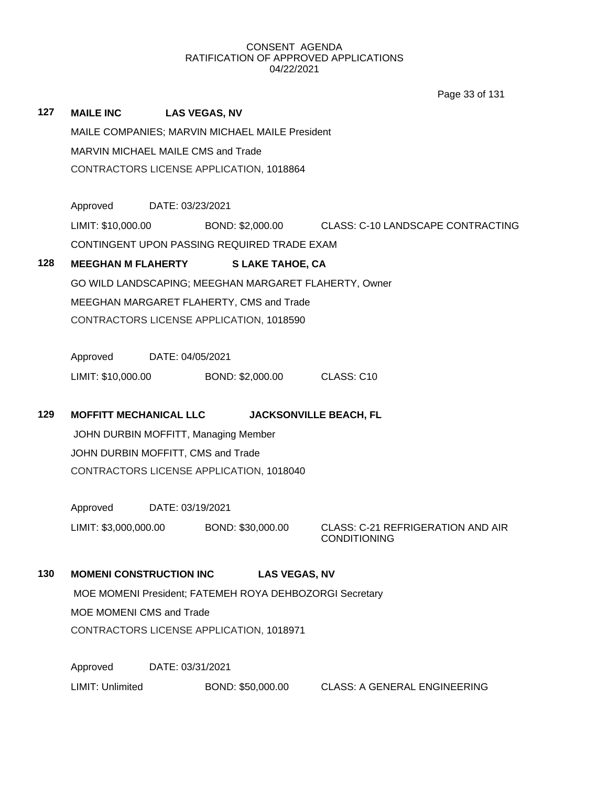Page 33 of 131

| 127 | <b>MAILE INC</b>                                               |                                 | <b>LAS VEGAS, NV</b>                        |                                                                 |  |  |  |  |
|-----|----------------------------------------------------------------|---------------------------------|---------------------------------------------|-----------------------------------------------------------------|--|--|--|--|
|     | MAILE COMPANIES; MARVIN MICHAEL MAILE President                |                                 |                                             |                                                                 |  |  |  |  |
|     | MARVIN MICHAEL MAILE CMS and Trade                             |                                 |                                             |                                                                 |  |  |  |  |
|     | CONTRACTORS LICENSE APPLICATION, 1018864                       |                                 |                                             |                                                                 |  |  |  |  |
|     | Approved                                                       | DATE: 03/23/2021                |                                             |                                                                 |  |  |  |  |
|     | LIMIT: \$10,000.00                                             |                                 |                                             | BOND: \$2,000.00 CLASS: C-10 LANDSCAPE CONTRACTING              |  |  |  |  |
|     |                                                                |                                 | CONTINGENT UPON PASSING REQUIRED TRADE EXAM |                                                                 |  |  |  |  |
| 128 | <b>MEEGHAN M FLAHERTY</b>                                      |                                 | <b>SLAKE TAHOE, CA</b>                      |                                                                 |  |  |  |  |
|     |                                                                |                                 |                                             | GO WILD LANDSCAPING; MEEGHAN MARGARET FLAHERTY, Owner           |  |  |  |  |
|     |                                                                |                                 | MEEGHAN MARGARET FLAHERTY, CMS and Trade    |                                                                 |  |  |  |  |
|     |                                                                |                                 | CONTRACTORS LICENSE APPLICATION, 1018590    |                                                                 |  |  |  |  |
|     | Approved DATE: 04/05/2021                                      |                                 |                                             |                                                                 |  |  |  |  |
|     | LIMIT: \$10,000.00                                             |                                 | BOND: \$2,000.00                            | CLASS: C10                                                      |  |  |  |  |
| 129 | <b>MOFFITT MECHANICAL LLC</b><br><b>JACKSONVILLE BEACH, FL</b> |                                 |                                             |                                                                 |  |  |  |  |
|     | JOHN DURBIN MOFFITT, Managing Member                           |                                 |                                             |                                                                 |  |  |  |  |
|     | JOHN DURBIN MOFFITT, CMS and Trade                             |                                 |                                             |                                                                 |  |  |  |  |
|     |                                                                |                                 | CONTRACTORS LICENSE APPLICATION, 1018040    |                                                                 |  |  |  |  |
|     | Approved                                                       | DATE: 03/19/2021                |                                             |                                                                 |  |  |  |  |
|     | LIMIT: \$3,000,000.00                                          |                                 | BOND: \$30,000.00                           | <b>CLASS: C-21 REFRIGERATION AND AIR</b><br><b>CONDITIONING</b> |  |  |  |  |
| 130 | <b>MOMENI CONSTRUCTION INC</b>                                 |                                 |                                             | <b>LAS VEGAS, NV</b>                                            |  |  |  |  |
|     | MOE MOMENI President; FATEMEH ROYA DEHBOZORGI Secretary        |                                 |                                             |                                                                 |  |  |  |  |
|     |                                                                | <b>MOE MOMENI CMS and Trade</b> |                                             |                                                                 |  |  |  |  |
|     |                                                                |                                 | CONTRACTORS LICENSE APPLICATION, 1018971    |                                                                 |  |  |  |  |
|     | Approved                                                       | DATE: 03/31/2021                |                                             |                                                                 |  |  |  |  |
|     | LIMIT: Unlimited                                               |                                 | BOND: \$50,000.00                           | <b>CLASS: A GENERAL ENGINEERING</b>                             |  |  |  |  |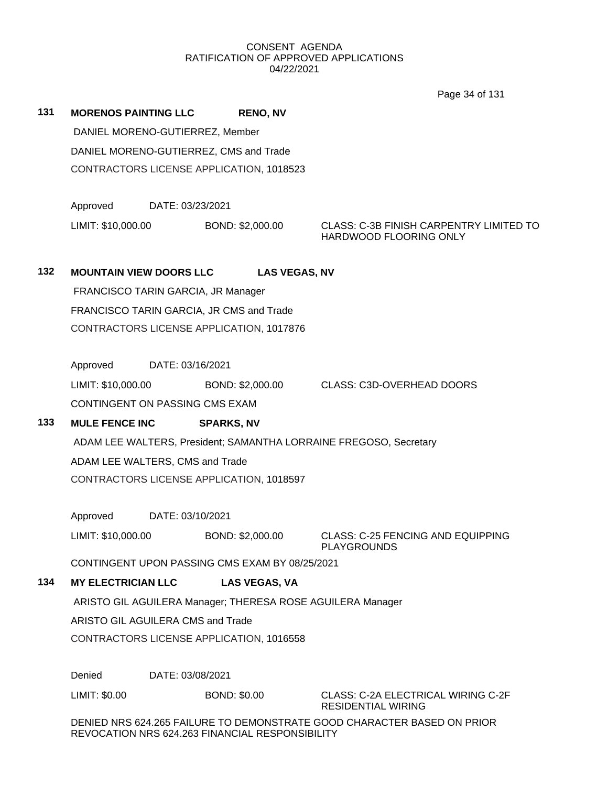Page 34 of 131

**131 MORENOS PAINTING LLC RENO, NV** DANIEL MORENO-GUTIERREZ, Member DANIEL MORENO-GUTIERREZ, CMS and Trade CONTRACTORS LICENSE APPLICATION, 1018523

Approved DATE: 03/23/2021

LIMIT: \$10,000.00 BOND: \$2,000.00 CLASS: C-3B FINISH CARPENTRY LIMITED TO HARDWOOD FLOORING ONLY

# **132 MOUNTAIN VIEW DOORS LLC LAS VEGAS, NV**

FRANCISCO TARIN GARCIA, JR Manager FRANCISCO TARIN GARCIA, JR CMS and Trade CONTRACTORS LICENSE APPLICATION, 1017876

Approved DATE: 03/16/2021

LIMIT: \$10,000.00 BOND: \$2,000.00 CLASS: C3D-OVERHEAD DOORS CONTINGENT ON PASSING CMS EXAM

# **133 MULE FENCE INC SPARKS, NV**

ADAM LEE WALTERS, President; SAMANTHA LORRAINE FREGOSO, Secretary ADAM LEE WALTERS, CMS and Trade CONTRACTORS LICENSE APPLICATION, 1018597

Approved DATE: 03/10/2021

LIMIT: \$10,000.00 BOND: \$2,000.00 CLASS: C-25 FENCING AND EQUIPPING PLAYGROUNDS

CONTINGENT UPON PASSING CMS EXAM BY 08/25/2021

# **134 MY ELECTRICIAN LLC LAS VEGAS, VA**

ARISTO GIL AGUILERA Manager; THERESA ROSE AGUILERA Manager

ARISTO GIL AGUILERA CMS and Trade

CONTRACTORS LICENSE APPLICATION, 1016558

Denied DATE: 03/08/2021

LIMIT: \$0.00 BOND: \$0.00 CLASS: C-2A ELECTRICAL WIRING C-2F RESIDENTIAL WIRING

DENIED NRS 624.265 FAILURE TO DEMONSTRATE GOOD CHARACTER BASED ON PRIOR REVOCATION NRS 624.263 FINANCIAL RESPONSIBILITY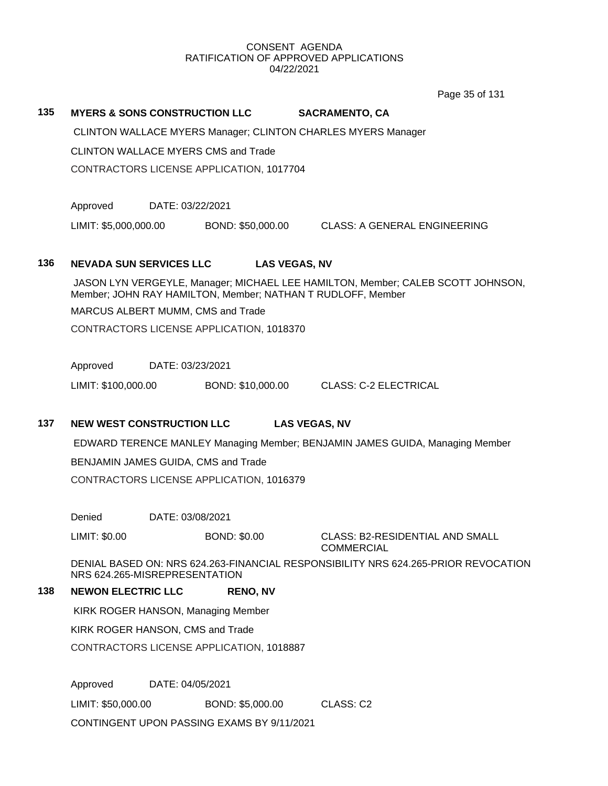Page 35 of 131

## **135 MYERS & SONS CONSTRUCTION LLC SACRAMENTO, CA**

CLINTON WALLACE MYERS Manager; CLINTON CHARLES MYERS Manager

CLINTON WALLACE MYERS CMS and Trade

CONTRACTORS LICENSE APPLICATION, 1017704

Approved DATE: 03/22/2021

LIMIT: \$5,000,000.00 BOND: \$50,000.00 CLASS: A GENERAL ENGINEERING

## **136 NEVADA SUN SERVICES LLC LAS VEGAS, NV**

JASON LYN VERGEYLE, Manager; MICHAEL LEE HAMILTON, Member; CALEB SCOTT JOHNSON, Member; JOHN RAY HAMILTON, Member; NATHAN T RUDLOFF, Member

MARCUS ALBERT MUMM, CMS and Trade

CONTRACTORS LICENSE APPLICATION, 1018370

Approved DATE: 03/23/2021

LIMIT: \$100,000.00 BOND: \$10,000.00 CLASS: C-2 ELECTRICAL

## **137 NEW WEST CONSTRUCTION LLC LAS VEGAS, NV**

EDWARD TERENCE MANLEY Managing Member; BENJAMIN JAMES GUIDA, Managing Member

BENJAMIN JAMES GUIDA, CMS and Trade

CONTRACTORS LICENSE APPLICATION, 1016379

Denied DATE: 03/08/2021

LIMIT: \$0.00 BOND: \$0.00 CLASS: B2-RESIDENTIAL AND SMALL

**COMMERCIAL** 

DENIAL BASED ON: NRS 624.263-FINANCIAL RESPONSIBILITY NRS 624.265-PRIOR REVOCATION NRS 624.265-MISREPRESENTATION

## **138 NEWON ELECTRIC LLC RENO, NV**

KIRK ROGER HANSON, Managing Member

KIRK ROGER HANSON, CMS and Trade

CONTRACTORS LICENSE APPLICATION, 1018887

Approved DATE: 04/05/2021

LIMIT: \$50,000.00 BOND: \$5,000.00 CLASS: C2

CONTINGENT UPON PASSING EXAMS BY 9/11/2021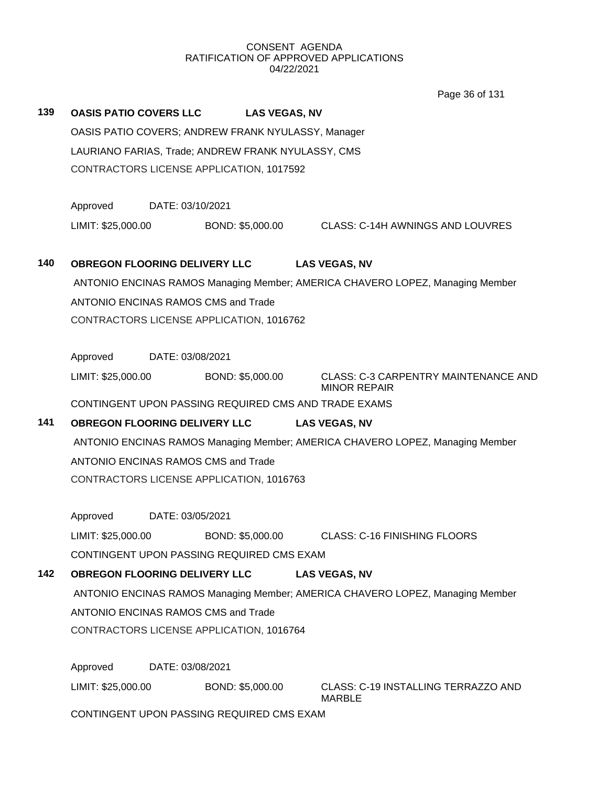|     |                                                                               |                                                      | Page 36 of 131                                                                |  |  |  |  |
|-----|-------------------------------------------------------------------------------|------------------------------------------------------|-------------------------------------------------------------------------------|--|--|--|--|
| 139 |                                                                               | <b>OASIS PATIO COVERS LLC LAS VEGAS, NV</b>          |                                                                               |  |  |  |  |
|     | OASIS PATIO COVERS; ANDREW FRANK NYULASSY, Manager                            |                                                      |                                                                               |  |  |  |  |
|     |                                                                               | LAURIANO FARIAS, Trade; ANDREW FRANK NYULASSY, CMS   |                                                                               |  |  |  |  |
|     |                                                                               | CONTRACTORS LICENSE APPLICATION, 1017592             |                                                                               |  |  |  |  |
|     |                                                                               |                                                      |                                                                               |  |  |  |  |
|     | Approved                                                                      | DATE: 03/10/2021                                     |                                                                               |  |  |  |  |
|     | LIMIT: \$25,000.00                                                            | BOND: \$5,000.00                                     | CLASS: C-14H AWNINGS AND LOUVRES                                              |  |  |  |  |
|     |                                                                               |                                                      |                                                                               |  |  |  |  |
| 140 | <b>OBREGON FLOORING DELIVERY LLC</b>                                          |                                                      | <b>LAS VEGAS, NV</b>                                                          |  |  |  |  |
|     |                                                                               |                                                      | ANTONIO ENCINAS RAMOS Managing Member; AMERICA CHAVERO LOPEZ, Managing Member |  |  |  |  |
|     |                                                                               | ANTONIO ENCINAS RAMOS CMS and Trade                  |                                                                               |  |  |  |  |
|     |                                                                               | CONTRACTORS LICENSE APPLICATION, 1016762             |                                                                               |  |  |  |  |
|     |                                                                               |                                                      |                                                                               |  |  |  |  |
|     | Approved                                                                      | DATE: 03/08/2021                                     |                                                                               |  |  |  |  |
|     | LIMIT: \$25,000.00                                                            | BOND: \$5,000.00                                     | <b>CLASS: C-3 CARPENTRY MAINTENANCE AND</b><br><b>MINOR REPAIR</b>            |  |  |  |  |
|     |                                                                               | CONTINGENT UPON PASSING REQUIRED CMS AND TRADE EXAMS |                                                                               |  |  |  |  |
| 141 |                                                                               | <b>OBREGON FLOORING DELIVERY LLC</b>                 | <b>LAS VEGAS, NV</b>                                                          |  |  |  |  |
|     |                                                                               |                                                      | ANTONIO ENCINAS RAMOS Managing Member; AMERICA CHAVERO LOPEZ, Managing Member |  |  |  |  |
|     |                                                                               | ANTONIO ENCINAS RAMOS CMS and Trade                  |                                                                               |  |  |  |  |
|     |                                                                               | CONTRACTORS LICENSE APPLICATION, 1016763             |                                                                               |  |  |  |  |
|     |                                                                               |                                                      |                                                                               |  |  |  |  |
|     | Approved                                                                      | DATE: 03/05/2021                                     |                                                                               |  |  |  |  |
|     | LIMIT: \$25,000.00                                                            | BOND: \$5,000.00                                     | <b>CLASS: C-16 FINISHING FLOORS</b>                                           |  |  |  |  |
|     |                                                                               | CONTINGENT UPON PASSING REQUIRED CMS EXAM            |                                                                               |  |  |  |  |
| 142 | <b>OBREGON FLOORING DELIVERY LLC</b>                                          |                                                      | <b>LAS VEGAS, NV</b>                                                          |  |  |  |  |
|     |                                                                               |                                                      | ANTONIO ENCINAS RAMOS Managing Member; AMERICA CHAVERO LOPEZ, Managing Member |  |  |  |  |
|     |                                                                               | ANTONIO ENCINAS RAMOS CMS and Trade                  |                                                                               |  |  |  |  |
|     |                                                                               | CONTRACTORS LICENSE APPLICATION, 1016764             |                                                                               |  |  |  |  |
|     | Approved                                                                      | DATE: 03/08/2021                                     |                                                                               |  |  |  |  |
|     |                                                                               |                                                      |                                                                               |  |  |  |  |
|     | LIMIT: \$25,000.00<br>BOND: \$5,000.00<br>CLASS: C-19 INSTALLING TERRAZZO AND |                                                      |                                                                               |  |  |  |  |
|     | <b>MARBLE</b>                                                                 |                                                      |                                                                               |  |  |  |  |
|     |                                                                               | CONTINGENT UPON PASSING REQUIRED CMS EXAM            |                                                                               |  |  |  |  |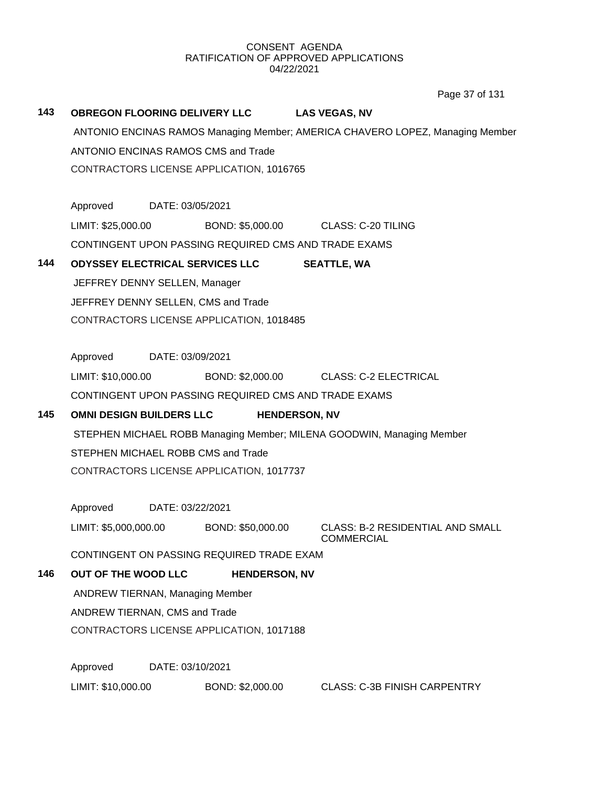Page 37 of 131

| 143 | <b>OBREGON FLOORING DELIVERY LLC</b>       |                                          |                                                      | <b>LAS VEGAS, NV</b> |                                                                               |  |  |
|-----|--------------------------------------------|------------------------------------------|------------------------------------------------------|----------------------|-------------------------------------------------------------------------------|--|--|
|     |                                            |                                          |                                                      |                      | ANTONIO ENCINAS RAMOS Managing Member; AMERICA CHAVERO LOPEZ, Managing Member |  |  |
|     | <b>ANTONIO ENCINAS RAMOS CMS and Trade</b> |                                          |                                                      |                      |                                                                               |  |  |
|     |                                            |                                          | CONTRACTORS LICENSE APPLICATION, 1016765             |                      |                                                                               |  |  |
|     | Approved DATE: 03/05/2021                  |                                          |                                                      |                      |                                                                               |  |  |
|     | LIMIT: \$25,000.00                         |                                          |                                                      |                      | BOND: \$5,000.00 CLASS: C-20 TILING                                           |  |  |
|     |                                            |                                          | CONTINGENT UPON PASSING REQUIRED CMS AND TRADE EXAMS |                      |                                                                               |  |  |
|     |                                            |                                          |                                                      |                      |                                                                               |  |  |
| 144 |                                            |                                          | <b>ODYSSEY ELECTRICAL SERVICES LLC</b>               |                      | <b>SEATTLE, WA</b>                                                            |  |  |
|     | JEFFREY DENNY SELLEN, Manager              |                                          |                                                      |                      |                                                                               |  |  |
|     | JEFFREY DENNY SELLEN, CMS and Trade        |                                          |                                                      |                      |                                                                               |  |  |
|     |                                            |                                          | CONTRACTORS LICENSE APPLICATION, 1018485             |                      |                                                                               |  |  |
|     |                                            |                                          |                                                      |                      |                                                                               |  |  |
|     | Approved                                   | DATE: 03/09/2021                         |                                                      |                      |                                                                               |  |  |
|     | LIMIT: \$10,000.00                         |                                          |                                                      |                      | BOND: \$2,000.00 CLASS: C-2 ELECTRICAL                                        |  |  |
|     |                                            |                                          | CONTINGENT UPON PASSING REQUIRED CMS AND TRADE EXAMS |                      |                                                                               |  |  |
| 145 | <b>OMNI DESIGN BUILDERS LLC</b>            |                                          | <b>HENDERSON, NV</b>                                 |                      |                                                                               |  |  |
|     |                                            |                                          |                                                      |                      | STEPHEN MICHAEL ROBB Managing Member; MILENA GOODWIN, Managing Member         |  |  |
|     | STEPHEN MICHAEL ROBB CMS and Trade         |                                          |                                                      |                      |                                                                               |  |  |
|     |                                            |                                          | CONTRACTORS LICENSE APPLICATION, 1017737             |                      |                                                                               |  |  |
|     |                                            |                                          |                                                      |                      |                                                                               |  |  |
|     | Approved                                   | DATE: 03/22/2021                         |                                                      |                      |                                                                               |  |  |
|     | LIMIT: \$5,000,000.00                      |                                          | BOND: \$50,000.00                                    |                      | <b>CLASS: B-2 RESIDENTIAL AND SMALL</b><br><b>COMMERCIAL</b>                  |  |  |
|     |                                            |                                          | CONTINGENT ON PASSING REQUIRED TRADE EXAM            |                      |                                                                               |  |  |
| 146 | OUT OF THE WOOD LLC                        |                                          | <b>HENDERSON, NV</b>                                 |                      |                                                                               |  |  |
|     | <b>ANDREW TIERNAN, Managing Member</b>     |                                          |                                                      |                      |                                                                               |  |  |
|     | ANDREW TIERNAN, CMS and Trade              |                                          |                                                      |                      |                                                                               |  |  |
|     |                                            | CONTRACTORS LICENSE APPLICATION, 1017188 |                                                      |                      |                                                                               |  |  |
|     | Approved                                   | DATE: 03/10/2021                         |                                                      |                      |                                                                               |  |  |
|     | LIMIT: \$10,000.00                         |                                          | BOND: \$2,000.00                                     |                      | <b>CLASS: C-3B FINISH CARPENTRY</b>                                           |  |  |
|     |                                            |                                          |                                                      |                      |                                                                               |  |  |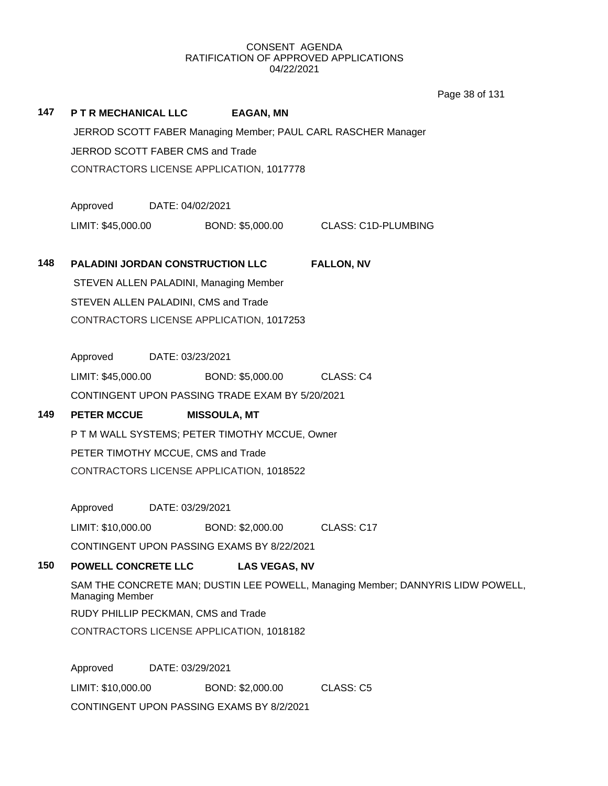Page 38 of 131

| 147 | <b>P T R MECHANICAL LLC</b>                     |                  | <b>EAGAN, MN</b>                                |                                                                                 |  |  |
|-----|-------------------------------------------------|------------------|-------------------------------------------------|---------------------------------------------------------------------------------|--|--|
|     |                                                 |                  |                                                 | JERROD SCOTT FABER Managing Member; PAUL CARL RASCHER Manager                   |  |  |
|     | JERROD SCOTT FABER CMS and Trade                |                  |                                                 |                                                                                 |  |  |
|     |                                                 |                  | CONTRACTORS LICENSE APPLICATION, 1017778        |                                                                                 |  |  |
|     |                                                 |                  |                                                 |                                                                                 |  |  |
|     | Approved DATE: 04/02/2021<br>LIMIT: \$45,000.00 |                  |                                                 |                                                                                 |  |  |
|     |                                                 |                  |                                                 | BOND: \$5,000.00 CLASS: C1D-PLUMBING                                            |  |  |
| 148 |                                                 |                  | <b>PALADINI JORDAN CONSTRUCTION LLC</b>         | <b>FALLON, NV</b>                                                               |  |  |
|     |                                                 |                  | STEVEN ALLEN PALADINI, Managing Member          |                                                                                 |  |  |
|     |                                                 |                  | STEVEN ALLEN PALADINI, CMS and Trade            |                                                                                 |  |  |
|     | CONTRACTORS LICENSE APPLICATION, 1017253        |                  |                                                 |                                                                                 |  |  |
|     |                                                 |                  |                                                 |                                                                                 |  |  |
|     | Approved<br>DATE: 03/23/2021                    |                  |                                                 |                                                                                 |  |  |
|     | LIMIT: \$45,000.00                              |                  | BOND: \$5,000.00                                | CLASS: C4                                                                       |  |  |
|     |                                                 |                  | CONTINGENT UPON PASSING TRADE EXAM BY 5/20/2021 |                                                                                 |  |  |
| 149 | <b>PETER MCCUE</b>                              |                  | <b>MISSOULA, MT</b>                             |                                                                                 |  |  |
|     |                                                 |                  | P T M WALL SYSTEMS; PETER TIMOTHY MCCUE, Owner  |                                                                                 |  |  |
|     |                                                 |                  | PETER TIMOTHY MCCUE, CMS and Trade              |                                                                                 |  |  |
|     |                                                 |                  | CONTRACTORS LICENSE APPLICATION, 1018522        |                                                                                 |  |  |
|     | Approved DATE: 03/29/2021                       |                  |                                                 |                                                                                 |  |  |
|     | LIMIT: \$10,000.00                              |                  | BOND: \$2,000.00 CLASS: C17                     |                                                                                 |  |  |
|     |                                                 |                  | CONTINGENT UPON PASSING EXAMS BY 8/22/2021      |                                                                                 |  |  |
| 150 | <b>POWELL CONCRETE LLC</b>                      |                  | <b>LAS VEGAS, NV</b>                            |                                                                                 |  |  |
|     |                                                 |                  |                                                 | SAM THE CONCRETE MAN; DUSTIN LEE POWELL, Managing Member; DANNYRIS LIDW POWELL, |  |  |
|     | <b>Managing Member</b>                          |                  |                                                 |                                                                                 |  |  |
|     |                                                 |                  | RUDY PHILLIP PECKMAN, CMS and Trade             |                                                                                 |  |  |
|     |                                                 |                  | CONTRACTORS LICENSE APPLICATION, 1018182        |                                                                                 |  |  |
|     | Approved                                        | DATE: 03/29/2021 |                                                 |                                                                                 |  |  |
|     | LIMIT: \$10,000.00                              |                  | BOND: \$2,000.00                                | <b>CLASS: C5</b>                                                                |  |  |
|     |                                                 |                  | CONTINGENT UPON PASSING EXAMS BY 8/2/2021       |                                                                                 |  |  |
|     |                                                 |                  |                                                 |                                                                                 |  |  |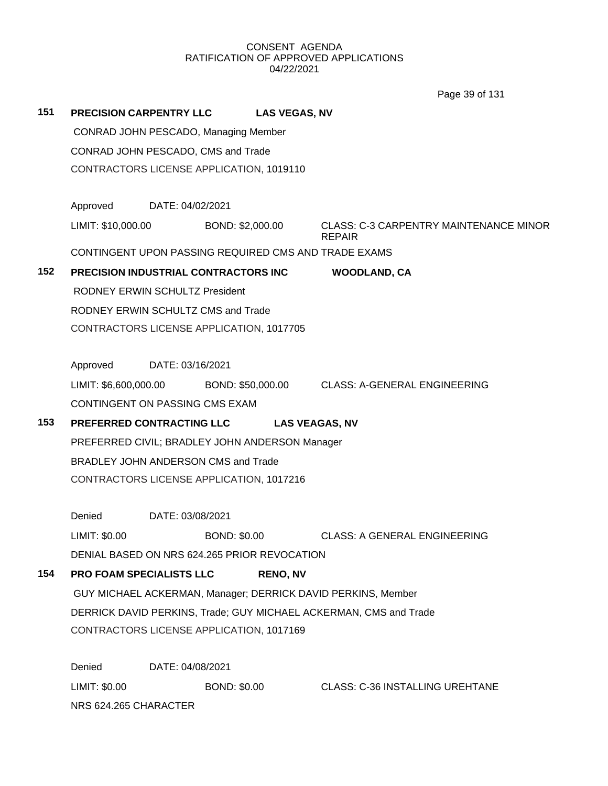Page 39 of 131

| 151 |                       | <b>PRECISION CARPENTRY LLC</b>                       | <b>LAS VEGAS, NV</b> |                                                                      |
|-----|-----------------------|------------------------------------------------------|----------------------|----------------------------------------------------------------------|
|     |                       | CONRAD JOHN PESCADO, Managing Member                 |                      |                                                                      |
|     |                       | CONRAD JOHN PESCADO, CMS and Trade                   |                      |                                                                      |
|     |                       | CONTRACTORS LICENSE APPLICATION, 1019110             |                      |                                                                      |
|     |                       |                                                      |                      |                                                                      |
|     | Approved              | DATE: 04/02/2021                                     |                      |                                                                      |
|     | LIMIT: \$10,000.00    |                                                      | BOND: \$2,000.00     | <b>CLASS: C-3 CARPENTRY MAINTENANCE MINOR</b><br><b>REPAIR</b>       |
|     |                       | CONTINGENT UPON PASSING REQUIRED CMS AND TRADE EXAMS |                      |                                                                      |
| 152 |                       | PRECISION INDUSTRIAL CONTRACTORS INC                 |                      | <b>WOODLAND, CA</b>                                                  |
|     |                       | RODNEY ERWIN SCHULTZ President                       |                      |                                                                      |
|     |                       | RODNEY ERWIN SCHULTZ CMS and Trade                   |                      |                                                                      |
|     |                       | CONTRACTORS LICENSE APPLICATION, 1017705             |                      |                                                                      |
|     |                       |                                                      |                      |                                                                      |
|     |                       | Approved DATE: 03/16/2021                            |                      |                                                                      |
|     |                       |                                                      |                      | LIMIT: \$6,600,000.00 BOND: \$50,000.00 CLASS: A-GENERAL ENGINEERING |
|     |                       | CONTINGENT ON PASSING CMS EXAM                       |                      |                                                                      |
| 153 |                       | PREFERRED CONTRACTING LLC                            |                      | <b>LAS VEAGAS, NV</b>                                                |
|     |                       | PREFERRED CIVIL; BRADLEY JOHN ANDERSON Manager       |                      |                                                                      |
|     |                       | BRADLEY JOHN ANDERSON CMS and Trade                  |                      |                                                                      |
|     |                       | CONTRACTORS LICENSE APPLICATION, 1017216             |                      |                                                                      |
|     |                       |                                                      |                      |                                                                      |
|     | Denied                | DATE: 03/08/2021                                     |                      |                                                                      |
|     | LIMIT: \$0.00         |                                                      | <b>BOND: \$0.00</b>  | <b>CLASS: A GENERAL ENGINEERING</b>                                  |
|     |                       | DENIAL BASED ON NRS 624.265 PRIOR REVOCATION         |                      |                                                                      |
| 154 |                       | PRO FOAM SPECIALISTS LLC                             | <b>RENO, NV</b>      |                                                                      |
|     |                       |                                                      |                      | GUY MICHAEL ACKERMAN, Manager; DERRICK DAVID PERKINS, Member         |
|     |                       |                                                      |                      | DERRICK DAVID PERKINS, Trade; GUY MICHAEL ACKERMAN, CMS and Trade    |
|     |                       | CONTRACTORS LICENSE APPLICATION, 1017169             |                      |                                                                      |
|     |                       |                                                      |                      |                                                                      |
|     | Denied                | DATE: 04/08/2021                                     |                      |                                                                      |
|     | LIMIT: \$0.00         |                                                      | <b>BOND: \$0.00</b>  | <b>CLASS: C-36 INSTALLING UREHTANE</b>                               |
|     | NRS 624.265 CHARACTER |                                                      |                      |                                                                      |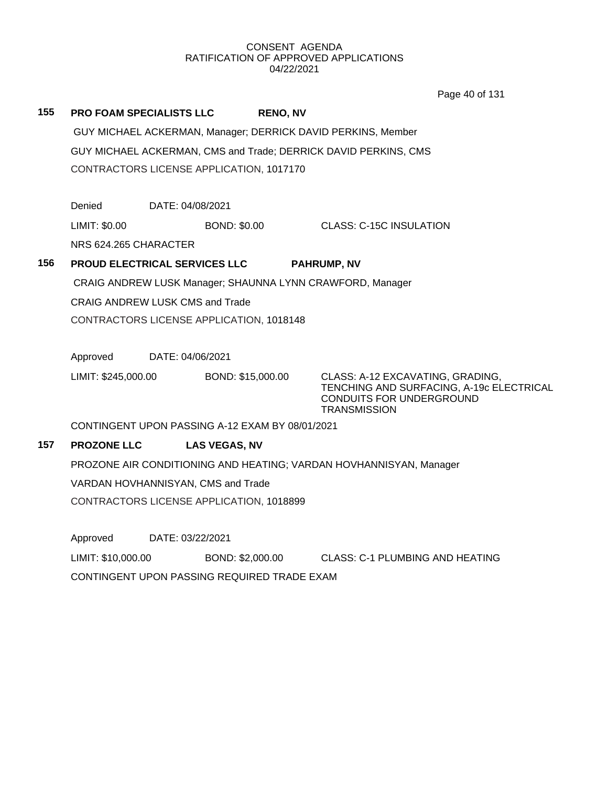Page 40 of 131

| 155 | <b>PRO FOAM SPECIALISTS LLC</b>                           |                  |                      | <b>RENO, NV</b> |                                                                                                                                 |  |
|-----|-----------------------------------------------------------|------------------|----------------------|-----------------|---------------------------------------------------------------------------------------------------------------------------------|--|
|     |                                                           |                  |                      |                 | GUY MICHAEL ACKERMAN, Manager; DERRICK DAVID PERKINS, Member                                                                    |  |
|     |                                                           |                  |                      |                 | GUY MICHAEL ACKERMAN, CMS and Trade; DERRICK DAVID PERKINS, CMS                                                                 |  |
|     | CONTRACTORS LICENSE APPLICATION, 1017170                  |                  |                      |                 |                                                                                                                                 |  |
|     |                                                           |                  |                      |                 |                                                                                                                                 |  |
|     | Denied                                                    | DATE: 04/08/2021 |                      |                 |                                                                                                                                 |  |
|     | LIMIT: \$0.00                                             |                  | <b>BOND: \$0.00</b>  |                 | <b>CLASS: C-15C INSULATION</b>                                                                                                  |  |
|     | NRS 624.265 CHARACTER                                     |                  |                      |                 |                                                                                                                                 |  |
| 156 | <b>PROUD ELECTRICAL SERVICES LLC</b>                      |                  |                      |                 | <b>PAHRUMP, NV</b>                                                                                                              |  |
|     | CRAIG ANDREW LUSK Manager; SHAUNNA LYNN CRAWFORD, Manager |                  |                      |                 |                                                                                                                                 |  |
|     | <b>CRAIG ANDREW LUSK CMS and Trade</b>                    |                  |                      |                 |                                                                                                                                 |  |
|     | CONTRACTORS LICENSE APPLICATION, 1018148                  |                  |                      |                 |                                                                                                                                 |  |
|     |                                                           |                  |                      |                 |                                                                                                                                 |  |
|     | Approved                                                  | DATE: 04/06/2021 |                      |                 |                                                                                                                                 |  |
|     | LIMIT: \$245,000.00                                       |                  | BOND: \$15,000.00    |                 | CLASS: A-12 EXCAVATING, GRADING,<br>TENCHING AND SURFACING, A-19c ELECTRICAL<br>CONDUITS FOR UNDERGROUND<br><b>TRANSMISSION</b> |  |
|     | CONTINGENT UPON PASSING A-12 EXAM BY 08/01/2021           |                  |                      |                 |                                                                                                                                 |  |
| 157 | <b>PROZONE LLC</b>                                        |                  | <b>LAS VEGAS, NV</b> |                 |                                                                                                                                 |  |
|     |                                                           |                  |                      |                 | PROZONE AIR CONDITIONING AND HEATING; VARDAN HOVHANNISYAN, Manager                                                              |  |
|     | VARDAN HOVHANNISYAN, CMS and Trade                        |                  |                      |                 |                                                                                                                                 |  |
|     | CONTRACTORS LICENSE APPLICATION, 1018899                  |                  |                      |                 |                                                                                                                                 |  |
|     |                                                           |                  |                      |                 |                                                                                                                                 |  |
|     | Approved                                                  | DATE: 03/22/2021 |                      |                 |                                                                                                                                 |  |
|     | LIMIT: \$10,000.00                                        |                  | BOND: \$2,000.00     |                 | <b>CLASS: C-1 PLUMBING AND HEATING</b>                                                                                          |  |

CONTINGENT UPON PASSING REQUIRED TRADE EXAM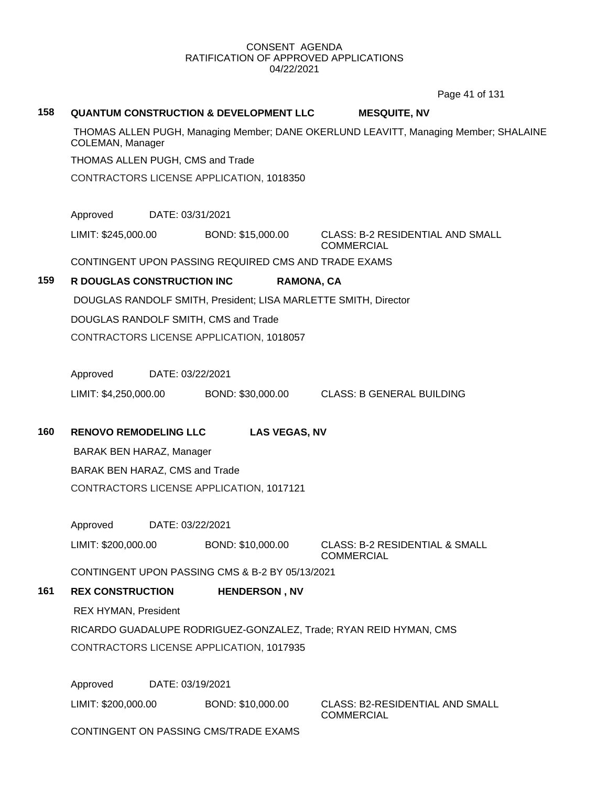Page 41 of 131

# **158 QUANTUM CONSTRUCTION & DEVELOPMENT LLC MESQUITE, NV** THOMAS ALLEN PUGH, Managing Member; DANE OKERLUND LEAVITT, Managing Member; SHALAINE COLEMAN, Manager THOMAS ALLEN PUGH, CMS and Trade CONTRACTORS LICENSE APPLICATION, 1018350 Approved DATE: 03/31/2021 LIMIT: \$245,000.00 BOND: \$15,000.00 CLASS: B-2 RESIDENTIAL AND SMALL **COMMERCIAL** CONTINGENT UPON PASSING REQUIRED CMS AND TRADE EXAMS **159 R DOUGLAS CONSTRUCTION INC RAMONA, CA** DOUGLAS RANDOLF SMITH, President; LISA MARLETTE SMITH, Director DOUGLAS RANDOLF SMITH, CMS and Trade CONTRACTORS LICENSE APPLICATION, 1018057 Approved DATE: 03/22/2021 LIMIT: \$4,250,000.00 BOND: \$30,000.00 CLASS: B GENERAL BUILDING **160 RENOVO REMODELING LLC LAS VEGAS, NV** BARAK BEN HARAZ, Manager BARAK BEN HARAZ, CMS and Trade CONTRACTORS LICENSE APPLICATION, 1017121 Approved DATE: 03/22/2021 LIMIT: \$200,000.00 BOND: \$10,000.00 CLASS: B-2 RESIDENTIAL & SMALL **COMMERCIAL** CONTINGENT UPON PASSING CMS & B-2 BY 05/13/2021 **161 REX CONSTRUCTION HENDERSON , NV** REX HYMAN, President RICARDO GUADALUPE RODRIGUEZ-GONZALEZ, Trade; RYAN REID HYMAN, CMS CONTRACTORS LICENSE APPLICATION, 1017935 Approved DATE: 03/19/2021 LIMIT: \$200,000.00 BOND: \$10,000.00 CLASS: B2-RESIDENTIAL AND SMALL COMMERCIAL

CONTINGENT ON PASSING CMS/TRADE EXAMS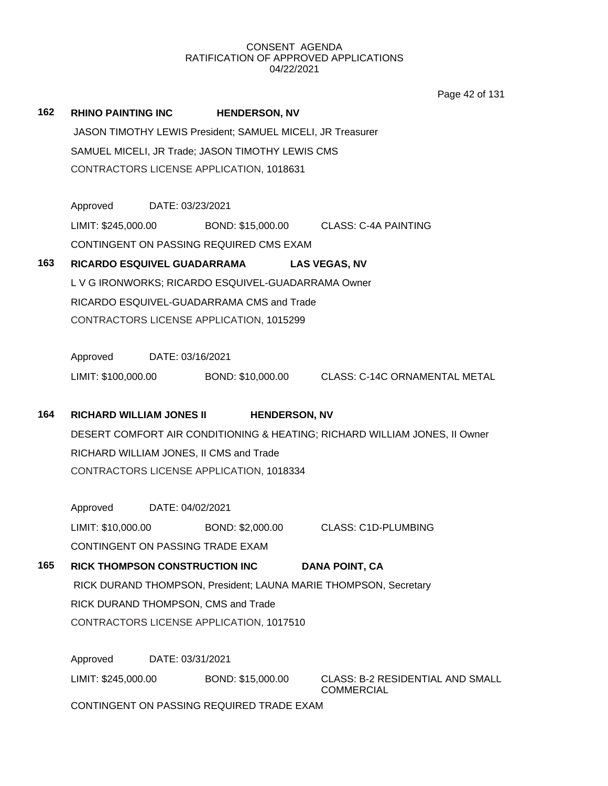Page 42 of 131

| 162 | RHINO PAINTING INC              | <b>HENDERSON, NV</b>                                             |                                                                            |
|-----|---------------------------------|------------------------------------------------------------------|----------------------------------------------------------------------------|
|     |                                 | JASON TIMOTHY LEWIS President; SAMUEL MICELI, JR Treasurer       |                                                                            |
|     |                                 | SAMUEL MICELI, JR Trade; JASON TIMOTHY LEWIS CMS                 |                                                                            |
|     |                                 | CONTRACTORS LICENSE APPLICATION, 1018631                         |                                                                            |
|     |                                 |                                                                  |                                                                            |
|     | Approved DATE: 03/23/2021       |                                                                  |                                                                            |
|     | LIMIT: \$245,000.00             | BOND: \$15,000.00 CLASS: C-4A PAINTING                           |                                                                            |
|     |                                 | CONTINGENT ON PASSING REQUIRED CMS EXAM                          |                                                                            |
| 163 |                                 | RICARDO ESQUIVEL GUADARRAMA LAS VEGAS, NV                        |                                                                            |
|     |                                 | L V G IRONWORKS; RICARDO ESQUIVEL-GUADARRAMA Owner               |                                                                            |
|     |                                 | RICARDO ESQUIVEL-GUADARRAMA CMS and Trade                        |                                                                            |
|     |                                 | CONTRACTORS LICENSE APPLICATION, 1015299                         |                                                                            |
|     |                                 |                                                                  |                                                                            |
|     | Approved DATE: 03/16/2021       |                                                                  |                                                                            |
|     |                                 |                                                                  | LIMIT: \$100,000.00 BOND: \$10,000.00 CLASS: C-14C ORNAMENTAL METAL        |
| 164 | <b>RICHARD WILLIAM JONES II</b> | <b>HENDERSON, NV</b>                                             |                                                                            |
|     |                                 |                                                                  | DESERT COMFORT AIR CONDITIONING & HEATING; RICHARD WILLIAM JONES, II Owner |
|     |                                 | RICHARD WILLIAM JONES, II CMS and Trade                          |                                                                            |
|     |                                 | CONTRACTORS LICENSE APPLICATION, 1018334                         |                                                                            |
|     |                                 |                                                                  |                                                                            |
|     | Approved DATE: 04/02/2021       |                                                                  |                                                                            |
|     | LIMIT: \$10,000.00              | BOND: \$2,000.00                                                 | <b>CLASS: C1D-PLUMBING</b>                                                 |
|     |                                 | CONTINGENT ON PASSING TRADE EXAM                                 |                                                                            |
| 165 | RICK THOMPSON CONSTRUCTION INC  |                                                                  | <b>DANA POINT, CA</b>                                                      |
|     |                                 | RICK DURAND THOMPSON, President; LAUNA MARIE THOMPSON, Secretary |                                                                            |
|     |                                 | RICK DURAND THOMPSON, CMS and Trade                              |                                                                            |
|     |                                 | CONTRACTORS LICENSE APPLICATION, 1017510                         |                                                                            |
|     | Approved                        | DATE: 03/31/2021                                                 |                                                                            |
|     | LIMIT: \$245,000.00             | BOND: \$15,000.00                                                | CLASS: B-2 RESIDENTIAL AND SMALL                                           |
|     |                                 | CONTINGENT ON PASSING REQUIRED TRADE EXAM                        | <b>COMMERCIAL</b>                                                          |
|     |                                 |                                                                  |                                                                            |
|     |                                 |                                                                  |                                                                            |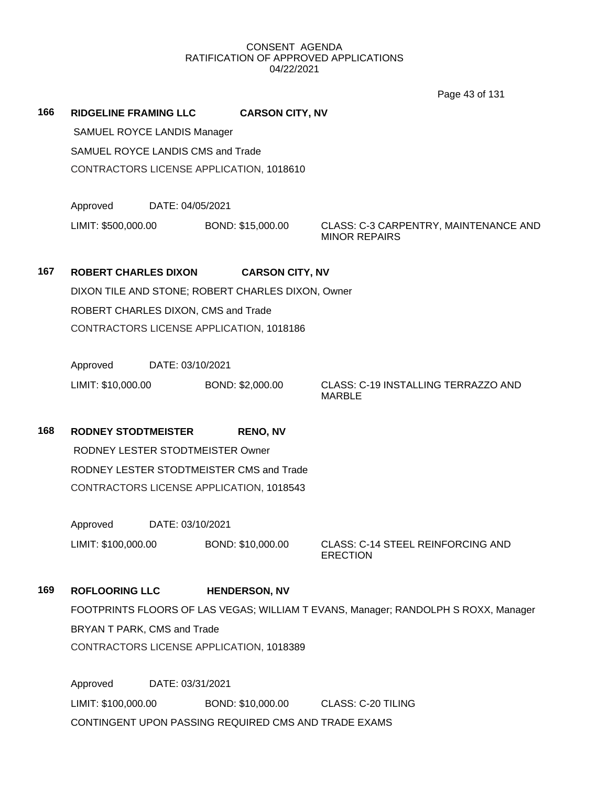Page 43 of 131

**166 RIDGELINE FRAMING LLC CARSON CITY, NV** SAMUEL ROYCE LANDIS Manager SAMUEL ROYCE LANDIS CMS and Trade CONTRACTORS LICENSE APPLICATION, 1018610 Approved DATE: 04/05/2021 LIMIT: \$500,000.00 BOND: \$15,000.00 CLASS: C-3 CARPENTRY, MAINTENANCE AND MINOR REPAIRS **167 ROBERT CHARLES DIXON CARSON CITY, NV** DIXON TILE AND STONE; ROBERT CHARLES DIXON, Owner ROBERT CHARLES DIXON, CMS and Trade CONTRACTORS LICENSE APPLICATION, 1018186 Approved DATE: 03/10/2021 LIMIT: \$10,000.00 BOND: \$2,000.00 CLASS: C-19 INSTALLING TERRAZZO AND MARBLE **168 RODNEY STODTMEISTER RENO, NV** RODNEY LESTER STODTMEISTER Owner RODNEY LESTER STODTMEISTER CMS and Trade CONTRACTORS LICENSE APPLICATION, 1018543 Approved DATE: 03/10/2021 LIMIT: \$100,000.00 BOND: \$10,000.00 CLASS: C-14 STEEL REINFORCING AND ERECTION

**169 ROFLOORING LLC HENDERSON, NV** FOOTPRINTS FLOORS OF LAS VEGAS; WILLIAM T EVANS, Manager; RANDOLPH S ROXX, Manager BRYAN T PARK, CMS and Trade CONTRACTORS LICENSE APPLICATION, 1018389

Approved DATE: 03/31/2021 LIMIT: \$100,000.00 BOND: \$10,000.00 CLASS: C-20 TILING CONTINGENT UPON PASSING REQUIRED CMS AND TRADE EXAMS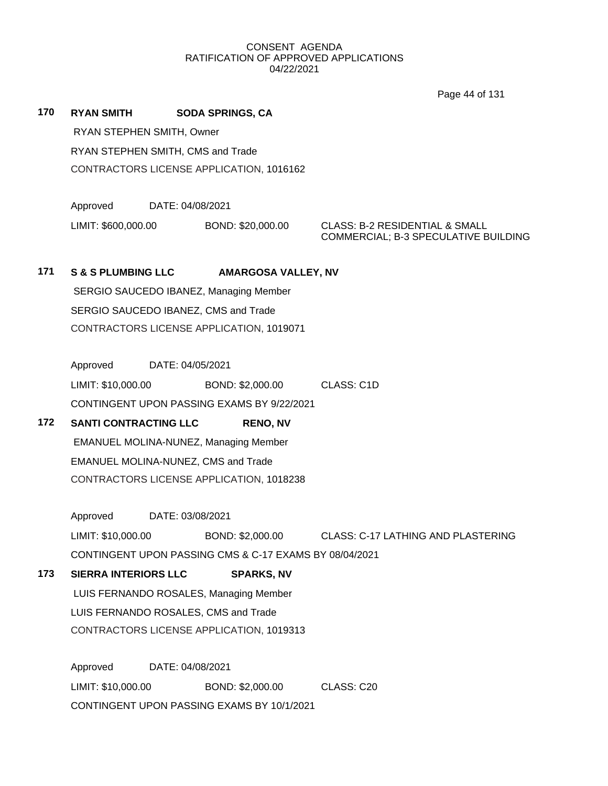Page 44 of 131

- **170 RYAN SMITH SODA SPRINGS, CA** RYAN STEPHEN SMITH, Owner RYAN STEPHEN SMITH, CMS and Trade CONTRACTORS LICENSE APPLICATION, 1016162
	- Approved DATE: 04/08/2021 LIMIT: \$600,000.00 BOND: \$20,000.00 CLASS: B-2 RESIDENTIAL & SMALL

COMMERCIAL; B-3 SPECULATIVE BUILDING

## **171 S & S PLUMBING LLC AMARGOSA VALLEY, NV**

SERGIO SAUCEDO IBANEZ, Managing Member SERGIO SAUCEDO IBANEZ, CMS and Trade CONTRACTORS LICENSE APPLICATION, 1019071

Approved DATE: 04/05/2021 LIMIT: \$10,000.00 BOND: \$2,000.00 CLASS: C1D CONTINGENT UPON PASSING EXAMS BY 9/22/2021

# **172 SANTI CONTRACTING LLC RENO, NV** EMANUEL MOLINA-NUNEZ, Managing Member EMANUEL MOLINA-NUNEZ, CMS and Trade CONTRACTORS LICENSE APPLICATION, 1018238

Approved DATE: 03/08/2021

LIMIT: \$10,000.00 BOND: \$2,000.00 CLASS: C-17 LATHING AND PLASTERING CONTINGENT UPON PASSING CMS & C-17 EXAMS BY 08/04/2021

**173 SIERRA INTERIORS LLC SPARKS, NV** LUIS FERNANDO ROSALES, Managing Member LUIS FERNANDO ROSALES, CMS and Trade CONTRACTORS LICENSE APPLICATION, 1019313

> Approved DATE: 04/08/2021 LIMIT: \$10,000.00 BOND: \$2,000.00 CLASS: C20 CONTINGENT UPON PASSING EXAMS BY 10/1/2021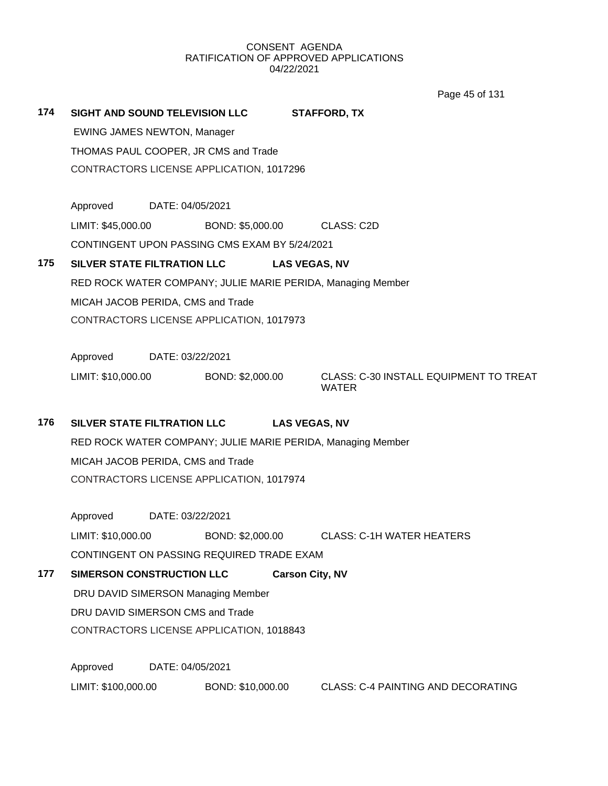Page 45 of 131

| 174 | <b>SIGHT AND SOUND TELEVISION LLC</b><br><b>STAFFORD, TX</b><br><b>EWING JAMES NEWTON, Manager</b><br>THOMAS PAUL COOPER, JR CMS and Trade<br>CONTRACTORS LICENSE APPLICATION, 1017296 |                  |                                                                              |                                                             |  |  |
|-----|----------------------------------------------------------------------------------------------------------------------------------------------------------------------------------------|------------------|------------------------------------------------------------------------------|-------------------------------------------------------------|--|--|
|     | Approved DATE: 04/05/2021<br>LIMIT: \$45,000.00                                                                                                                                        |                  | BOND: \$5,000.00 CLASS: C2D<br>CONTINGENT UPON PASSING CMS EXAM BY 5/24/2021 |                                                             |  |  |
| 175 | SILVER STATE FILTRATION LLC                                                                                                                                                            |                  |                                                                              | <b>LAS VEGAS, NV</b>                                        |  |  |
|     |                                                                                                                                                                                        |                  |                                                                              | RED ROCK WATER COMPANY; JULIE MARIE PERIDA, Managing Member |  |  |
|     | MICAH JACOB PERIDA, CMS and Trade                                                                                                                                                      |                  |                                                                              |                                                             |  |  |
|     | CONTRACTORS LICENSE APPLICATION, 1017973                                                                                                                                               |                  |                                                                              |                                                             |  |  |
|     | Approved<br>DATE: 03/22/2021                                                                                                                                                           |                  |                                                                              |                                                             |  |  |
|     | LIMIT: \$10,000.00                                                                                                                                                                     |                  | BOND: \$2,000.00                                                             | CLASS: C-30 INSTALL EQUIPMENT TO TREAT<br><b>WATER</b>      |  |  |
| 176 | SILVER STATE FILTRATION LLC                                                                                                                                                            |                  |                                                                              | <b>LAS VEGAS, NV</b>                                        |  |  |
|     |                                                                                                                                                                                        |                  |                                                                              | RED ROCK WATER COMPANY; JULIE MARIE PERIDA, Managing Member |  |  |
|     | MICAH JACOB PERIDA, CMS and Trade                                                                                                                                                      |                  |                                                                              |                                                             |  |  |
|     |                                                                                                                                                                                        |                  | CONTRACTORS LICENSE APPLICATION, 1017974                                     |                                                             |  |  |
|     | Approved                                                                                                                                                                               | DATE: 03/22/2021 |                                                                              |                                                             |  |  |
|     | LIMIT: \$10,000.00                                                                                                                                                                     |                  |                                                                              | BOND: \$2,000.00 CLASS: C-1H WATER HEATERS                  |  |  |
|     |                                                                                                                                                                                        |                  | CONTINGENT ON PASSING REQUIRED TRADE EXAM                                    |                                                             |  |  |
| 177 | <b>SIMERSON CONSTRUCTION LLC</b>                                                                                                                                                       |                  |                                                                              | <b>Carson City, NV</b>                                      |  |  |
|     |                                                                                                                                                                                        |                  | DRU DAVID SIMERSON Managing Member                                           |                                                             |  |  |
|     | DRU DAVID SIMERSON CMS and Trade                                                                                                                                                       |                  |                                                                              |                                                             |  |  |
|     |                                                                                                                                                                                        |                  | CONTRACTORS LICENSE APPLICATION, 1018843                                     |                                                             |  |  |
|     | Approved                                                                                                                                                                               | DATE: 04/05/2021 |                                                                              |                                                             |  |  |
|     | LIMIT: \$100,000.00                                                                                                                                                                    |                  | BOND: \$10,000.00                                                            | <b>CLASS: C-4 PAINTING AND DECORATING</b>                   |  |  |
|     |                                                                                                                                                                                        |                  |                                                                              |                                                             |  |  |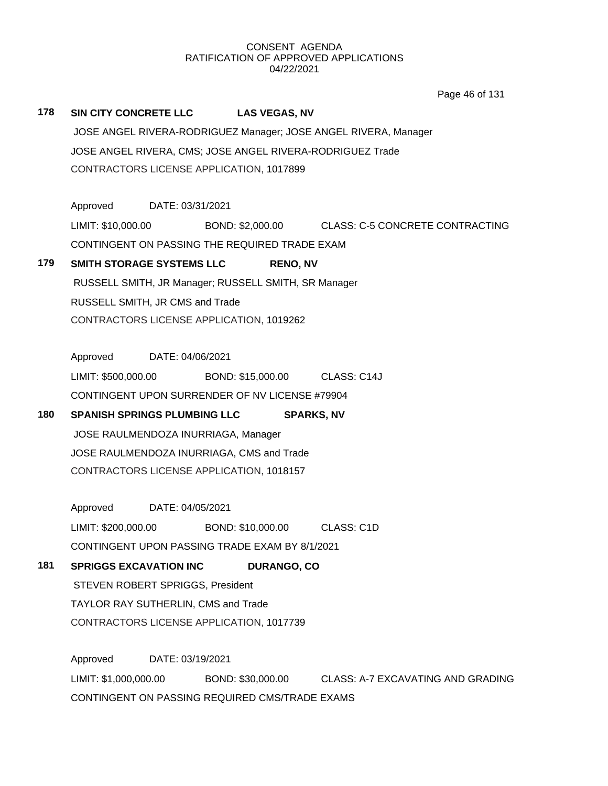**178 SIN CITY CONCRETE LLC LAS VEGAS, NV** JOSE ANGEL RIVERA-RODRIGUEZ Manager; JOSE ANGEL RIVERA, Manager JOSE ANGEL RIVERA, CMS; JOSE ANGEL RIVERA-RODRIGUEZ Trade CONTRACTORS LICENSE APPLICATION, 1017899 Approved DATE: 03/31/2021 LIMIT: \$10,000.00 BOND: \$2,000.00 CLASS: C-5 CONCRETE CONTRACTING CONTINGENT ON PASSING THE REQUIRED TRADE EXAM **179 SMITH STORAGE SYSTEMS LLC RENO, NV** RUSSELL SMITH, JR Manager; RUSSELL SMITH, SR Manager RUSSELL SMITH, JR CMS and Trade CONTRACTORS LICENSE APPLICATION, 1019262 Approved DATE: 04/06/2021 LIMIT: \$500,000.00 BOND: \$15,000.00 CLASS: C14J CONTINGENT UPON SURRENDER OF NV LICENSE #79904 **180 SPANISH SPRINGS PLUMBING LLC SPARKS, NV** JOSE RAULMENDOZA INURRIAGA, Manager JOSE RAULMENDOZA INURRIAGA, CMS and Trade CONTRACTORS LICENSE APPLICATION, 1018157 Page 46 of 131

Approved DATE: 04/05/2021 LIMIT: \$200,000.00 BOND: \$10,000.00 CLASS: C1D CONTINGENT UPON PASSING TRADE EXAM BY 8/1/2021

# **181 SPRIGGS EXCAVATION INC DURANGO, CO** STEVEN ROBERT SPRIGGS, President TAYLOR RAY SUTHERLIN, CMS and Trade CONTRACTORS LICENSE APPLICATION, 1017739

Approved DATE: 03/19/2021 LIMIT: \$1,000,000.00 BOND: \$30,000.00 CLASS: A-7 EXCAVATING AND GRADING CONTINGENT ON PASSING REQUIRED CMS/TRADE EXAMS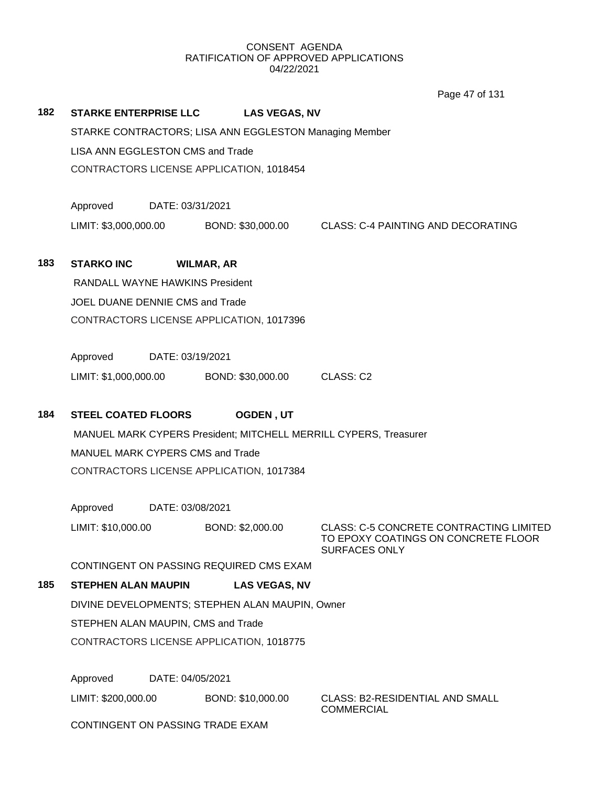Page 47 of 131

|     |                                    |                  |                                                        | $0.90 - 101 - 101$                                                                                            |
|-----|------------------------------------|------------------|--------------------------------------------------------|---------------------------------------------------------------------------------------------------------------|
| 182 | <b>STARKE ENTERPRISE LLC</b>       |                  | <b>LAS VEGAS, NV</b>                                   |                                                                                                               |
|     |                                    |                  | STARKE CONTRACTORS; LISA ANN EGGLESTON Managing Member |                                                                                                               |
|     | LISA ANN EGGLESTON CMS and Trade   |                  |                                                        |                                                                                                               |
|     |                                    |                  | CONTRACTORS LICENSE APPLICATION, 1018454               |                                                                                                               |
|     |                                    |                  |                                                        |                                                                                                               |
|     | Approved                           | DATE: 03/31/2021 |                                                        |                                                                                                               |
|     | LIMIT: \$3,000,000.00              |                  | BOND: \$30,000.00                                      | <b>CLASS: C-4 PAINTING AND DECORATING</b>                                                                     |
|     |                                    |                  |                                                        |                                                                                                               |
| 183 | <b>STARKO INC</b>                  |                  | <b>WILMAR, AR</b>                                      |                                                                                                               |
|     | RANDALL WAYNE HAWKINS President    |                  |                                                        |                                                                                                               |
|     | JOEL DUANE DENNIE CMS and Trade    |                  |                                                        |                                                                                                               |
|     |                                    |                  | CONTRACTORS LICENSE APPLICATION, 1017396               |                                                                                                               |
|     |                                    |                  |                                                        |                                                                                                               |
|     | Approved                           | DATE: 03/19/2021 |                                                        |                                                                                                               |
|     | LIMIT: \$1,000,000.00              |                  | BOND: \$30,000.00                                      | CLASS: C2                                                                                                     |
|     |                                    |                  |                                                        |                                                                                                               |
| 184 | <b>STEEL COATED FLOORS</b>         |                  | <b>OGDEN, UT</b>                                       |                                                                                                               |
|     |                                    |                  |                                                        | MANUEL MARK CYPERS President; MITCHELL MERRILL CYPERS, Treasurer                                              |
|     | MANUEL MARK CYPERS CMS and Trade   |                  |                                                        |                                                                                                               |
|     |                                    |                  | CONTRACTORS LICENSE APPLICATION, 1017384               |                                                                                                               |
|     |                                    |                  |                                                        |                                                                                                               |
|     | Approved                           | DATE: 03/08/2021 |                                                        |                                                                                                               |
|     | LIMIT: \$10,000.00                 |                  | BOND: \$2,000.00                                       | <b>CLASS: C-5 CONCRETE CONTRACTING LIMITED</b><br>TO EPOXY COATINGS ON CONCRETE FLOOR<br><b>SURFACES ONLY</b> |
|     |                                    |                  | CONTINGENT ON PASSING REQUIRED CMS EXAM                |                                                                                                               |
| 185 | <b>STEPHEN ALAN MAUPIN</b>         |                  | <b>LAS VEGAS, NV</b>                                   |                                                                                                               |
|     |                                    |                  | DIVINE DEVELOPMENTS; STEPHEN ALAN MAUPIN, Owner        |                                                                                                               |
|     | STEPHEN ALAN MAUPIN, CMS and Trade |                  |                                                        |                                                                                                               |
|     |                                    |                  | CONTRACTORS LICENSE APPLICATION, 1018775               |                                                                                                               |
|     |                                    |                  |                                                        |                                                                                                               |
|     | Approved                           | DATE: 04/05/2021 |                                                        |                                                                                                               |

LIMIT: \$200,000.00 BOND: \$10,000.00 CLASS: B2-RESIDENTIAL AND SMALL

COMMERCIAL

CONTINGENT ON PASSING TRADE EXAM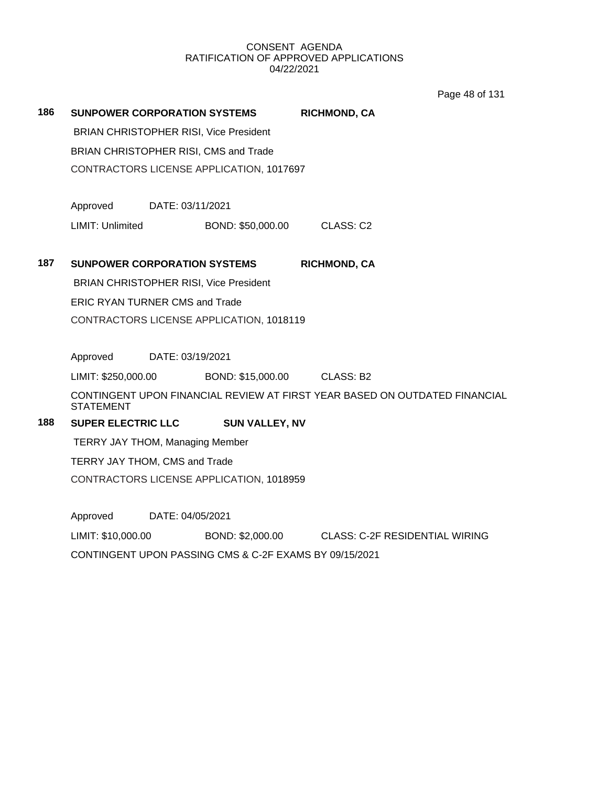Page 48 of 131

| 186                                           | <b>SUNPOWER CORPORATION SYSTEMS</b>                    |                  |                                               | <b>RICHMOND, CA</b>                                                        |  |  |
|-----------------------------------------------|--------------------------------------------------------|------------------|-----------------------------------------------|----------------------------------------------------------------------------|--|--|
|                                               |                                                        |                  | <b>BRIAN CHRISTOPHER RISI, Vice President</b> |                                                                            |  |  |
|                                               | BRIAN CHRISTOPHER RISI, CMS and Trade                  |                  |                                               |                                                                            |  |  |
|                                               |                                                        |                  | CONTRACTORS LICENSE APPLICATION, 1017697      |                                                                            |  |  |
|                                               | Approved                                               | DATE: 03/11/2021 |                                               |                                                                            |  |  |
|                                               | LIMIT: Unlimited                                       |                  | BOND: \$50,000.00                             | CLASS: C2                                                                  |  |  |
| 187                                           | <b>SUNPOWER CORPORATION SYSTEMS</b>                    |                  |                                               | <b>RICHMOND, CA</b>                                                        |  |  |
| <b>BRIAN CHRISTOPHER RISI, Vice President</b> |                                                        |                  |                                               |                                                                            |  |  |
|                                               | <b>ERIC RYAN TURNER CMS and Trade</b>                  |                  |                                               |                                                                            |  |  |
|                                               |                                                        |                  | CONTRACTORS LICENSE APPLICATION, 1018119      |                                                                            |  |  |
|                                               | Approved                                               | DATE: 03/19/2021 |                                               |                                                                            |  |  |
|                                               | LIMIT: \$250,000.00                                    |                  | BOND: \$15,000.00                             | CLASS: B2                                                                  |  |  |
|                                               | <b>STATEMENT</b>                                       |                  |                                               | CONTINGENT UPON FINANCIAL REVIEW AT FIRST YEAR BASED ON OUTDATED FINANCIAL |  |  |
| 188                                           | <b>SUPER ELECTRIC LLC</b>                              |                  | <b>SUN VALLEY, NV</b>                         |                                                                            |  |  |
|                                               | <b>TERRY JAY THOM, Managing Member</b>                 |                  |                                               |                                                                            |  |  |
|                                               | TERRY JAY THOM, CMS and Trade                          |                  |                                               |                                                                            |  |  |
|                                               | CONTRACTORS LICENSE APPLICATION, 1018959               |                  |                                               |                                                                            |  |  |
|                                               | Approved                                               | DATE: 04/05/2021 |                                               |                                                                            |  |  |
|                                               | LIMIT: \$10,000.00                                     |                  |                                               | BOND: \$2,000.00 CLASS: C-2F RESIDENTIAL WIRING                            |  |  |
|                                               | CONTINGENT UPON PASSING CMS & C-2F EXAMS BY 09/15/2021 |                  |                                               |                                                                            |  |  |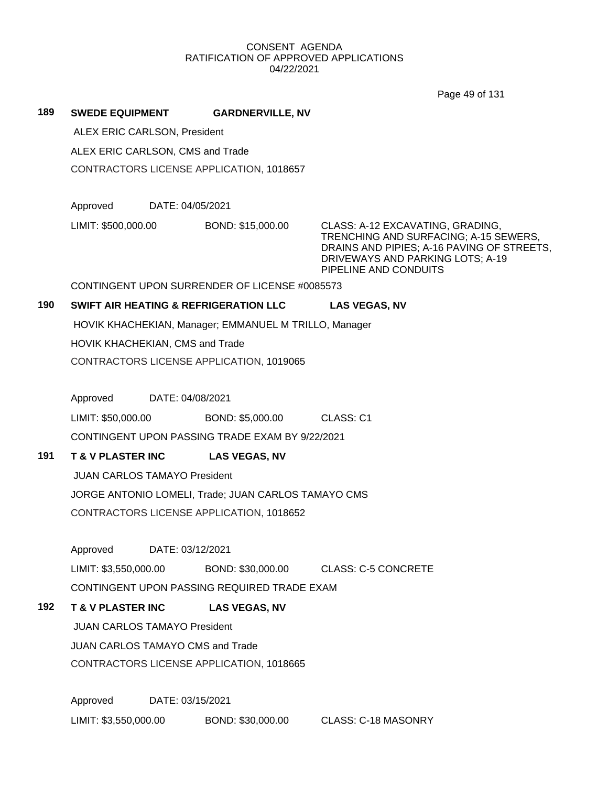|     |                                                     |                                          |                                                       | Page 49 of 131                                                                                                                                                                       |  |  |  |  |
|-----|-----------------------------------------------------|------------------------------------------|-------------------------------------------------------|--------------------------------------------------------------------------------------------------------------------------------------------------------------------------------------|--|--|--|--|
| 189 | <b>SWEDE EQUIPMENT</b>                              |                                          | <b>GARDNERVILLE, NV</b>                               |                                                                                                                                                                                      |  |  |  |  |
|     | ALEX ERIC CARLSON, President                        |                                          |                                                       |                                                                                                                                                                                      |  |  |  |  |
|     | ALEX ERIC CARLSON, CMS and Trade                    |                                          |                                                       |                                                                                                                                                                                      |  |  |  |  |
|     |                                                     |                                          | CONTRACTORS LICENSE APPLICATION, 1018657              |                                                                                                                                                                                      |  |  |  |  |
|     | Approved                                            |                                          | DATE: 04/05/2021                                      |                                                                                                                                                                                      |  |  |  |  |
|     | LIMIT: \$500,000.00                                 |                                          | BOND: \$15,000.00                                     | CLASS: A-12 EXCAVATING, GRADING,<br>TRENCHING AND SURFACING; A-15 SEWERS,<br>DRAINS AND PIPIES; A-16 PAVING OF STREETS,<br>DRIVEWAYS AND PARKING LOTS; A-19<br>PIPELINE AND CONDUITS |  |  |  |  |
|     |                                                     |                                          | CONTINGENT UPON SURRENDER OF LICENSE #0085573         |                                                                                                                                                                                      |  |  |  |  |
| 190 |                                                     |                                          | <b>SWIFT AIR HEATING &amp; REFRIGERATION LLC</b>      | <b>LAS VEGAS, NV</b>                                                                                                                                                                 |  |  |  |  |
|     |                                                     |                                          | HOVIK KHACHEKIAN, Manager; EMMANUEL M TRILLO, Manager |                                                                                                                                                                                      |  |  |  |  |
|     | HOVIK KHACHEKIAN, CMS and Trade                     |                                          |                                                       |                                                                                                                                                                                      |  |  |  |  |
|     |                                                     |                                          | CONTRACTORS LICENSE APPLICATION, 1019065              |                                                                                                                                                                                      |  |  |  |  |
|     | Approved                                            |                                          | DATE: 04/08/2021                                      |                                                                                                                                                                                      |  |  |  |  |
|     | LIMIT: \$50,000.00                                  |                                          | BOND: \$5,000.00                                      | CLASS: C1                                                                                                                                                                            |  |  |  |  |
|     |                                                     |                                          | CONTINGENT UPON PASSING TRADE EXAM BY 9/22/2021       |                                                                                                                                                                                      |  |  |  |  |
| 191 | <b>T &amp; V PLASTER INC</b>                        |                                          | <b>LAS VEGAS, NV</b>                                  |                                                                                                                                                                                      |  |  |  |  |
|     | <b>JUAN CARLOS TAMAYO President</b>                 |                                          |                                                       |                                                                                                                                                                                      |  |  |  |  |
|     | JORGE ANTONIO LOMELI, Trade; JUAN CARLOS TAMAYO CMS |                                          |                                                       |                                                                                                                                                                                      |  |  |  |  |
|     |                                                     |                                          | CONTRACTORS LICENSE APPLICATION, 1018652              |                                                                                                                                                                                      |  |  |  |  |
|     | Approved                                            |                                          | DATE: 03/12/2021                                      |                                                                                                                                                                                      |  |  |  |  |
|     | LIMIT: \$3,550,000.00                               |                                          | BOND: \$30,000.00                                     | <b>CLASS: C-5 CONCRETE</b>                                                                                                                                                           |  |  |  |  |
|     |                                                     |                                          | CONTINGENT UPON PASSING REQUIRED TRADE EXAM           |                                                                                                                                                                                      |  |  |  |  |
| 192 | <b>T &amp; V PLASTER INC</b>                        |                                          | <b>LAS VEGAS, NV</b>                                  |                                                                                                                                                                                      |  |  |  |  |
|     | <b>JUAN CARLOS TAMAYO President</b>                 |                                          |                                                       |                                                                                                                                                                                      |  |  |  |  |
|     |                                                     |                                          | JUAN CARLOS TAMAYO CMS and Trade                      |                                                                                                                                                                                      |  |  |  |  |
|     |                                                     | CONTRACTORS LICENSE APPLICATION, 1018665 |                                                       |                                                                                                                                                                                      |  |  |  |  |

Approved DATE: 03/15/2021 LIMIT: \$3,550,000.00 BOND: \$30,000.00 CLASS: C-18 MASONRY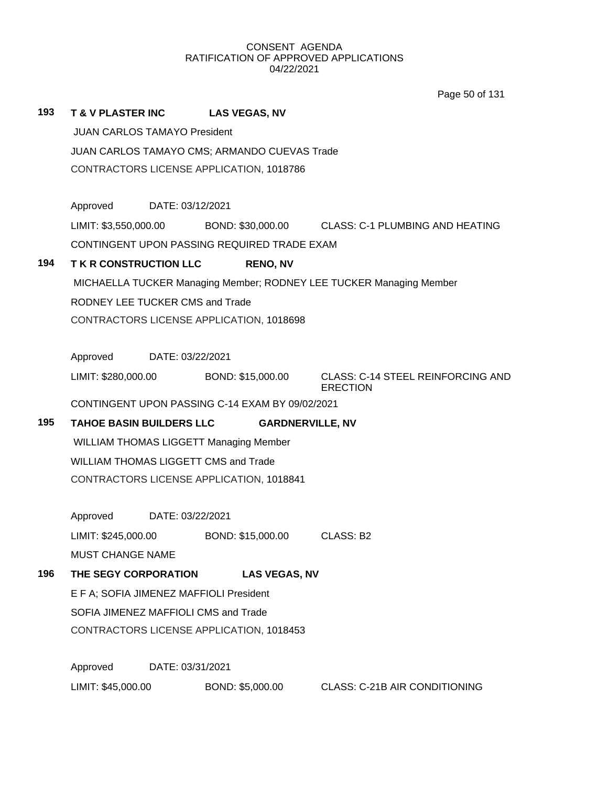Page 50 of 131

| 193                                                                 | <b>T &amp; V PLASTER INC</b>        |                                              | <b>LAS VEGAS, NV</b>                            |                                                                         |  |  |  |  |
|---------------------------------------------------------------------|-------------------------------------|----------------------------------------------|-------------------------------------------------|-------------------------------------------------------------------------|--|--|--|--|
|                                                                     | <b>JUAN CARLOS TAMAYO President</b> |                                              |                                                 |                                                                         |  |  |  |  |
|                                                                     |                                     | JUAN CARLOS TAMAYO CMS; ARMANDO CUEVAS Trade |                                                 |                                                                         |  |  |  |  |
|                                                                     |                                     | CONTRACTORS LICENSE APPLICATION, 1018786     |                                                 |                                                                         |  |  |  |  |
|                                                                     |                                     |                                              |                                                 |                                                                         |  |  |  |  |
|                                                                     | Approved DATE: 03/12/2021           |                                              |                                                 |                                                                         |  |  |  |  |
|                                                                     |                                     |                                              |                                                 | LIMIT: \$3,550,000.00 BOND: \$30,000.00 CLASS: C-1 PLUMBING AND HEATING |  |  |  |  |
|                                                                     |                                     |                                              | CONTINGENT UPON PASSING REQUIRED TRADE EXAM     |                                                                         |  |  |  |  |
| 194                                                                 | <b>TKR CONSTRUCTION LLC</b>         |                                              | <b>RENO, NV</b>                                 |                                                                         |  |  |  |  |
| MICHAELLA TUCKER Managing Member; RODNEY LEE TUCKER Managing Member |                                     |                                              |                                                 |                                                                         |  |  |  |  |
| RODNEY LEE TUCKER CMS and Trade                                     |                                     |                                              |                                                 |                                                                         |  |  |  |  |
|                                                                     |                                     |                                              | CONTRACTORS LICENSE APPLICATION, 1018698        |                                                                         |  |  |  |  |
|                                                                     |                                     |                                              |                                                 |                                                                         |  |  |  |  |
|                                                                     | Approved DATE: 03/22/2021           |                                              |                                                 |                                                                         |  |  |  |  |
|                                                                     | LIMIT: \$280,000.00                 |                                              | BOND: \$15,000.00                               | <b>CLASS: C-14 STEEL REINFORCING AND</b><br><b>ERECTION</b>             |  |  |  |  |
|                                                                     |                                     |                                              | CONTINGENT UPON PASSING C-14 EXAM BY 09/02/2021 |                                                                         |  |  |  |  |
| 195                                                                 | <b>TAHOE BASIN BUILDERS LLC</b>     |                                              |                                                 | <b>GARDNERVILLE, NV</b>                                                 |  |  |  |  |
|                                                                     |                                     |                                              | <b>WILLIAM THOMAS LIGGETT Managing Member</b>   |                                                                         |  |  |  |  |
|                                                                     |                                     |                                              | <b>WILLIAM THOMAS LIGGETT CMS and Trade</b>     |                                                                         |  |  |  |  |
|                                                                     |                                     |                                              | CONTRACTORS LICENSE APPLICATION, 1018841        |                                                                         |  |  |  |  |
|                                                                     |                                     |                                              |                                                 |                                                                         |  |  |  |  |
|                                                                     | Approved DATE: 03/22/2021           |                                              |                                                 |                                                                         |  |  |  |  |
|                                                                     | LIMIT: \$245,000.00                 |                                              | BOND: \$15,000.00                               | CLASS: B2                                                               |  |  |  |  |
|                                                                     | <b>MUST CHANGE NAME</b>             |                                              |                                                 |                                                                         |  |  |  |  |
| 196                                                                 | THE SEGY CORPORATION                |                                              | <b>LAS VEGAS, NV</b>                            |                                                                         |  |  |  |  |
|                                                                     |                                     |                                              | E F A; SOFIA JIMENEZ MAFFIOLI President         |                                                                         |  |  |  |  |
|                                                                     |                                     |                                              | SOFIA JIMENEZ MAFFIOLI CMS and Trade            |                                                                         |  |  |  |  |
|                                                                     |                                     |                                              | CONTRACTORS LICENSE APPLICATION, 1018453        |                                                                         |  |  |  |  |
|                                                                     | Approved                            | DATE: 03/31/2021                             |                                                 |                                                                         |  |  |  |  |
|                                                                     | LIMIT: \$45,000.00                  |                                              | BOND: \$5,000.00                                | <b>CLASS: C-21B AIR CONDITIONING</b>                                    |  |  |  |  |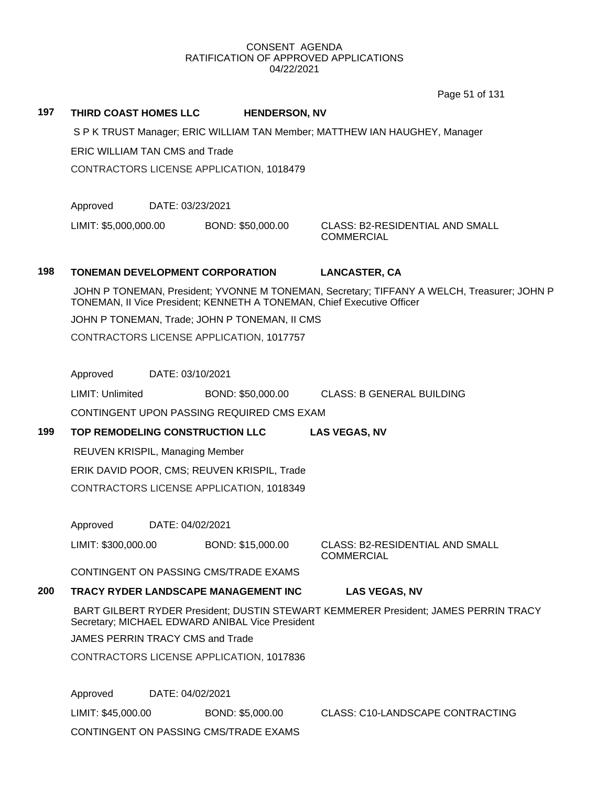Page 51 of 131

## **197 THIRD COAST HOMES LLC HENDERSON, NV**

S P K TRUST Manager; ERIC WILLIAM TAN Member; MATTHEW IAN HAUGHEY, Manager

ERIC WILLIAM TAN CMS and Trade

CONTRACTORS LICENSE APPLICATION, 1018479

Approved DATE: 03/23/2021

LIMIT: \$5,000,000.00 BOND: \$50,000.00 CLASS: B2-RESIDENTIAL AND SMALL

**COMMERCIAL** 

# **198 TONEMAN DEVELOPMENT CORPORATION LANCASTER, CA**

JOHN P TONEMAN, President; YVONNE M TONEMAN, Secretary; TIFFANY A WELCH, Treasurer; JOHN P TONEMAN, II Vice President; KENNETH A TONEMAN, Chief Executive Officer

JOHN P TONEMAN, Trade; JOHN P TONEMAN, II CMS

CONTRACTORS LICENSE APPLICATION, 1017757

Approved DATE: 03/10/2021

LIMIT: Unlimited BOND: \$50,000.00 CLASS: B GENERAL BUILDING

CONTINGENT UPON PASSING REQUIRED CMS EXAM

**199 TOP REMODELING CONSTRUCTION LLC LAS VEGAS, NV**

REUVEN KRISPIL, Managing Member

ERIK DAVID POOR, CMS; REUVEN KRISPIL, Trade

CONTRACTORS LICENSE APPLICATION, 1018349

Approved DATE: 04/02/2021

LIMIT: \$300,000.00 BOND: \$15,000.00 CLASS: B2-RESIDENTIAL AND SMALL

COMMERCIAL

CONTINGENT ON PASSING CMS/TRADE EXAMS

## **200 TRACY RYDER LANDSCAPE MANAGEMENT INC LAS VEGAS, NV**

BART GILBERT RYDER President; DUSTIN STEWART KEMMERER President; JAMES PERRIN TRACY Secretary; MICHAEL EDWARD ANIBAL Vice President

JAMES PERRIN TRACY CMS and Trade

CONTRACTORS LICENSE APPLICATION, 1017836

Approved DATE: 04/02/2021

LIMIT: \$45,000.00 BOND: \$5,000.00 CLASS: C10-LANDSCAPE CONTRACTING

CONTINGENT ON PASSING CMS/TRADE EXAMS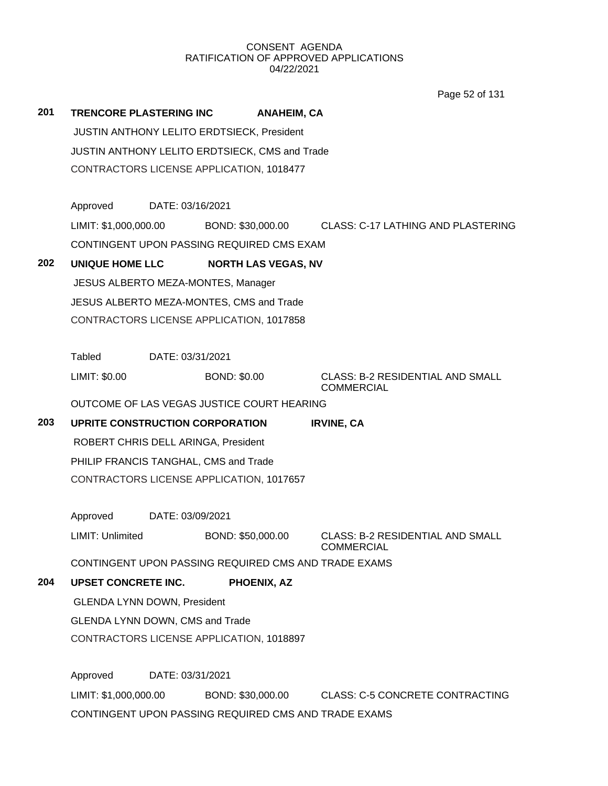Page 52 of 131

| 201 | <b>TRENCORE PLASTERING INC</b>                 |                  |                     | <b>ANAHEIM, CA</b>         |                                                                            |
|-----|------------------------------------------------|------------------|---------------------|----------------------------|----------------------------------------------------------------------------|
|     | JUSTIN ANTHONY LELITO ERDTSIECK, President     |                  |                     |                            |                                                                            |
|     | JUSTIN ANTHONY LELITO ERDTSIECK, CMS and Trade |                  |                     |                            |                                                                            |
|     | CONTRACTORS LICENSE APPLICATION, 1018477       |                  |                     |                            |                                                                            |
|     | Approved                                       | DATE: 03/16/2021 |                     |                            |                                                                            |
|     |                                                |                  |                     |                            | LIMIT: \$1,000,000.00 BOND: \$30,000.00 CLASS: C-17 LATHING AND PLASTERING |
|     | CONTINGENT UPON PASSING REQUIRED CMS EXAM      |                  |                     |                            |                                                                            |
|     |                                                |                  |                     |                            |                                                                            |
| 202 | UNIQUE HOME LLC                                |                  |                     | <b>NORTH LAS VEGAS, NV</b> |                                                                            |
|     | JESUS ALBERTO MEZA-MONTES, Manager             |                  |                     |                            |                                                                            |
|     | JESUS ALBERTO MEZA-MONTES, CMS and Trade       |                  |                     |                            |                                                                            |
|     | CONTRACTORS LICENSE APPLICATION, 1017858       |                  |                     |                            |                                                                            |
|     | <b>Tabled</b>                                  | DATE: 03/31/2021 |                     |                            |                                                                            |
|     | LIMIT: \$0.00                                  |                  | <b>BOND: \$0.00</b> |                            | <b>CLASS: B-2 RESIDENTIAL AND SMALL</b><br><b>COMMERCIAL</b>               |
|     | OUTCOME OF LAS VEGAS JUSTICE COURT HEARING     |                  |                     |                            |                                                                            |
| 203 | UPRITE CONSTRUCTION CORPORATION                |                  |                     |                            | <b>IRVINE, CA</b>                                                          |
|     | ROBERT CHRIS DELL ARINGA, President            |                  |                     |                            |                                                                            |
|     | PHILIP FRANCIS TANGHAL, CMS and Trade          |                  |                     |                            |                                                                            |
|     | CONTRACTORS LICENSE APPLICATION, 1017657       |                  |                     |                            |                                                                            |
|     | Approved                                       | DATE: 03/09/2021 |                     |                            |                                                                            |
|     | LIMIT: Unlimited                               |                  | BOND: \$50,000.00   |                            | <b>CLASS: B-2 RESIDENTIAL AND SMALL</b><br><b>COMMERCIAL</b>               |
|     |                                                |                  |                     |                            | CONTINGENT UPON PASSING REQUIRED CMS AND TRADE EXAMS                       |
| 204 | <b>UPSET CONCRETE INC.</b>                     |                  |                     | PHOENIX, AZ                |                                                                            |
|     | <b>GLENDA LYNN DOWN, President</b>             |                  |                     |                            |                                                                            |
|     | GLENDA LYNN DOWN, CMS and Trade                |                  |                     |                            |                                                                            |
|     | CONTRACTORS LICENSE APPLICATION, 1018897       |                  |                     |                            |                                                                            |
|     | Approved                                       | DATE: 03/31/2021 |                     |                            |                                                                            |
|     | LIMIT: \$1,000,000.00                          |                  | BOND: \$30,000.00   |                            | <b>CLASS: C-5 CONCRETE CONTRACTING</b>                                     |
|     |                                                |                  |                     |                            | CONTINGENT UPON PASSING REQUIRED CMS AND TRADE EXAMS                       |
|     |                                                |                  |                     |                            |                                                                            |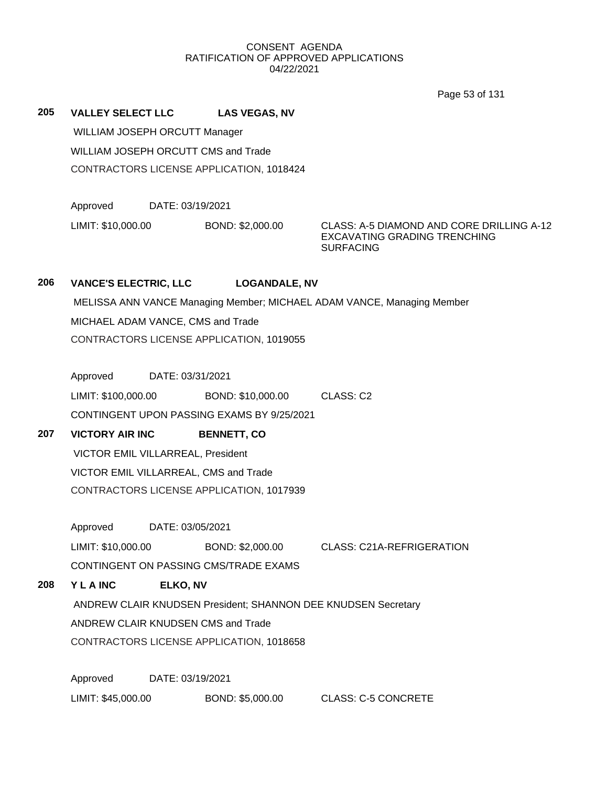Page 53 of 131

**205 VALLEY SELECT LLC LAS VEGAS, NV** WILLIAM JOSEPH ORCUTT Manager WILLIAM JOSEPH ORCUTT CMS and Trade CONTRACTORS LICENSE APPLICATION, 1018424

Approved DATE: 03/19/2021

LIMIT: \$10,000.00 BOND: \$2,000.00 CLASS: A-5 DIAMOND AND CORE DRILLING A-12

EXCAVATING GRADING TRENCHING **SURFACING** 

## **206 VANCE'S ELECTRIC, LLC LOGANDALE, NV**

MELISSA ANN VANCE Managing Member; MICHAEL ADAM VANCE, Managing Member MICHAEL ADAM VANCE, CMS and Trade CONTRACTORS LICENSE APPLICATION, 1019055

Approved DATE: 03/31/2021

LIMIT: \$100,000.00 BOND: \$10,000.00 CLASS: C2

CONTINGENT UPON PASSING EXAMS BY 9/25/2021

# **207 VICTORY AIR INC BENNETT, CO**

VICTOR EMIL VILLARREAL, President VICTOR EMIL VILLARREAL, CMS and Trade CONTRACTORS LICENSE APPLICATION, 1017939

Approved DATE: 03/05/2021

LIMIT: \$10,000.00 BOND: \$2,000.00 CLASS: C21A-REFRIGERATION

CONTINGENT ON PASSING CMS/TRADE EXAMS

# **208 Y L A INC ELKO, NV**

ANDREW CLAIR KNUDSEN President; SHANNON DEE KNUDSEN Secretary ANDREW CLAIR KNUDSEN CMS and Trade CONTRACTORS LICENSE APPLICATION, 1018658

Approved DATE: 03/19/2021

LIMIT: \$45,000.00 BOND: \$5,000.00 CLASS: C-5 CONCRETE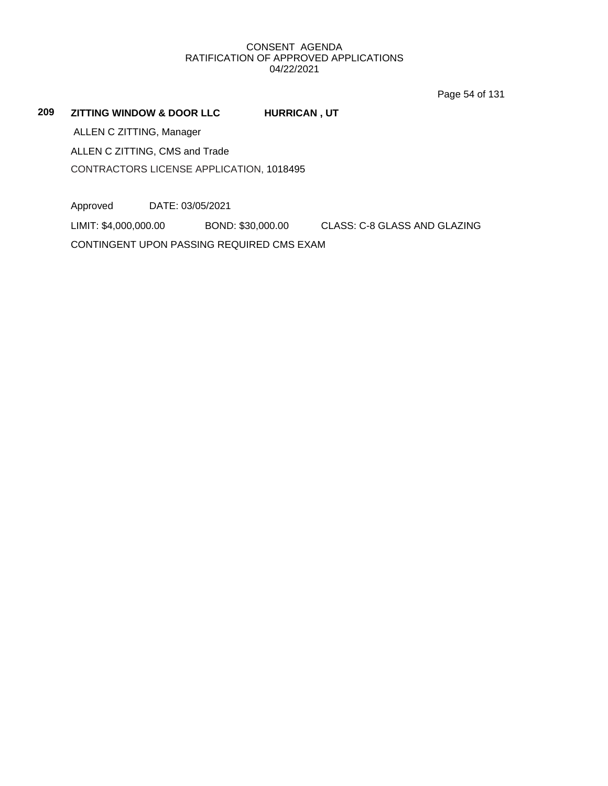Page 54 of 131

**209 ZITTING WINDOW & DOOR LLC HURRICAN , UT**

ALLEN C ZITTING, Manager

ALLEN C ZITTING, CMS and Trade

CONTRACTORS LICENSE APPLICATION, 1018495

Approved DATE: 03/05/2021

LIMIT: \$4,000,000.00 BOND: \$30,000.00 CLASS: C-8 GLASS AND GLAZING

CONTINGENT UPON PASSING REQUIRED CMS EXAM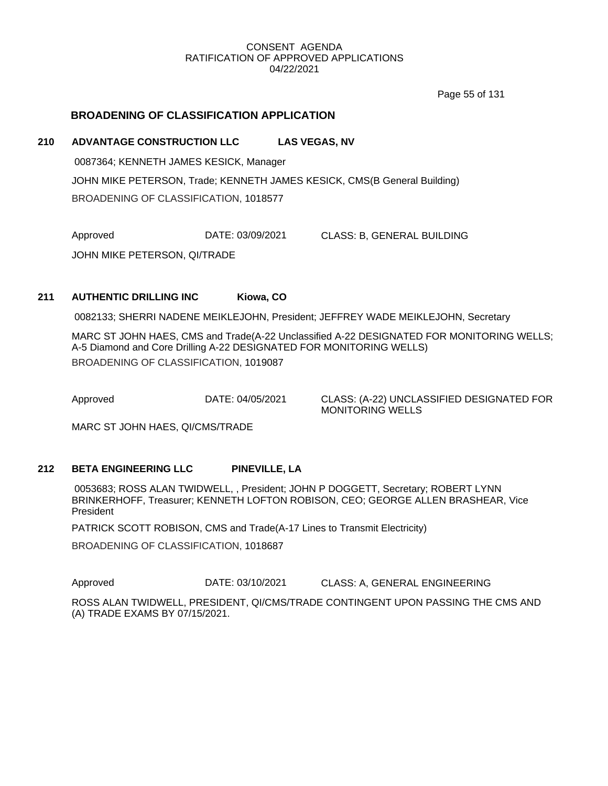Page 55 of 131

## **BROADENING OF CLASSIFICATION APPLICATION**

## **210 ADVANTAGE CONSTRUCTION LLC LAS VEGAS, NV**

0087364; KENNETH JAMES KESICK, Manager JOHN MIKE PETERSON, Trade; KENNETH JAMES KESICK, CMS(B General Building) BROADENING OF CLASSIFICATION, 1018577

Approved DATE: 03/09/2021 CLASS: B, GENERAL BUILDING

JOHN MIKE PETERSON, QI/TRADE

## **211 AUTHENTIC DRILLING INC Kiowa, CO**

0082133; SHERRI NADENE MEIKLEJOHN, President; JEFFREY WADE MEIKLEJOHN, Secretary

MARC ST JOHN HAES, CMS and Trade(A-22 Unclassified A-22 DESIGNATED FOR MONITORING WELLS; A-5 Diamond and Core Drilling A-22 DESIGNATED FOR MONITORING WELLS) BROADENING OF CLASSIFICATION, 1019087

Approved DATE: 04/05/2021 CLASS: (A-22) UNCLASSIFIED DESIGNATED FOR MONITORING WELLS

MARC ST JOHN HAES, QI/CMS/TRADE

## **212 BETA ENGINEERING LLC PINEVILLE, LA**

0053683; ROSS ALAN TWIDWELL, , President; JOHN P DOGGETT, Secretary; ROBERT LYNN BRINKERHOFF, Treasurer; KENNETH LOFTON ROBISON, CEO; GEORGE ALLEN BRASHEAR, Vice President

PATRICK SCOTT ROBISON, CMS and Trade(A-17 Lines to Transmit Electricity)

BROADENING OF CLASSIFICATION, 1018687

Approved **DATE: 03/10/2021** CLASS: A, GENERAL ENGINEERING

ROSS ALAN TWIDWELL, PRESIDENT, QI/CMS/TRADE CONTINGENT UPON PASSING THE CMS AND (A) TRADE EXAMS BY 07/15/2021.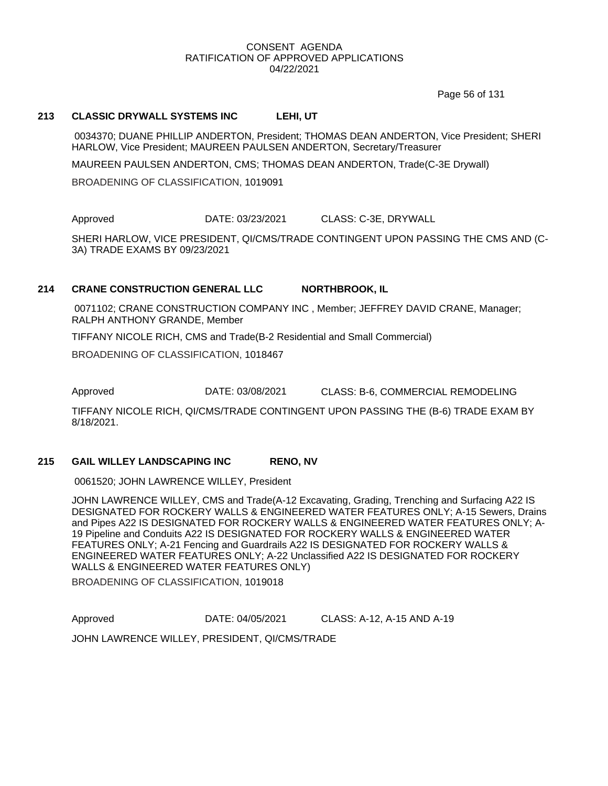Page 56 of 131

## **213 CLASSIC DRYWALL SYSTEMS INC LEHI, UT**

0034370; DUANE PHILLIP ANDERTON, President; THOMAS DEAN ANDERTON, Vice President; SHERI HARLOW, Vice President; MAUREEN PAULSEN ANDERTON, Secretary/Treasurer

MAUREEN PAULSEN ANDERTON, CMS; THOMAS DEAN ANDERTON, Trade(C-3E Drywall)

BROADENING OF CLASSIFICATION, 1019091

Approved DATE: 03/23/2021 CLASS: C-3E, DRYWALL

SHERI HARLOW, VICE PRESIDENT, QI/CMS/TRADE CONTINGENT UPON PASSING THE CMS AND (C-3A) TRADE EXAMS BY 09/23/2021

## **214 CRANE CONSTRUCTION GENERAL LLC NORTHBROOK, IL**

0071102; CRANE CONSTRUCTION COMPANY INC , Member; JEFFREY DAVID CRANE, Manager; RALPH ANTHONY GRANDE, Member

TIFFANY NICOLE RICH, CMS and Trade(B-2 Residential and Small Commercial)

BROADENING OF CLASSIFICATION, 1018467

Approved DATE: 03/08/2021 CLASS: B-6, COMMERCIAL REMODELING

TIFFANY NICOLE RICH, QI/CMS/TRADE CONTINGENT UPON PASSING THE (B-6) TRADE EXAM BY 8/18/2021.

## **215 GAIL WILLEY LANDSCAPING INC RENO, NV**

0061520; JOHN LAWRENCE WILLEY, President

JOHN LAWRENCE WILLEY, CMS and Trade(A-12 Excavating, Grading, Trenching and Surfacing A22 IS DESIGNATED FOR ROCKERY WALLS & ENGINEERED WATER FEATURES ONLY; A-15 Sewers, Drains and Pipes A22 IS DESIGNATED FOR ROCKERY WALLS & ENGINEERED WATER FEATURES ONLY; A-19 Pipeline and Conduits A22 IS DESIGNATED FOR ROCKERY WALLS & ENGINEERED WATER FEATURES ONLY; A-21 Fencing and Guardrails A22 IS DESIGNATED FOR ROCKERY WALLS & ENGINEERED WATER FEATURES ONLY; A-22 Unclassified A22 IS DESIGNATED FOR ROCKERY WALLS & ENGINEERED WATER FEATURES ONLY)

BROADENING OF CLASSIFICATION, 1019018

Approved DATE: 04/05/2021 CLASS: A-12, A-15 AND A-19

JOHN LAWRENCE WILLEY, PRESIDENT, QI/CMS/TRADE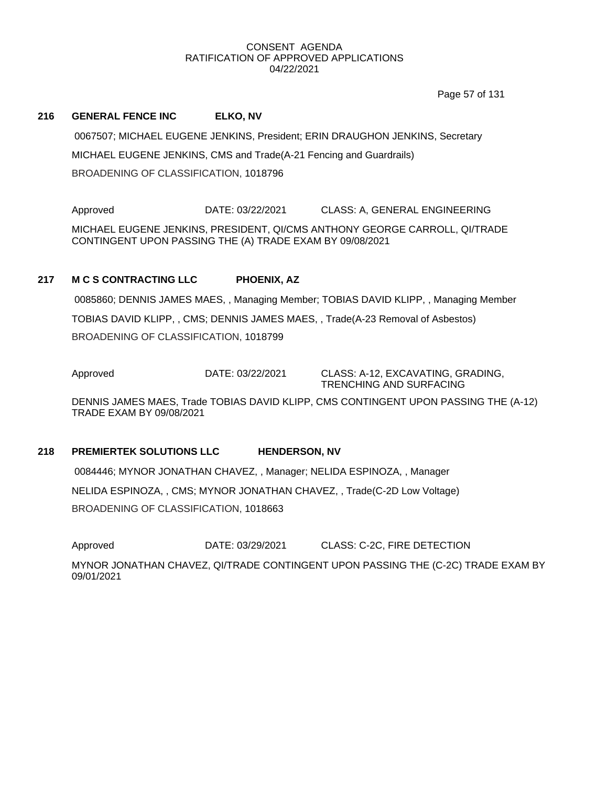Page 57 of 131

## **216 GENERAL FENCE INC ELKO, NV**

0067507; MICHAEL EUGENE JENKINS, President; ERIN DRAUGHON JENKINS, Secretary MICHAEL EUGENE JENKINS, CMS and Trade(A-21 Fencing and Guardrails) BROADENING OF CLASSIFICATION, 1018796

Approved **DATE: 03/22/2021** CLASS: A, GENERAL ENGINEERING MICHAEL EUGENE JENKINS, PRESIDENT, QI/CMS ANTHONY GEORGE CARROLL, QI/TRADE CONTINGENT UPON PASSING THE (A) TRADE EXAM BY 09/08/2021

## **217 M C S CONTRACTING LLC PHOENIX, AZ**

0085860; DENNIS JAMES MAES, , Managing Member; TOBIAS DAVID KLIPP, , Managing Member TOBIAS DAVID KLIPP, , CMS; DENNIS JAMES MAES, , Trade(A-23 Removal of Asbestos) BROADENING OF CLASSIFICATION, 1018799

Approved DATE: 03/22/2021 CLASS: A-12, EXCAVATING, GRADING, TRENCHING AND SURFACING

DENNIS JAMES MAES, Trade TOBIAS DAVID KLIPP, CMS CONTINGENT UPON PASSING THE (A-12) TRADE EXAM BY 09/08/2021

## **218 PREMIERTEK SOLUTIONS LLC HENDERSON, NV**

0084446; MYNOR JONATHAN CHAVEZ, , Manager; NELIDA ESPINOZA, , Manager NELIDA ESPINOZA, , CMS; MYNOR JONATHAN CHAVEZ, , Trade(C-2D Low Voltage) BROADENING OF CLASSIFICATION, 1018663

Approved **DATE: 03/29/2021** CLASS: C-2C, FIRE DETECTION

MYNOR JONATHAN CHAVEZ, QI/TRADE CONTINGENT UPON PASSING THE (C-2C) TRADE EXAM BY 09/01/2021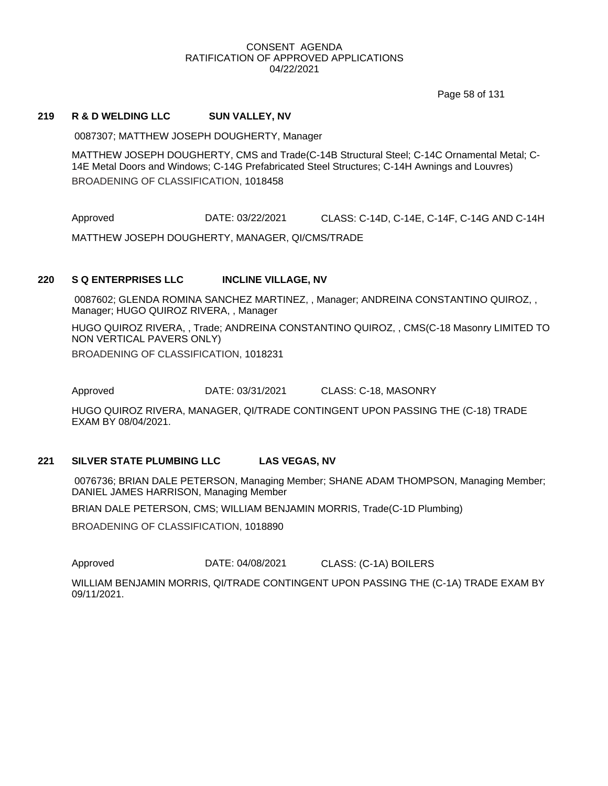Page 58 of 131

## **219 R & D WELDING LLC SUN VALLEY, NV**

0087307; MATTHEW JOSEPH DOUGHERTY, Manager

MATTHEW JOSEPH DOUGHERTY, CMS and Trade(C-14B Structural Steel; C-14C Ornamental Metal; C-14E Metal Doors and Windows; C-14G Prefabricated Steel Structures; C-14H Awnings and Louvres) BROADENING OF CLASSIFICATION, 1018458

Approved DATE: 03/22/2021 CLASS: C-14D, C-14E, C-14F, C-14G AND C-14H MATTHEW JOSEPH DOUGHERTY, MANAGER, QI/CMS/TRADE

#### **220 S Q ENTERPRISES LLC INCLINE VILLAGE, NV**

0087602; GLENDA ROMINA SANCHEZ MARTINEZ, , Manager; ANDREINA CONSTANTINO QUIROZ, , Manager; HUGO QUIROZ RIVERA, , Manager

HUGO QUIROZ RIVERA, , Trade; ANDREINA CONSTANTINO QUIROZ, , CMS(C-18 Masonry LIMITED TO NON VERTICAL PAVERS ONLY)

BROADENING OF CLASSIFICATION, 1018231

Approved DATE: 03/31/2021 CLASS: C-18, MASONRY

HUGO QUIROZ RIVERA, MANAGER, QI/TRADE CONTINGENT UPON PASSING THE (C-18) TRADE EXAM BY 08/04/2021.

## **221 SILVER STATE PLUMBING LLC LAS VEGAS, NV**

0076736; BRIAN DALE PETERSON, Managing Member; SHANE ADAM THOMPSON, Managing Member; DANIEL JAMES HARRISON, Managing Member

BRIAN DALE PETERSON, CMS; WILLIAM BENJAMIN MORRIS, Trade(C-1D Plumbing)

BROADENING OF CLASSIFICATION, 1018890

Approved DATE: 04/08/2021 CLASS: (C-1A) BOILERS

WILLIAM BENJAMIN MORRIS, QI/TRADE CONTINGENT UPON PASSING THE (C-1A) TRADE EXAM BY 09/11/2021.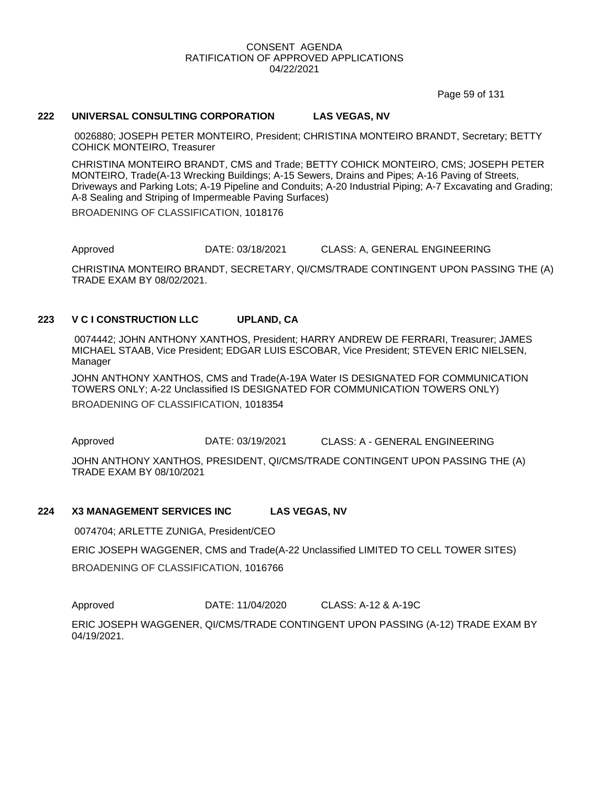Page 59 of 131

## **222 UNIVERSAL CONSULTING CORPORATION LAS VEGAS, NV**

0026880; JOSEPH PETER MONTEIRO, President; CHRISTINA MONTEIRO BRANDT, Secretary; BETTY COHICK MONTEIRO, Treasurer

CHRISTINA MONTEIRO BRANDT, CMS and Trade; BETTY COHICK MONTEIRO, CMS; JOSEPH PETER MONTEIRO, Trade(A-13 Wrecking Buildings; A-15 Sewers, Drains and Pipes; A-16 Paving of Streets, Driveways and Parking Lots; A-19 Pipeline and Conduits; A-20 Industrial Piping; A-7 Excavating and Grading; A-8 Sealing and Striping of Impermeable Paving Surfaces)

BROADENING OF CLASSIFICATION, 1018176

Approved DATE: 03/18/2021 CLASS: A, GENERAL ENGINEERING

CHRISTINA MONTEIRO BRANDT, SECRETARY, QI/CMS/TRADE CONTINGENT UPON PASSING THE (A) TRADE EXAM BY 08/02/2021.

## **223 V C I CONSTRUCTION LLC UPLAND, CA**

0074442; JOHN ANTHONY XANTHOS, President; HARRY ANDREW DE FERRARI, Treasurer; JAMES MICHAEL STAAB, Vice President; EDGAR LUIS ESCOBAR, Vice President; STEVEN ERIC NIELSEN, Manager

JOHN ANTHONY XANTHOS, CMS and Trade(A-19A Water IS DESIGNATED FOR COMMUNICATION TOWERS ONLY; A-22 Unclassified IS DESIGNATED FOR COMMUNICATION TOWERS ONLY) BROADENING OF CLASSIFICATION, 1018354

Approved DATE: 03/19/2021 CLASS: A - GENERAL ENGINEERING

JOHN ANTHONY XANTHOS, PRESIDENT, QI/CMS/TRADE CONTINGENT UPON PASSING THE (A) TRADE EXAM BY 08/10/2021

## **224 X3 MANAGEMENT SERVICES INC LAS VEGAS, NV**

0074704; ARLETTE ZUNIGA, President/CEO

ERIC JOSEPH WAGGENER, CMS and Trade(A-22 Unclassified LIMITED TO CELL TOWER SITES)

BROADENING OF CLASSIFICATION, 1016766

Approved DATE: 11/04/2020 CLASS: A-12 & A-19C

ERIC JOSEPH WAGGENER, QI/CMS/TRADE CONTINGENT UPON PASSING (A-12) TRADE EXAM BY 04/19/2021.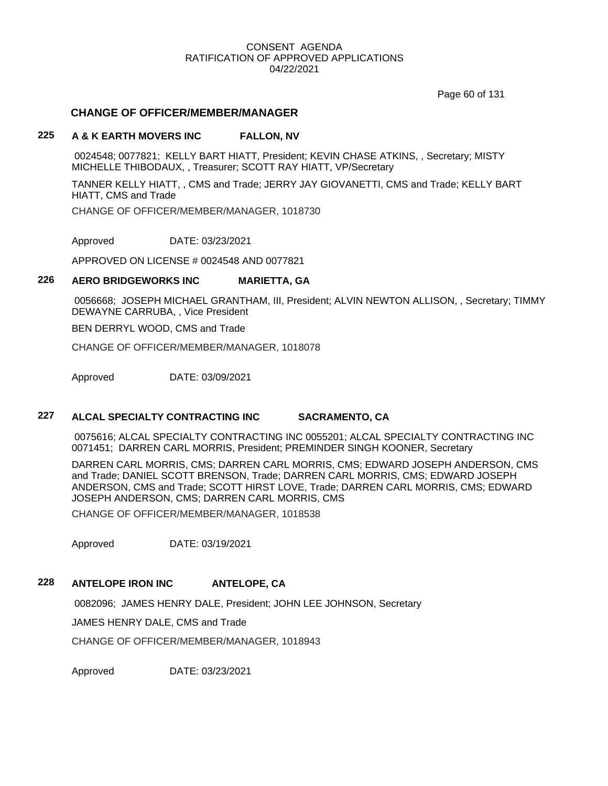Page 60 of 131

## **CHANGE OF OFFICER/MEMBER/MANAGER**

## **225 A & K EARTH MOVERS INC FALLON, NV**

0024548; 0077821; KELLY BART HIATT, President; KEVIN CHASE ATKINS, , Secretary; MISTY MICHELLE THIBODAUX, , Treasurer; SCOTT RAY HIATT, VP/Secretary

TANNER KELLY HIATT, , CMS and Trade; JERRY JAY GIOVANETTI, CMS and Trade; KELLY BART HIATT, CMS and Trade

CHANGE OF OFFICER/MEMBER/MANAGER, 1018730

Approved DATE: 03/23/2021

APPROVED ON LICENSE # 0024548 AND 0077821

# **226 AERO BRIDGEWORKS INC MARIETTA, GA**

0056668; JOSEPH MICHAEL GRANTHAM, III, President; ALVIN NEWTON ALLISON, , Secretary; TIMMY DEWAYNE CARRUBA, , Vice President

BEN DERRYL WOOD, CMS and Trade

CHANGE OF OFFICER/MEMBER/MANAGER, 1018078

Approved DATE: 03/09/2021

## **227 ALCAL SPECIALTY CONTRACTING INC SACRAMENTO, CA**

0075616; ALCAL SPECIALTY CONTRACTING INC 0055201; ALCAL SPECIALTY CONTRACTING INC 0071451; DARREN CARL MORRIS, President; PREMINDER SINGH KOONER, Secretary

DARREN CARL MORRIS, CMS; DARREN CARL MORRIS, CMS; EDWARD JOSEPH ANDERSON, CMS and Trade; DANIEL SCOTT BRENSON, Trade; DARREN CARL MORRIS, CMS; EDWARD JOSEPH ANDERSON, CMS and Trade; SCOTT HIRST LOVE, Trade; DARREN CARL MORRIS, CMS; EDWARD JOSEPH ANDERSON, CMS; DARREN CARL MORRIS, CMS

CHANGE OF OFFICER/MEMBER/MANAGER, 1018538

Approved DATE: 03/19/2021

## **228 ANTELOPE IRON INC ANTELOPE, CA**

0082096; JAMES HENRY DALE, President; JOHN LEE JOHNSON, Secretary

JAMES HENRY DALE, CMS and Trade

CHANGE OF OFFICER/MEMBER/MANAGER, 1018943

Approved DATE: 03/23/2021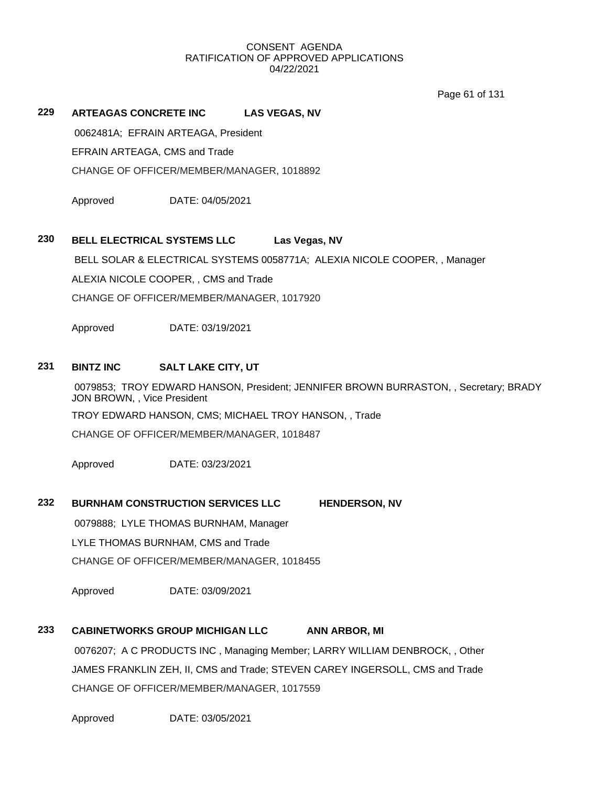Page 61 of 131

## **229 ARTEAGAS CONCRETE INC LAS VEGAS, NV**

0062481A; EFRAIN ARTEAGA, President

EFRAIN ARTEAGA, CMS and Trade

CHANGE OF OFFICER/MEMBER/MANAGER, 1018892

Approved DATE: 04/05/2021

## **230 BELL ELECTRICAL SYSTEMS LLC Las Vegas, NV**

BELL SOLAR & ELECTRICAL SYSTEMS 0058771A; ALEXIA NICOLE COOPER, , Manager ALEXIA NICOLE COOPER, , CMS and Trade CHANGE OF OFFICER/MEMBER/MANAGER, 1017920

Approved DATE: 03/19/2021

## **231 BINTZ INC SALT LAKE CITY, UT**

0079853; TROY EDWARD HANSON, President; JENNIFER BROWN BURRASTON, , Secretary; BRADY JON BROWN, , Vice President TROY EDWARD HANSON, CMS; MICHAEL TROY HANSON, , Trade CHANGE OF OFFICER/MEMBER/MANAGER, 1018487

Approved DATE: 03/23/2021

## **232 BURNHAM CONSTRUCTION SERVICES LLC HENDERSON, NV**

0079888; LYLE THOMAS BURNHAM, Manager

LYLE THOMAS BURNHAM, CMS and Trade

CHANGE OF OFFICER/MEMBER/MANAGER, 1018455

Approved DATE: 03/09/2021

# **233 CABINETWORKS GROUP MICHIGAN LLC ANN ARBOR, MI**

0076207; A C PRODUCTS INC , Managing Member; LARRY WILLIAM DENBROCK, , Other JAMES FRANKLIN ZEH, II, CMS and Trade; STEVEN CAREY INGERSOLL, CMS and Trade CHANGE OF OFFICER/MEMBER/MANAGER, 1017559

Approved DATE: 03/05/2021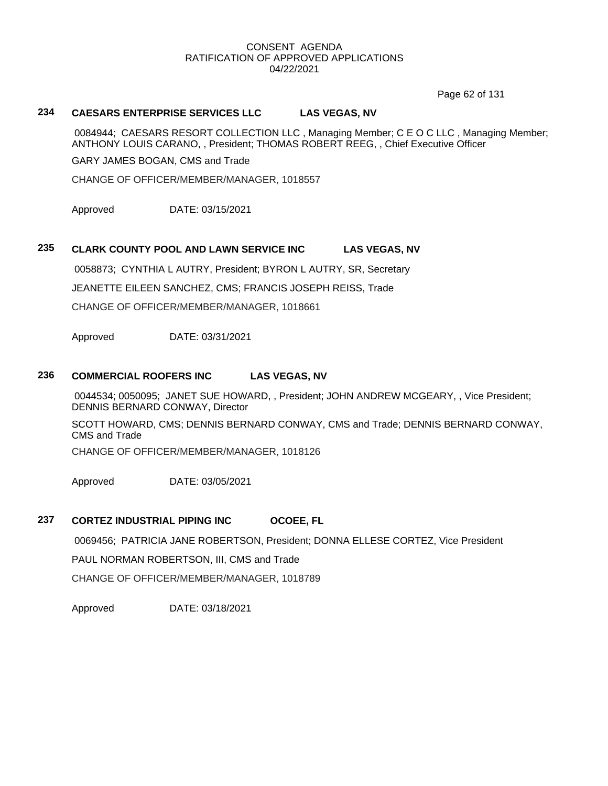Page 62 of 131

## **234 CAESARS ENTERPRISE SERVICES LLC LAS VEGAS, NV**

0084944; CAESARS RESORT COLLECTION LLC , Managing Member; C E O C LLC , Managing Member; ANTHONY LOUIS CARANO, , President; THOMAS ROBERT REEG, , Chief Executive Officer

GARY JAMES BOGAN, CMS and Trade

CHANGE OF OFFICER/MEMBER/MANAGER, 1018557

Approved DATE: 03/15/2021

## **235 CLARK COUNTY POOL AND LAWN SERVICE INC LAS VEGAS, NV**

0058873; CYNTHIA L AUTRY, President; BYRON L AUTRY, SR, Secretary JEANETTE EILEEN SANCHEZ, CMS; FRANCIS JOSEPH REISS, Trade CHANGE OF OFFICER/MEMBER/MANAGER, 1018661

Approved DATE: 03/31/2021

## **236 COMMERCIAL ROOFERS INC LAS VEGAS, NV**

0044534; 0050095; JANET SUE HOWARD, , President; JOHN ANDREW MCGEARY, , Vice President; DENNIS BERNARD CONWAY, Director

SCOTT HOWARD, CMS; DENNIS BERNARD CONWAY, CMS and Trade; DENNIS BERNARD CONWAY, CMS and Trade

CHANGE OF OFFICER/MEMBER/MANAGER, 1018126

Approved DATE: 03/05/2021

## **237 CORTEZ INDUSTRIAL PIPING INC OCOEE, FL**

0069456; PATRICIA JANE ROBERTSON, President; DONNA ELLESE CORTEZ, Vice President

PAUL NORMAN ROBERTSON, III, CMS and Trade

CHANGE OF OFFICER/MEMBER/MANAGER, 1018789

Approved DATE: 03/18/2021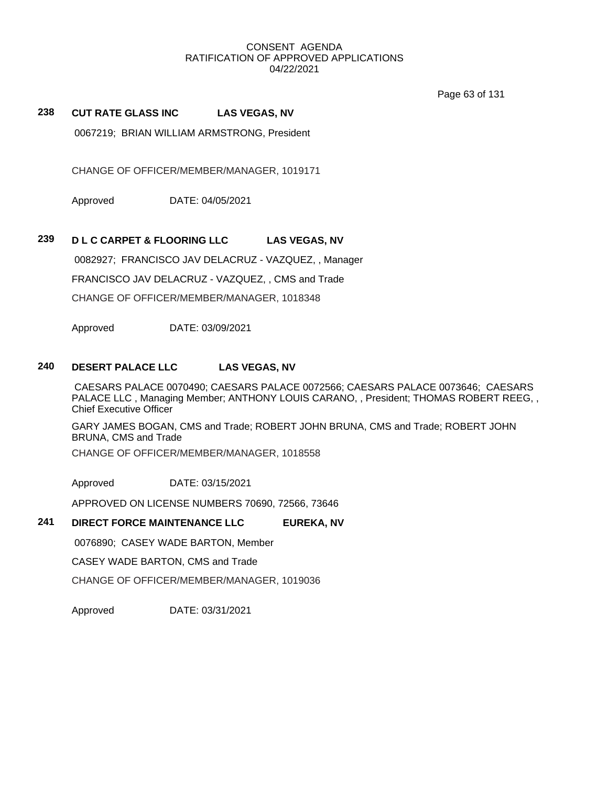Page 63 of 131

## **238 CUT RATE GLASS INC LAS VEGAS, NV**

0067219; BRIAN WILLIAM ARMSTRONG, President

CHANGE OF OFFICER/MEMBER/MANAGER, 1019171

Approved DATE: 04/05/2021

## **239 D L C CARPET & FLOORING LLC LAS VEGAS, NV**

0082927; FRANCISCO JAV DELACRUZ - VAZQUEZ, , Manager

FRANCISCO JAV DELACRUZ - VAZQUEZ, , CMS and Trade

CHANGE OF OFFICER/MEMBER/MANAGER, 1018348

Approved DATE: 03/09/2021

#### **240 DESERT PALACE LLC LAS VEGAS, NV**

CAESARS PALACE 0070490; CAESARS PALACE 0072566; CAESARS PALACE 0073646; CAESARS PALACE LLC , Managing Member; ANTHONY LOUIS CARANO, , President; THOMAS ROBERT REEG, , Chief Executive Officer

GARY JAMES BOGAN, CMS and Trade; ROBERT JOHN BRUNA, CMS and Trade; ROBERT JOHN BRUNA, CMS and Trade

CHANGE OF OFFICER/MEMBER/MANAGER, 1018558

Approved DATE: 03/15/2021

APPROVED ON LICENSE NUMBERS 70690, 72566, 73646

## **241 DIRECT FORCE MAINTENANCE LLC EUREKA, NV**

0076890; CASEY WADE BARTON, Member

CASEY WADE BARTON, CMS and Trade

CHANGE OF OFFICER/MEMBER/MANAGER, 1019036

Approved DATE: 03/31/2021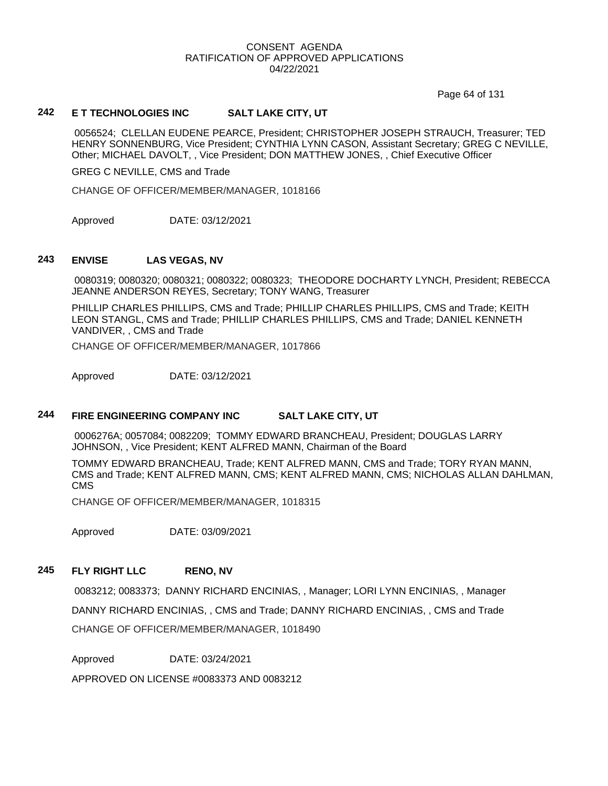Page 64 of 131

## **242 E T TECHNOLOGIES INC SALT LAKE CITY, UT**

0056524; CLELLAN EUDENE PEARCE, President; CHRISTOPHER JOSEPH STRAUCH, Treasurer; TED HENRY SONNENBURG, Vice President; CYNTHIA LYNN CASON, Assistant Secretary; GREG C NEVILLE, Other; MICHAEL DAVOLT, , Vice President; DON MATTHEW JONES, , Chief Executive Officer

GREG C NEVILLE, CMS and Trade

CHANGE OF OFFICER/MEMBER/MANAGER, 1018166

Approved DATE: 03/12/2021

#### **243 ENVISE LAS VEGAS, NV**

0080319; 0080320; 0080321; 0080322; 0080323; THEODORE DOCHARTY LYNCH, President; REBECCA JEANNE ANDERSON REYES, Secretary; TONY WANG, Treasurer

PHILLIP CHARLES PHILLIPS, CMS and Trade; PHILLIP CHARLES PHILLIPS, CMS and Trade; KEITH LEON STANGL, CMS and Trade; PHILLIP CHARLES PHILLIPS, CMS and Trade; DANIEL KENNETH VANDIVER, , CMS and Trade

CHANGE OF OFFICER/MEMBER/MANAGER, 1017866

Approved DATE: 03/12/2021

## **244 FIRE ENGINEERING COMPANY INC SALT LAKE CITY, UT**

0006276A; 0057084; 0082209; TOMMY EDWARD BRANCHEAU, President; DOUGLAS LARRY JOHNSON, , Vice President; KENT ALFRED MANN, Chairman of the Board

TOMMY EDWARD BRANCHEAU, Trade; KENT ALFRED MANN, CMS and Trade; TORY RYAN MANN, CMS and Trade; KENT ALFRED MANN, CMS; KENT ALFRED MANN, CMS; NICHOLAS ALLAN DAHLMAN, CMS

CHANGE OF OFFICER/MEMBER/MANAGER, 1018315

Approved DATE: 03/09/2021

## **245 FLY RIGHT LLC RENO, NV**

0083212; 0083373; DANNY RICHARD ENCINIAS, , Manager; LORI LYNN ENCINIAS, , Manager DANNY RICHARD ENCINIAS, , CMS and Trade; DANNY RICHARD ENCINIAS, , CMS and Trade CHANGE OF OFFICER/MEMBER/MANAGER, 1018490

Approved DATE: 03/24/2021

APPROVED ON LICENSE #0083373 AND 0083212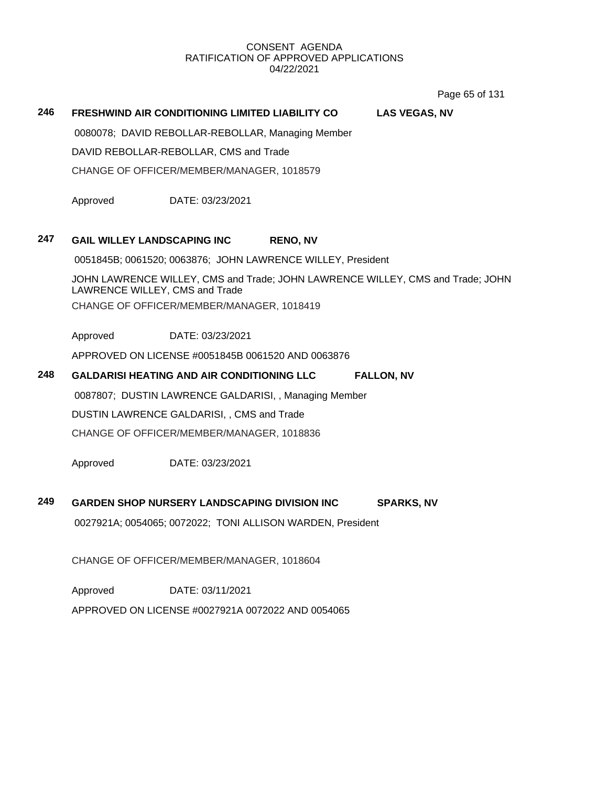Page 65 of 131

## **246 FRESHWIND AIR CONDITIONING LIMITED LIABILITY CO LAS VEGAS, NV**

0080078; DAVID REBOLLAR-REBOLLAR, Managing Member

DAVID REBOLLAR-REBOLLAR, CMS and Trade

CHANGE OF OFFICER/MEMBER/MANAGER, 1018579

Approved DATE: 03/23/2021

## **247 GAIL WILLEY LANDSCAPING INC RENO, NV**

0051845B; 0061520; 0063876; JOHN LAWRENCE WILLEY, President

JOHN LAWRENCE WILLEY, CMS and Trade; JOHN LAWRENCE WILLEY, CMS and Trade; JOHN LAWRENCE WILLEY, CMS and Trade CHANGE OF OFFICER/MEMBER/MANAGER, 1018419

Approved DATE: 03/23/2021

APPROVED ON LICENSE #0051845B 0061520 AND 0063876

## **248 GALDARISI HEATING AND AIR CONDITIONING LLC FALLON, NV**

0087807; DUSTIN LAWRENCE GALDARISI, , Managing Member

DUSTIN LAWRENCE GALDARISI, , CMS and Trade

CHANGE OF OFFICER/MEMBER/MANAGER, 1018836

Approved DATE: 03/23/2021

# **249 GARDEN SHOP NURSERY LANDSCAPING DIVISION INC SPARKS, NV**

0027921A; 0054065; 0072022; TONI ALLISON WARDEN, President

CHANGE OF OFFICER/MEMBER/MANAGER, 1018604

Approved DATE: 03/11/2021

APPROVED ON LICENSE #0027921A 0072022 AND 0054065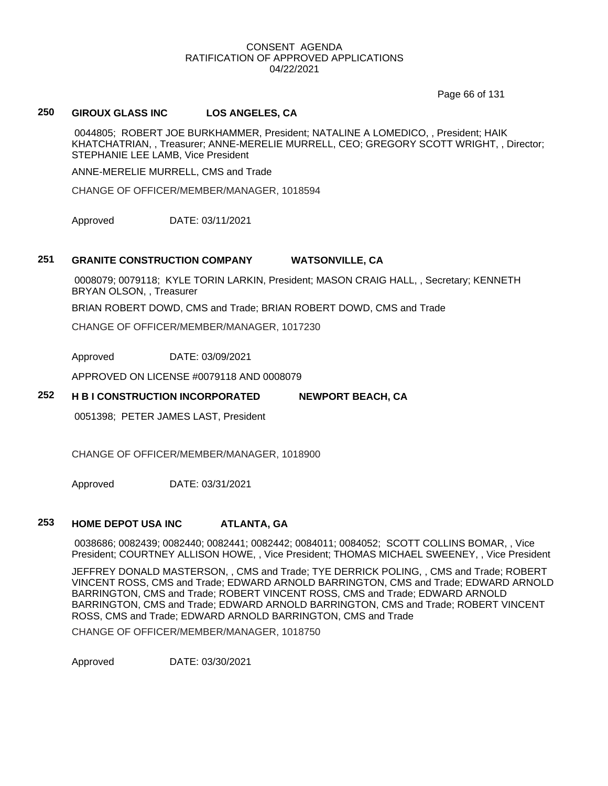Page 66 of 131

## **250 GIROUX GLASS INC LOS ANGELES, CA**

0044805; ROBERT JOE BURKHAMMER, President; NATALINE A LOMEDICO, , President; HAIK KHATCHATRIAN, , Treasurer; ANNE-MERELIE MURRELL, CEO; GREGORY SCOTT WRIGHT, , Director; STEPHANIE LEE LAMB, Vice President

ANNE-MERELIE MURRELL, CMS and Trade

CHANGE OF OFFICER/MEMBER/MANAGER, 1018594

Approved DATE: 03/11/2021

#### **251 GRANITE CONSTRUCTION COMPANY WATSONVILLE, CA**

0008079; 0079118; KYLE TORIN LARKIN, President; MASON CRAIG HALL, , Secretary; KENNETH BRYAN OLSON, , Treasurer

BRIAN ROBERT DOWD, CMS and Trade; BRIAN ROBERT DOWD, CMS and Trade

CHANGE OF OFFICER/MEMBER/MANAGER, 1017230

Approved DATE: 03/09/2021

APPROVED ON LICENSE #0079118 AND 0008079

## **252 H B I CONSTRUCTION INCORPORATED NEWPORT BEACH, CA**

0051398; PETER JAMES LAST, President

CHANGE OF OFFICER/MEMBER/MANAGER, 1018900

Approved DATE: 03/31/2021

## **253 HOME DEPOT USA INC ATLANTA, GA**

0038686; 0082439; 0082440; 0082441; 0082442; 0084011; 0084052; SCOTT COLLINS BOMAR, , Vice President; COURTNEY ALLISON HOWE, , Vice President; THOMAS MICHAEL SWEENEY, , Vice President

JEFFREY DONALD MASTERSON, , CMS and Trade; TYE DERRICK POLING, , CMS and Trade; ROBERT VINCENT ROSS, CMS and Trade; EDWARD ARNOLD BARRINGTON, CMS and Trade; EDWARD ARNOLD BARRINGTON, CMS and Trade; ROBERT VINCENT ROSS, CMS and Trade; EDWARD ARNOLD BARRINGTON, CMS and Trade; EDWARD ARNOLD BARRINGTON, CMS and Trade; ROBERT VINCENT ROSS, CMS and Trade; EDWARD ARNOLD BARRINGTON, CMS and Trade

CHANGE OF OFFICER/MEMBER/MANAGER, 1018750

Approved DATE: 03/30/2021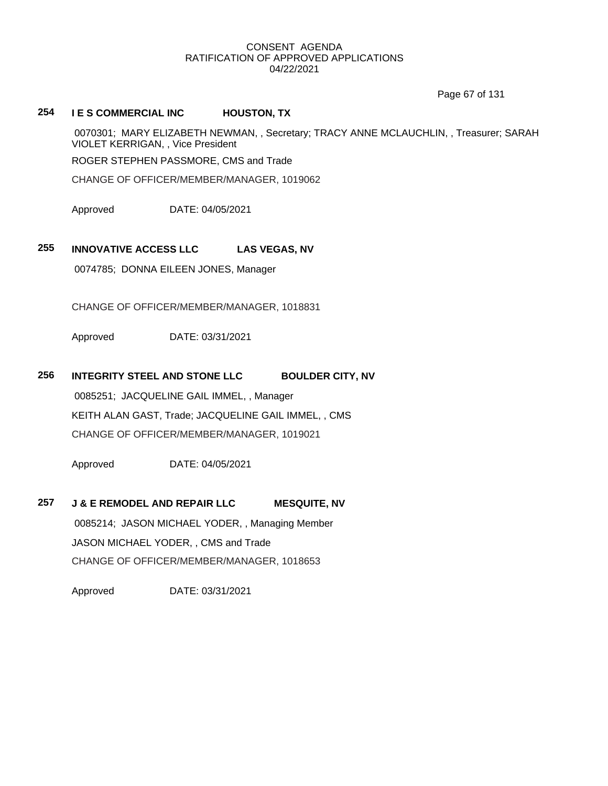Page 67 of 131

# **254 I E S COMMERCIAL INC HOUSTON, TX**

0070301; MARY ELIZABETH NEWMAN, , Secretary; TRACY ANNE MCLAUCHLIN, , Treasurer; SARAH VIOLET KERRIGAN, , Vice President

ROGER STEPHEN PASSMORE, CMS and Trade

CHANGE OF OFFICER/MEMBER/MANAGER, 1019062

Approved DATE: 04/05/2021

# **255 INNOVATIVE ACCESS LLC LAS VEGAS, NV**

0074785; DONNA EILEEN JONES, Manager

CHANGE OF OFFICER/MEMBER/MANAGER, 1018831

Approved DATE: 03/31/2021

# **256 INTEGRITY STEEL AND STONE LLC BOULDER CITY, NV**

0085251; JACQUELINE GAIL IMMEL, , Manager KEITH ALAN GAST, Trade; JACQUELINE GAIL IMMEL, , CMS CHANGE OF OFFICER/MEMBER/MANAGER, 1019021

Approved DATE: 04/05/2021

**257 J & E REMODEL AND REPAIR LLC MESQUITE, NV** 0085214; JASON MICHAEL YODER, , Managing Member JASON MICHAEL YODER, , CMS and Trade CHANGE OF OFFICER/MEMBER/MANAGER, 1018653

Approved DATE: 03/31/2021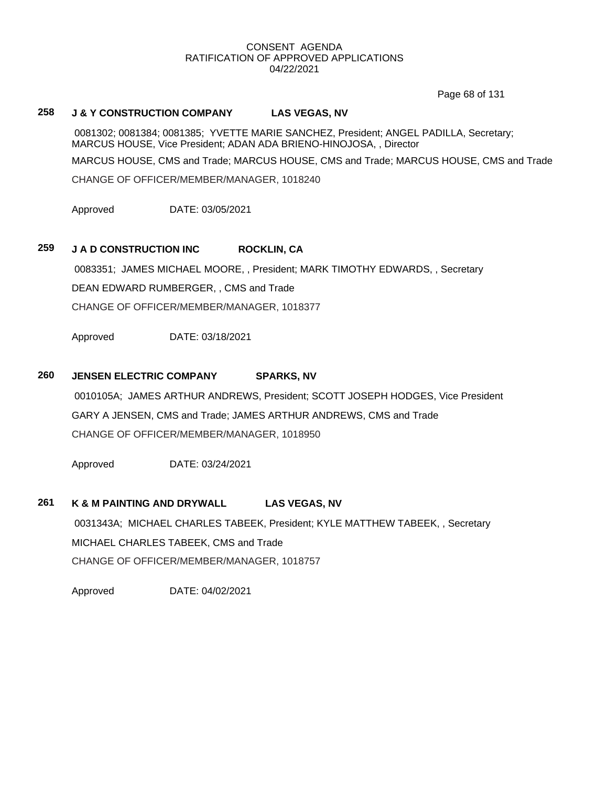Page 68 of 131

## **258 J & Y CONSTRUCTION COMPANY LAS VEGAS, NV**

0081302; 0081384; 0081385; YVETTE MARIE SANCHEZ, President; ANGEL PADILLA, Secretary; MARCUS HOUSE, Vice President; ADAN ADA BRIENO-HINOJOSA, , Director

MARCUS HOUSE, CMS and Trade; MARCUS HOUSE, CMS and Trade; MARCUS HOUSE, CMS and Trade CHANGE OF OFFICER/MEMBER/MANAGER, 1018240

Approved DATE: 03/05/2021

## **259 J A D CONSTRUCTION INC ROCKLIN, CA**

0083351; JAMES MICHAEL MOORE, , President; MARK TIMOTHY EDWARDS, , Secretary DEAN EDWARD RUMBERGER, , CMS and Trade CHANGE OF OFFICER/MEMBER/MANAGER, 1018377

Approved DATE: 03/18/2021

## **260 JENSEN ELECTRIC COMPANY SPARKS, NV**

0010105A; JAMES ARTHUR ANDREWS, President; SCOTT JOSEPH HODGES, Vice President GARY A JENSEN, CMS and Trade; JAMES ARTHUR ANDREWS, CMS and Trade CHANGE OF OFFICER/MEMBER/MANAGER, 1018950

Approved DATE: 03/24/2021

## **261 K & M PAINTING AND DRYWALL LAS VEGAS, NV**

0031343A; MICHAEL CHARLES TABEEK, President; KYLE MATTHEW TABEEK, , Secretary MICHAEL CHARLES TABEEK, CMS and Trade CHANGE OF OFFICER/MEMBER/MANAGER, 1018757

Approved DATE: 04/02/2021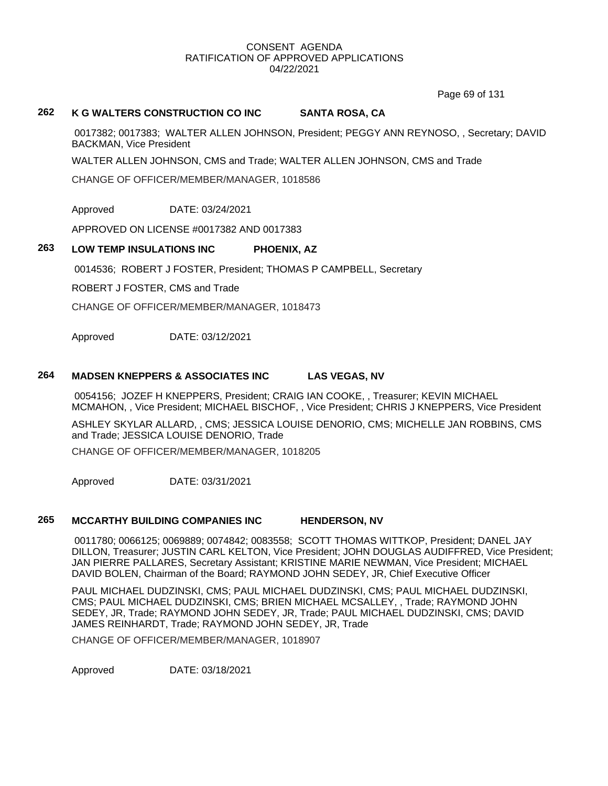Page 69 of 131

## **262 K G WALTERS CONSTRUCTION CO INC SANTA ROSA, CA**

0017382; 0017383; WALTER ALLEN JOHNSON, President; PEGGY ANN REYNOSO, , Secretary; DAVID BACKMAN, Vice President

WALTER ALLEN JOHNSON, CMS and Trade; WALTER ALLEN JOHNSON, CMS and Trade

CHANGE OF OFFICER/MEMBER/MANAGER, 1018586

Approved DATE: 03/24/2021

APPROVED ON LICENSE #0017382 AND 0017383

## **263 LOW TEMP INSULATIONS INC PHOENIX, AZ**

0014536; ROBERT J FOSTER, President; THOMAS P CAMPBELL, Secretary

ROBERT J FOSTER, CMS and Trade

CHANGE OF OFFICER/MEMBER/MANAGER, 1018473

Approved DATE: 03/12/2021

## **264 MADSEN KNEPPERS & ASSOCIATES INC LAS VEGAS, NV**

0054156; JOZEF H KNEPPERS, President; CRAIG IAN COOKE, , Treasurer; KEVIN MICHAEL MCMAHON, , Vice President; MICHAEL BISCHOF, , Vice President; CHRIS J KNEPPERS, Vice President

ASHLEY SKYLAR ALLARD, , CMS; JESSICA LOUISE DENORIO, CMS; MICHELLE JAN ROBBINS, CMS and Trade; JESSICA LOUISE DENORIO, Trade

CHANGE OF OFFICER/MEMBER/MANAGER, 1018205

Approved DATE: 03/31/2021

## **265 MCCARTHY BUILDING COMPANIES INC HENDERSON, NV**

0011780; 0066125; 0069889; 0074842; 0083558; SCOTT THOMAS WITTKOP, President; DANEL JAY DILLON, Treasurer; JUSTIN CARL KELTON, Vice President; JOHN DOUGLAS AUDIFFRED, Vice President; JAN PIERRE PALLARES, Secretary Assistant; KRISTINE MARIE NEWMAN, Vice President; MICHAEL DAVID BOLEN, Chairman of the Board; RAYMOND JOHN SEDEY, JR, Chief Executive Officer

PAUL MICHAEL DUDZINSKI, CMS; PAUL MICHAEL DUDZINSKI, CMS; PAUL MICHAEL DUDZINSKI, CMS; PAUL MICHAEL DUDZINSKI, CMS; BRIEN MICHAEL MCSALLEY, , Trade; RAYMOND JOHN SEDEY, JR, Trade; RAYMOND JOHN SEDEY, JR, Trade; PAUL MICHAEL DUDZINSKI, CMS; DAVID JAMES REINHARDT, Trade; RAYMOND JOHN SEDEY, JR, Trade

CHANGE OF OFFICER/MEMBER/MANAGER, 1018907

Approved DATE: 03/18/2021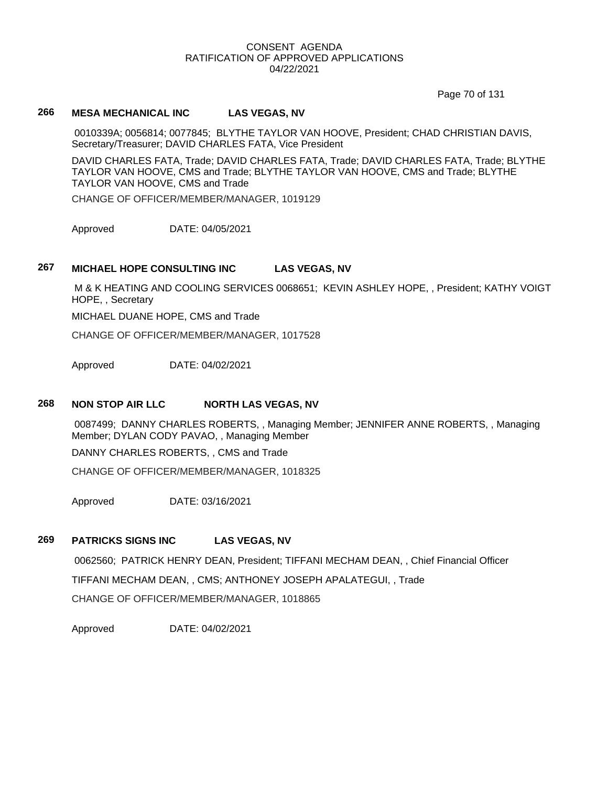Page 70 of 131

# **266 MESA MECHANICAL INC LAS VEGAS, NV**

0010339A; 0056814; 0077845; BLYTHE TAYLOR VAN HOOVE, President; CHAD CHRISTIAN DAVIS, Secretary/Treasurer; DAVID CHARLES FATA, Vice President

DAVID CHARLES FATA, Trade; DAVID CHARLES FATA, Trade; DAVID CHARLES FATA, Trade; BLYTHE TAYLOR VAN HOOVE, CMS and Trade; BLYTHE TAYLOR VAN HOOVE, CMS and Trade; BLYTHE TAYLOR VAN HOOVE, CMS and Trade

CHANGE OF OFFICER/MEMBER/MANAGER, 1019129

Approved DATE: 04/05/2021

# **267 MICHAEL HOPE CONSULTING INC LAS VEGAS, NV**

M & K HEATING AND COOLING SERVICES 0068651; KEVIN ASHLEY HOPE, , President; KATHY VOIGT HOPE, , Secretary

MICHAEL DUANE HOPE, CMS and Trade

CHANGE OF OFFICER/MEMBER/MANAGER, 1017528

Approved DATE: 04/02/2021

## **268 NON STOP AIR LLC NORTH LAS VEGAS, NV**

0087499; DANNY CHARLES ROBERTS, , Managing Member; JENNIFER ANNE ROBERTS, , Managing Member; DYLAN CODY PAVAO, , Managing Member

DANNY CHARLES ROBERTS, , CMS and Trade

CHANGE OF OFFICER/MEMBER/MANAGER, 1018325

Approved DATE: 03/16/2021

## **269 PATRICKS SIGNS INC LAS VEGAS, NV**

0062560; PATRICK HENRY DEAN, President; TIFFANI MECHAM DEAN, , Chief Financial Officer TIFFANI MECHAM DEAN, , CMS; ANTHONEY JOSEPH APALATEGUI, , Trade CHANGE OF OFFICER/MEMBER/MANAGER, 1018865

Approved DATE: 04/02/2021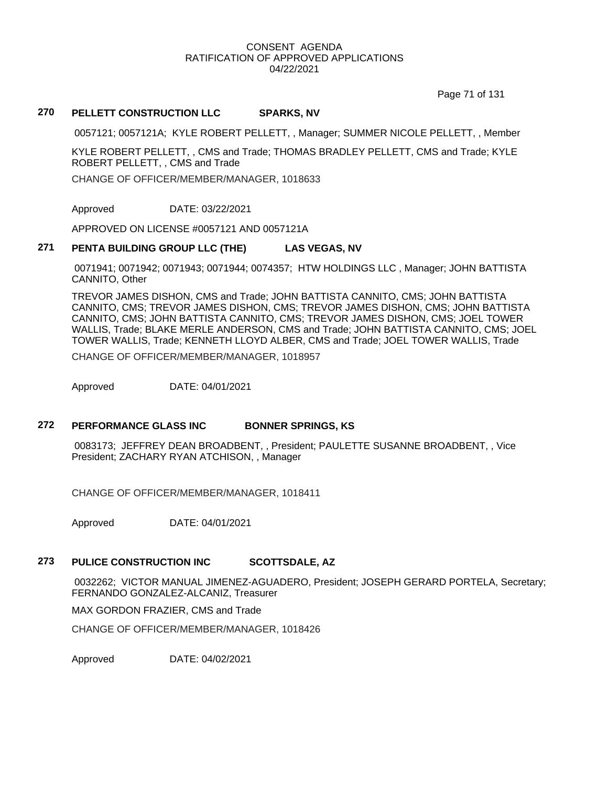Page 71 of 131

# **270 PELLETT CONSTRUCTION LLC SPARKS, NV**

0057121; 0057121A; KYLE ROBERT PELLETT, , Manager; SUMMER NICOLE PELLETT, , Member

KYLE ROBERT PELLETT, , CMS and Trade; THOMAS BRADLEY PELLETT, CMS and Trade; KYLE ROBERT PELLETT, , CMS and Trade

CHANGE OF OFFICER/MEMBER/MANAGER, 1018633

Approved DATE: 03/22/2021

APPROVED ON LICENSE #0057121 AND 0057121A

# **271 PENTA BUILDING GROUP LLC (THE) LAS VEGAS, NV**

0071941; 0071942; 0071943; 0071944; 0074357; HTW HOLDINGS LLC , Manager; JOHN BATTISTA CANNITO, Other

TREVOR JAMES DISHON, CMS and Trade; JOHN BATTISTA CANNITO, CMS; JOHN BATTISTA CANNITO, CMS; TREVOR JAMES DISHON, CMS; TREVOR JAMES DISHON, CMS; JOHN BATTISTA CANNITO, CMS; JOHN BATTISTA CANNITO, CMS; TREVOR JAMES DISHON, CMS; JOEL TOWER WALLIS, Trade; BLAKE MERLE ANDERSON, CMS and Trade; JOHN BATTISTA CANNITO, CMS; JOEL TOWER WALLIS, Trade; KENNETH LLOYD ALBER, CMS and Trade; JOEL TOWER WALLIS, Trade

CHANGE OF OFFICER/MEMBER/MANAGER, 1018957

Approved DATE: 04/01/2021

## **272 PERFORMANCE GLASS INC BONNER SPRINGS, KS**

0083173; JEFFREY DEAN BROADBENT, , President; PAULETTE SUSANNE BROADBENT, , Vice President; ZACHARY RYAN ATCHISON, , Manager

CHANGE OF OFFICER/MEMBER/MANAGER, 1018411

Approved DATE: 04/01/2021

# **273 PULICE CONSTRUCTION INC SCOTTSDALE, AZ**

0032262; VICTOR MANUAL JIMENEZ-AGUADERO, President; JOSEPH GERARD PORTELA, Secretary; FERNANDO GONZALEZ-ALCANIZ, Treasurer

MAX GORDON FRAZIER, CMS and Trade

CHANGE OF OFFICER/MEMBER/MANAGER, 1018426

Approved DATE: 04/02/2021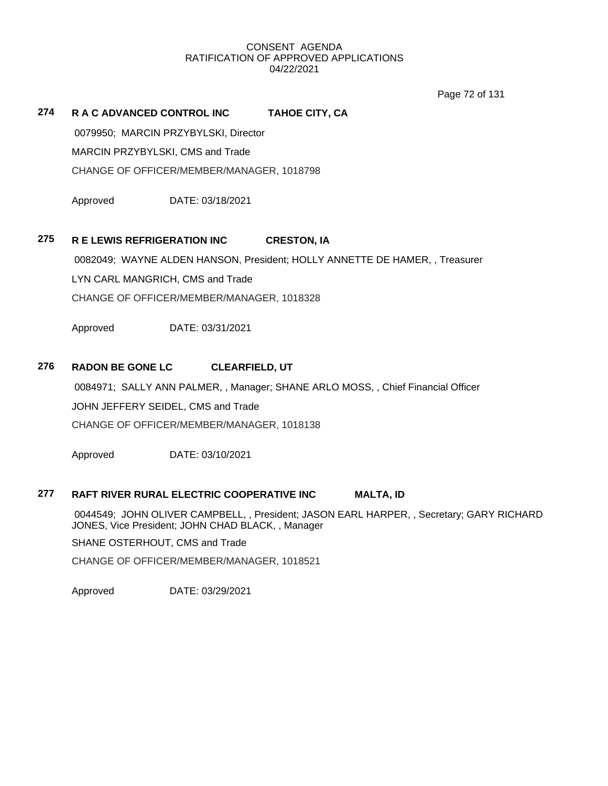Page 72 of 131

# **274 R A C ADVANCED CONTROL INC TAHOE CITY, CA**

0079950; MARCIN PRZYBYLSKI, Director

MARCIN PRZYBYLSKI, CMS and Trade

CHANGE OF OFFICER/MEMBER/MANAGER, 1018798

Approved DATE: 03/18/2021

# **275 R E LEWIS REFRIGERATION INC CRESTON, IA**

0082049; WAYNE ALDEN HANSON, President; HOLLY ANNETTE DE HAMER, , Treasurer LYN CARL MANGRICH, CMS and Trade CHANGE OF OFFICER/MEMBER/MANAGER, 1018328

Approved DATE: 03/31/2021

# **276 RADON BE GONE LC CLEARFIELD, UT**

0084971; SALLY ANN PALMER, , Manager; SHANE ARLO MOSS, , Chief Financial Officer

JOHN JEFFERY SEIDEL, CMS and Trade

CHANGE OF OFFICER/MEMBER/MANAGER, 1018138

Approved DATE: 03/10/2021

# **277 RAFT RIVER RURAL ELECTRIC COOPERATIVE INC MALTA, ID**

0044549; JOHN OLIVER CAMPBELL, , President; JASON EARL HARPER, , Secretary; GARY RICHARD JONES, Vice President; JOHN CHAD BLACK, , Manager

SHANE OSTERHOUT, CMS and Trade

CHANGE OF OFFICER/MEMBER/MANAGER, 1018521

Approved DATE: 03/29/2021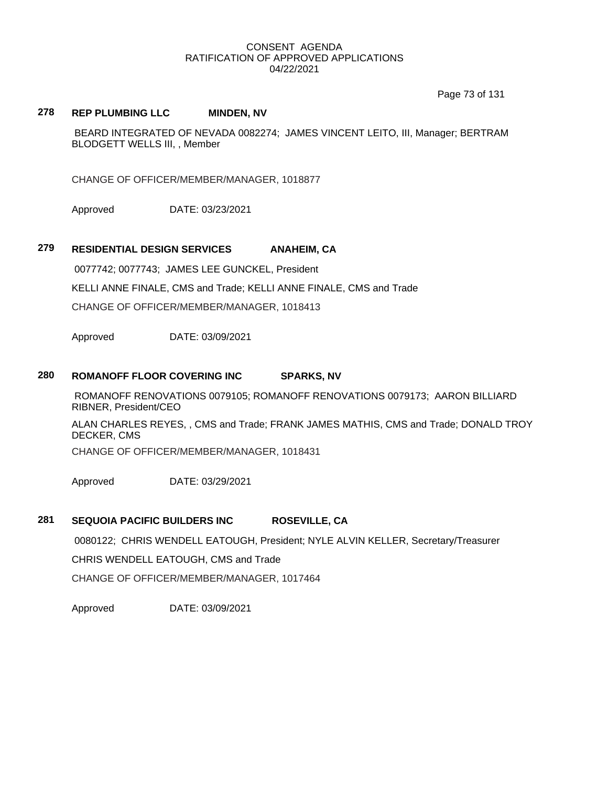Page 73 of 131

## **278 REP PLUMBING LLC MINDEN, NV**

BEARD INTEGRATED OF NEVADA 0082274; JAMES VINCENT LEITO, III, Manager; BERTRAM BLODGETT WELLS III, , Member

CHANGE OF OFFICER/MEMBER/MANAGER, 1018877

Approved DATE: 03/23/2021

# **279 RESIDENTIAL DESIGN SERVICES ANAHEIM, CA**

0077742; 0077743; JAMES LEE GUNCKEL, President

KELLI ANNE FINALE, CMS and Trade; KELLI ANNE FINALE, CMS and Trade

CHANGE OF OFFICER/MEMBER/MANAGER, 1018413

Approved DATE: 03/09/2021

## **280 ROMANOFF FLOOR COVERING INC SPARKS, NV**

ROMANOFF RENOVATIONS 0079105; ROMANOFF RENOVATIONS 0079173; AARON BILLIARD RIBNER, President/CEO

ALAN CHARLES REYES, , CMS and Trade; FRANK JAMES MATHIS, CMS and Trade; DONALD TROY DECKER, CMS

CHANGE OF OFFICER/MEMBER/MANAGER, 1018431

Approved DATE: 03/29/2021

# **281 SEQUOIA PACIFIC BUILDERS INC ROSEVILLE, CA**

0080122; CHRIS WENDELL EATOUGH, President; NYLE ALVIN KELLER, Secretary/Treasurer

CHRIS WENDELL EATOUGH, CMS and Trade

CHANGE OF OFFICER/MEMBER/MANAGER, 1017464

Approved DATE: 03/09/2021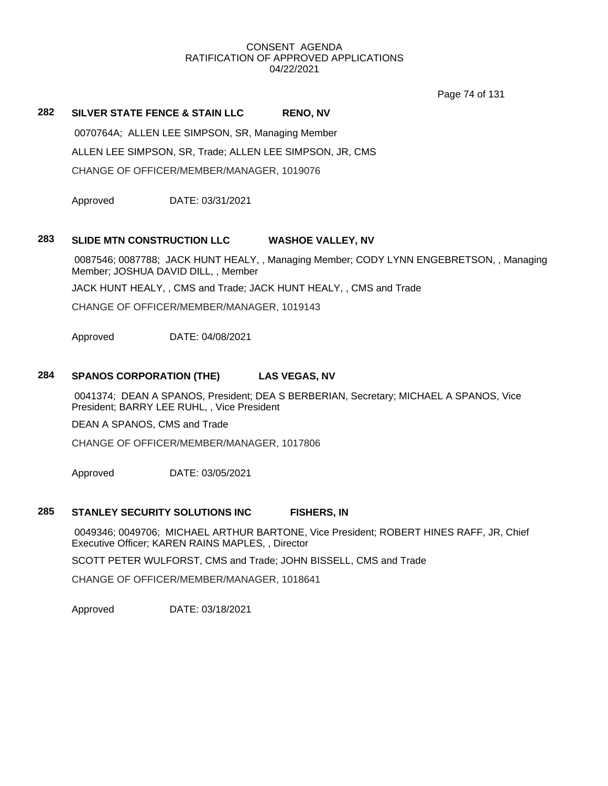Page 74 of 131

# **282 SILVER STATE FENCE & STAIN LLC RENO, NV**

0070764A; ALLEN LEE SIMPSON, SR, Managing Member

ALLEN LEE SIMPSON, SR, Trade; ALLEN LEE SIMPSON, JR, CMS

CHANGE OF OFFICER/MEMBER/MANAGER, 1019076

Approved DATE: 03/31/2021

## **283 SLIDE MTN CONSTRUCTION LLC WASHOE VALLEY, NV**

0087546; 0087788; JACK HUNT HEALY, , Managing Member; CODY LYNN ENGEBRETSON, , Managing Member; JOSHUA DAVID DILL, , Member

JACK HUNT HEALY, , CMS and Trade; JACK HUNT HEALY, , CMS and Trade

CHANGE OF OFFICER/MEMBER/MANAGER, 1019143

Approved DATE: 04/08/2021

# **284 SPANOS CORPORATION (THE) LAS VEGAS, NV**

0041374; DEAN A SPANOS, President; DEA S BERBERIAN, Secretary; MICHAEL A SPANOS, Vice President; BARRY LEE RUHL, , Vice President

DEAN A SPANOS, CMS and Trade

CHANGE OF OFFICER/MEMBER/MANAGER, 1017806

Approved DATE: 03/05/2021

## **285 STANLEY SECURITY SOLUTIONS INC FISHERS, IN**

0049346; 0049706; MICHAEL ARTHUR BARTONE, Vice President; ROBERT HINES RAFF, JR, Chief Executive Officer; KAREN RAINS MAPLES, , Director

SCOTT PETER WULFORST, CMS and Trade; JOHN BISSELL, CMS and Trade

CHANGE OF OFFICER/MEMBER/MANAGER, 1018641

Approved DATE: 03/18/2021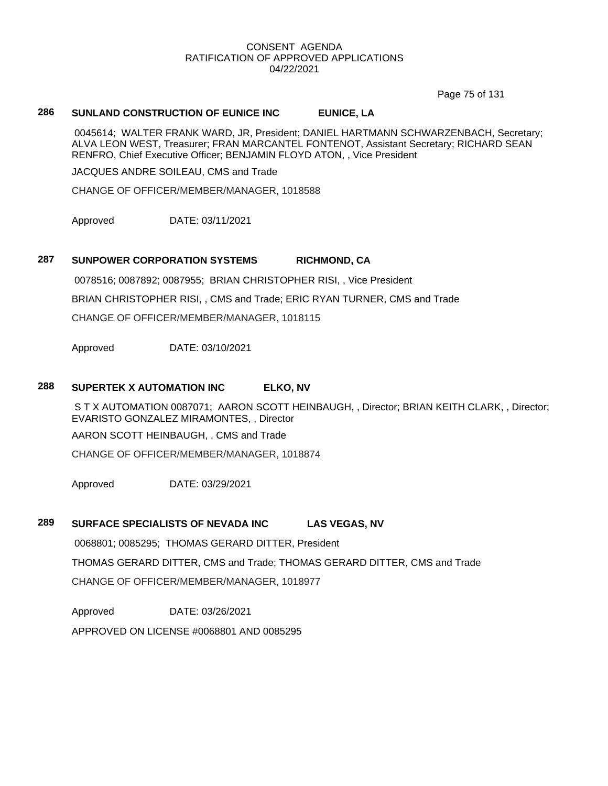Page 75 of 131

# **286 SUNLAND CONSTRUCTION OF EUNICE INC EUNICE, LA**

0045614; WALTER FRANK WARD, JR, President; DANIEL HARTMANN SCHWARZENBACH, Secretary; ALVA LEON WEST, Treasurer; FRAN MARCANTEL FONTENOT, Assistant Secretary; RICHARD SEAN RENFRO, Chief Executive Officer; BENJAMIN FLOYD ATON, , Vice President

JACQUES ANDRE SOILEAU, CMS and Trade

CHANGE OF OFFICER/MEMBER/MANAGER, 1018588

Approved DATE: 03/11/2021

### **287 SUNPOWER CORPORATION SYSTEMS RICHMOND, CA**

0078516; 0087892; 0087955; BRIAN CHRISTOPHER RISI, , Vice President BRIAN CHRISTOPHER RISI, , CMS and Trade; ERIC RYAN TURNER, CMS and Trade CHANGE OF OFFICER/MEMBER/MANAGER, 1018115

Approved DATE: 03/10/2021

## **288 SUPERTEK X AUTOMATION INC ELKO, NV**

S T X AUTOMATION 0087071; AARON SCOTT HEINBAUGH, , Director; BRIAN KEITH CLARK, , Director; EVARISTO GONZALEZ MIRAMONTES, , Director

AARON SCOTT HEINBAUGH, , CMS and Trade

CHANGE OF OFFICER/MEMBER/MANAGER, 1018874

Approved DATE: 03/29/2021

### **289 SURFACE SPECIALISTS OF NEVADA INC LAS VEGAS, NV**

0068801; 0085295; THOMAS GERARD DITTER, President THOMAS GERARD DITTER, CMS and Trade; THOMAS GERARD DITTER, CMS and Trade CHANGE OF OFFICER/MEMBER/MANAGER, 1018977

Approved DATE: 03/26/2021

APPROVED ON LICENSE #0068801 AND 0085295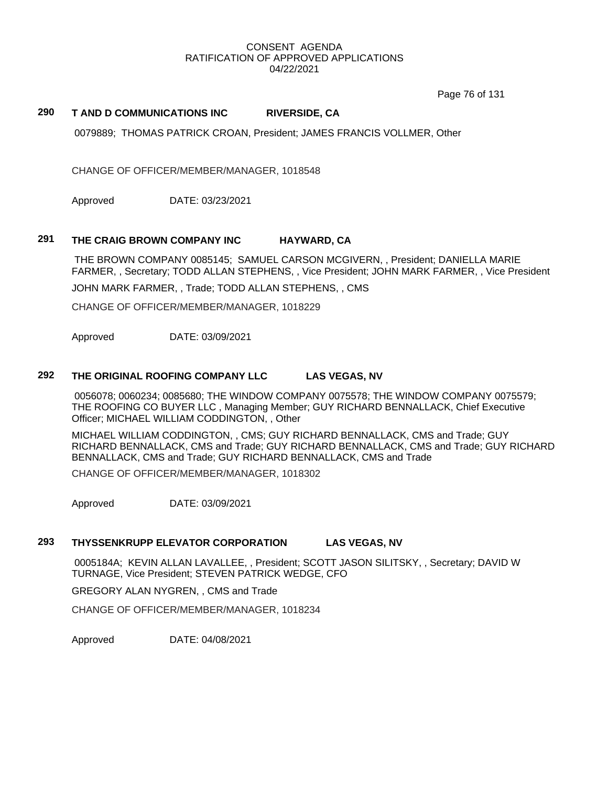Page 76 of 131

## **290 T AND D COMMUNICATIONS INC RIVERSIDE, CA**

0079889; THOMAS PATRICK CROAN, President; JAMES FRANCIS VOLLMER, Other

CHANGE OF OFFICER/MEMBER/MANAGER, 1018548

Approved DATE: 03/23/2021

## **291 THE CRAIG BROWN COMPANY INC HAYWARD, CA**

THE BROWN COMPANY 0085145; SAMUEL CARSON MCGIVERN, , President; DANIELLA MARIE FARMER, , Secretary; TODD ALLAN STEPHENS, , Vice President; JOHN MARK FARMER, , Vice President

JOHN MARK FARMER, , Trade; TODD ALLAN STEPHENS, , CMS

CHANGE OF OFFICER/MEMBER/MANAGER, 1018229

Approved DATE: 03/09/2021

## **292 THE ORIGINAL ROOFING COMPANY LLC LAS VEGAS, NV**

0056078; 0060234; 0085680; THE WINDOW COMPANY 0075578; THE WINDOW COMPANY 0075579; THE ROOFING CO BUYER LLC , Managing Member; GUY RICHARD BENNALLACK, Chief Executive Officer; MICHAEL WILLIAM CODDINGTON, , Other

MICHAEL WILLIAM CODDINGTON, , CMS; GUY RICHARD BENNALLACK, CMS and Trade; GUY RICHARD BENNALLACK, CMS and Trade; GUY RICHARD BENNALLACK, CMS and Trade; GUY RICHARD BENNALLACK, CMS and Trade; GUY RICHARD BENNALLACK, CMS and Trade

CHANGE OF OFFICER/MEMBER/MANAGER, 1018302

Approved DATE: 03/09/2021

# **293 THYSSENKRUPP ELEVATOR CORPORATION LAS VEGAS, NV**

0005184A; KEVIN ALLAN LAVALLEE, , President; SCOTT JASON SILITSKY, , Secretary; DAVID W TURNAGE, Vice President; STEVEN PATRICK WEDGE, CFO

GREGORY ALAN NYGREN, , CMS and Trade

CHANGE OF OFFICER/MEMBER/MANAGER, 1018234

Approved DATE: 04/08/2021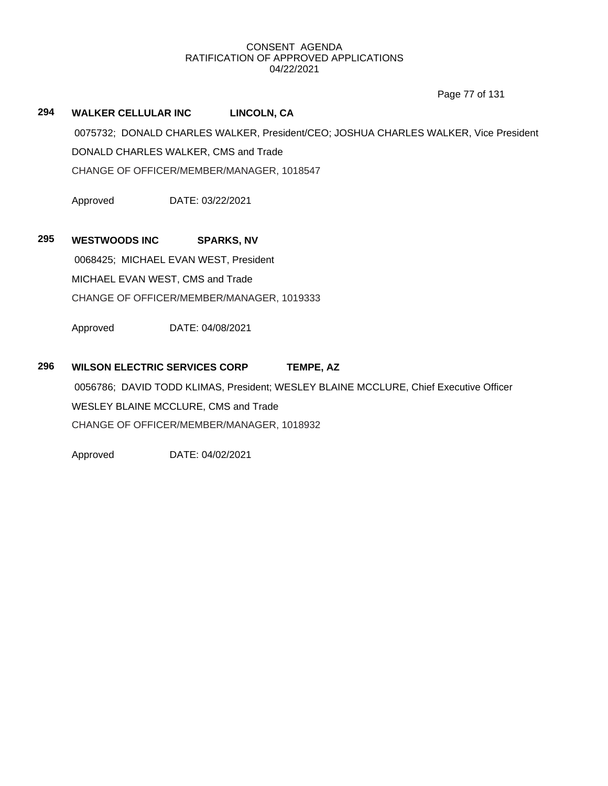Page 77 of 131

# **294 WALKER CELLULAR INC LINCOLN, CA**

0075732; DONALD CHARLES WALKER, President/CEO; JOSHUA CHARLES WALKER, Vice President DONALD CHARLES WALKER, CMS and Trade CHANGE OF OFFICER/MEMBER/MANAGER, 1018547

Approved DATE: 03/22/2021

# **295 WESTWOODS INC SPARKS, NV**

0068425; MICHAEL EVAN WEST, President MICHAEL EVAN WEST, CMS and Trade CHANGE OF OFFICER/MEMBER/MANAGER, 1019333

Approved DATE: 04/08/2021

# **296 WILSON ELECTRIC SERVICES CORP TEMPE, AZ**

0056786; DAVID TODD KLIMAS, President; WESLEY BLAINE MCCLURE, Chief Executive Officer WESLEY BLAINE MCCLURE, CMS and Trade CHANGE OF OFFICER/MEMBER/MANAGER, 1018932

Approved DATE: 04/02/2021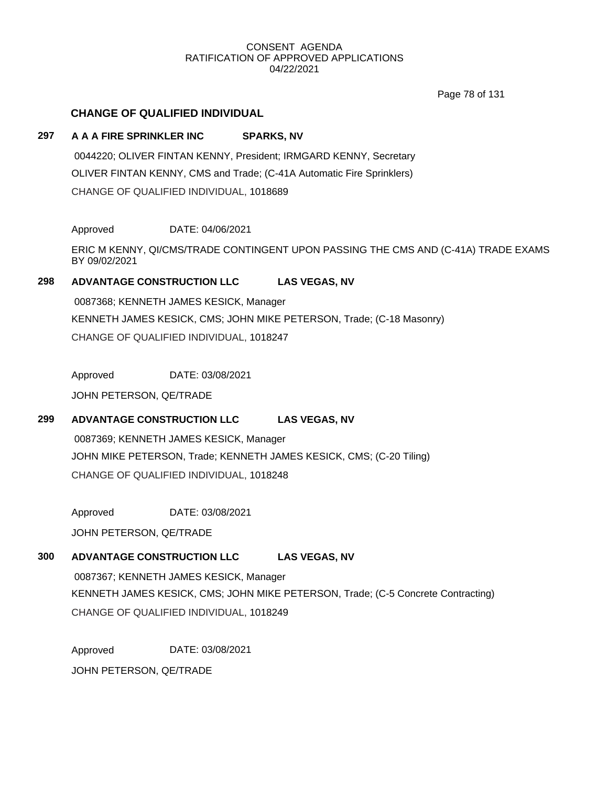Page 78 of 131

# **CHANGE OF QUALIFIED INDIVIDUAL**

# **297 A A A FIRE SPRINKLER INC SPARKS, NV**

0044220; OLIVER FINTAN KENNY, President; IRMGARD KENNY, Secretary OLIVER FINTAN KENNY, CMS and Trade; (C-41A Automatic Fire Sprinklers) CHANGE OF QUALIFIED INDIVIDUAL, 1018689

Approved DATE: 04/06/2021

ERIC M KENNY, QI/CMS/TRADE CONTINGENT UPON PASSING THE CMS AND (C-41A) TRADE EXAMS BY 09/02/2021

# **298 ADVANTAGE CONSTRUCTION LLC LAS VEGAS, NV**

0087368; KENNETH JAMES KESICK, Manager KENNETH JAMES KESICK, CMS; JOHN MIKE PETERSON, Trade; (C-18 Masonry) CHANGE OF QUALIFIED INDIVIDUAL, 1018247

Approved DATE: 03/08/2021

JOHN PETERSON, QE/TRADE

# **299 ADVANTAGE CONSTRUCTION LLC LAS VEGAS, NV**

0087369; KENNETH JAMES KESICK, Manager JOHN MIKE PETERSON, Trade; KENNETH JAMES KESICK, CMS; (C-20 Tiling) CHANGE OF QUALIFIED INDIVIDUAL, 1018248

Approved DATE: 03/08/2021

JOHN PETERSON, QE/TRADE

# **300 ADVANTAGE CONSTRUCTION LLC LAS VEGAS, NV**

0087367; KENNETH JAMES KESICK, Manager KENNETH JAMES KESICK, CMS; JOHN MIKE PETERSON, Trade; (C-5 Concrete Contracting) CHANGE OF QUALIFIED INDIVIDUAL, 1018249

Approved DATE: 03/08/2021

JOHN PETERSON, QE/TRADE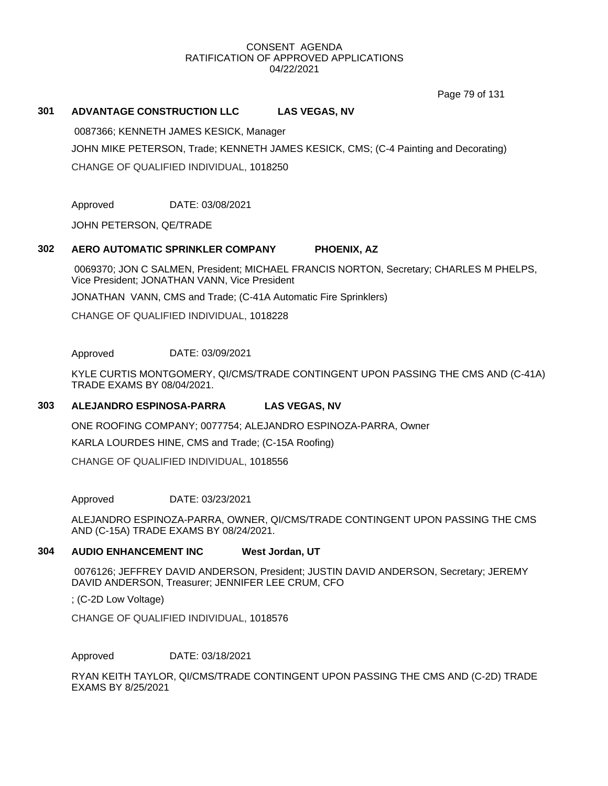Page 79 of 131

# **301 ADVANTAGE CONSTRUCTION LLC LAS VEGAS, NV**

0087366; KENNETH JAMES KESICK, Manager JOHN MIKE PETERSON, Trade; KENNETH JAMES KESICK, CMS; (C-4 Painting and Decorating) CHANGE OF QUALIFIED INDIVIDUAL, 1018250

Approved DATE: 03/08/2021

JOHN PETERSON, QE/TRADE

# **302 AERO AUTOMATIC SPRINKLER COMPANY PHOENIX, AZ**

0069370; JON C SALMEN, President; MICHAEL FRANCIS NORTON, Secretary; CHARLES M PHELPS, Vice President; JONATHAN VANN, Vice President

JONATHAN VANN, CMS and Trade; (C-41A Automatic Fire Sprinklers)

CHANGE OF QUALIFIED INDIVIDUAL, 1018228

Approved DATE: 03/09/2021

KYLE CURTIS MONTGOMERY, QI/CMS/TRADE CONTINGENT UPON PASSING THE CMS AND (C-41A) TRADE EXAMS BY 08/04/2021.

# **303 ALEJANDRO ESPINOSA-PARRA LAS VEGAS, NV**

ONE ROOFING COMPANY; 0077754; ALEJANDRO ESPINOZA-PARRA, Owner

KARLA LOURDES HINE, CMS and Trade; (C-15A Roofing)

CHANGE OF QUALIFIED INDIVIDUAL, 1018556

Approved DATE: 03/23/2021

ALEJANDRO ESPINOZA-PARRA, OWNER, QI/CMS/TRADE CONTINGENT UPON PASSING THE CMS AND (C-15A) TRADE EXAMS BY 08/24/2021.

# **304 AUDIO ENHANCEMENT INC West Jordan, UT**

0076126; JEFFREY DAVID ANDERSON, President; JUSTIN DAVID ANDERSON, Secretary; JEREMY DAVID ANDERSON, Treasurer; JENNIFER LEE CRUM, CFO

; (C-2D Low Voltage)

CHANGE OF QUALIFIED INDIVIDUAL, 1018576

Approved DATE: 03/18/2021

RYAN KEITH TAYLOR, QI/CMS/TRADE CONTINGENT UPON PASSING THE CMS AND (C-2D) TRADE EXAMS BY 8/25/2021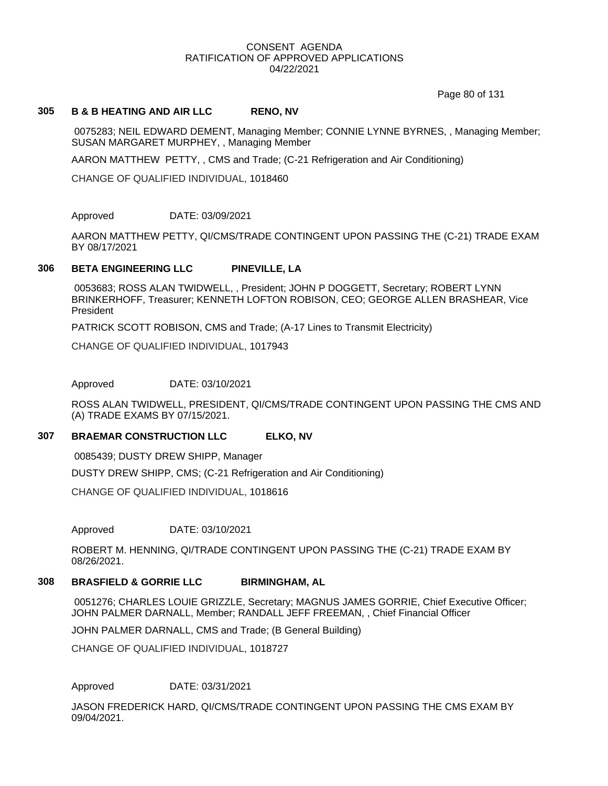Page 80 of 131

## **305 B & B HEATING AND AIR LLC RENO, NV**

0075283; NEIL EDWARD DEMENT, Managing Member; CONNIE LYNNE BYRNES, , Managing Member; SUSAN MARGARET MURPHEY, , Managing Member

AARON MATTHEW PETTY, , CMS and Trade; (C-21 Refrigeration and Air Conditioning)

CHANGE OF QUALIFIED INDIVIDUAL, 1018460

Approved DATE: 03/09/2021

AARON MATTHEW PETTY, QI/CMS/TRADE CONTINGENT UPON PASSING THE (C-21) TRADE EXAM BY 08/17/2021

# **306 BETA ENGINEERING LLC PINEVILLE, LA**

0053683; ROSS ALAN TWIDWELL, , President; JOHN P DOGGETT, Secretary; ROBERT LYNN BRINKERHOFF, Treasurer; KENNETH LOFTON ROBISON, CEO; GEORGE ALLEN BRASHEAR, Vice President

PATRICK SCOTT ROBISON, CMS and Trade; (A-17 Lines to Transmit Electricity)

CHANGE OF QUALIFIED INDIVIDUAL, 1017943

Approved DATE: 03/10/2021

ROSS ALAN TWIDWELL, PRESIDENT, QI/CMS/TRADE CONTINGENT UPON PASSING THE CMS AND (A) TRADE EXAMS BY 07/15/2021.

# **307 BRAEMAR CONSTRUCTION LLC ELKO, NV**

0085439; DUSTY DREW SHIPP, Manager

DUSTY DREW SHIPP, CMS; (C-21 Refrigeration and Air Conditioning)

CHANGE OF QUALIFIED INDIVIDUAL, 1018616

Approved DATE: 03/10/2021

ROBERT M. HENNING, QI/TRADE CONTINGENT UPON PASSING THE (C-21) TRADE EXAM BY 08/26/2021.

#### **308 BRASFIELD & GORRIE LLC BIRMINGHAM, AL**

0051276; CHARLES LOUIE GRIZZLE, Secretary; MAGNUS JAMES GORRIE, Chief Executive Officer; JOHN PALMER DARNALL, Member; RANDALL JEFF FREEMAN, , Chief Financial Officer

JOHN PALMER DARNALL, CMS and Trade; (B General Building)

CHANGE OF QUALIFIED INDIVIDUAL, 1018727

## Approved DATE: 03/31/2021

JASON FREDERICK HARD, QI/CMS/TRADE CONTINGENT UPON PASSING THE CMS EXAM BY 09/04/2021.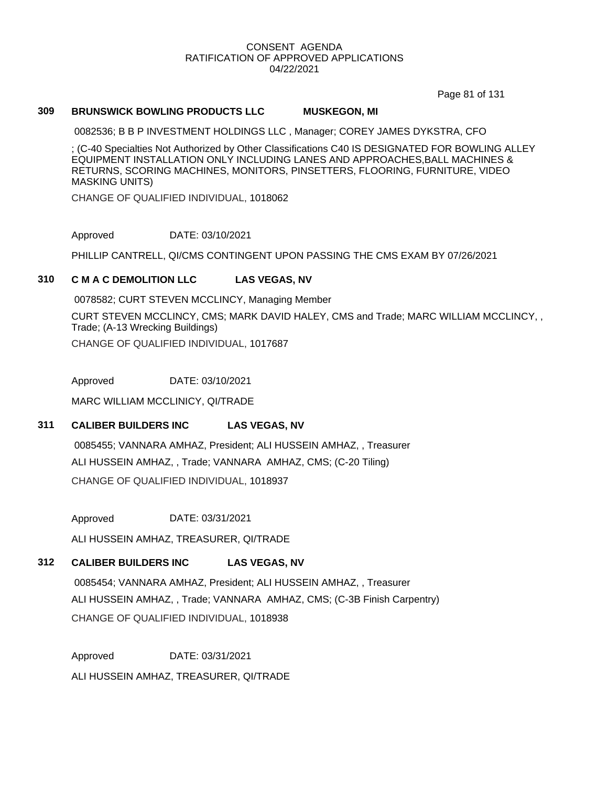Page 81 of 131

## **309 BRUNSWICK BOWLING PRODUCTS LLC MUSKEGON, MI**

0082536; B B P INVESTMENT HOLDINGS LLC , Manager; COREY JAMES DYKSTRA, CFO

; (C-40 Specialties Not Authorized by Other Classifications C40 IS DESIGNATED FOR BOWLING ALLEY EQUIPMENT INSTALLATION ONLY INCLUDING LANES AND APPROACHES,BALL MACHINES & RETURNS, SCORING MACHINES, MONITORS, PINSETTERS, FLOORING, FURNITURE, VIDEO MASKING UNITS)

CHANGE OF QUALIFIED INDIVIDUAL, 1018062

Approved DATE: 03/10/2021

PHILLIP CANTRELL, QI/CMS CONTINGENT UPON PASSING THE CMS EXAM BY 07/26/2021

# **310 C M A C DEMOLITION LLC LAS VEGAS, NV**

0078582; CURT STEVEN MCCLINCY, Managing Member

CURT STEVEN MCCLINCY, CMS; MARK DAVID HALEY, CMS and Trade; MARC WILLIAM MCCLINCY, , Trade; (A-13 Wrecking Buildings) CHANGE OF QUALIFIED INDIVIDUAL, 1017687

Approved DATE: 03/10/2021

MARC WILLIAM MCCLINICY, QI/TRADE

# **311 CALIBER BUILDERS INC LAS VEGAS, NV**

0085455; VANNARA AMHAZ, President; ALI HUSSEIN AMHAZ, , Treasurer ALI HUSSEIN AMHAZ, , Trade; VANNARA AMHAZ, CMS; (C-20 Tiling) CHANGE OF QUALIFIED INDIVIDUAL, 1018937

Approved DATE: 03/31/2021

ALI HUSSEIN AMHAZ, TREASURER, QI/TRADE

# **312 CALIBER BUILDERS INC LAS VEGAS, NV**

0085454; VANNARA AMHAZ, President; ALI HUSSEIN AMHAZ, , Treasurer ALI HUSSEIN AMHAZ, , Trade; VANNARA AMHAZ, CMS; (C-3B Finish Carpentry) CHANGE OF QUALIFIED INDIVIDUAL, 1018938

Approved DATE: 03/31/2021 ALI HUSSEIN AMHAZ, TREASURER, QI/TRADE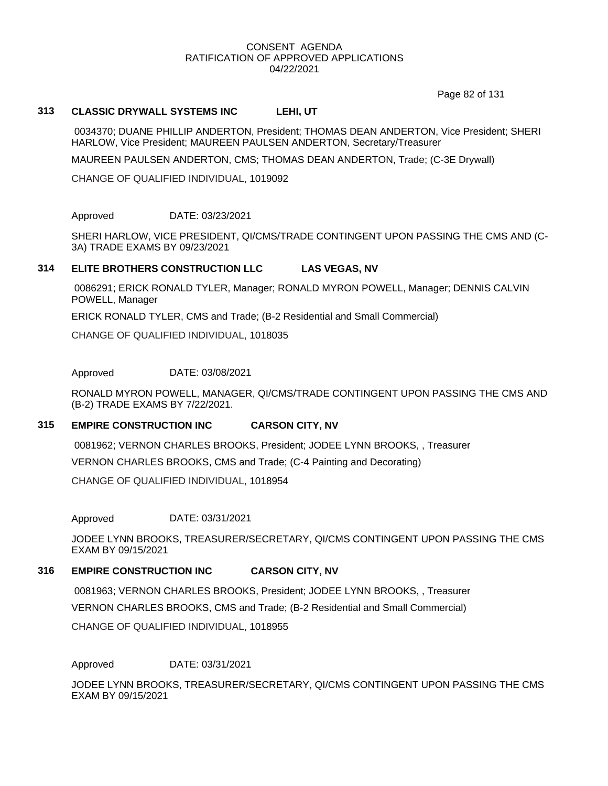Page 82 of 131

# **313 CLASSIC DRYWALL SYSTEMS INC LEHI, UT**

0034370; DUANE PHILLIP ANDERTON, President; THOMAS DEAN ANDERTON, Vice President; SHERI HARLOW, Vice President; MAUREEN PAULSEN ANDERTON, Secretary/Treasurer

MAUREEN PAULSEN ANDERTON, CMS; THOMAS DEAN ANDERTON, Trade; (C-3E Drywall)

CHANGE OF QUALIFIED INDIVIDUAL, 1019092

### Approved DATE: 03/23/2021

SHERI HARLOW, VICE PRESIDENT, QI/CMS/TRADE CONTINGENT UPON PASSING THE CMS AND (C-3A) TRADE EXAMS BY 09/23/2021

## **314 ELITE BROTHERS CONSTRUCTION LLC LAS VEGAS, NV**

0086291; ERICK RONALD TYLER, Manager; RONALD MYRON POWELL, Manager; DENNIS CALVIN POWELL, Manager

ERICK RONALD TYLER, CMS and Trade; (B-2 Residential and Small Commercial)

CHANGE OF QUALIFIED INDIVIDUAL, 1018035

Approved DATE: 03/08/2021

RONALD MYRON POWELL, MANAGER, QI/CMS/TRADE CONTINGENT UPON PASSING THE CMS AND (B-2) TRADE EXAMS BY 7/22/2021.

# **315 EMPIRE CONSTRUCTION INC CARSON CITY, NV**

0081962; VERNON CHARLES BROOKS, President; JODEE LYNN BROOKS, , Treasurer

VERNON CHARLES BROOKS, CMS and Trade; (C-4 Painting and Decorating)

CHANGE OF QUALIFIED INDIVIDUAL, 1018954

Approved DATE: 03/31/2021

JODEE LYNN BROOKS, TREASURER/SECRETARY, QI/CMS CONTINGENT UPON PASSING THE CMS EXAM BY 09/15/2021

## **316 EMPIRE CONSTRUCTION INC CARSON CITY, NV**

0081963; VERNON CHARLES BROOKS, President; JODEE LYNN BROOKS, , Treasurer

VERNON CHARLES BROOKS, CMS and Trade; (B-2 Residential and Small Commercial)

CHANGE OF QUALIFIED INDIVIDUAL, 1018955

Approved DATE: 03/31/2021

JODEE LYNN BROOKS, TREASURER/SECRETARY, QI/CMS CONTINGENT UPON PASSING THE CMS EXAM BY 09/15/2021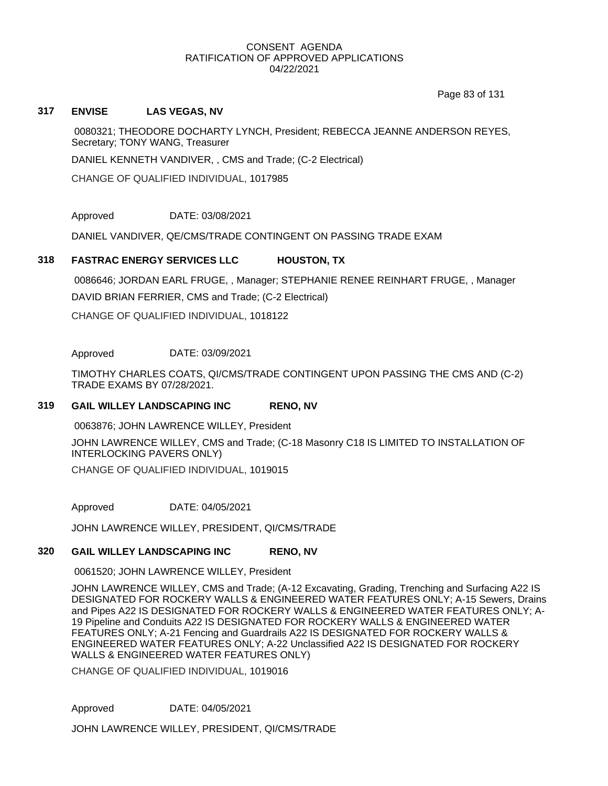Page 83 of 131

# **317 ENVISE LAS VEGAS, NV**

0080321; THEODORE DOCHARTY LYNCH, President; REBECCA JEANNE ANDERSON REYES, Secretary; TONY WANG, Treasurer

DANIEL KENNETH VANDIVER, , CMS and Trade; (C-2 Electrical)

CHANGE OF QUALIFIED INDIVIDUAL, 1017985

Approved DATE: 03/08/2021

DANIEL VANDIVER, QE/CMS/TRADE CONTINGENT ON PASSING TRADE EXAM

# **318 FASTRAC ENERGY SERVICES LLC HOUSTON, TX**

0086646; JORDAN EARL FRUGE, , Manager; STEPHANIE RENEE REINHART FRUGE, , Manager DAVID BRIAN FERRIER, CMS and Trade; (C-2 Electrical)

CHANGE OF QUALIFIED INDIVIDUAL, 1018122

Approved DATE: 03/09/2021

TIMOTHY CHARLES COATS, QI/CMS/TRADE CONTINGENT UPON PASSING THE CMS AND (C-2) TRADE EXAMS BY 07/28/2021.

## **319 GAIL WILLEY LANDSCAPING INC RENO, NV**

0063876; JOHN LAWRENCE WILLEY, President

JOHN LAWRENCE WILLEY, CMS and Trade; (C-18 Masonry C18 IS LIMITED TO INSTALLATION OF INTERLOCKING PAVERS ONLY) CHANGE OF QUALIFIED INDIVIDUAL, 1019015

Approved DATE: 04/05/2021

JOHN LAWRENCE WILLEY, PRESIDENT, QI/CMS/TRADE

## **320 GAIL WILLEY LANDSCAPING INC RENO, NV**

0061520; JOHN LAWRENCE WILLEY, President

JOHN LAWRENCE WILLEY, CMS and Trade; (A-12 Excavating, Grading, Trenching and Surfacing A22 IS DESIGNATED FOR ROCKERY WALLS & ENGINEERED WATER FEATURES ONLY; A-15 Sewers, Drains and Pipes A22 IS DESIGNATED FOR ROCKERY WALLS & ENGINEERED WATER FEATURES ONLY; A-19 Pipeline and Conduits A22 IS DESIGNATED FOR ROCKERY WALLS & ENGINEERED WATER FEATURES ONLY; A-21 Fencing and Guardrails A22 IS DESIGNATED FOR ROCKERY WALLS & ENGINEERED WATER FEATURES ONLY; A-22 Unclassified A22 IS DESIGNATED FOR ROCKERY WALLS & ENGINEERED WATER FEATURES ONLY)

CHANGE OF QUALIFIED INDIVIDUAL, 1019016

Approved DATE: 04/05/2021

JOHN LAWRENCE WILLEY, PRESIDENT, QI/CMS/TRADE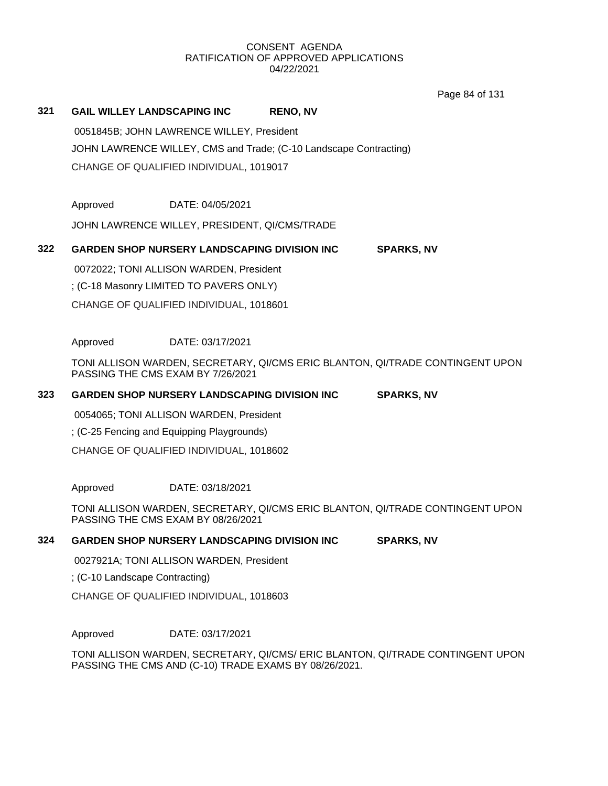Page 84 of 131

# **321 GAIL WILLEY LANDSCAPING INC RENO, NV**

0051845B; JOHN LAWRENCE WILLEY, President JOHN LAWRENCE WILLEY, CMS and Trade; (C-10 Landscape Contracting) CHANGE OF QUALIFIED INDIVIDUAL, 1019017

Approved DATE: 04/05/2021

JOHN LAWRENCE WILLEY, PRESIDENT, QI/CMS/TRADE

# **322 GARDEN SHOP NURSERY LANDSCAPING DIVISION INC SPARKS, NV**

0072022; TONI ALLISON WARDEN, President

; (C-18 Masonry LIMITED TO PAVERS ONLY)

CHANGE OF QUALIFIED INDIVIDUAL, 1018601

Approved DATE: 03/17/2021

TONI ALLISON WARDEN, SECRETARY, QI/CMS ERIC BLANTON, QI/TRADE CONTINGENT UPON PASSING THE CMS EXAM BY 7/26/2021

## **323 GARDEN SHOP NURSERY LANDSCAPING DIVISION INC SPARKS, NV**

0054065; TONI ALLISON WARDEN, President

; (C-25 Fencing and Equipping Playgrounds)

CHANGE OF QUALIFIED INDIVIDUAL, 1018602

Approved DATE: 03/18/2021

TONI ALLISON WARDEN, SECRETARY, QI/CMS ERIC BLANTON, QI/TRADE CONTINGENT UPON PASSING THE CMS EXAM BY 08/26/2021

# **324 GARDEN SHOP NURSERY LANDSCAPING DIVISION INC SPARKS, NV**

0027921A; TONI ALLISON WARDEN, President

; (C-10 Landscape Contracting)

CHANGE OF QUALIFIED INDIVIDUAL, 1018603

Approved DATE: 03/17/2021

TONI ALLISON WARDEN, SECRETARY, QI/CMS/ ERIC BLANTON, QI/TRADE CONTINGENT UPON PASSING THE CMS AND (C-10) TRADE EXAMS BY 08/26/2021.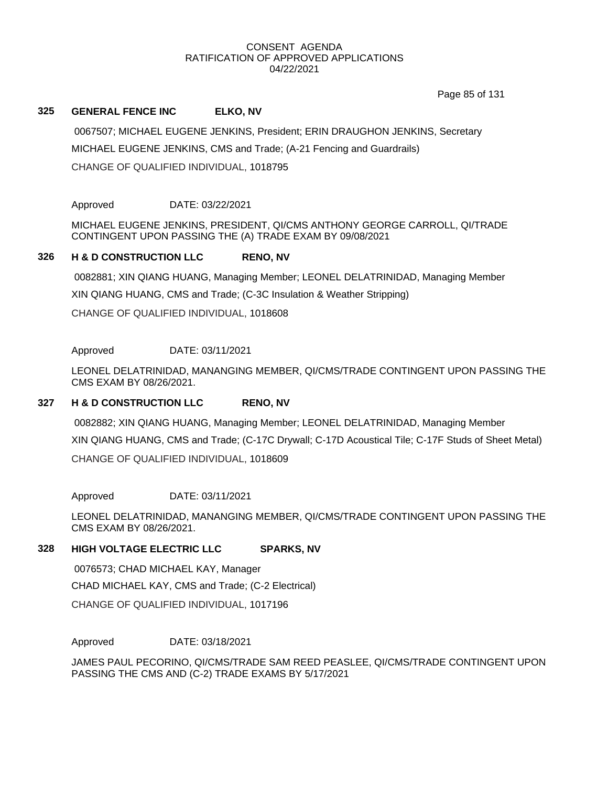Page 85 of 131

# **325 GENERAL FENCE INC ELKO, NV**

0067507; MICHAEL EUGENE JENKINS, President; ERIN DRAUGHON JENKINS, Secretary MICHAEL EUGENE JENKINS, CMS and Trade; (A-21 Fencing and Guardrails) CHANGE OF QUALIFIED INDIVIDUAL, 1018795

Approved DATE: 03/22/2021

MICHAEL EUGENE JENKINS, PRESIDENT, QI/CMS ANTHONY GEORGE CARROLL, QI/TRADE CONTINGENT UPON PASSING THE (A) TRADE EXAM BY 09/08/2021

# **326 H & D CONSTRUCTION LLC RENO, NV**

0082881; XIN QIANG HUANG, Managing Member; LEONEL DELATRINIDAD, Managing Member XIN QIANG HUANG, CMS and Trade; (C-3C Insulation & Weather Stripping)

CHANGE OF QUALIFIED INDIVIDUAL, 1018608

# Approved DATE: 03/11/2021

LEONEL DELATRINIDAD, MANANGING MEMBER, QI/CMS/TRADE CONTINGENT UPON PASSING THE CMS EXAM BY 08/26/2021.

## **327 H & D CONSTRUCTION LLC RENO, NV**

0082882; XIN QIANG HUANG, Managing Member; LEONEL DELATRINIDAD, Managing Member XIN QIANG HUANG, CMS and Trade; (C-17C Drywall; C-17D Acoustical Tile; C-17F Studs of Sheet Metal) CHANGE OF QUALIFIED INDIVIDUAL, 1018609

Approved DATE: 03/11/2021

LEONEL DELATRINIDAD, MANANGING MEMBER, QI/CMS/TRADE CONTINGENT UPON PASSING THE CMS EXAM BY 08/26/2021.

# **328 HIGH VOLTAGE ELECTRIC LLC SPARKS, NV**

0076573; CHAD MICHAEL KAY, Manager CHAD MICHAEL KAY, CMS and Trade; (C-2 Electrical) CHANGE OF QUALIFIED INDIVIDUAL, 1017196

Approved DATE: 03/18/2021

JAMES PAUL PECORINO, QI/CMS/TRADE SAM REED PEASLEE, QI/CMS/TRADE CONTINGENT UPON PASSING THE CMS AND (C-2) TRADE EXAMS BY 5/17/2021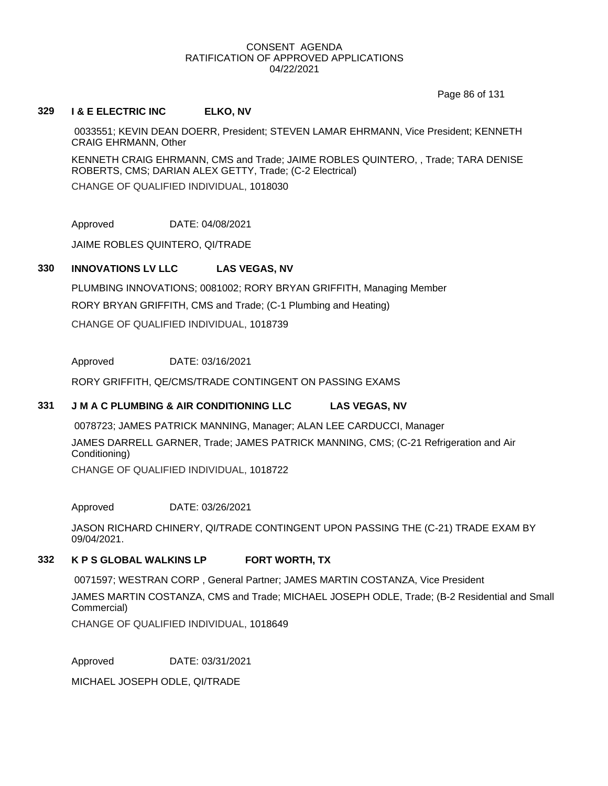Page 86 of 131

## **329 I & E ELECTRIC INC ELKO, NV**

0033551; KEVIN DEAN DOERR, President; STEVEN LAMAR EHRMANN, Vice President; KENNETH CRAIG EHRMANN, Other

KENNETH CRAIG EHRMANN, CMS and Trade; JAIME ROBLES QUINTERO, , Trade; TARA DENISE ROBERTS, CMS; DARIAN ALEX GETTY, Trade; (C-2 Electrical)

CHANGE OF QUALIFIED INDIVIDUAL, 1018030

Approved DATE: 04/08/2021

JAIME ROBLES QUINTERO, QI/TRADE

# **330 INNOVATIONS LV LLC LAS VEGAS, NV**

PLUMBING INNOVATIONS; 0081002; RORY BRYAN GRIFFITH, Managing Member RORY BRYAN GRIFFITH, CMS and Trade; (C-1 Plumbing and Heating) CHANGE OF QUALIFIED INDIVIDUAL, 1018739

Approved DATE: 03/16/2021

RORY GRIFFITH, QE/CMS/TRADE CONTINGENT ON PASSING EXAMS

# **331 J M A C PLUMBING & AIR CONDITIONING LLC LAS VEGAS, NV**

0078723; JAMES PATRICK MANNING, Manager; ALAN LEE CARDUCCI, Manager JAMES DARRELL GARNER, Trade; JAMES PATRICK MANNING, CMS; (C-21 Refrigeration and Air Conditioning)

CHANGE OF QUALIFIED INDIVIDUAL, 1018722

Approved DATE: 03/26/2021

JASON RICHARD CHINERY, QI/TRADE CONTINGENT UPON PASSING THE (C-21) TRADE EXAM BY 09/04/2021.

# **332 K P S GLOBAL WALKINS LP FORT WORTH, TX**

0071597; WESTRAN CORP , General Partner; JAMES MARTIN COSTANZA, Vice President

JAMES MARTIN COSTANZA, CMS and Trade; MICHAEL JOSEPH ODLE, Trade; (B-2 Residential and Small Commercial)

CHANGE OF QUALIFIED INDIVIDUAL, 1018649

Approved DATE: 03/31/2021

MICHAEL JOSEPH ODLE, QI/TRADE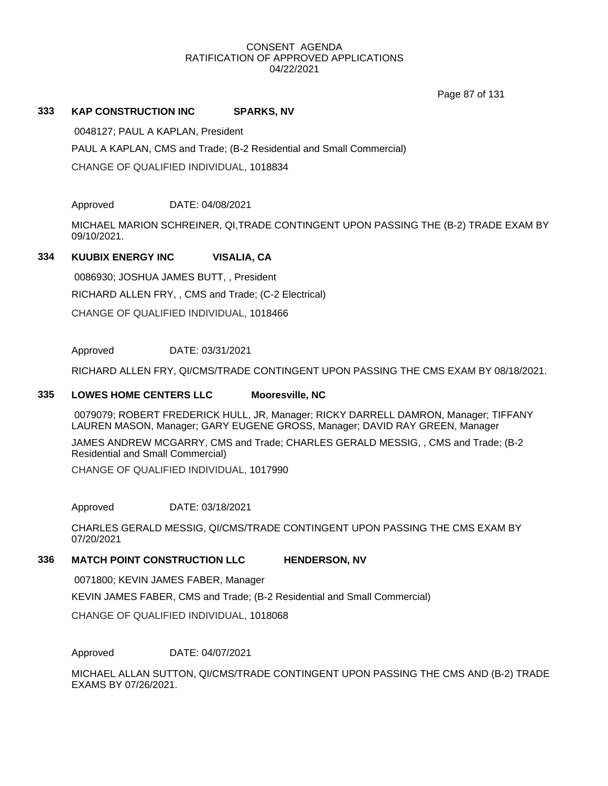Page 87 of 131

# **333 KAP CONSTRUCTION INC SPARKS, NV**

0048127; PAUL A KAPLAN, President PAUL A KAPLAN, CMS and Trade; (B-2 Residential and Small Commercial) CHANGE OF QUALIFIED INDIVIDUAL, 1018834

Approved DATE: 04/08/2021

MICHAEL MARION SCHREINER, QI,TRADE CONTINGENT UPON PASSING THE (B-2) TRADE EXAM BY 09/10/2021.

# **334 KUUBIX ENERGY INC VISALIA, CA**

0086930; JOSHUA JAMES BUTT, , President RICHARD ALLEN FRY, , CMS and Trade; (C-2 Electrical) CHANGE OF QUALIFIED INDIVIDUAL, 1018466

# Approved DATE: 03/31/2021

RICHARD ALLEN FRY, QI/CMS/TRADE CONTINGENT UPON PASSING THE CMS EXAM BY 08/18/2021.

## **335 LOWES HOME CENTERS LLC Mooresville, NC**

0079079; ROBERT FREDERICK HULL, JR, Manager; RICKY DARRELL DAMRON, Manager; TIFFANY LAUREN MASON, Manager; GARY EUGENE GROSS, Manager; DAVID RAY GREEN, Manager

JAMES ANDREW MCGARRY, CMS and Trade; CHARLES GERALD MESSIG, , CMS and Trade; (B-2 Residential and Small Commercial)

CHANGE OF QUALIFIED INDIVIDUAL, 1017990

Approved DATE: 03/18/2021

CHARLES GERALD MESSIG, QI/CMS/TRADE CONTINGENT UPON PASSING THE CMS EXAM BY 07/20/2021

# **336 MATCH POINT CONSTRUCTION LLC HENDERSON, NV**

0071800; KEVIN JAMES FABER, Manager KEVIN JAMES FABER, CMS and Trade; (B-2 Residential and Small Commercial) CHANGE OF QUALIFIED INDIVIDUAL, 1018068

Approved DATE: 04/07/2021

MICHAEL ALLAN SUTTON, QI/CMS/TRADE CONTINGENT UPON PASSING THE CMS AND (B-2) TRADE EXAMS BY 07/26/2021.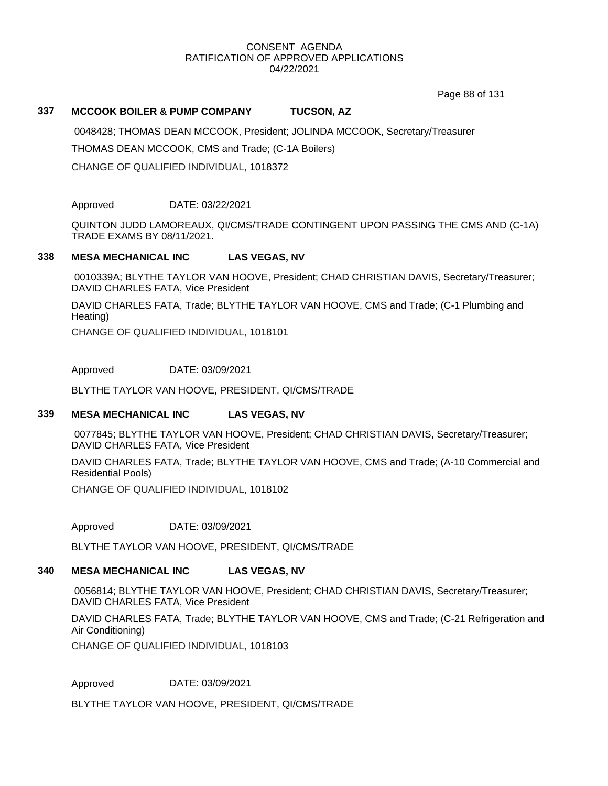Page 88 of 131

# **337 MCCOOK BOILER & PUMP COMPANY TUCSON, AZ**

0048428; THOMAS DEAN MCCOOK, President; JOLINDA MCCOOK, Secretary/Treasurer

THOMAS DEAN MCCOOK, CMS and Trade; (C-1A Boilers)

CHANGE OF QUALIFIED INDIVIDUAL, 1018372

Approved DATE: 03/22/2021

QUINTON JUDD LAMOREAUX, QI/CMS/TRADE CONTINGENT UPON PASSING THE CMS AND (C-1A) TRADE EXAMS BY 08/11/2021.

# **338 MESA MECHANICAL INC LAS VEGAS, NV**

0010339A; BLYTHE TAYLOR VAN HOOVE, President; CHAD CHRISTIAN DAVIS, Secretary/Treasurer; DAVID CHARLES FATA, Vice President

DAVID CHARLES FATA, Trade; BLYTHE TAYLOR VAN HOOVE, CMS and Trade; (C-1 Plumbing and Heating)

CHANGE OF QUALIFIED INDIVIDUAL, 1018101

Approved DATE: 03/09/2021

BLYTHE TAYLOR VAN HOOVE, PRESIDENT, QI/CMS/TRADE

## **339 MESA MECHANICAL INC LAS VEGAS, NV**

0077845; BLYTHE TAYLOR VAN HOOVE, President; CHAD CHRISTIAN DAVIS, Secretary/Treasurer; DAVID CHARLES FATA, Vice President

DAVID CHARLES FATA, Trade; BLYTHE TAYLOR VAN HOOVE, CMS and Trade; (A-10 Commercial and Residential Pools)

CHANGE OF QUALIFIED INDIVIDUAL, 1018102

Approved DATE: 03/09/2021

BLYTHE TAYLOR VAN HOOVE, PRESIDENT, QI/CMS/TRADE

# **340 MESA MECHANICAL INC LAS VEGAS, NV**

0056814; BLYTHE TAYLOR VAN HOOVE, President; CHAD CHRISTIAN DAVIS, Secretary/Treasurer; DAVID CHARLES FATA, Vice President

DAVID CHARLES FATA, Trade; BLYTHE TAYLOR VAN HOOVE, CMS and Trade; (C-21 Refrigeration and Air Conditioning)

CHANGE OF QUALIFIED INDIVIDUAL, 1018103

Approved DATE: 03/09/2021

BLYTHE TAYLOR VAN HOOVE, PRESIDENT, QI/CMS/TRADE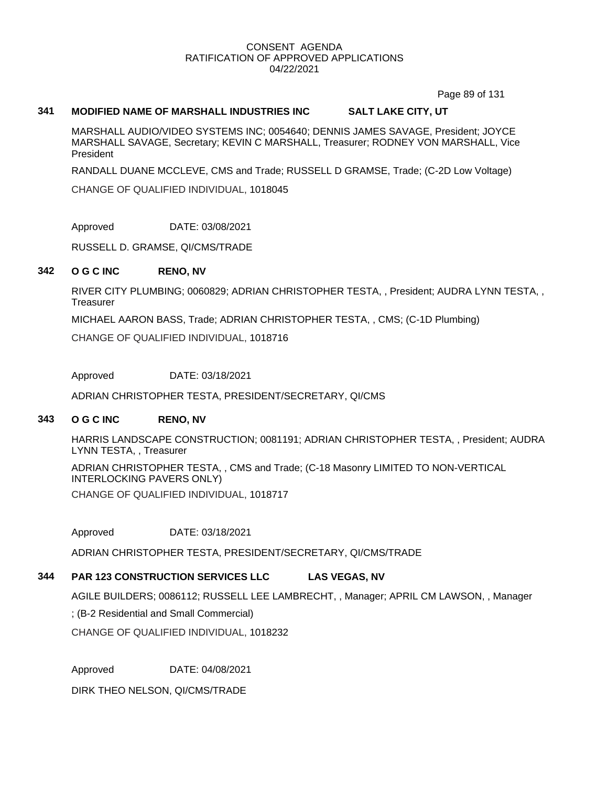Page 89 of 131

# **341 MODIFIED NAME OF MARSHALL INDUSTRIES INC SALT LAKE CITY, UT**

MARSHALL AUDIO/VIDEO SYSTEMS INC; 0054640; DENNIS JAMES SAVAGE, President; JOYCE MARSHALL SAVAGE, Secretary; KEVIN C MARSHALL, Treasurer; RODNEY VON MARSHALL, Vice President

RANDALL DUANE MCCLEVE, CMS and Trade; RUSSELL D GRAMSE, Trade; (C-2D Low Voltage)

CHANGE OF QUALIFIED INDIVIDUAL, 1018045

Approved DATE: 03/08/2021

RUSSELL D. GRAMSE, QI/CMS/TRADE

## **342 O G C INC RENO, NV**

RIVER CITY PLUMBING; 0060829; ADRIAN CHRISTOPHER TESTA, , President; AUDRA LYNN TESTA, , **Treasurer** 

MICHAEL AARON BASS, Trade; ADRIAN CHRISTOPHER TESTA, , CMS; (C-1D Plumbing)

CHANGE OF QUALIFIED INDIVIDUAL, 1018716

Approved DATE: 03/18/2021

ADRIAN CHRISTOPHER TESTA, PRESIDENT/SECRETARY, QI/CMS

# **343 O G C INC RENO, NV**

HARRIS LANDSCAPE CONSTRUCTION; 0081191; ADRIAN CHRISTOPHER TESTA, , President; AUDRA LYNN TESTA, , Treasurer

ADRIAN CHRISTOPHER TESTA, , CMS and Trade; (C-18 Masonry LIMITED TO NON-VERTICAL INTERLOCKING PAVERS ONLY) CHANGE OF QUALIFIED INDIVIDUAL, 1018717

Approved DATE: 03/18/2021

ADRIAN CHRISTOPHER TESTA, PRESIDENT/SECRETARY, QI/CMS/TRADE

# **344 PAR 123 CONSTRUCTION SERVICES LLC LAS VEGAS, NV**

AGILE BUILDERS; 0086112; RUSSELL LEE LAMBRECHT, , Manager; APRIL CM LAWSON, , Manager

; (B-2 Residential and Small Commercial)

CHANGE OF QUALIFIED INDIVIDUAL, 1018232

Approved DATE: 04/08/2021

DIRK THEO NELSON, QI/CMS/TRADE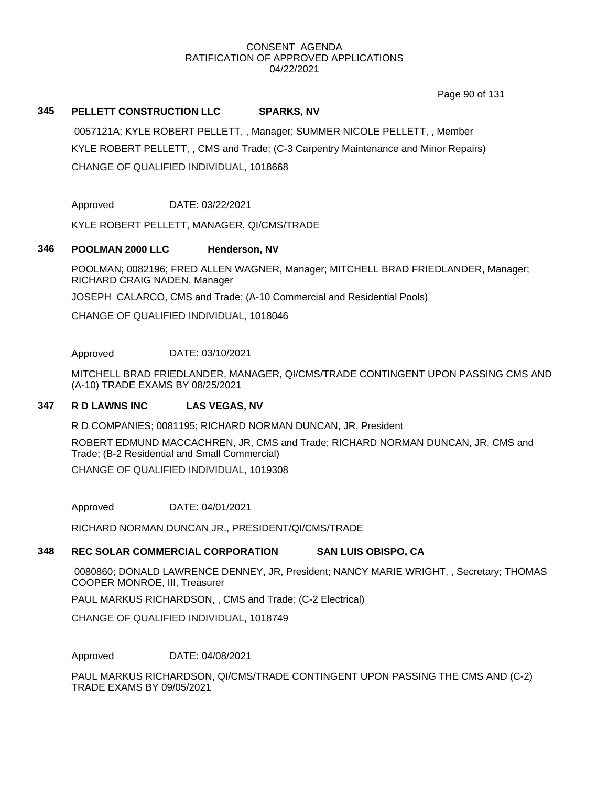Page 90 of 131

# **345 PELLETT CONSTRUCTION LLC SPARKS, NV**

0057121A; KYLE ROBERT PELLETT, , Manager; SUMMER NICOLE PELLETT, , Member KYLE ROBERT PELLETT, , CMS and Trade; (C-3 Carpentry Maintenance and Minor Repairs) CHANGE OF QUALIFIED INDIVIDUAL, 1018668

Approved DATE: 03/22/2021

KYLE ROBERT PELLETT, MANAGER, QI/CMS/TRADE

## **346 POOLMAN 2000 LLC Henderson, NV**

POOLMAN; 0082196; FRED ALLEN WAGNER, Manager; MITCHELL BRAD FRIEDLANDER, Manager; RICHARD CRAIG NADEN, Manager

JOSEPH CALARCO, CMS and Trade; (A-10 Commercial and Residential Pools)

CHANGE OF QUALIFIED INDIVIDUAL, 1018046

Approved DATE: 03/10/2021

MITCHELL BRAD FRIEDLANDER, MANAGER, QI/CMS/TRADE CONTINGENT UPON PASSING CMS AND (A-10) TRADE EXAMS BY 08/25/2021

## **347 R D LAWNS INC LAS VEGAS, NV**

R D COMPANIES; 0081195; RICHARD NORMAN DUNCAN, JR, President

ROBERT EDMUND MACCACHREN, JR, CMS and Trade; RICHARD NORMAN DUNCAN, JR, CMS and Trade; (B-2 Residential and Small Commercial) CHANGE OF QUALIFIED INDIVIDUAL, 1019308

Approved DATE: 04/01/2021

RICHARD NORMAN DUNCAN JR., PRESIDENT/QI/CMS/TRADE

# **348 REC SOLAR COMMERCIAL CORPORATION SAN LUIS OBISPO, CA**

0080860; DONALD LAWRENCE DENNEY, JR, President; NANCY MARIE WRIGHT, , Secretary; THOMAS COOPER MONROE, III, Treasurer

PAUL MARKUS RICHARDSON, , CMS and Trade; (C-2 Electrical)

CHANGE OF QUALIFIED INDIVIDUAL, 1018749

Approved DATE: 04/08/2021

PAUL MARKUS RICHARDSON, QI/CMS/TRADE CONTINGENT UPON PASSING THE CMS AND (C-2) TRADE EXAMS BY 09/05/2021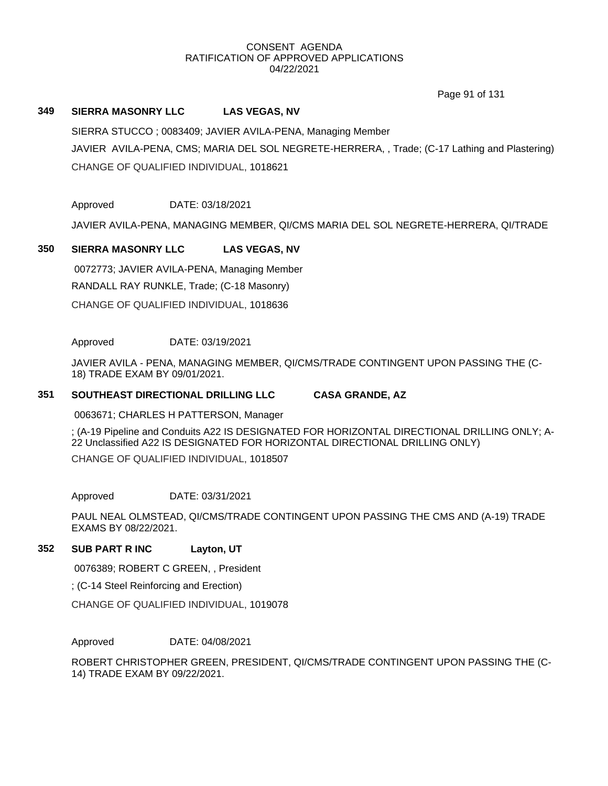Page 91 of 131

# **349 SIERRA MASONRY LLC LAS VEGAS, NV**

SIERRA STUCCO ; 0083409; JAVIER AVILA-PENA, Managing Member JAVIER AVILA-PENA, CMS; MARIA DEL SOL NEGRETE-HERRERA, , Trade; (C-17 Lathing and Plastering) CHANGE OF QUALIFIED INDIVIDUAL, 1018621

Approved DATE: 03/18/2021

JAVIER AVILA-PENA, MANAGING MEMBER, QI/CMS MARIA DEL SOL NEGRETE-HERRERA, QI/TRADE

# **350 SIERRA MASONRY LLC LAS VEGAS, NV**

0072773; JAVIER AVILA-PENA, Managing Member RANDALL RAY RUNKLE, Trade; (C-18 Masonry) CHANGE OF QUALIFIED INDIVIDUAL, 1018636

## Approved DATE: 03/19/2021

JAVIER AVILA - PENA, MANAGING MEMBER, QI/CMS/TRADE CONTINGENT UPON PASSING THE (C-18) TRADE EXAM BY 09/01/2021.

# **351 SOUTHEAST DIRECTIONAL DRILLING LLC CASA GRANDE, AZ**

0063671; CHARLES H PATTERSON, Manager

; (A-19 Pipeline and Conduits A22 IS DESIGNATED FOR HORIZONTAL DIRECTIONAL DRILLING ONLY; A-22 Unclassified A22 IS DESIGNATED FOR HORIZONTAL DIRECTIONAL DRILLING ONLY) CHANGE OF QUALIFIED INDIVIDUAL, 1018507

Approved DATE: 03/31/2021

PAUL NEAL OLMSTEAD, QI/CMS/TRADE CONTINGENT UPON PASSING THE CMS AND (A-19) TRADE EXAMS BY 08/22/2021.

# **352 SUB PART R INC Layton, UT**

0076389; ROBERT C GREEN, , President

; (C-14 Steel Reinforcing and Erection)

CHANGE OF QUALIFIED INDIVIDUAL, 1019078

Approved DATE: 04/08/2021

ROBERT CHRISTOPHER GREEN, PRESIDENT, QI/CMS/TRADE CONTINGENT UPON PASSING THE (C-14) TRADE EXAM BY 09/22/2021.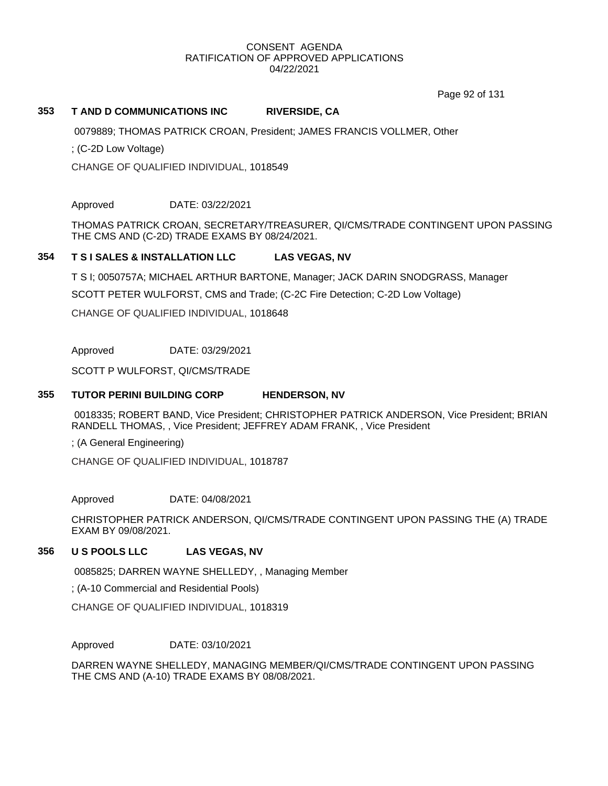Page 92 of 131

## **353 T AND D COMMUNICATIONS INC RIVERSIDE, CA**

0079889; THOMAS PATRICK CROAN, President; JAMES FRANCIS VOLLMER, Other

; (C-2D Low Voltage)

CHANGE OF QUALIFIED INDIVIDUAL, 1018549

Approved DATE: 03/22/2021

THOMAS PATRICK CROAN, SECRETARY/TREASURER, QI/CMS/TRADE CONTINGENT UPON PASSING THE CMS AND (C-2D) TRADE EXAMS BY 08/24/2021.

# **354 T S I SALES & INSTALLATION LLC LAS VEGAS, NV**

T S I; 0050757A; MICHAEL ARTHUR BARTONE, Manager; JACK DARIN SNODGRASS, Manager

SCOTT PETER WULFORST, CMS and Trade; (C-2C Fire Detection; C-2D Low Voltage)

CHANGE OF QUALIFIED INDIVIDUAL, 1018648

Approved DATE: 03/29/2021

SCOTT P WULFORST, QI/CMS/TRADE

## **355 TUTOR PERINI BUILDING CORP HENDERSON, NV**

0018335; ROBERT BAND, Vice President; CHRISTOPHER PATRICK ANDERSON, Vice President; BRIAN RANDELL THOMAS, , Vice President; JEFFREY ADAM FRANK, , Vice President

; (A General Engineering)

CHANGE OF QUALIFIED INDIVIDUAL, 1018787

Approved DATE: 04/08/2021

CHRISTOPHER PATRICK ANDERSON, QI/CMS/TRADE CONTINGENT UPON PASSING THE (A) TRADE EXAM BY 09/08/2021.

# **356 U S POOLS LLC LAS VEGAS, NV**

0085825; DARREN WAYNE SHELLEDY, , Managing Member

; (A-10 Commercial and Residential Pools)

CHANGE OF QUALIFIED INDIVIDUAL, 1018319

Approved DATE: 03/10/2021

DARREN WAYNE SHELLEDY, MANAGING MEMBER/QI/CMS/TRADE CONTINGENT UPON PASSING THE CMS AND (A-10) TRADE EXAMS BY 08/08/2021.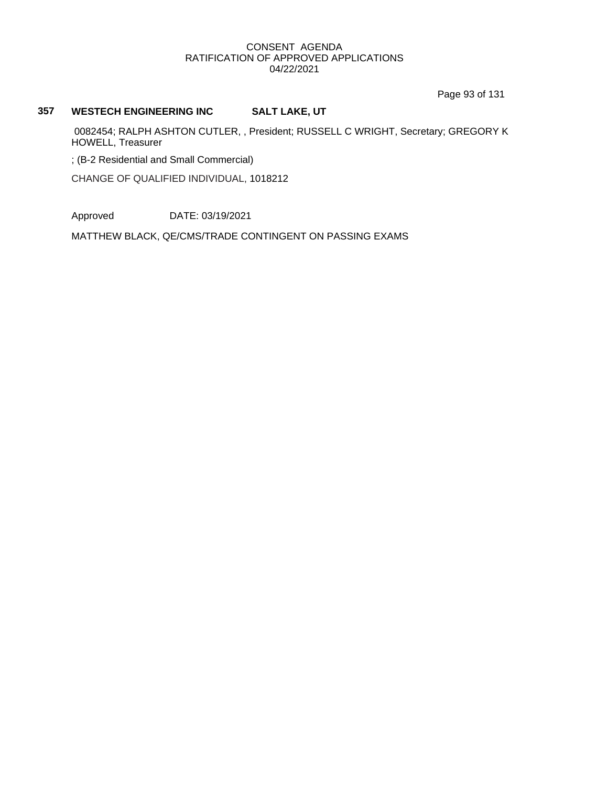Page 93 of 131

# **357 WESTECH ENGINEERING INC SALT LAKE, UT**

0082454; RALPH ASHTON CUTLER, , President; RUSSELL C WRIGHT, Secretary; GREGORY K HOWELL, Treasurer

; (B-2 Residential and Small Commercial)

CHANGE OF QUALIFIED INDIVIDUAL, 1018212

Approved DATE: 03/19/2021

MATTHEW BLACK, QE/CMS/TRADE CONTINGENT ON PASSING EXAMS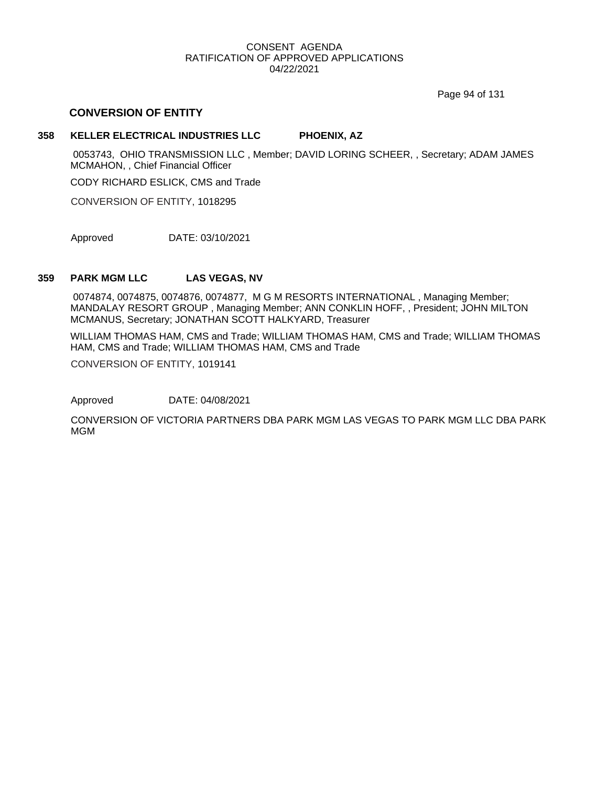Page 94 of 131

# **CONVERSION OF ENTITY**

## **358 KELLER ELECTRICAL INDUSTRIES LLC PHOENIX, AZ**

0053743, OHIO TRANSMISSION LLC , Member; DAVID LORING SCHEER, , Secretary; ADAM JAMES MCMAHON, , Chief Financial Officer

CODY RICHARD ESLICK, CMS and Trade

CONVERSION OF ENTITY, 1018295

Approved DATE: 03/10/2021

## **359 PARK MGM LLC LAS VEGAS, NV**

0074874, 0074875, 0074876, 0074877, M G M RESORTS INTERNATIONAL , Managing Member; MANDALAY RESORT GROUP , Managing Member; ANN CONKLIN HOFF, , President; JOHN MILTON MCMANUS, Secretary; JONATHAN SCOTT HALKYARD, Treasurer

WILLIAM THOMAS HAM, CMS and Trade; WILLIAM THOMAS HAM, CMS and Trade; WILLIAM THOMAS HAM, CMS and Trade; WILLIAM THOMAS HAM, CMS and Trade

CONVERSION OF ENTITY, 1019141

Approved DATE: 04/08/2021

CONVERSION OF VICTORIA PARTNERS DBA PARK MGM LAS VEGAS TO PARK MGM LLC DBA PARK MGM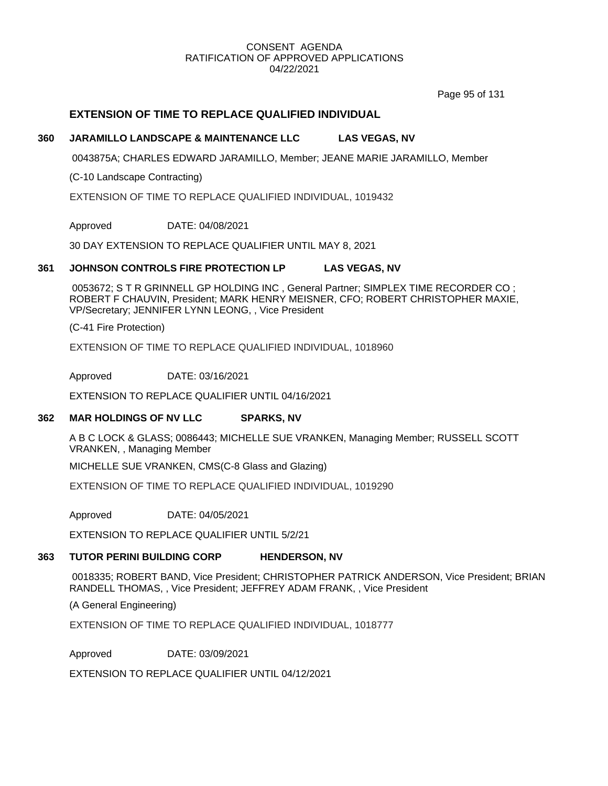Page 95 of 131

# **EXTENSION OF TIME TO REPLACE QUALIFIED INDIVIDUAL**

## **360 JARAMILLO LANDSCAPE & MAINTENANCE LLC LAS VEGAS, NV**

0043875A; CHARLES EDWARD JARAMILLO, Member; JEANE MARIE JARAMILLO, Member

(C-10 Landscape Contracting)

EXTENSION OF TIME TO REPLACE QUALIFIED INDIVIDUAL, 1019432

Approved DATE: 04/08/2021

30 DAY EXTENSION TO REPLACE QUALIFIER UNTIL MAY 8, 2021

## **361 JOHNSON CONTROLS FIRE PROTECTION LP LAS VEGAS, NV**

0053672; S T R GRINNELL GP HOLDING INC , General Partner; SIMPLEX TIME RECORDER CO ; ROBERT F CHAUVIN, President; MARK HENRY MEISNER, CFO; ROBERT CHRISTOPHER MAXIE, VP/Secretary; JENNIFER LYNN LEONG, , Vice President

(C-41 Fire Protection)

EXTENSION OF TIME TO REPLACE QUALIFIED INDIVIDUAL, 1018960

Approved DATE: 03/16/2021

EXTENSION TO REPLACE QUALIFIER UNTIL 04/16/2021

## **362 MAR HOLDINGS OF NV LLC SPARKS, NV**

A B C LOCK & GLASS; 0086443; MICHELLE SUE VRANKEN, Managing Member; RUSSELL SCOTT VRANKEN, , Managing Member

MICHELLE SUE VRANKEN, CMS(C-8 Glass and Glazing)

EXTENSION OF TIME TO REPLACE QUALIFIED INDIVIDUAL, 1019290

Approved DATE: 04/05/2021

EXTENSION TO REPLACE QUALIFIER UNTIL 5/2/21

## **363 TUTOR PERINI BUILDING CORP HENDERSON, NV**

0018335; ROBERT BAND, Vice President; CHRISTOPHER PATRICK ANDERSON, Vice President; BRIAN RANDELL THOMAS, , Vice President; JEFFREY ADAM FRANK, , Vice President

(A General Engineering)

EXTENSION OF TIME TO REPLACE QUALIFIED INDIVIDUAL, 1018777

Approved DATE: 03/09/2021

EXTENSION TO REPLACE QUALIFIER UNTIL 04/12/2021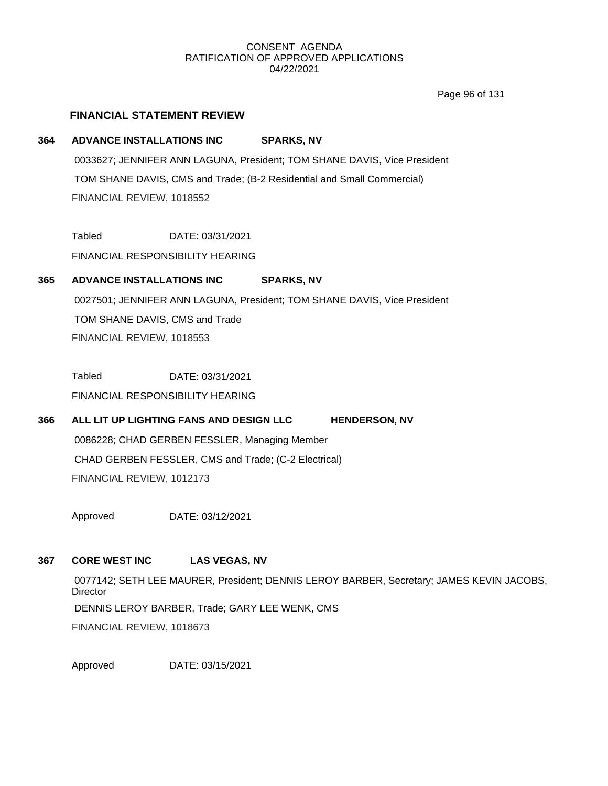Page 96 of 131

# **FINANCIAL STATEMENT REVIEW**

# **364 ADVANCE INSTALLATIONS INC SPARKS, NV**

0033627; JENNIFER ANN LAGUNA, President; TOM SHANE DAVIS, Vice President TOM SHANE DAVIS, CMS and Trade; (B-2 Residential and Small Commercial) FINANCIAL REVIEW, 1018552

Tabled DATE: 03/31/2021

FINANCIAL RESPONSIBILITY HEARING

# **365 ADVANCE INSTALLATIONS INC SPARKS, NV**

0027501; JENNIFER ANN LAGUNA, President; TOM SHANE DAVIS, Vice President TOM SHANE DAVIS, CMS and Trade FINANCIAL REVIEW, 1018553

Tabled DATE: 03/31/2021

FINANCIAL RESPONSIBILITY HEARING

**366 ALL LIT UP LIGHTING FANS AND DESIGN LLC HENDERSON, NV** 0086228; CHAD GERBEN FESSLER, Managing Member CHAD GERBEN FESSLER, CMS and Trade; (C-2 Electrical) FINANCIAL REVIEW, 1012173

Approved DATE: 03/12/2021

# **367 CORE WEST INC LAS VEGAS, NV**

0077142; SETH LEE MAURER, President; DENNIS LEROY BARBER, Secretary; JAMES KEVIN JACOBS, **Director** DENNIS LEROY BARBER, Trade; GARY LEE WENK, CMS FINANCIAL REVIEW, 1018673

Approved DATE: 03/15/2021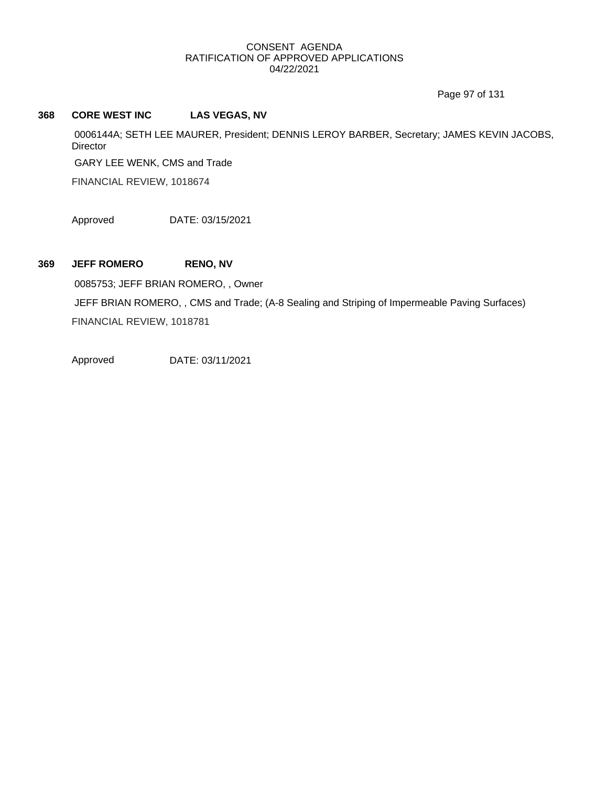Page 97 of 131

# **368 CORE WEST INC LAS VEGAS, NV**

0006144A; SETH LEE MAURER, President; DENNIS LEROY BARBER, Secretary; JAMES KEVIN JACOBS, **Director** 

GARY LEE WENK, CMS and Trade

FINANCIAL REVIEW, 1018674

Approved DATE: 03/15/2021

**369 JEFF ROMERO RENO, NV**

0085753; JEFF BRIAN ROMERO, , Owner JEFF BRIAN ROMERO, , CMS and Trade; (A-8 Sealing and Striping of Impermeable Paving Surfaces) FINANCIAL REVIEW, 1018781

Approved DATE: 03/11/2021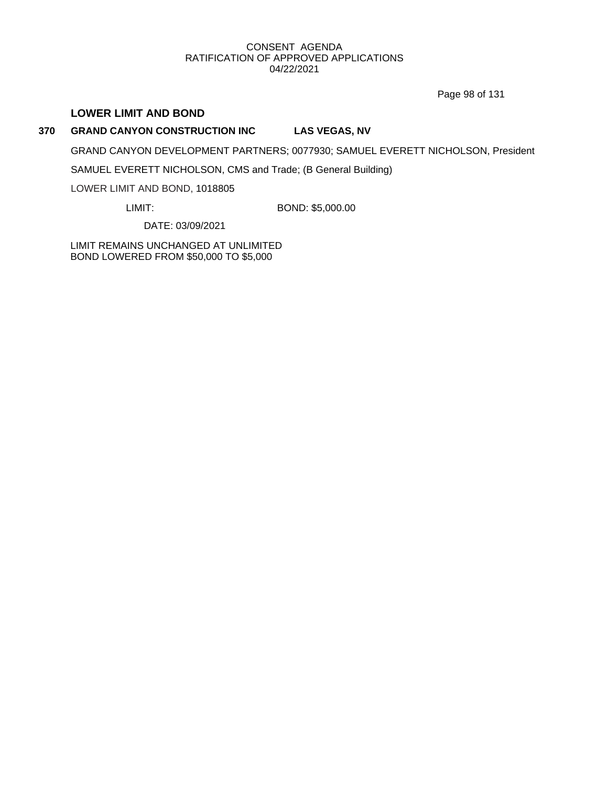Page 98 of 131

# **LOWER LIMIT AND BOND**

# **370 GRAND CANYON CONSTRUCTION INC LAS VEGAS, NV**

GRAND CANYON DEVELOPMENT PARTNERS; 0077930; SAMUEL EVERETT NICHOLSON, President

SAMUEL EVERETT NICHOLSON, CMS and Trade; (B General Building)

LOWER LIMIT AND BOND, 1018805

LIMIT: BOND: \$5,000.00

DATE: 03/09/2021

LIMIT REMAINS UNCHANGED AT UNLIMITED BOND LOWERED FROM \$50,000 TO \$5,000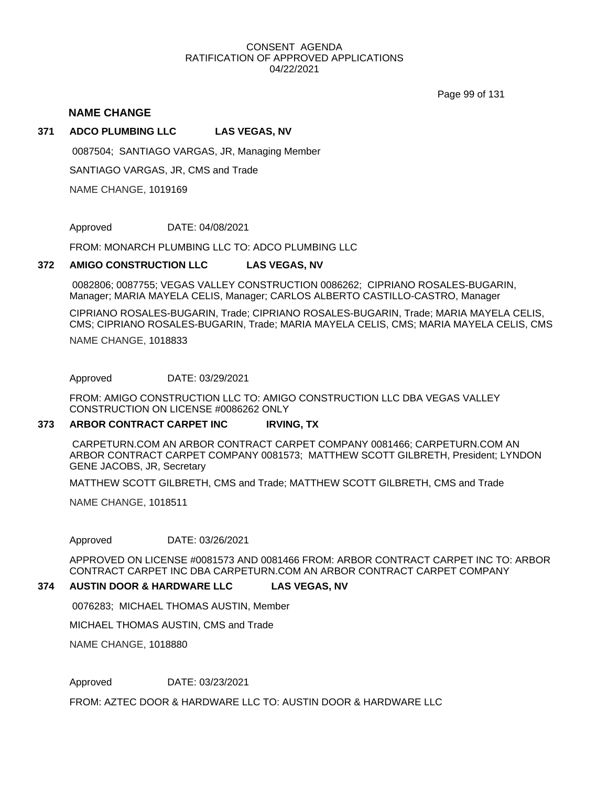Page 99 of 131

## **NAME CHANGE**

#### **371 ADCO PLUMBING LLC LAS VEGAS, NV**

0087504; SANTIAGO VARGAS, JR, Managing Member

SANTIAGO VARGAS, JR, CMS and Trade

NAME CHANGE, 1019169

Approved DATE: 04/08/2021

FROM: MONARCH PLUMBING LLC TO: ADCO PLUMBING LLC

#### **372 AMIGO CONSTRUCTION LLC LAS VEGAS, NV**

0082806; 0087755; VEGAS VALLEY CONSTRUCTION 0086262; CIPRIANO ROSALES-BUGARIN, Manager; MARIA MAYELA CELIS, Manager; CARLOS ALBERTO CASTILLO-CASTRO, Manager

CIPRIANO ROSALES-BUGARIN, Trade; CIPRIANO ROSALES-BUGARIN, Trade; MARIA MAYELA CELIS, CMS; CIPRIANO ROSALES-BUGARIN, Trade; MARIA MAYELA CELIS, CMS; MARIA MAYELA CELIS, CMS

NAME CHANGE, 1018833

Approved DATE: 03/29/2021

FROM: AMIGO CONSTRUCTION LLC TO: AMIGO CONSTRUCTION LLC DBA VEGAS VALLEY CONSTRUCTION ON LICENSE #0086262 ONLY

#### **373 ARBOR CONTRACT CARPET INC IRVING, TX**

CARPETURN.COM AN ARBOR CONTRACT CARPET COMPANY 0081466; CARPETURN.COM AN ARBOR CONTRACT CARPET COMPANY 0081573; MATTHEW SCOTT GILBRETH, President; LYNDON GENE JACOBS, JR, Secretary

MATTHEW SCOTT GILBRETH, CMS and Trade; MATTHEW SCOTT GILBRETH, CMS and Trade

NAME CHANGE, 1018511

Approved DATE: 03/26/2021

APPROVED ON LICENSE #0081573 AND 0081466 FROM: ARBOR CONTRACT CARPET INC TO: ARBOR CONTRACT CARPET INC DBA CARPETURN.COM AN ARBOR CONTRACT CARPET COMPANY

#### **374 AUSTIN DOOR & HARDWARE LLC LAS VEGAS, NV**

0076283; MICHAEL THOMAS AUSTIN, Member

MICHAEL THOMAS AUSTIN, CMS and Trade

NAME CHANGE, 1018880

Approved DATE: 03/23/2021

FROM: AZTEC DOOR & HARDWARE LLC TO: AUSTIN DOOR & HARDWARE LLC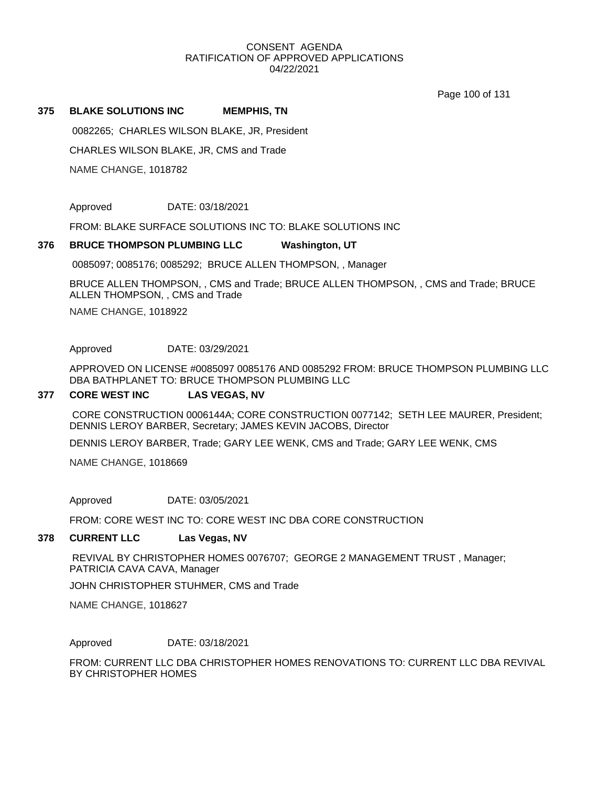Page 100 of 131

#### **375 BLAKE SOLUTIONS INC MEMPHIS, TN**

0082265; CHARLES WILSON BLAKE, JR, President

CHARLES WILSON BLAKE, JR, CMS and Trade

NAME CHANGE, 1018782

Approved DATE: 03/18/2021

FROM: BLAKE SURFACE SOLUTIONS INC TO: BLAKE SOLUTIONS INC

#### **376 BRUCE THOMPSON PLUMBING LLC Washington, UT**

0085097; 0085176; 0085292; BRUCE ALLEN THOMPSON, , Manager

NAME CHANGE, 1018922 BRUCE ALLEN THOMPSON, , CMS and Trade; BRUCE ALLEN THOMPSON, , CMS and Trade; BRUCE ALLEN THOMPSON, , CMS and Trade

Approved DATE: 03/29/2021

APPROVED ON LICENSE #0085097 0085176 AND 0085292 FROM: BRUCE THOMPSON PLUMBING LLC DBA BATHPLANET TO: BRUCE THOMPSON PLUMBING LLC

#### **377 CORE WEST INC LAS VEGAS, NV**

CORE CONSTRUCTION 0006144A; CORE CONSTRUCTION 0077142; SETH LEE MAURER, President; DENNIS LEROY BARBER, Secretary; JAMES KEVIN JACOBS, Director

DENNIS LEROY BARBER, Trade; GARY LEE WENK, CMS and Trade; GARY LEE WENK, CMS

NAME CHANGE, 1018669

Approved DATE: 03/05/2021

FROM: CORE WEST INC TO: CORE WEST INC DBA CORE CONSTRUCTION

#### **378 CURRENT LLC Las Vegas, NV**

REVIVAL BY CHRISTOPHER HOMES 0076707; GEORGE 2 MANAGEMENT TRUST , Manager; PATRICIA CAVA CAVA, Manager

JOHN CHRISTOPHER STUHMER, CMS and Trade

NAME CHANGE, 1018627

#### Approved DATE: 03/18/2021

FROM: CURRENT LLC DBA CHRISTOPHER HOMES RENOVATIONS TO: CURRENT LLC DBA REVIVAL BY CHRISTOPHER HOMES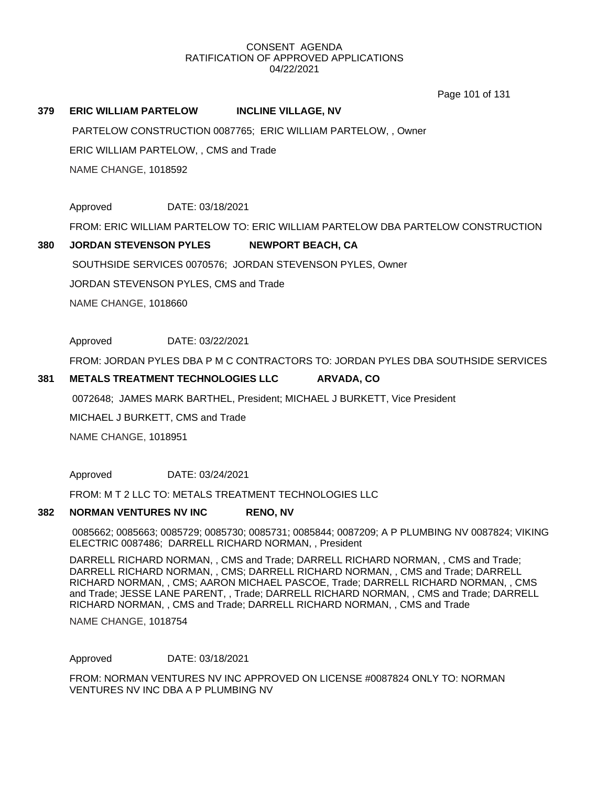Page 101 of 131

#### **379 ERIC WILLIAM PARTELOW INCLINE VILLAGE, NV**

NAME CHANGE, 1018592 ERIC WILLIAM PARTELOW, , CMS and Trade PARTELOW CONSTRUCTION 0087765; ERIC WILLIAM PARTELOW, , Owner

Approved DATE: 03/18/2021

FROM: ERIC WILLIAM PARTELOW TO: ERIC WILLIAM PARTELOW DBA PARTELOW CONSTRUCTION

#### **380 JORDAN STEVENSON PYLES NEWPORT BEACH, CA**

SOUTHSIDE SERVICES 0070576; JORDAN STEVENSON PYLES, Owner

JORDAN STEVENSON PYLES, CMS and Trade

NAME CHANGE, 1018660

Approved DATE: 03/22/2021

FROM: JORDAN PYLES DBA P M C CONTRACTORS TO: JORDAN PYLES DBA SOUTHSIDE SERVICES

#### **381 METALS TREATMENT TECHNOLOGIES LLC ARVADA, CO**

0072648; JAMES MARK BARTHEL, President; MICHAEL J BURKETT, Vice President

MICHAEL J BURKETT, CMS and Trade

NAME CHANGE, 1018951

Approved DATE: 03/24/2021

FROM: M T 2 LLC TO: METALS TREATMENT TECHNOLOGIES LLC

#### **382 NORMAN VENTURES NV INC RENO, NV**

0085662; 0085663; 0085729; 0085730; 0085731; 0085844; 0087209; A P PLUMBING NV 0087824; VIKING ELECTRIC 0087486; DARRELL RICHARD NORMAN, , President

DARRELL RICHARD NORMAN, , CMS and Trade; DARRELL RICHARD NORMAN, , CMS and Trade; DARRELL RICHARD NORMAN, , CMS; DARRELL RICHARD NORMAN, , CMS and Trade; DARRELL RICHARD NORMAN, , CMS; AARON MICHAEL PASCOE, Trade; DARRELL RICHARD NORMAN, , CMS and Trade; JESSE LANE PARENT, , Trade; DARRELL RICHARD NORMAN, , CMS and Trade; DARRELL RICHARD NORMAN, , CMS and Trade; DARRELL RICHARD NORMAN, , CMS and Trade

NAME CHANGE, 1018754

Approved DATE: 03/18/2021

FROM: NORMAN VENTURES NV INC APPROVED ON LICENSE #0087824 ONLY TO: NORMAN VENTURES NV INC DBA A P PLUMBING NV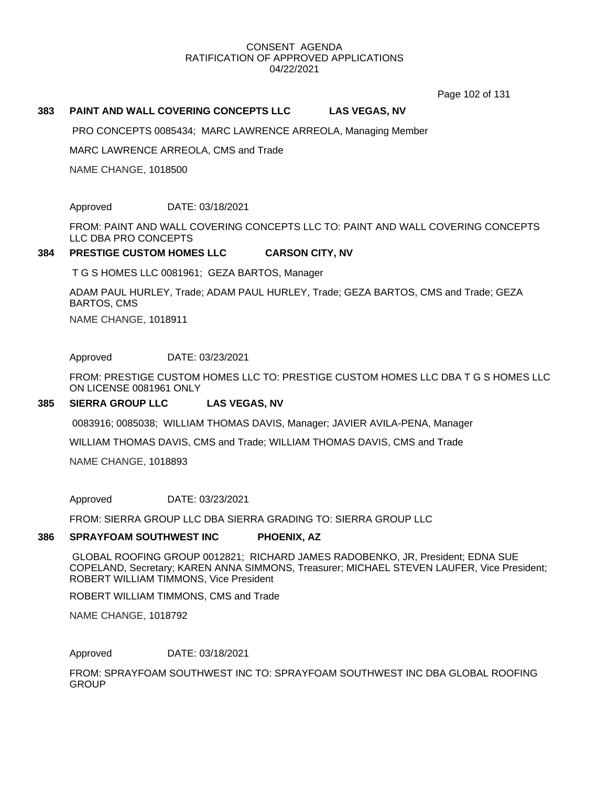Page 102 of 131

#### **383 PAINT AND WALL COVERING CONCEPTS LLC LAS VEGAS, NV**

PRO CONCEPTS 0085434; MARC LAWRENCE ARREOLA, Managing Member

MARC LAWRENCE ARREOLA, CMS and Trade

NAME CHANGE, 1018500

Approved DATE: 03/18/2021

FROM: PAINT AND WALL COVERING CONCEPTS LLC TO: PAINT AND WALL COVERING CONCEPTS LLC DBA PRO CONCEPTS

#### **384 PRESTIGE CUSTOM HOMES LLC CARSON CITY, NV**

T G S HOMES LLC 0081961; GEZA BARTOS, Manager

ADAM PAUL HURLEY, Trade; ADAM PAUL HURLEY, Trade; GEZA BARTOS, CMS and Trade; GEZA BARTOS, CMS

NAME CHANGE, 1018911

Approved DATE: 03/23/2021

FROM: PRESTIGE CUSTOM HOMES LLC TO: PRESTIGE CUSTOM HOMES LLC DBA T G S HOMES LLC ON LICENSE 0081961 ONLY

#### **385 SIERRA GROUP LLC LAS VEGAS, NV**

0083916; 0085038; WILLIAM THOMAS DAVIS, Manager; JAVIER AVILA-PENA, Manager

WILLIAM THOMAS DAVIS, CMS and Trade; WILLIAM THOMAS DAVIS, CMS and Trade

NAME CHANGE, 1018893

Approved DATE: 03/23/2021

FROM: SIERRA GROUP LLC DBA SIERRA GRADING TO: SIERRA GROUP LLC

#### **386 SPRAYFOAM SOUTHWEST INC PHOENIX, AZ**

GLOBAL ROOFING GROUP 0012821; RICHARD JAMES RADOBENKO, JR, President; EDNA SUE COPELAND, Secretary; KAREN ANNA SIMMONS, Treasurer; MICHAEL STEVEN LAUFER, Vice President; ROBERT WILLIAM TIMMONS, Vice President

ROBERT WILLIAM TIMMONS, CMS and Trade

NAME CHANGE, 1018792

Approved DATE: 03/18/2021

FROM: SPRAYFOAM SOUTHWEST INC TO: SPRAYFOAM SOUTHWEST INC DBA GLOBAL ROOFING **GROUP**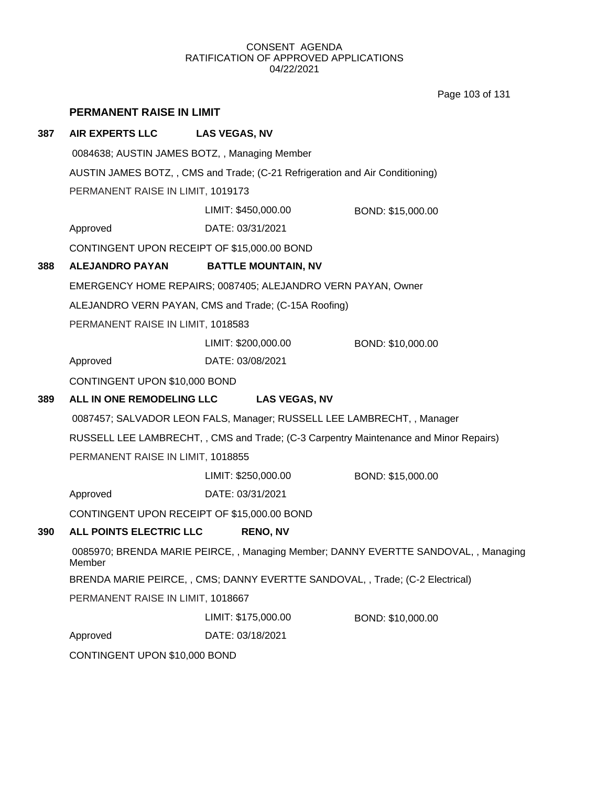Page 103 of 131

|     | <b>PERMANENT RAISE IN LIMIT</b>                                                               |                            |                   |  |  |  |
|-----|-----------------------------------------------------------------------------------------------|----------------------------|-------------------|--|--|--|
| 387 | <b>AIR EXPERTS LLC</b>                                                                        | <b>LAS VEGAS, NV</b>       |                   |  |  |  |
|     | 0084638; AUSTIN JAMES BOTZ, , Managing Member                                                 |                            |                   |  |  |  |
|     | AUSTIN JAMES BOTZ, , CMS and Trade; (C-21 Refrigeration and Air Conditioning)                 |                            |                   |  |  |  |
|     | PERMANENT RAISE IN LIMIT, 1019173                                                             |                            |                   |  |  |  |
|     |                                                                                               | LIMIT: \$450,000.00        | BOND: \$15,000.00 |  |  |  |
|     | Approved                                                                                      | DATE: 03/31/2021           |                   |  |  |  |
|     | CONTINGENT UPON RECEIPT OF \$15,000.00 BOND                                                   |                            |                   |  |  |  |
| 388 | <b>ALEJANDRO PAYAN</b>                                                                        | <b>BATTLE MOUNTAIN, NV</b> |                   |  |  |  |
|     | EMERGENCY HOME REPAIRS; 0087405; ALEJANDRO VERN PAYAN, Owner                                  |                            |                   |  |  |  |
|     | ALEJANDRO VERN PAYAN, CMS and Trade; (C-15A Roofing)                                          |                            |                   |  |  |  |
|     | PERMANENT RAISE IN LIMIT, 1018583                                                             |                            |                   |  |  |  |
|     |                                                                                               | LIMIT: \$200,000.00        | BOND: \$10,000.00 |  |  |  |
|     | Approved                                                                                      | DATE: 03/08/2021           |                   |  |  |  |
|     | CONTINGENT UPON \$10,000 BOND                                                                 |                            |                   |  |  |  |
| 389 | ALL IN ONE REMODELING LLC                                                                     | <b>LAS VEGAS, NV</b>       |                   |  |  |  |
|     | 0087457; SALVADOR LEON FALS, Manager; RUSSELL LEE LAMBRECHT, , Manager                        |                            |                   |  |  |  |
|     | RUSSELL LEE LAMBRECHT,, CMS and Trade; (C-3 Carpentry Maintenance and Minor Repairs)          |                            |                   |  |  |  |
|     | PERMANENT RAISE IN LIMIT, 1018855                                                             |                            |                   |  |  |  |
|     |                                                                                               | LIMIT: \$250,000.00        | BOND: \$15,000.00 |  |  |  |
|     | Approved                                                                                      | DATE: 03/31/2021           |                   |  |  |  |
|     | CONTINGENT UPON RECEIPT OF \$15,000.00 BOND                                                   |                            |                   |  |  |  |
| 390 | ALL POINTS ELECTRIC LLC                                                                       | <b>RENO, NV</b>            |                   |  |  |  |
|     | 0085970; BRENDA MARIE PEIRCE, , Managing Member; DANNY EVERTTE SANDOVAL, , Managing<br>Member |                            |                   |  |  |  |
|     | BRENDA MARIE PEIRCE, , CMS; DANNY EVERTTE SANDOVAL, , Trade; (C-2 Electrical)                 |                            |                   |  |  |  |
|     | PERMANENT RAISE IN LIMIT, 1018667                                                             |                            |                   |  |  |  |
|     |                                                                                               | LIMIT: \$175,000.00        | BOND: \$10,000.00 |  |  |  |
|     | Approved                                                                                      | DATE: 03/18/2021           |                   |  |  |  |
|     | CONTINGENT UPON \$10,000 BOND                                                                 |                            |                   |  |  |  |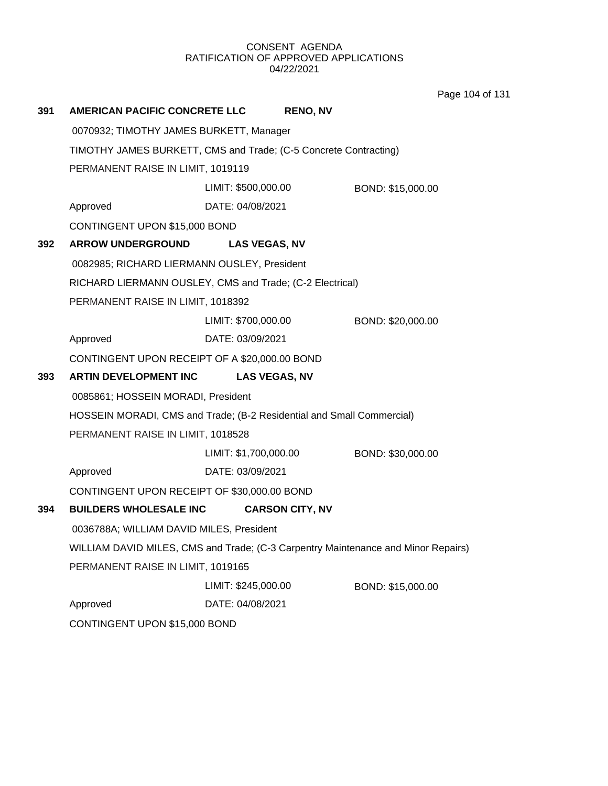Page 104 of 131

| 391 | <b>AMERICAN PACIFIC CONCRETE LLC</b>                                              |                       | <b>RENO, NV</b>        |                   |  |
|-----|-----------------------------------------------------------------------------------|-----------------------|------------------------|-------------------|--|
|     | 0070932; TIMOTHY JAMES BURKETT, Manager                                           |                       |                        |                   |  |
|     | TIMOTHY JAMES BURKETT, CMS and Trade; (C-5 Concrete Contracting)                  |                       |                        |                   |  |
|     | PERMANENT RAISE IN LIMIT, 1019119                                                 |                       |                        |                   |  |
|     |                                                                                   | LIMIT: \$500,000.00   |                        | BOND: \$15,000.00 |  |
|     | Approved                                                                          | DATE: 04/08/2021      |                        |                   |  |
|     | CONTINGENT UPON \$15,000 BOND                                                     |                       |                        |                   |  |
| 392 | <b>ARROW UNDERGROUND</b>                                                          | <b>LAS VEGAS, NV</b>  |                        |                   |  |
|     | 0082985; RICHARD LIERMANN OUSLEY, President                                       |                       |                        |                   |  |
|     | RICHARD LIERMANN OUSLEY, CMS and Trade; (C-2 Electrical)                          |                       |                        |                   |  |
|     | PERMANENT RAISE IN LIMIT, 1018392                                                 |                       |                        |                   |  |
|     |                                                                                   | LIMIT: \$700,000.00   |                        | BOND: \$20,000.00 |  |
|     | Approved                                                                          | DATE: 03/09/2021      |                        |                   |  |
|     | CONTINGENT UPON RECEIPT OF A \$20,000.00 BOND                                     |                       |                        |                   |  |
| 393 | ARTIN DEVELOPMENT INC                                                             | <b>LAS VEGAS, NV</b>  |                        |                   |  |
|     | 0085861; HOSSEIN MORADI, President                                                |                       |                        |                   |  |
|     | HOSSEIN MORADI, CMS and Trade; (B-2 Residential and Small Commercial)             |                       |                        |                   |  |
|     | PERMANENT RAISE IN LIMIT, 1018528                                                 |                       |                        |                   |  |
|     |                                                                                   | LIMIT: \$1,700,000.00 |                        | BOND: \$30,000.00 |  |
|     | Approved                                                                          | DATE: 03/09/2021      |                        |                   |  |
|     | CONTINGENT UPON RECEIPT OF \$30,000.00 BOND                                       |                       |                        |                   |  |
| 394 | <b>BUILDERS WHOLESALE INC</b>                                                     |                       | <b>CARSON CITY, NV</b> |                   |  |
|     | 0036788A; WILLIAM DAVID MILES, President                                          |                       |                        |                   |  |
|     | WILLIAM DAVID MILES, CMS and Trade; (C-3 Carpentry Maintenance and Minor Repairs) |                       |                        |                   |  |
|     | PERMANENT RAISE IN LIMIT, 1019165                                                 |                       |                        |                   |  |
|     |                                                                                   | LIMIT: \$245,000.00   |                        | BOND: \$15,000.00 |  |
|     | Approved                                                                          | DATE: 04/08/2021      |                        |                   |  |
|     | CONTINGENT UPON \$15,000 BOND                                                     |                       |                        |                   |  |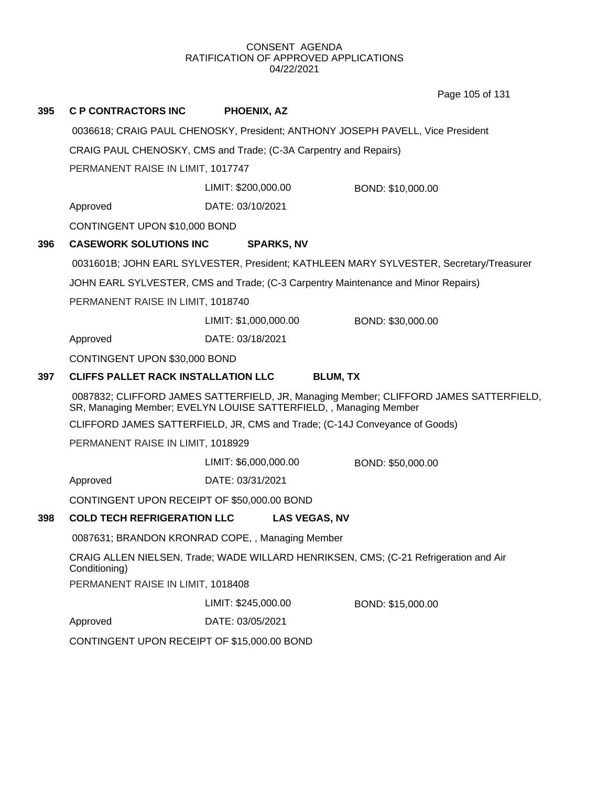Page 105 of 131

| 395                                                                                    | <b>C P CONTRACTORS INC</b>                                                                                                                                                                                                               | <b>PHOENIX, AZ</b>    |                   |  |  |  |
|----------------------------------------------------------------------------------------|------------------------------------------------------------------------------------------------------------------------------------------------------------------------------------------------------------------------------------------|-----------------------|-------------------|--|--|--|
|                                                                                        | 0036618; CRAIG PAUL CHENOSKY, President; ANTHONY JOSEPH PAVELL, Vice President                                                                                                                                                           |                       |                   |  |  |  |
|                                                                                        | CRAIG PAUL CHENOSKY, CMS and Trade; (C-3A Carpentry and Repairs)                                                                                                                                                                         |                       |                   |  |  |  |
|                                                                                        | PERMANENT RAISE IN LIMIT, 1017747                                                                                                                                                                                                        |                       |                   |  |  |  |
|                                                                                        |                                                                                                                                                                                                                                          | LIMIT: \$200,000.00   | BOND: \$10,000.00 |  |  |  |
|                                                                                        | Approved                                                                                                                                                                                                                                 | DATE: 03/10/2021      |                   |  |  |  |
|                                                                                        | CONTINGENT UPON \$10,000 BOND                                                                                                                                                                                                            |                       |                   |  |  |  |
| 396                                                                                    | <b>CASEWORK SOLUTIONS INC</b>                                                                                                                                                                                                            | <b>SPARKS, NV</b>     |                   |  |  |  |
| 0031601B; JOHN EARL SYLVESTER, President; KATHLEEN MARY SYLVESTER, Secretary/Treasurer |                                                                                                                                                                                                                                          |                       |                   |  |  |  |
|                                                                                        | JOHN EARL SYLVESTER, CMS and Trade; (C-3 Carpentry Maintenance and Minor Repairs)<br>PERMANENT RAISE IN LIMIT, 1018740                                                                                                                   |                       |                   |  |  |  |
|                                                                                        |                                                                                                                                                                                                                                          |                       |                   |  |  |  |
|                                                                                        |                                                                                                                                                                                                                                          | LIMIT: \$1,000,000.00 | BOND: \$30,000.00 |  |  |  |
|                                                                                        | Approved                                                                                                                                                                                                                                 | DATE: 03/18/2021      |                   |  |  |  |
|                                                                                        | CONTINGENT UPON \$30,000 BOND                                                                                                                                                                                                            |                       |                   |  |  |  |
| 397                                                                                    | <b>CLIFFS PALLET RACK INSTALLATION LLC</b><br><b>BLUM, TX</b>                                                                                                                                                                            |                       |                   |  |  |  |
|                                                                                        | 0087832; CLIFFORD JAMES SATTERFIELD, JR, Managing Member; CLIFFORD JAMES SATTERFIELD,<br>SR, Managing Member; EVELYN LOUISE SATTERFIELD, , Managing Member<br>CLIFFORD JAMES SATTERFIELD, JR, CMS and Trade; (C-14J Conveyance of Goods) |                       |                   |  |  |  |
|                                                                                        |                                                                                                                                                                                                                                          |                       |                   |  |  |  |
|                                                                                        | PERMANENT RAISE IN LIMIT, 1018929                                                                                                                                                                                                        |                       |                   |  |  |  |
|                                                                                        |                                                                                                                                                                                                                                          | LIMIT: \$6,000,000.00 | BOND: \$50,000.00 |  |  |  |
|                                                                                        | Approved                                                                                                                                                                                                                                 | DATE: 03/31/2021      |                   |  |  |  |
|                                                                                        | CONTINGENT UPON RECEIPT OF \$50,000.00 BOND                                                                                                                                                                                              |                       |                   |  |  |  |
| 398                                                                                    | <b>COLD TECH REFRIGERATION LLC</b>                                                                                                                                                                                                       | <b>LAS VEGAS, NV</b>  |                   |  |  |  |
|                                                                                        | 0087631; BRANDON KRONRAD COPE, , Managing Member<br>CRAIG ALLEN NIELSEN, Trade; WADE WILLARD HENRIKSEN, CMS; (C-21 Refrigeration and Air<br>Conditioning)<br>PERMANENT RAISE IN LIMIT, 1018408                                           |                       |                   |  |  |  |
|                                                                                        |                                                                                                                                                                                                                                          |                       |                   |  |  |  |
|                                                                                        |                                                                                                                                                                                                                                          |                       |                   |  |  |  |
|                                                                                        |                                                                                                                                                                                                                                          | LIMIT: \$245,000.00   | BOND: \$15,000.00 |  |  |  |
|                                                                                        | Approved                                                                                                                                                                                                                                 | DATE: 03/05/2021      |                   |  |  |  |
|                                                                                        | CONTINGENT UPON RECEIPT OF \$15,000.00 BOND                                                                                                                                                                                              |                       |                   |  |  |  |
|                                                                                        |                                                                                                                                                                                                                                          |                       |                   |  |  |  |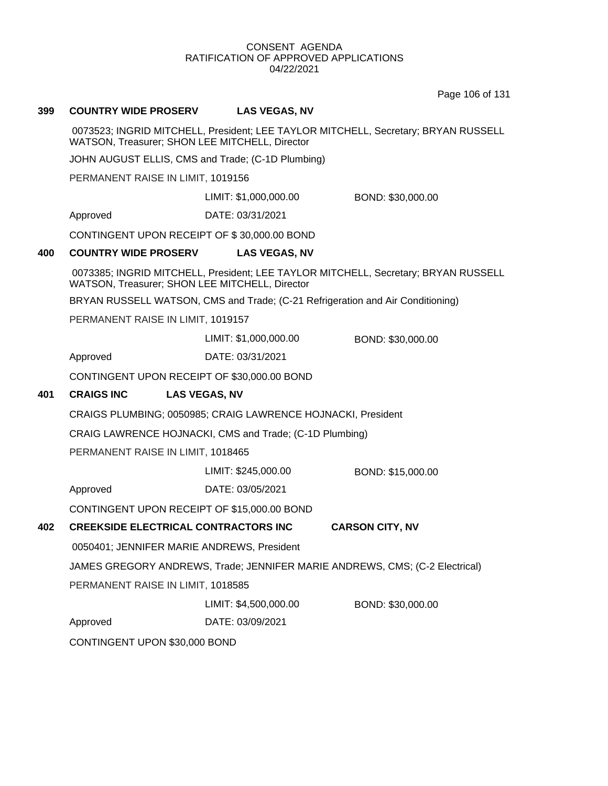Page 106 of 131

## **399 COUNTRY WIDE PROSERV LAS VEGAS, NV**

0073523; INGRID MITCHELL, President; LEE TAYLOR MITCHELL, Secretary; BRYAN RUSSELL WATSON, Treasurer; SHON LEE MITCHELL, Director

JOHN AUGUST ELLIS, CMS and Trade; (C-1D Plumbing)

PERMANENT RAISE IN LIMIT, 1019156

LIMIT: \$1,000,000.00 BOND: \$30,000.00

Approved DATE: 03/31/2021

CONTINGENT UPON RECEIPT OF \$ 30,000.00 BOND

#### **400 COUNTRY WIDE PROSERV LAS VEGAS, NV**

0073385; INGRID MITCHELL, President; LEE TAYLOR MITCHELL, Secretary; BRYAN RUSSELL WATSON, Treasurer; SHON LEE MITCHELL, Director

BRYAN RUSSELL WATSON, CMS and Trade; (C-21 Refrigeration and Air Conditioning)

PERMANENT RAISE IN LIMIT, 1019157

LIMIT: \$1,000,000.00 BOND: \$30,000.00

Approved DATE: 03/31/2021

CONTINGENT UPON RECEIPT OF \$30,000.00 BOND

#### **401 CRAIGS INC LAS VEGAS, NV**

CRAIGS PLUMBING; 0050985; CRAIG LAWRENCE HOJNACKI, President

CRAIG LAWRENCE HOJNACKI, CMS and Trade; (C-1D Plumbing)

PERMANENT RAISE IN LIMIT, 1018465

LIMIT: \$245,000.00 BOND: \$15,000.00

Approved DATE: 03/05/2021

CONTINGENT UPON RECEIPT OF \$15,000.00 BOND

#### **402 CREEKSIDE ELECTRICAL CONTRACTORS INC CARSON CITY, NV**

0050401; JENNIFER MARIE ANDREWS, President

JAMES GREGORY ANDREWS, Trade; JENNIFER MARIE ANDREWS, CMS; (C-2 Electrical)

PERMANENT RAISE IN LIMIT, 1018585

LIMIT: \$4,500,000.00 BOND: \$30,000.00

Approved DATE: 03/09/2021

CONTINGENT UPON \$30,000 BOND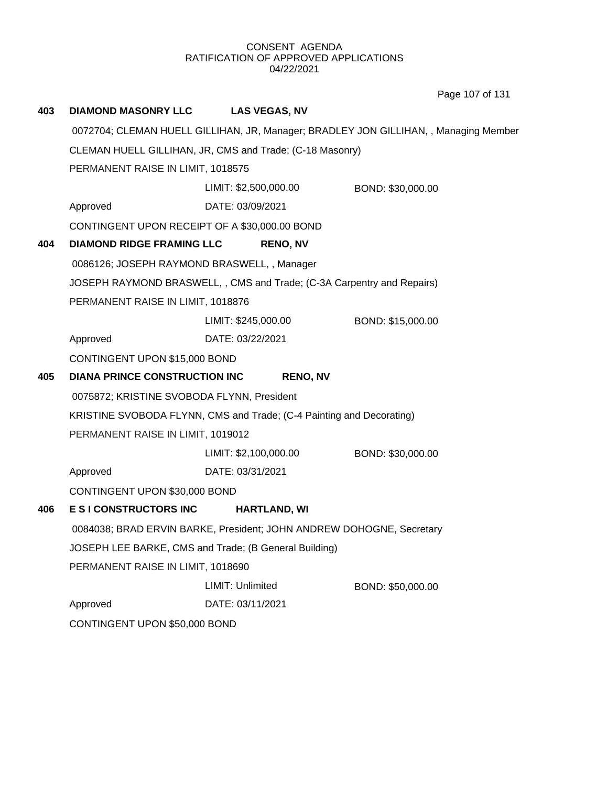Page 107 of 131

| 403                                                                                                                           | <b>DIAMOND MASONRY LLC</b>                    | <b>LAS VEGAS, NV</b>                                                   |                                                                                      |  |  |
|-------------------------------------------------------------------------------------------------------------------------------|-----------------------------------------------|------------------------------------------------------------------------|--------------------------------------------------------------------------------------|--|--|
|                                                                                                                               |                                               |                                                                        | 0072704; CLEMAN HUELL GILLIHAN, JR, Manager; BRADLEY JON GILLIHAN, , Managing Member |  |  |
|                                                                                                                               |                                               | CLEMAN HUELL GILLIHAN, JR, CMS and Trade; (C-18 Masonry)               |                                                                                      |  |  |
|                                                                                                                               | PERMANENT RAISE IN LIMIT, 1018575             |                                                                        |                                                                                      |  |  |
|                                                                                                                               |                                               | LIMIT: \$2,500,000.00                                                  | BOND: \$30,000.00                                                                    |  |  |
|                                                                                                                               | Approved                                      | DATE: 03/09/2021                                                       |                                                                                      |  |  |
|                                                                                                                               | CONTINGENT UPON RECEIPT OF A \$30,000.00 BOND |                                                                        |                                                                                      |  |  |
| 404                                                                                                                           | <b>DIAMOND RIDGE FRAMING LLC</b>              | <b>RENO, NV</b>                                                        |                                                                                      |  |  |
|                                                                                                                               | 0086126; JOSEPH RAYMOND BRASWELL, , Manager   |                                                                        |                                                                                      |  |  |
|                                                                                                                               |                                               | JOSEPH RAYMOND BRASWELL, , CMS and Trade; (C-3A Carpentry and Repairs) |                                                                                      |  |  |
|                                                                                                                               | PERMANENT RAISE IN LIMIT, 1018876             |                                                                        |                                                                                      |  |  |
|                                                                                                                               |                                               | LIMIT: \$245,000.00                                                    | BOND: \$15,000.00                                                                    |  |  |
|                                                                                                                               | Approved                                      | DATE: 03/22/2021                                                       |                                                                                      |  |  |
|                                                                                                                               | CONTINGENT UPON \$15,000 BOND                 |                                                                        |                                                                                      |  |  |
| 405                                                                                                                           | <b>DIANA PRINCE CONSTRUCTION INC</b>          | <b>RENO, NV</b>                                                        |                                                                                      |  |  |
|                                                                                                                               | 0075872; KRISTINE SVOBODA FLYNN, President    |                                                                        |                                                                                      |  |  |
|                                                                                                                               |                                               | KRISTINE SVOBODA FLYNN, CMS and Trade; (C-4 Painting and Decorating)   |                                                                                      |  |  |
|                                                                                                                               | PERMANENT RAISE IN LIMIT, 1019012             |                                                                        |                                                                                      |  |  |
|                                                                                                                               |                                               | LIMIT: \$2,100,000.00                                                  | BOND: \$30,000.00                                                                    |  |  |
|                                                                                                                               | Approved                                      | DATE: 03/31/2021                                                       |                                                                                      |  |  |
|                                                                                                                               | CONTINGENT UPON \$30,000 BOND                 |                                                                        |                                                                                      |  |  |
| 406                                                                                                                           | <b>ESI CONSTRUCTORS INC</b>                   | <b>HARTLAND, WI</b>                                                    |                                                                                      |  |  |
| 0084038; BRAD ERVIN BARKE, President; JOHN ANDREW DOHOGNE, Secretary<br>JOSEPH LEE BARKE, CMS and Trade; (B General Building) |                                               |                                                                        |                                                                                      |  |  |
|                                                                                                                               |                                               |                                                                        |                                                                                      |  |  |
|                                                                                                                               | PERMANENT RAISE IN LIMIT, 1018690             |                                                                        |                                                                                      |  |  |
|                                                                                                                               |                                               | LIMIT: Unlimited                                                       | BOND: \$50,000.00                                                                    |  |  |
|                                                                                                                               | Approved                                      | DATE: 03/11/2021                                                       |                                                                                      |  |  |
|                                                                                                                               | CONTINGENT UPON \$50,000 BOND                 |                                                                        |                                                                                      |  |  |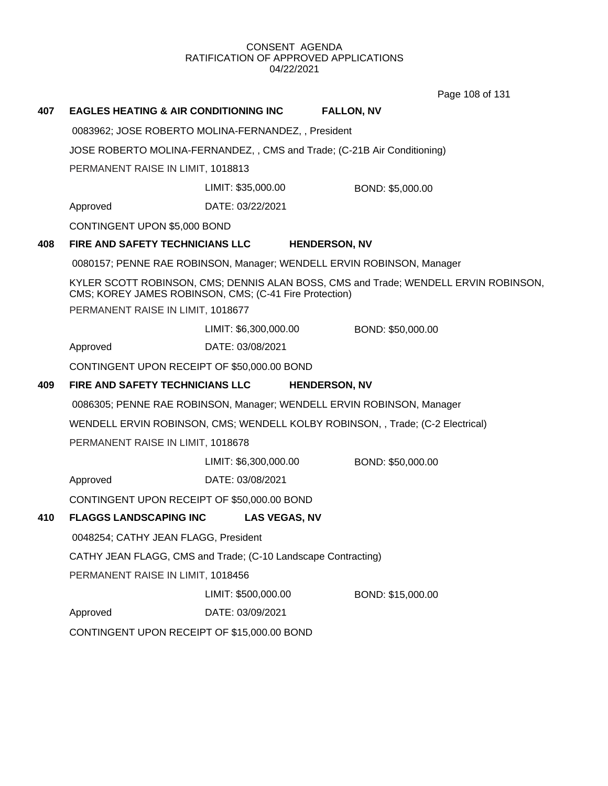Page 108 of 131

| 407 | <b>EAGLES HEATING &amp; AIR CONDITIONING INC.</b>                        |                                                                       | <b>FALLON, NV</b>                                                                   |
|-----|--------------------------------------------------------------------------|-----------------------------------------------------------------------|-------------------------------------------------------------------------------------|
|     |                                                                          | 0083962; JOSE ROBERTO MOLINA-FERNANDEZ,, President                    |                                                                                     |
|     | JOSE ROBERTO MOLINA-FERNANDEZ, , CMS and Trade; (C-21B Air Conditioning) |                                                                       |                                                                                     |
|     | PERMANENT RAISE IN LIMIT, 1018813                                        |                                                                       |                                                                                     |
|     |                                                                          | LIMIT: \$35,000.00                                                    | BOND: \$5,000.00                                                                    |
|     | Approved                                                                 | DATE: 03/22/2021                                                      |                                                                                     |
|     | CONTINGENT UPON \$5,000 BOND                                             |                                                                       |                                                                                     |
| 408 | FIRE AND SAFETY TECHNICIANS LLC                                          | <b>HENDERSON, NV</b>                                                  |                                                                                     |
|     |                                                                          | 0080157; PENNE RAE ROBINSON, Manager; WENDELL ERVIN ROBINSON, Manager |                                                                                     |
|     |                                                                          | CMS; KOREY JAMES ROBINSON, CMS; (C-41 Fire Protection)                | KYLER SCOTT ROBINSON, CMS; DENNIS ALAN BOSS, CMS and Trade; WENDELL ERVIN ROBINSON, |
|     | PERMANENT RAISE IN LIMIT, 1018677                                        |                                                                       |                                                                                     |
|     |                                                                          | LIMIT: \$6,300,000.00                                                 | BOND: \$50,000.00                                                                   |
|     | Approved                                                                 | DATE: 03/08/2021                                                      |                                                                                     |
|     | CONTINGENT UPON RECEIPT OF \$50,000.00 BOND                              |                                                                       |                                                                                     |
| 409 | FIRE AND SAFETY TECHNICIANS LLC                                          | <b>HENDERSON, NV</b>                                                  |                                                                                     |
|     |                                                                          | 0086305; PENNE RAE ROBINSON, Manager; WENDELL ERVIN ROBINSON, Manager |                                                                                     |
|     |                                                                          |                                                                       | WENDELL ERVIN ROBINSON, CMS; WENDELL KOLBY ROBINSON, , Trade; (C-2 Electrical)      |
|     | PERMANENT RAISE IN LIMIT, 1018678                                        |                                                                       |                                                                                     |
|     |                                                                          | LIMIT: \$6,300,000.00                                                 | BOND: \$50,000.00                                                                   |
|     | Approved                                                                 | DATE: 03/08/2021                                                      |                                                                                     |
|     | CONTINGENT UPON RECEIPT OF \$50,000.00 BOND                              |                                                                       |                                                                                     |
| 410 | <b>FLAGGS LANDSCAPING INC</b>                                            | <b>LAS VEGAS, NV</b>                                                  |                                                                                     |
|     | 0048254; CATHY JEAN FLAGG, President                                     |                                                                       |                                                                                     |
|     |                                                                          | CATHY JEAN FLAGG, CMS and Trade; (C-10 Landscape Contracting)         |                                                                                     |
|     | PERMANENT RAISE IN LIMIT, 1018456                                        |                                                                       |                                                                                     |
|     |                                                                          | LIMIT: \$500,000.00                                                   | BOND: \$15,000.00                                                                   |
|     | Approved                                                                 | DATE: 03/09/2021                                                      |                                                                                     |
|     | CONTINGENT UPON RECEIPT OF \$15,000.00 BOND                              |                                                                       |                                                                                     |
|     |                                                                          |                                                                       |                                                                                     |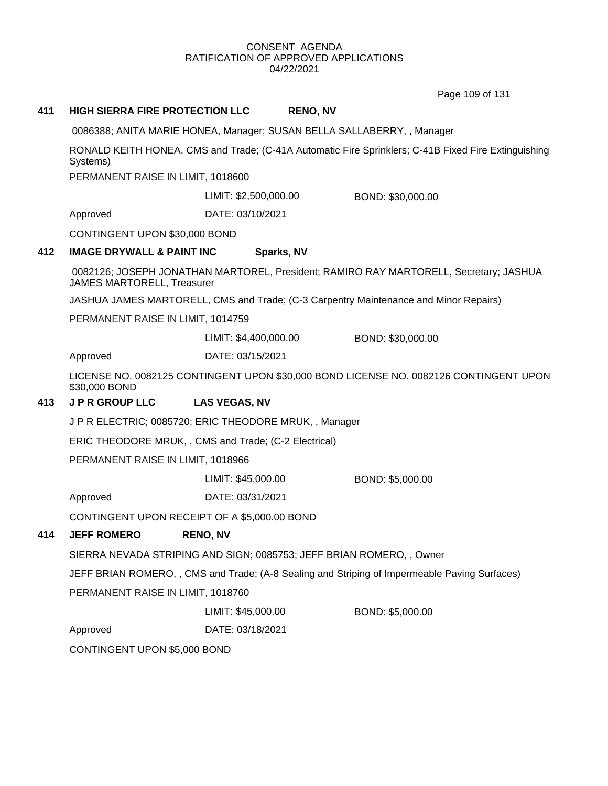Page 109 of 131

| 411 | <b>HIGH SIERRA FIRE PROTECTION LLC</b>                                                                          | <b>RENO, NV</b>                                                      |                                                                                              |
|-----|-----------------------------------------------------------------------------------------------------------------|----------------------------------------------------------------------|----------------------------------------------------------------------------------------------|
|     | 0086388; ANITA MARIE HONEA, Manager; SUSAN BELLA SALLABERRY, , Manager                                          |                                                                      |                                                                                              |
|     | RONALD KEITH HONEA, CMS and Trade; (C-41A Automatic Fire Sprinklers; C-41B Fixed Fire Extinguishing<br>Systems) |                                                                      |                                                                                              |
|     | PERMANENT RAISE IN LIMIT, 1018600                                                                               |                                                                      |                                                                                              |
|     |                                                                                                                 | LIMIT: \$2,500,000.00                                                | BOND: \$30,000.00                                                                            |
|     | Approved                                                                                                        | DATE: 03/10/2021                                                     |                                                                                              |
|     | CONTINGENT UPON \$30,000 BOND                                                                                   |                                                                      |                                                                                              |
| 412 | <b>IMAGE DRYWALL &amp; PAINT INC</b>                                                                            | Sparks, NV                                                           |                                                                                              |
|     | <b>JAMES MARTORELL, Treasurer</b>                                                                               |                                                                      | 0082126; JOSEPH JONATHAN MARTOREL, President; RAMIRO RAY MARTORELL, Secretary; JASHUA        |
|     |                                                                                                                 |                                                                      | JASHUA JAMES MARTORELL, CMS and Trade; (C-3 Carpentry Maintenance and Minor Repairs)         |
|     | PERMANENT RAISE IN LIMIT, 1014759                                                                               |                                                                      |                                                                                              |
|     |                                                                                                                 | LIMIT: \$4,400,000.00                                                | BOND: \$30,000.00                                                                            |
|     | Approved                                                                                                        | DATE: 03/15/2021                                                     |                                                                                              |
|     | \$30,000 BOND                                                                                                   |                                                                      | LICENSE NO. 0082125 CONTINGENT UPON \$30,000 BOND LICENSE NO. 0082126 CONTINGENT UPON        |
| 413 | <b>JPR GROUP LLC</b>                                                                                            | <b>LAS VEGAS, NV</b>                                                 |                                                                                              |
|     |                                                                                                                 | JPR ELECTRIC; 0085720; ERIC THEODORE MRUK,, Manager                  |                                                                                              |
|     | ERIC THEODORE MRUK, , CMS and Trade; (C-2 Electrical)                                                           |                                                                      |                                                                                              |
|     | PERMANENT RAISE IN LIMIT, 1018966                                                                               |                                                                      |                                                                                              |
|     |                                                                                                                 | LIMIT: \$45,000.00                                                   | BOND: \$5,000.00                                                                             |
|     | Approved                                                                                                        | DATE: 03/31/2021                                                     |                                                                                              |
|     | CONTINGENT UPON RECEIPT OF A \$5,000.00 BOND                                                                    |                                                                      |                                                                                              |
| 414 | <b>JEFF ROMERO</b>                                                                                              | <b>RENO, NV</b>                                                      |                                                                                              |
|     |                                                                                                                 | SIERRA NEVADA STRIPING AND SIGN; 0085753; JEFF BRIAN ROMERO, , Owner |                                                                                              |
|     |                                                                                                                 |                                                                      | JEFF BRIAN ROMERO,, CMS and Trade; (A-8 Sealing and Striping of Impermeable Paving Surfaces) |
|     | PERMANENT RAISE IN LIMIT, 1018760                                                                               |                                                                      |                                                                                              |
|     |                                                                                                                 | LIMIT: \$45,000.00                                                   | BOND: \$5,000.00                                                                             |
|     | Approved                                                                                                        | DATE: 03/18/2021                                                     |                                                                                              |
|     | CONTINGENT UPON \$5,000 BOND                                                                                    |                                                                      |                                                                                              |
|     |                                                                                                                 |                                                                      |                                                                                              |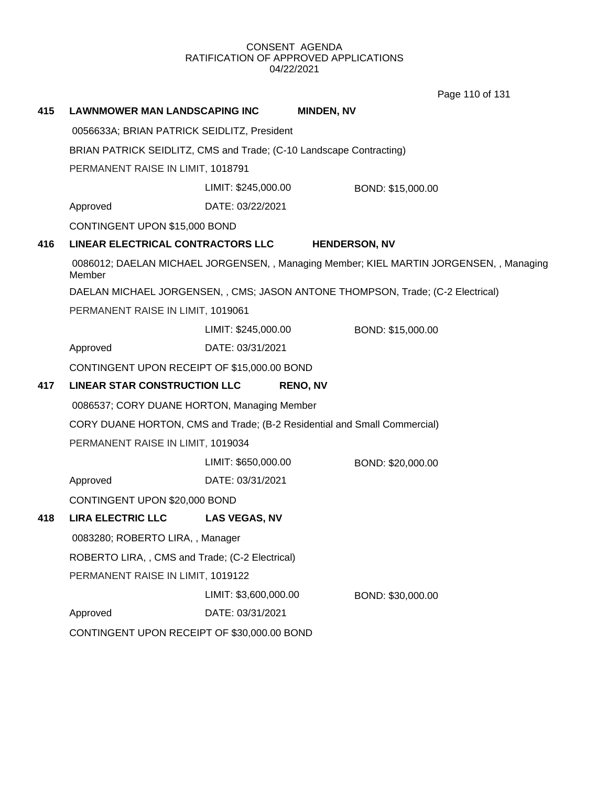Page 110 of 131

| 415 | <b>LAWNMOWER MAN LANDSCAPING INC</b>                                |                       | <b>MINDEN, NV</b>                                                                       |  |
|-----|---------------------------------------------------------------------|-----------------------|-----------------------------------------------------------------------------------------|--|
|     | 0056633A; BRIAN PATRICK SEIDLITZ, President                         |                       |                                                                                         |  |
|     | BRIAN PATRICK SEIDLITZ, CMS and Trade; (C-10 Landscape Contracting) |                       |                                                                                         |  |
|     | PERMANENT RAISE IN LIMIT, 1018791                                   |                       |                                                                                         |  |
|     |                                                                     | LIMIT: \$245,000.00   | BOND: \$15,000.00                                                                       |  |
|     | Approved                                                            | DATE: 03/22/2021      |                                                                                         |  |
|     | CONTINGENT UPON \$15,000 BOND                                       |                       |                                                                                         |  |
| 416 | LINEAR ELECTRICAL CONTRACTORS LLC                                   |                       | <b>HENDERSON, NV</b>                                                                    |  |
|     | Member                                                              |                       | 0086012; DAELAN MICHAEL JORGENSEN, , Managing Member; KIEL MARTIN JORGENSEN, , Managing |  |
|     |                                                                     |                       | DAELAN MICHAEL JORGENSEN, , CMS; JASON ANTONE THOMPSON, Trade; (C-2 Electrical)         |  |
|     | PERMANENT RAISE IN LIMIT, 1019061                                   |                       |                                                                                         |  |
|     |                                                                     | LIMIT: \$245,000.00   | BOND: \$15,000.00                                                                       |  |
|     | Approved                                                            | DATE: 03/31/2021      |                                                                                         |  |
|     | CONTINGENT UPON RECEIPT OF \$15,000.00 BOND                         |                       |                                                                                         |  |
| 417 | <b>LINEAR STAR CONSTRUCTION LLC</b>                                 |                       | <b>RENO, NV</b>                                                                         |  |
|     | 0086537; CORY DUANE HORTON, Managing Member                         |                       |                                                                                         |  |
|     |                                                                     |                       | CORY DUANE HORTON, CMS and Trade; (B-2 Residential and Small Commercial)                |  |
|     | PERMANENT RAISE IN LIMIT, 1019034                                   |                       |                                                                                         |  |
|     |                                                                     | LIMIT: \$650,000.00   | BOND: \$20,000.00                                                                       |  |
|     | Approved                                                            | DATE: 03/31/2021      |                                                                                         |  |
|     | CONTINGENT UPON \$20,000 BOND                                       |                       |                                                                                         |  |
| 418 | <b>LIRA ELECTRIC LLC</b>                                            | <b>LAS VEGAS, NV</b>  |                                                                                         |  |
|     | 0083280; ROBERTO LIRA,, Manager                                     |                       |                                                                                         |  |
|     | ROBERTO LIRA, , CMS and Trade; (C-2 Electrical)                     |                       |                                                                                         |  |
|     | PERMANENT RAISE IN LIMIT, 1019122                                   |                       |                                                                                         |  |
|     |                                                                     | LIMIT: \$3,600,000.00 | BOND: \$30,000.00                                                                       |  |
|     | Approved                                                            | DATE: 03/31/2021      |                                                                                         |  |
|     | CONTINGENT UPON RECEIPT OF \$30,000.00 BOND                         |                       |                                                                                         |  |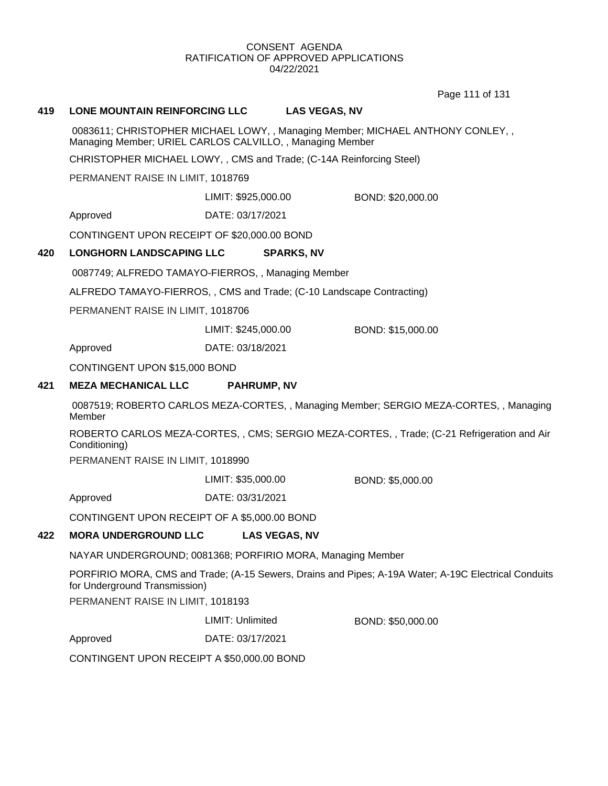Page 111 of 131

#### **419 LONE MOUNTAIN REINFORCING LLC LAS VEGAS, NV**

0083611; CHRISTOPHER MICHAEL LOWY, , Managing Member; MICHAEL ANTHONY CONLEY, , Managing Member; URIEL CARLOS CALVILLO, , Managing Member

CHRISTOPHER MICHAEL LOWY, , CMS and Trade; (C-14A Reinforcing Steel)

PERMANENT RAISE IN LIMIT, 1018769

LIMIT: \$925,000.00 BOND: \$20,000.00

Approved DATE: 03/17/2021

CONTINGENT UPON RECEIPT OF \$20,000.00 BOND

#### **420 LONGHORN LANDSCAPING LLC SPARKS, NV**

0087749; ALFREDO TAMAYO-FIERROS, , Managing Member

ALFREDO TAMAYO-FIERROS, , CMS and Trade; (C-10 Landscape Contracting)

PERMANENT RAISE IN LIMIT, 1018706

LIMIT: \$245,000.00 BOND: \$15,000.00

Approved DATE: 03/18/2021

CONTINGENT UPON \$15,000 BOND

## **421 MEZA MECHANICAL LLC PAHRUMP, NV**

0087519; ROBERTO CARLOS MEZA-CORTES, , Managing Member; SERGIO MEZA-CORTES, , Managing Member

ROBERTO CARLOS MEZA-CORTES, , CMS; SERGIO MEZA-CORTES, , Trade; (C-21 Refrigeration and Air Conditioning)

PERMANENT RAISE IN LIMIT, 1018990

LIMIT: \$35,000.00 BOND: \$5,000.00

Approved DATE: 03/31/2021

CONTINGENT UPON RECEIPT OF A \$5,000.00 BOND

#### **422 MORA UNDERGROUND LLC LAS VEGAS, NV**

NAYAR UNDERGROUND; 0081368; PORFIRIO MORA, Managing Member

PORFIRIO MORA, CMS and Trade; (A-15 Sewers, Drains and Pipes; A-19A Water; A-19C Electrical Conduits for Underground Transmission)

PERMANENT RAISE IN LIMIT, 1018193

LIMIT: Unlimited BOND: \$50,000.00

Approved DATE: 03/17/2021

CONTINGENT UPON RECEIPT A \$50,000.00 BOND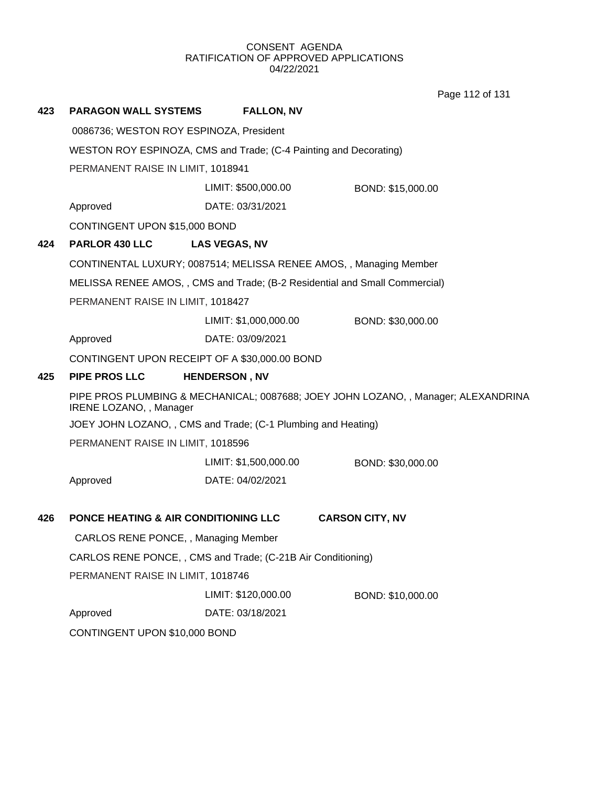Page 112 of 131

| 423                                                               | <b>PARAGON WALL SYSTEMS</b>                     | <b>FALLON, NV</b>                                                  |                                                                                    |
|-------------------------------------------------------------------|-------------------------------------------------|--------------------------------------------------------------------|------------------------------------------------------------------------------------|
|                                                                   | 0086736; WESTON ROY ESPINOZA, President         |                                                                    |                                                                                    |
| WESTON ROY ESPINOZA, CMS and Trade; (C-4 Painting and Decorating) |                                                 |                                                                    |                                                                                    |
|                                                                   | PERMANENT RAISE IN LIMIT, 1018941               |                                                                    |                                                                                    |
|                                                                   |                                                 | LIMIT: \$500,000.00                                                | BOND: \$15,000.00                                                                  |
|                                                                   | Approved                                        | DATE: 03/31/2021                                                   |                                                                                    |
|                                                                   | CONTINGENT UPON \$15,000 BOND                   |                                                                    |                                                                                    |
| 424                                                               | <b>PARLOR 430 LLC</b>                           | <b>LAS VEGAS, NV</b>                                               |                                                                                    |
|                                                                   |                                                 | CONTINENTAL LUXURY; 0087514; MELISSA RENEE AMOS, , Managing Member |                                                                                    |
|                                                                   |                                                 |                                                                    | MELISSA RENEE AMOS,, CMS and Trade; (B-2 Residential and Small Commercial)         |
|                                                                   | PERMANENT RAISE IN LIMIT, 1018427               |                                                                    |                                                                                    |
|                                                                   |                                                 | LIMIT: \$1,000,000.00                                              | BOND: \$30,000.00                                                                  |
|                                                                   | Approved                                        | DATE: 03/09/2021                                                   |                                                                                    |
|                                                                   |                                                 | CONTINGENT UPON RECEIPT OF A \$30,000.00 BOND                      |                                                                                    |
| 425                                                               | <b>PIPE PROS LLC</b>                            | <b>HENDERSON, NV</b>                                               |                                                                                    |
|                                                                   | IRENE LOZANO, , Manager                         |                                                                    | PIPE PROS PLUMBING & MECHANICAL; 0087688; JOEY JOHN LOZANO, , Manager; ALEXANDRINA |
|                                                                   |                                                 | JOEY JOHN LOZANO,, CMS and Trade; (C-1 Plumbing and Heating)       |                                                                                    |
|                                                                   | PERMANENT RAISE IN LIMIT, 1018596               |                                                                    |                                                                                    |
|                                                                   |                                                 | LIMIT: \$1,500,000.00                                              | BOND: \$30,000.00                                                                  |
|                                                                   | Approved                                        | DATE: 04/02/2021                                                   |                                                                                    |
| 426                                                               | <b>PONCE HEATING &amp; AIR CONDITIONING LLC</b> |                                                                    | <b>CARSON CITY, NV</b>                                                             |
|                                                                   | CARLOS RENE PONCE, , Managing Member            |                                                                    |                                                                                    |
|                                                                   |                                                 | CARLOS RENE PONCE, , CMS and Trade; (C-21B Air Conditioning)       |                                                                                    |
|                                                                   | PERMANENT RAISE IN LIMIT, 1018746               |                                                                    |                                                                                    |
|                                                                   |                                                 | LIMIT: \$120,000.00                                                | BOND: \$10,000.00                                                                  |
|                                                                   | Approved                                        | DATE: 03/18/2021                                                   |                                                                                    |
|                                                                   | CONTINGENT UPON \$10,000 BOND                   |                                                                    |                                                                                    |
|                                                                   |                                                 |                                                                    |                                                                                    |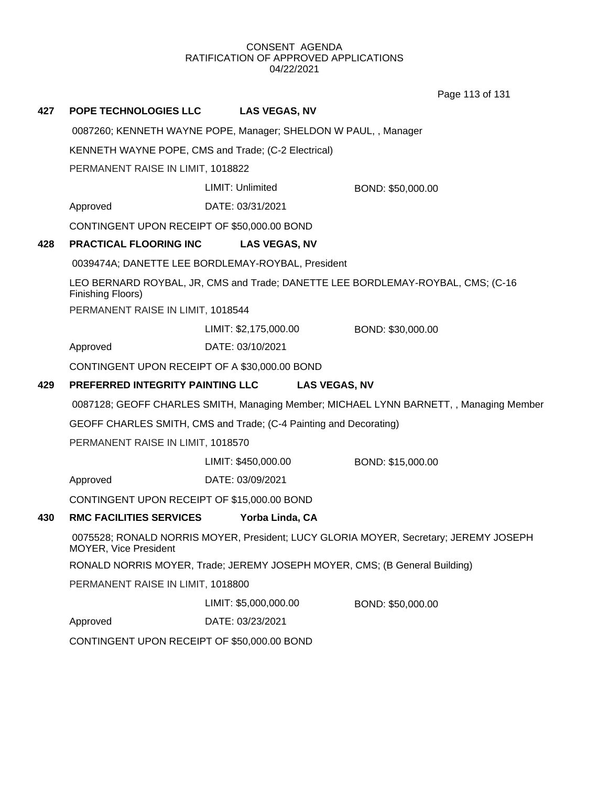Page 113 of 131

# **427 POPE TECHNOLOGIES LLC LAS VEGAS, NV** 0087260; KENNETH WAYNE POPE, Manager; SHELDON W PAUL, , Manager KENNETH WAYNE POPE, CMS and Trade; (C-2 Electrical) PERMANENT RAISE IN LIMIT, 1018822 Approved DATE: 03/31/2021 LIMIT: Unlimited BOND: \$50,000.00 CONTINGENT UPON RECEIPT OF \$50,000.00 BOND **428 PRACTICAL FLOORING INC LAS VEGAS, NV** 0039474A; DANETTE LEE BORDLEMAY-ROYBAL, President LEO BERNARD ROYBAL, JR, CMS and Trade; DANETTE LEE BORDLEMAY-ROYBAL, CMS; (C-16 Finishing Floors) PERMANENT RAISE IN LIMIT, 1018544 Approved DATE: 03/10/2021 LIMIT: \$2,175,000.00 BOND: \$30,000.00 CONTINGENT UPON RECEIPT OF A \$30,000.00 BOND **429 PREFERRED INTEGRITY PAINTING LLC LAS VEGAS, NV** 0087128; GEOFF CHARLES SMITH, Managing Member; MICHAEL LYNN BARNETT, , Managing Member GEOFF CHARLES SMITH, CMS and Trade; (C-4 Painting and Decorating) PERMANENT RAISE IN LIMIT, 1018570 Approved DATE: 03/09/2021 LIMIT: \$450,000.00 BOND: \$15,000.00 CONTINGENT UPON RECEIPT OF \$15,000.00 BOND **430 RMC FACILITIES SERVICES Yorba Linda, CA** 0075528; RONALD NORRIS MOYER, President; LUCY GLORIA MOYER, Secretary; JEREMY JOSEPH MOYER, Vice President RONALD NORRIS MOYER, Trade; JEREMY JOSEPH MOYER, CMS; (B General Building) PERMANENT RAISE IN LIMIT, 1018800 Approved DATE: 03/23/2021 LIMIT: \$5,000,000.00 BOND: \$50,000.00 CONTINGENT UPON RECEIPT OF \$50,000.00 BOND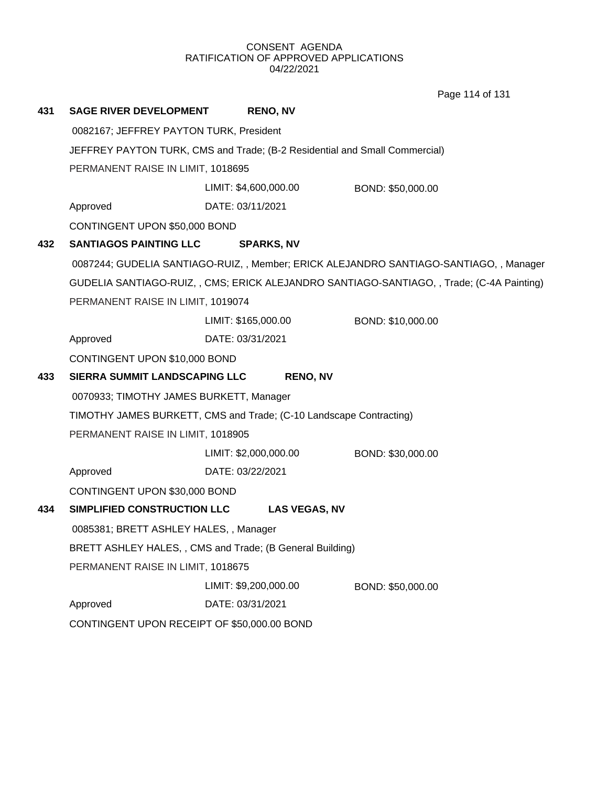Page 114 of 131

| 431 | <b>SAGE RIVER DEVELOPMENT</b>                                                                                   | <b>RENO, NV</b>                                                    |                                                                                           |
|-----|-----------------------------------------------------------------------------------------------------------------|--------------------------------------------------------------------|-------------------------------------------------------------------------------------------|
|     | 0082167; JEFFREY PAYTON TURK, President                                                                         |                                                                    |                                                                                           |
|     | JEFFREY PAYTON TURK, CMS and Trade; (B-2 Residential and Small Commercial)<br>PERMANENT RAISE IN LIMIT, 1018695 |                                                                    |                                                                                           |
|     |                                                                                                                 |                                                                    |                                                                                           |
|     |                                                                                                                 | LIMIT: \$4,600,000.00                                              | BOND: \$50,000.00                                                                         |
|     | Approved                                                                                                        | DATE: 03/11/2021                                                   |                                                                                           |
|     | CONTINGENT UPON \$50,000 BOND                                                                                   |                                                                    |                                                                                           |
| 432 | <b>SANTIAGOS PAINTING LLC</b>                                                                                   | <b>SPARKS, NV</b>                                                  |                                                                                           |
|     |                                                                                                                 |                                                                    | 0087244; GUDELIA SANTIAGO-RUIZ, , Member; ERICK ALEJANDRO SANTIAGO-SANTIAGO, , Manager    |
|     |                                                                                                                 |                                                                    | GUDELIA SANTIAGO-RUIZ, , CMS; ERICK ALEJANDRO SANTIAGO-SANTIAGO, , Trade; (C-4A Painting) |
|     | PERMANENT RAISE IN LIMIT, 1019074                                                                               |                                                                    |                                                                                           |
|     |                                                                                                                 | LIMIT: \$165,000.00                                                | BOND: \$10,000.00                                                                         |
|     | Approved                                                                                                        | DATE: 03/31/2021                                                   |                                                                                           |
|     | CONTINGENT UPON \$10,000 BOND                                                                                   |                                                                    |                                                                                           |
| 433 | SIERRA SUMMIT LANDSCAPING LLC                                                                                   | <b>RENO, NV</b>                                                    |                                                                                           |
|     | 0070933; TIMOTHY JAMES BURKETT, Manager                                                                         |                                                                    |                                                                                           |
|     |                                                                                                                 | TIMOTHY JAMES BURKETT, CMS and Trade; (C-10 Landscape Contracting) |                                                                                           |
|     | PERMANENT RAISE IN LIMIT, 1018905                                                                               |                                                                    |                                                                                           |
|     |                                                                                                                 | LIMIT: \$2,000,000.00                                              | BOND: \$30,000.00                                                                         |
|     | Approved                                                                                                        | DATE: 03/22/2021                                                   |                                                                                           |
|     | CONTINGENT UPON \$30,000 BOND                                                                                   |                                                                    |                                                                                           |
| 434 | SIMPLIFIED CONSTRUCTION LLC                                                                                     | <b>LAS VEGAS, NV</b>                                               |                                                                                           |
|     | 0085381; BRETT ASHLEY HALES, , Manager                                                                          |                                                                    |                                                                                           |
|     |                                                                                                                 | BRETT ASHLEY HALES, , CMS and Trade; (B General Building)          |                                                                                           |
|     | PERMANENT RAISE IN LIMIT, 1018675                                                                               |                                                                    |                                                                                           |
|     |                                                                                                                 | LIMIT: \$9,200,000.00                                              | BOND: \$50,000.00                                                                         |
|     |                                                                                                                 |                                                                    |                                                                                           |
|     | Approved                                                                                                        | DATE: 03/31/2021                                                   |                                                                                           |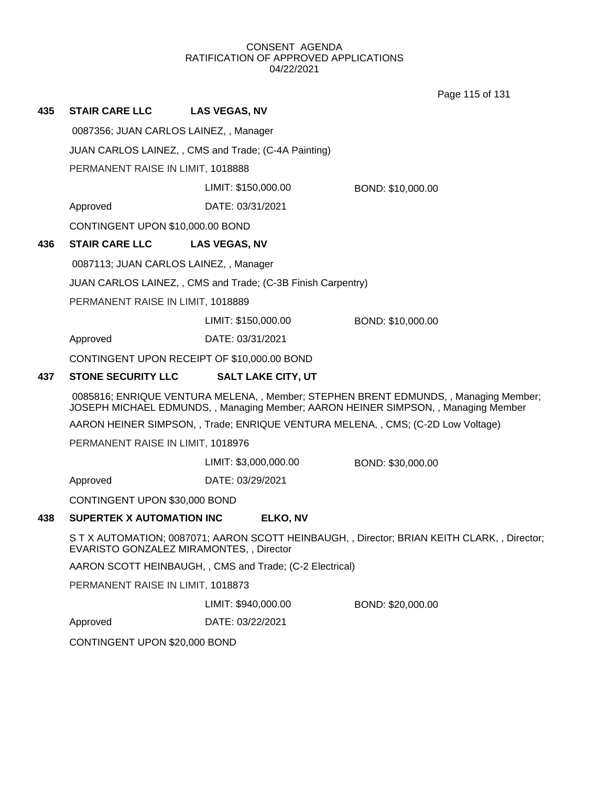Page 115 of 131

| 435 | <b>STAIR CARE LLC</b>                  | <b>LAS VEGAS, NV</b>                                         |                   |
|-----|----------------------------------------|--------------------------------------------------------------|-------------------|
|     | 0087356; JUAN CARLOS LAINEZ, , Manager |                                                              |                   |
|     |                                        | JUAN CARLOS LAINEZ, , CMS and Trade; (C-4A Painting)         |                   |
|     | PERMANENT RAISE IN LIMIT, 1018888      |                                                              |                   |
|     |                                        | LIMIT: \$150,000.00<br>BOND: \$10,000.00                     |                   |
|     | Approved                               | DATE: 03/31/2021                                             |                   |
|     | CONTINGENT UPON \$10,000.00 BOND       |                                                              |                   |
| 436 | <b>STAIR CARE LLC</b>                  | <b>LAS VEGAS, NV</b>                                         |                   |
|     | 0087113; JUAN CARLOS LAINEZ, , Manager |                                                              |                   |
|     |                                        | JUAN CARLOS LAINEZ, , CMS and Trade; (C-3B Finish Carpentry) |                   |
|     | PERMANENT RAISE IN LIMIT, 1018889      |                                                              |                   |
|     |                                        | LIMIT: \$150,000.00                                          | BOND: \$10,000.00 |
|     | Approved                               | DATE: 03/31/2021                                             |                   |
|     |                                        | CONTINGENT UPON RECEIPT OF \$10,000.00 BOND                  |                   |
| 437 | <b>STONE SECURITY LLC</b>              | <b>SALT LAKE CITY, UT</b>                                    |                   |

0085816; ENRIQUE VENTURA MELENA, , Member; STEPHEN BRENT EDMUNDS, , Managing Member; JOSEPH MICHAEL EDMUNDS, , Managing Member; AARON HEINER SIMPSON, , Managing Member

AARON HEINER SIMPSON, , Trade; ENRIQUE VENTURA MELENA, , CMS; (C-2D Low Voltage)

PERMANENT RAISE IN LIMIT, 1018976

LIMIT: \$3,000,000.00 BOND: \$30,000.00

Approved DATE: 03/29/2021

CONTINGENT UPON \$30,000 BOND

## **438 SUPERTEK X AUTOMATION INC ELKO, NV**

S T X AUTOMATION; 0087071; AARON SCOTT HEINBAUGH, , Director; BRIAN KEITH CLARK, , Director; EVARISTO GONZALEZ MIRAMONTES, , Director

AARON SCOTT HEINBAUGH, , CMS and Trade; (C-2 Electrical)

PERMANENT RAISE IN LIMIT, 1018873

LIMIT: \$940,000.00 BOND: \$20,000.00

Approved DATE: 03/22/2021

CONTINGENT UPON \$20,000 BOND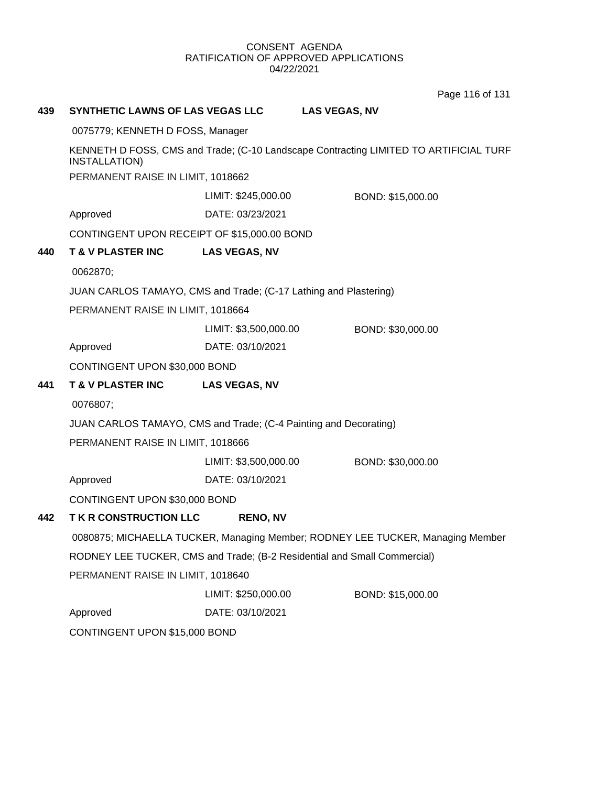Page 116 of 131

| 439 | SYNTHETIC LAWNS OF LAS VEGAS LLC                                 |                       | <b>LAS VEGAS, NV</b>                                                                  |
|-----|------------------------------------------------------------------|-----------------------|---------------------------------------------------------------------------------------|
|     | 0075779; KENNETH D FOSS, Manager                                 |                       |                                                                                       |
|     | <b>INSTALLATION)</b>                                             |                       | KENNETH D FOSS, CMS and Trade; (C-10 Landscape Contracting LIMITED TO ARTIFICIAL TURF |
|     | PERMANENT RAISE IN LIMIT, 1018662                                |                       |                                                                                       |
|     |                                                                  | LIMIT: \$245,000.00   | BOND: \$15,000.00                                                                     |
|     | Approved                                                         | DATE: 03/23/2021      |                                                                                       |
|     | CONTINGENT UPON RECEIPT OF \$15,000.00 BOND                      |                       |                                                                                       |
| 440 | <b>T &amp; V PLASTER INC</b>                                     | <b>LAS VEGAS, NV</b>  |                                                                                       |
|     | 0062870;                                                         |                       |                                                                                       |
|     | JUAN CARLOS TAMAYO, CMS and Trade; (C-17 Lathing and Plastering) |                       |                                                                                       |
|     | PERMANENT RAISE IN LIMIT, 1018664                                |                       |                                                                                       |
|     |                                                                  | LIMIT: \$3,500,000.00 | BOND: \$30,000.00                                                                     |
|     | Approved                                                         | DATE: 03/10/2021      |                                                                                       |
|     | CONTINGENT UPON \$30,000 BOND                                    |                       |                                                                                       |
| 441 | <b>T &amp; V PLASTER INC</b>                                     | <b>LAS VEGAS, NV</b>  |                                                                                       |
|     | 0076807;                                                         |                       |                                                                                       |
|     | JUAN CARLOS TAMAYO, CMS and Trade; (C-4 Painting and Decorating) |                       |                                                                                       |
|     | PERMANENT RAISE IN LIMIT, 1018666                                |                       |                                                                                       |
|     |                                                                  | LIMIT: \$3,500,000.00 | BOND: \$30,000.00                                                                     |
|     | Approved                                                         | DATE: 03/10/2021      |                                                                                       |
|     | CONTINGENT UPON \$30,000 BOND                                    |                       |                                                                                       |
| 442 | <b>TK R CONSTRUCTION LLC</b>                                     | <b>RENO, NV</b>       |                                                                                       |
|     |                                                                  |                       | 0080875; MICHAELLA TUCKER, Managing Member; RODNEY LEE TUCKER, Managing Member        |
|     |                                                                  |                       | RODNEY LEE TUCKER, CMS and Trade; (B-2 Residential and Small Commercial)              |
|     | PERMANENT RAISE IN LIMIT, 1018640                                |                       |                                                                                       |
|     |                                                                  | LIMIT: \$250,000.00   | BOND: \$15,000.00                                                                     |
|     | Approved                                                         | DATE: 03/10/2021      |                                                                                       |
|     | CONTINGENT UPON \$15,000 BOND                                    |                       |                                                                                       |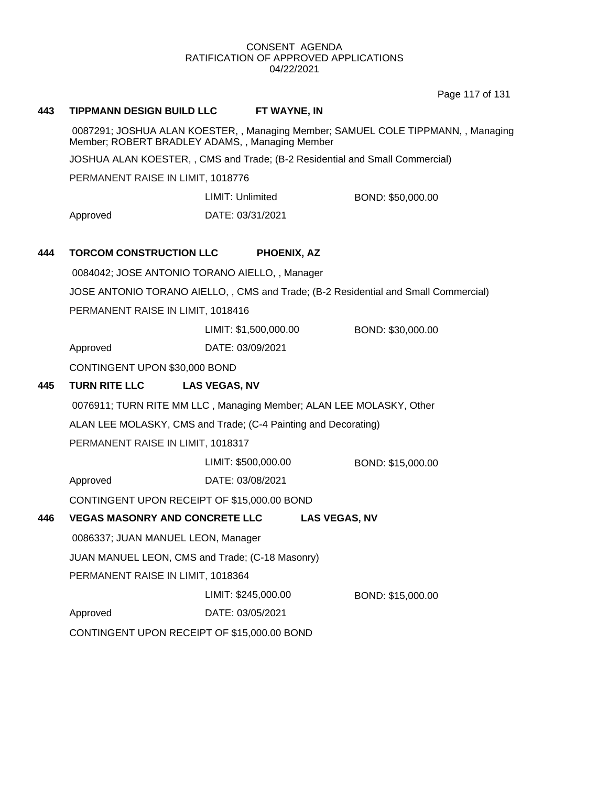Page 117 of 131

#### **443 TIPPMANN DESIGN BUILD LLC FT WAYNE, IN**

0087291; JOSHUA ALAN KOESTER, , Managing Member; SAMUEL COLE TIPPMANN, , Managing Member; ROBERT BRADLEY ADAMS, , Managing Member

JOSHUA ALAN KOESTER, , CMS and Trade; (B-2 Residential and Small Commercial)

PERMANENT RAISE IN LIMIT, 1018776

Approved DATE: 03/31/2021 LIMIT: Unlimited BOND: \$50,000.00

## **444 TORCOM CONSTRUCTION LLC PHOENIX, AZ**

0084042; JOSE ANTONIO TORANO AIELLO, , Manager

JOSE ANTONIO TORANO AIELLO, , CMS and Trade; (B-2 Residential and Small Commercial)

PERMANENT RAISE IN LIMIT, 1018416

LIMIT: \$1,500,000.00 BOND: \$30,000.00

Approved DATE: 03/09/2021

CONTINGENT UPON \$30,000 BOND

## **445 TURN RITE LLC LAS VEGAS, NV**

0076911; TURN RITE MM LLC , Managing Member; ALAN LEE MOLASKY, Other

ALAN LEE MOLASKY, CMS and Trade; (C-4 Painting and Decorating)

PERMANENT RAISE IN LIMIT, 1018317

LIMIT: \$500,000.00 BOND: \$15,000.00

Approved DATE: 03/08/2021

CONTINGENT UPON RECEIPT OF \$15,000.00 BOND

## **446 VEGAS MASONRY AND CONCRETE LLC LAS VEGAS, NV**

0086337; JUAN MANUEL LEON, Manager

JUAN MANUEL LEON, CMS and Trade; (C-18 Masonry)

PERMANENT RAISE IN LIMIT, 1018364

LIMIT: \$245,000.00 BOND: \$15,000.00

Approved DATE: 03/05/2021

CONTINGENT UPON RECEIPT OF \$15,000.00 BOND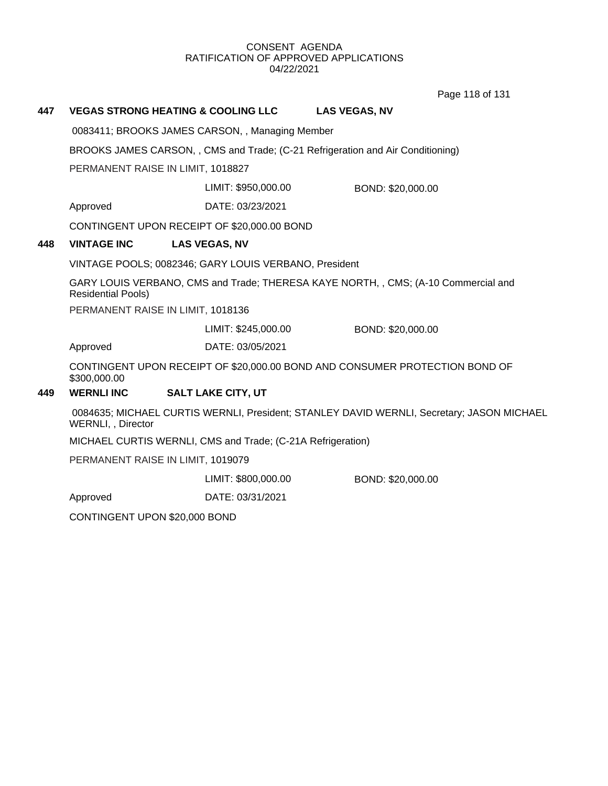Page 118 of 131

# **447 VEGAS STRONG HEATING & COOLING LLC LAS VEGAS, NV** 0083411; BROOKS JAMES CARSON, , Managing Member BROOKS JAMES CARSON, , CMS and Trade; (C-21 Refrigeration and Air Conditioning) PERMANENT RAISE IN LIMIT, 1018827 Approved DATE: 03/23/2021 LIMIT: \$950,000.00 BOND: \$20,000.00 CONTINGENT UPON RECEIPT OF \$20,000.00 BOND **448 VINTAGE INC LAS VEGAS, NV** VINTAGE POOLS; 0082346; GARY LOUIS VERBANO, President GARY LOUIS VERBANO, CMS and Trade; THERESA KAYE NORTH, , CMS; (A-10 Commercial and Residential Pools) PERMANENT RAISE IN LIMIT, 1018136 Approved DATE: 03/05/2021 LIMIT: \$245,000.00 BOND: \$20,000.00 CONTINGENT UPON RECEIPT OF \$20,000.00 BOND AND CONSUMER PROTECTION BOND OF \$300,000.00 **449 WERNLI INC SALT LAKE CITY, UT** 0084635; MICHAEL CURTIS WERNLI, President; STANLEY DAVID WERNLI, Secretary; JASON MICHAEL WERNLI, , Director MICHAEL CURTIS WERNLI, CMS and Trade; (C-21A Refrigeration) PERMANENT RAISE IN LIMIT, 1019079 Approved DATE: 03/31/2021 LIMIT: \$800,000.00 BOND: \$20,000.00 CONTINGENT UPON \$20,000 BOND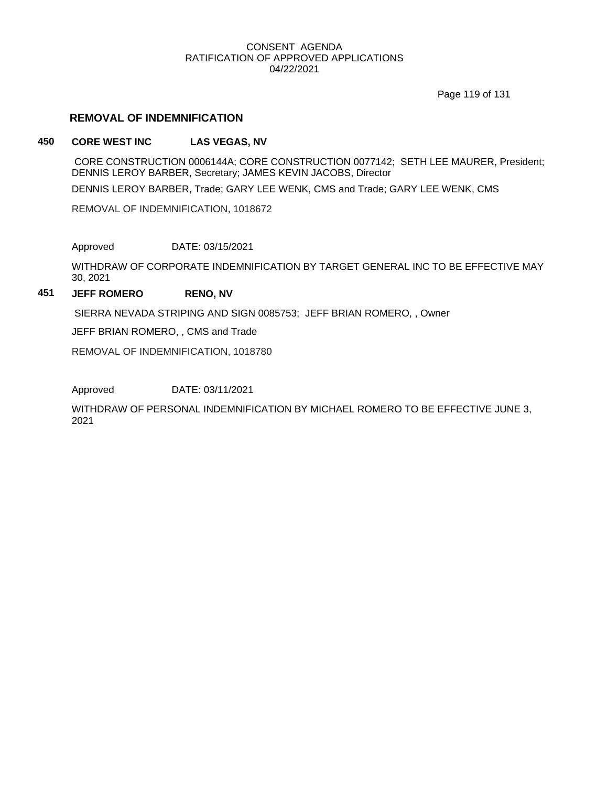Page 119 of 131

## **REMOVAL OF INDEMNIFICATION**

## **450 CORE WEST INC LAS VEGAS, NV**

CORE CONSTRUCTION 0006144A; CORE CONSTRUCTION 0077142; SETH LEE MAURER, President; DENNIS LEROY BARBER, Secretary; JAMES KEVIN JACOBS, Director

DENNIS LEROY BARBER, Trade; GARY LEE WENK, CMS and Trade; GARY LEE WENK, CMS

REMOVAL OF INDEMNIFICATION, 1018672

Approved DATE: 03/15/2021

WITHDRAW OF CORPORATE INDEMNIFICATION BY TARGET GENERAL INC TO BE EFFECTIVE MAY 30, 2021

## **451 JEFF ROMERO RENO, NV**

SIERRA NEVADA STRIPING AND SIGN 0085753; JEFF BRIAN ROMERO, , Owner

JEFF BRIAN ROMERO, , CMS and Trade

REMOVAL OF INDEMNIFICATION, 1018780

Approved DATE: 03/11/2021

WITHDRAW OF PERSONAL INDEMNIFICATION BY MICHAEL ROMERO TO BE EFFECTIVE JUNE 3, 2021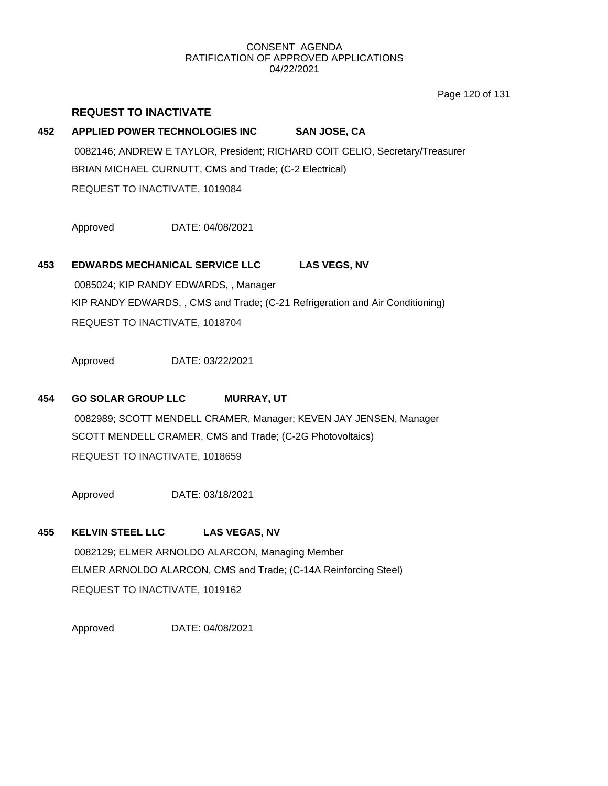Page 120 of 131

# **452 APPLIED POWER TECHNOLOGIES INC SAN JOSE, CA** 0082146; ANDREW E TAYLOR, President; RICHARD COIT CELIO, Secretary/Treasurer BRIAN MICHAEL CURNUTT, CMS and Trade; (C-2 Electrical) REQUEST TO INACTIVATE, 1019084

Approved DATE: 04/08/2021

**REQUEST TO INACTIVATE**

## **453 EDWARDS MECHANICAL SERVICE LLC LAS VEGS, NV**

0085024; KIP RANDY EDWARDS, , Manager KIP RANDY EDWARDS, , CMS and Trade; (C-21 Refrigeration and Air Conditioning) REQUEST TO INACTIVATE, 1018704

Approved DATE: 03/22/2021

## **454 GO SOLAR GROUP LLC MURRAY, UT**

0082989; SCOTT MENDELL CRAMER, Manager; KEVEN JAY JENSEN, Manager SCOTT MENDELL CRAMER, CMS and Trade; (C-2G Photovoltaics) REQUEST TO INACTIVATE, 1018659

Approved DATE: 03/18/2021

## **455 KELVIN STEEL LLC LAS VEGAS, NV**

0082129; ELMER ARNOLDO ALARCON, Managing Member ELMER ARNOLDO ALARCON, CMS and Trade; (C-14A Reinforcing Steel) REQUEST TO INACTIVATE, 1019162

Approved DATE: 04/08/2021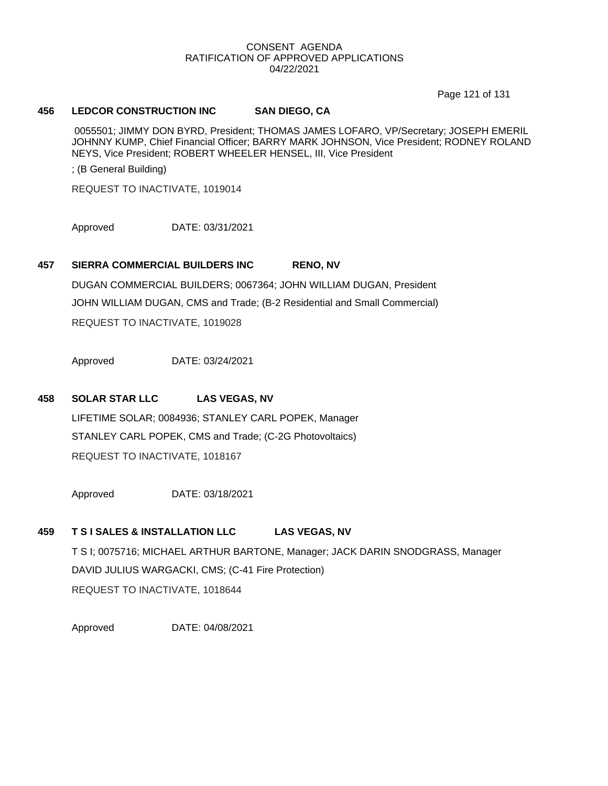Page 121 of 131

## **456 LEDCOR CONSTRUCTION INC SAN DIEGO, CA**

0055501; JIMMY DON BYRD, President; THOMAS JAMES LOFARO, VP/Secretary; JOSEPH EMERIL JOHNNY KUMP, Chief Financial Officer; BARRY MARK JOHNSON, Vice President; RODNEY ROLAND NEYS, Vice President; ROBERT WHEELER HENSEL, III, Vice President

; (B General Building)

REQUEST TO INACTIVATE, 1019014

Approved DATE: 03/31/2021

#### **457 SIERRA COMMERCIAL BUILDERS INC RENO, NV**

DUGAN COMMERCIAL BUILDERS; 0067364; JOHN WILLIAM DUGAN, President JOHN WILLIAM DUGAN, CMS and Trade; (B-2 Residential and Small Commercial) REQUEST TO INACTIVATE, 1019028

Approved DATE: 03/24/2021

#### **458 SOLAR STAR LLC LAS VEGAS, NV**

LIFETIME SOLAR; 0084936; STANLEY CARL POPEK, Manager STANLEY CARL POPEK, CMS and Trade; (C-2G Photovoltaics) REQUEST TO INACTIVATE, 1018167

Approved DATE: 03/18/2021

## **459 T S I SALES & INSTALLATION LLC LAS VEGAS, NV**

T S I; 0075716; MICHAEL ARTHUR BARTONE, Manager; JACK DARIN SNODGRASS, Manager DAVID JULIUS WARGACKI, CMS; (C-41 Fire Protection) REQUEST TO INACTIVATE, 1018644

Approved DATE: 04/08/2021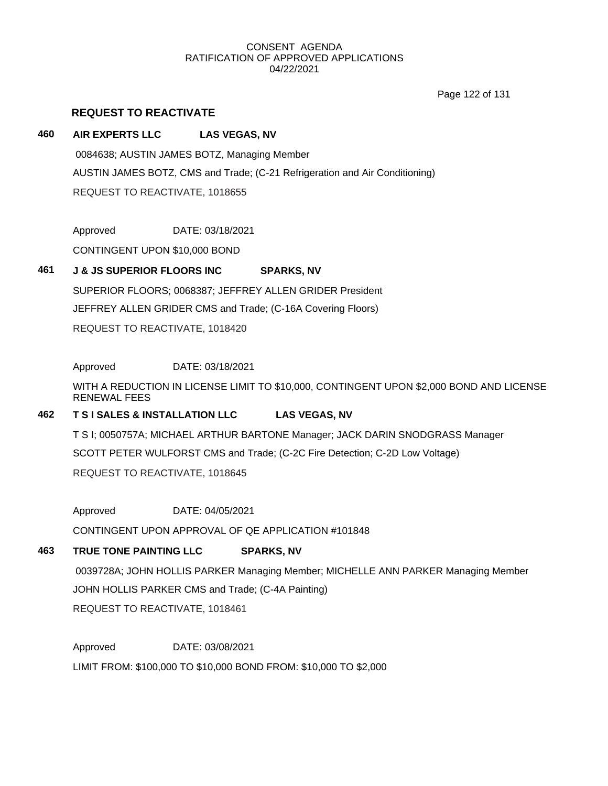Page 122 of 131

## **REQUEST TO REACTIVATE**

## **460 AIR EXPERTS LLC LAS VEGAS, NV**

0084638; AUSTIN JAMES BOTZ, Managing Member AUSTIN JAMES BOTZ, CMS and Trade; (C-21 Refrigeration and Air Conditioning) REQUEST TO REACTIVATE, 1018655

Approved DATE: 03/18/2021

CONTINGENT UPON \$10,000 BOND

## **461 J & JS SUPERIOR FLOORS INC SPARKS, NV**

SUPERIOR FLOORS; 0068387; JEFFREY ALLEN GRIDER President JEFFREY ALLEN GRIDER CMS and Trade; (C-16A Covering Floors) REQUEST TO REACTIVATE, 1018420

## Approved DATE: 03/18/2021

WITH A REDUCTION IN LICENSE LIMIT TO \$10,000, CONTINGENT UPON \$2,000 BOND AND LICENSE RENEWAL FEES

## **462 T S I SALES & INSTALLATION LLC LAS VEGAS, NV**

T S I; 0050757A; MICHAEL ARTHUR BARTONE Manager; JACK DARIN SNODGRASS Manager SCOTT PETER WULFORST CMS and Trade; (C-2C Fire Detection; C-2D Low Voltage) REQUEST TO REACTIVATE, 1018645

Approved DATE: 04/05/2021

CONTINGENT UPON APPROVAL OF QE APPLICATION #101848

## **463 TRUE TONE PAINTING LLC SPARKS, NV**

0039728A; JOHN HOLLIS PARKER Managing Member; MICHELLE ANN PARKER Managing Member JOHN HOLLIS PARKER CMS and Trade; (C-4A Painting)

REQUEST TO REACTIVATE, 1018461

Approved DATE: 03/08/2021

LIMIT FROM: \$100,000 TO \$10,000 BOND FROM: \$10,000 TO \$2,000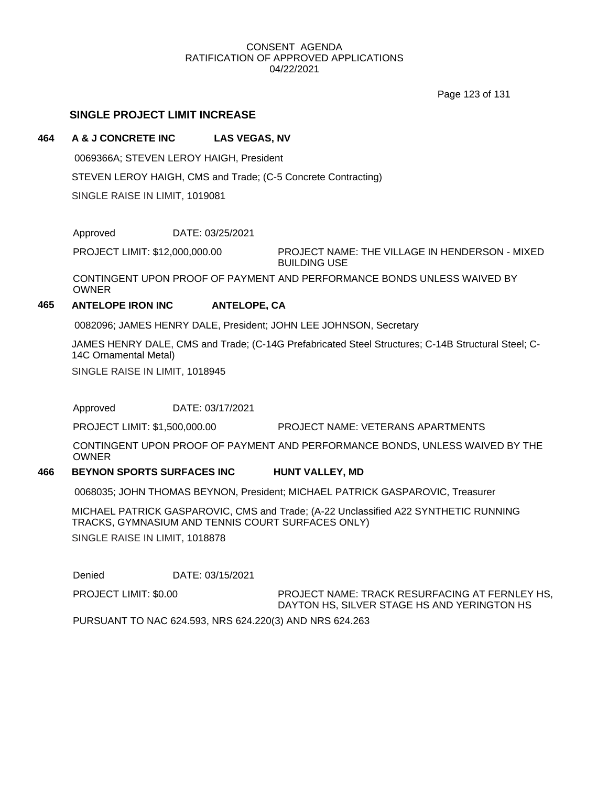Page 123 of 131

## **SINGLE PROJECT LIMIT INCREASE**

#### **464 A & J CONCRETE INC LAS VEGAS, NV**

0069366A; STEVEN LEROY HAIGH, President

STEVEN LEROY HAIGH, CMS and Trade; (C-5 Concrete Contracting)

SINGLE RAISE IN LIMIT, 1019081

Approved DATE: 03/25/2021

PROJECT NAME: THE VILLAGE IN HENDERSON - MIXED BUILDING USE PROJECT LIMIT: \$12,000,000.00

CONTINGENT UPON PROOF OF PAYMENT AND PERFORMANCE BONDS UNLESS WAIVED BY **OWNER** 

## **465 ANTELOPE IRON INC ANTELOPE, CA**

0082096; JAMES HENRY DALE, President; JOHN LEE JOHNSON, Secretary

JAMES HENRY DALE, CMS and Trade; (C-14G Prefabricated Steel Structures; C-14B Structural Steel; C-14C Ornamental Metal)

SINGLE RAISE IN LIMIT, 1018945

Approved DATE: 03/17/2021

PROJECT LIMIT: \$1,500,000.00 PROJECT NAME: VETERANS APARTMENTS

CONTINGENT UPON PROOF OF PAYMENT AND PERFORMANCE BONDS, UNLESS WAIVED BY THE OWNER

#### **466 BEYNON SPORTS SURFACES INC HUNT VALLEY, MD**

0068035; JOHN THOMAS BEYNON, President; MICHAEL PATRICK GASPAROVIC, Treasurer

MICHAEL PATRICK GASPAROVIC, CMS and Trade; (A-22 Unclassified A22 SYNTHETIC RUNNING TRACKS, GYMNASIUM AND TENNIS COURT SURFACES ONLY)

SINGLE RAISE IN LIMIT, 1018878

Denied DATE: 03/15/2021

PROJECT LIMIT: \$0.00

PROJECT NAME: TRACK RESURFACING AT FERNLEY HS, DAYTON HS, SILVER STAGE HS AND YERINGTON HS

PURSUANT TO NAC 624.593, NRS 624.220(3) AND NRS 624.263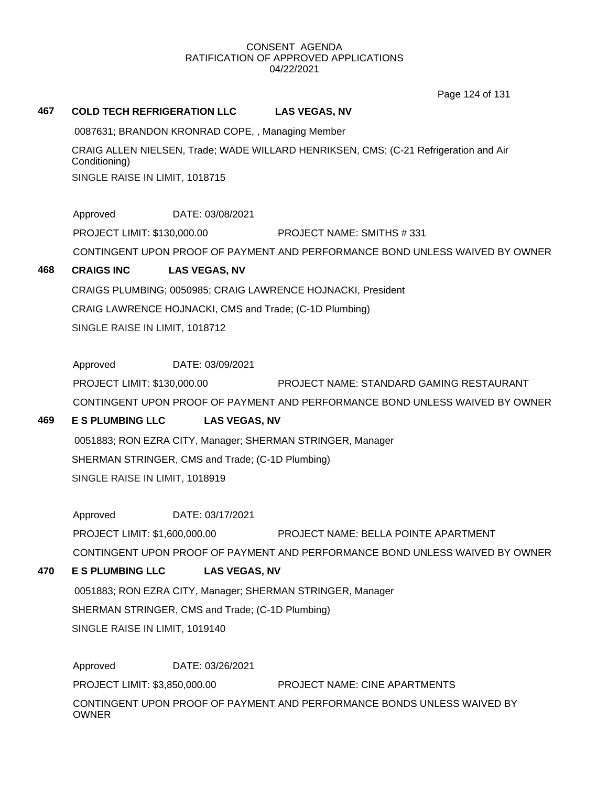Page 124 of 131

## **467 COLD TECH REFRIGERATION LLC LAS VEGAS, NV**

0087631; BRANDON KRONRAD COPE, , Managing Member

CRAIG ALLEN NIELSEN, Trade; WADE WILLARD HENRIKSEN, CMS; (C-21 Refrigeration and Air Conditioning) SINGLE RAISE IN LIMIT, 1018715

Approved DATE: 03/08/2021

PROJECT LIMIT: \$130,000.00 PROJECT NAME: SMITHS # 331

CONTINGENT UPON PROOF OF PAYMENT AND PERFORMANCE BOND UNLESS WAIVED BY OWNER

## **468 CRAIGS INC LAS VEGAS, NV**

CRAIGS PLUMBING; 0050985; CRAIG LAWRENCE HOJNACKI, President CRAIG LAWRENCE HOJNACKI, CMS and Trade; (C-1D Plumbing) SINGLE RAISE IN LIMIT, 1018712

Approved DATE: 03/09/2021

PROJECT LIMIT: \$130,000.00 PROJECT NAME: STANDARD GAMING RESTAURANT CONTINGENT UPON PROOF OF PAYMENT AND PERFORMANCE BOND UNLESS WAIVED BY OWNER

## **469 E S PLUMBING LLC LAS VEGAS, NV**

0051883; RON EZRA CITY, Manager; SHERMAN STRINGER, Manager SHERMAN STRINGER, CMS and Trade; (C-1D Plumbing) SINGLE RAISE IN LIMIT, 1018919

Approved DATE: 03/17/2021

PROJECT LIMIT: \$1,600,000.00 PROJECT NAME: BELLA POINTE APARTMENT

CONTINGENT UPON PROOF OF PAYMENT AND PERFORMANCE BOND UNLESS WAIVED BY OWNER

## **470 E S PLUMBING LLC LAS VEGAS, NV**

0051883; RON EZRA CITY, Manager; SHERMAN STRINGER, Manager SHERMAN STRINGER, CMS and Trade; (C-1D Plumbing) SINGLE RAISE IN LIMIT, 1019140

Approved DATE: 03/26/2021 PROJECT LIMIT: \$3,850,000.00 PROJECT NAME: CINE APARTMENTS CONTINGENT UPON PROOF OF PAYMENT AND PERFORMANCE BONDS UNLESS WAIVED BY **OWNER**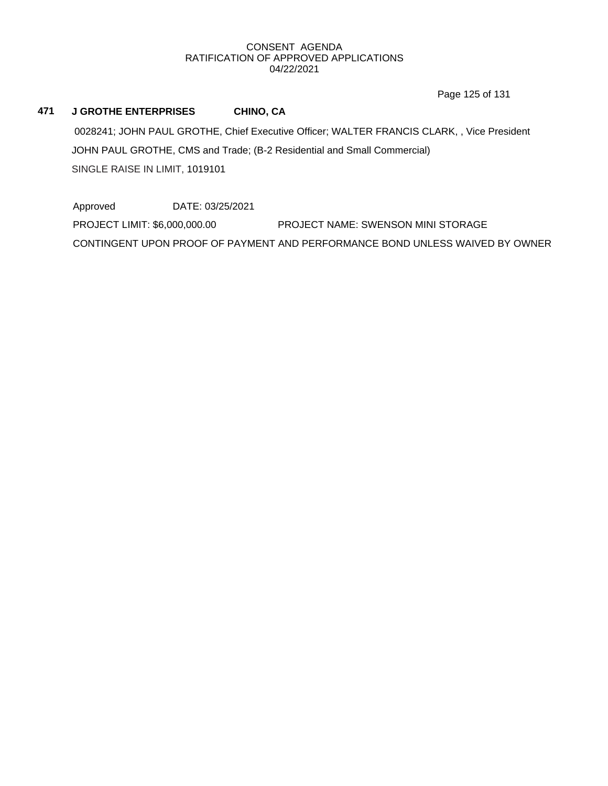Page 125 of 131

## **471 J GROTHE ENTERPRISES CHINO, CA**

0028241; JOHN PAUL GROTHE, Chief Executive Officer; WALTER FRANCIS CLARK, , Vice President JOHN PAUL GROTHE, CMS and Trade; (B-2 Residential and Small Commercial) SINGLE RAISE IN LIMIT, 1019101

Approved DATE: 03/25/2021 PROJECT LIMIT: \$6,000,000.00 PROJECT NAME: SWENSON MINI STORAGE CONTINGENT UPON PROOF OF PAYMENT AND PERFORMANCE BOND UNLESS WAIVED BY OWNER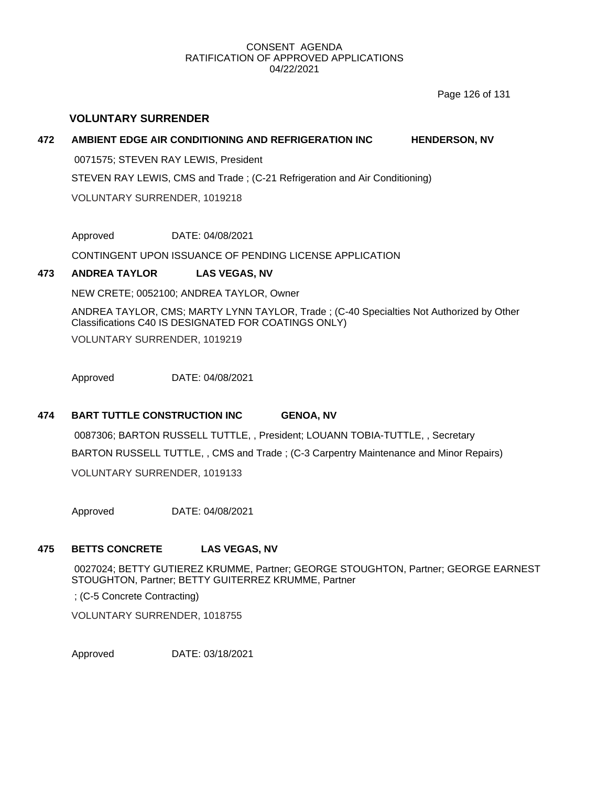Page 126 of 131

## **VOLUNTARY SURRENDER**

## **472 AMBIENT EDGE AIR CONDITIONING AND REFRIGERATION INC HENDERSON, NV**

0071575; STEVEN RAY LEWIS, President

STEVEN RAY LEWIS, CMS and Trade ; (C-21 Refrigeration and Air Conditioning)

VOLUNTARY SURRENDER, 1019218

Approved DATE: 04/08/2021

CONTINGENT UPON ISSUANCE OF PENDING LICENSE APPLICATION

## **473 ANDREA TAYLOR LAS VEGAS, NV**

NEW CRETE; 0052100; ANDREA TAYLOR, Owner

ANDREA TAYLOR, CMS; MARTY LYNN TAYLOR, Trade ; (C-40 Specialties Not Authorized by Other Classifications C40 IS DESIGNATED FOR COATINGS ONLY)

VOLUNTARY SURRENDER, 1019219

Approved DATE: 04/08/2021

## **474 BART TUTTLE CONSTRUCTION INC GENOA, NV**

0087306; BARTON RUSSELL TUTTLE, , President; LOUANN TOBIA-TUTTLE, , Secretary BARTON RUSSELL TUTTLE, , CMS and Trade ; (C-3 Carpentry Maintenance and Minor Repairs) VOLUNTARY SURRENDER, 1019133

Approved DATE: 04/08/2021

## **475 BETTS CONCRETE LAS VEGAS, NV**

0027024; BETTY GUTIEREZ KRUMME, Partner; GEORGE STOUGHTON, Partner; GEORGE EARNEST STOUGHTON, Partner; BETTY GUITERREZ KRUMME, Partner

; (C-5 Concrete Contracting)

VOLUNTARY SURRENDER, 1018755

Approved DATE: 03/18/2021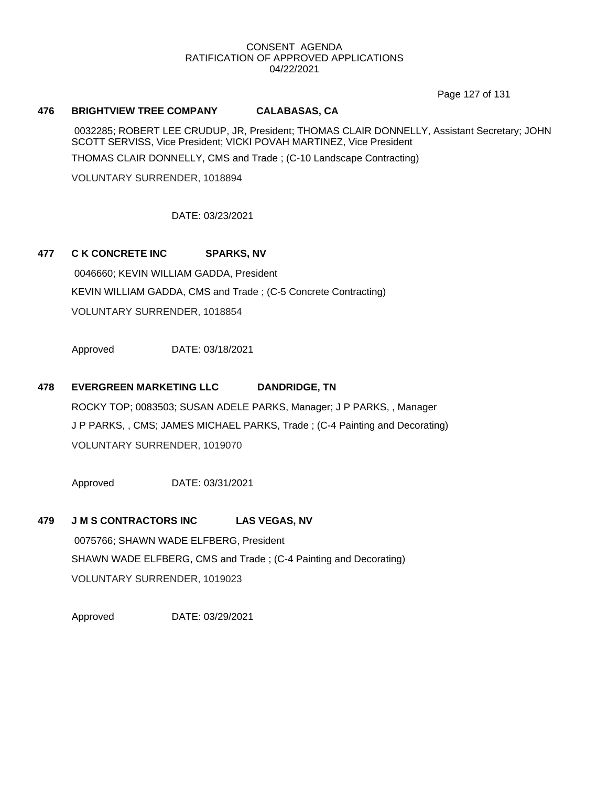Page 127 of 131

#### **476 BRIGHTVIEW TREE COMPANY CALABASAS, CA**

0032285; ROBERT LEE CRUDUP, JR, President; THOMAS CLAIR DONNELLY, Assistant Secretary; JOHN SCOTT SERVISS, Vice President; VICKI POVAH MARTINEZ, Vice President THOMAS CLAIR DONNELLY, CMS and Trade ; (C-10 Landscape Contracting)

VOLUNTARY SURRENDER, 1018894

## DATE: 03/23/2021

## **477 C K CONCRETE INC SPARKS, NV**

0046660; KEVIN WILLIAM GADDA, President KEVIN WILLIAM GADDA, CMS and Trade ; (C-5 Concrete Contracting) VOLUNTARY SURRENDER, 1018854

Approved DATE: 03/18/2021

## **478 EVERGREEN MARKETING LLC DANDRIDGE, TN**

ROCKY TOP; 0083503; SUSAN ADELE PARKS, Manager; J P PARKS, , Manager J P PARKS, , CMS; JAMES MICHAEL PARKS, Trade ; (C-4 Painting and Decorating) VOLUNTARY SURRENDER, 1019070

Approved DATE: 03/31/2021

#### **479 J M S CONTRACTORS INC LAS VEGAS, NV**

0075766; SHAWN WADE ELFBERG, President SHAWN WADE ELFBERG, CMS and Trade ; (C-4 Painting and Decorating) VOLUNTARY SURRENDER, 1019023

Approved DATE: 03/29/2021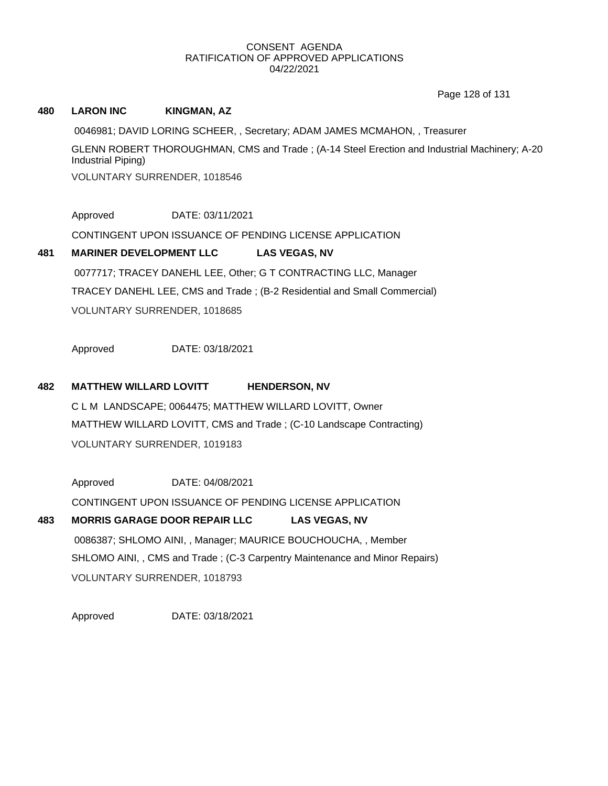Page 128 of 131

## **480 LARON INC KINGMAN, AZ**

0046981; DAVID LORING SCHEER, , Secretary; ADAM JAMES MCMAHON, , Treasurer GLENN ROBERT THOROUGHMAN, CMS and Trade ; (A-14 Steel Erection and Industrial Machinery; A-20 Industrial Piping) VOLUNTARY SURRENDER, 1018546

Approved DATE: 03/11/2021

CONTINGENT UPON ISSUANCE OF PENDING LICENSE APPLICATION

# **481 MARINER DEVELOPMENT LLC LAS VEGAS, NV** 0077717; TRACEY DANEHL LEE, Other; G T CONTRACTING LLC, Manager TRACEY DANEHL LEE, CMS and Trade ; (B-2 Residential and Small Commercial) VOLUNTARY SURRENDER, 1018685

Approved DATE: 03/18/2021

## **482 MATTHEW WILLARD LOVITT HENDERSON, NV**

C L M LANDSCAPE; 0064475; MATTHEW WILLARD LOVITT, Owner MATTHEW WILLARD LOVITT, CMS and Trade ; (C-10 Landscape Contracting) VOLUNTARY SURRENDER, 1019183

Approved DATE: 04/08/2021 CONTINGENT UPON ISSUANCE OF PENDING LICENSE APPLICATION **483 MORRIS GARAGE DOOR REPAIR LLC LAS VEGAS, NV**

0086387; SHLOMO AINI, , Manager; MAURICE BOUCHOUCHA, , Member SHLOMO AINI, , CMS and Trade ; (C-3 Carpentry Maintenance and Minor Repairs) VOLUNTARY SURRENDER, 1018793

Approved DATE: 03/18/2021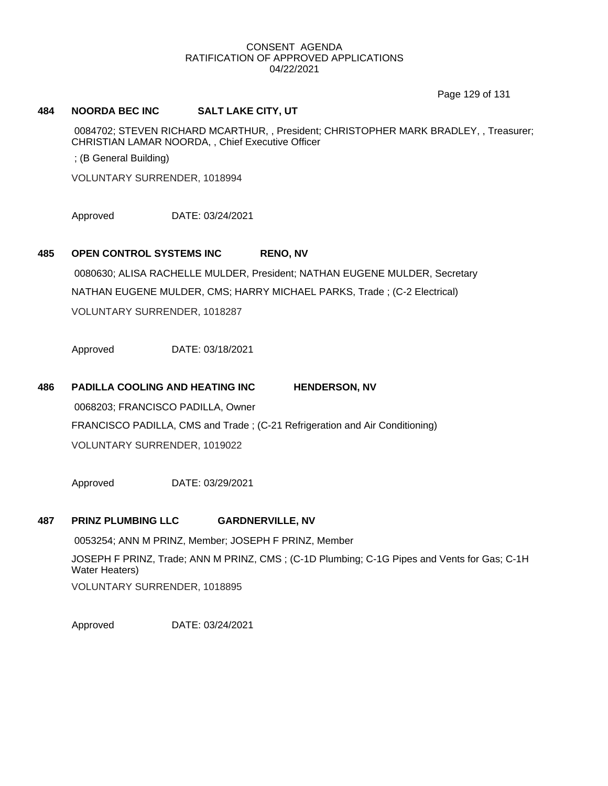Page 129 of 131

#### **484 NOORDA BEC INC SALT LAKE CITY, UT**

0084702; STEVEN RICHARD MCARTHUR, , President; CHRISTOPHER MARK BRADLEY, , Treasurer; CHRISTIAN LAMAR NOORDA, , Chief Executive Officer

; (B General Building)

VOLUNTARY SURRENDER, 1018994

Approved DATE: 03/24/2021

#### **485 OPEN CONTROL SYSTEMS INC RENO, NV**

0080630; ALISA RACHELLE MULDER, President; NATHAN EUGENE MULDER, Secretary NATHAN EUGENE MULDER, CMS; HARRY MICHAEL PARKS, Trade ; (C-2 Electrical) VOLUNTARY SURRENDER, 1018287

Approved DATE: 03/18/2021

## **486 PADILLA COOLING AND HEATING INC HENDERSON, NV**

0068203; FRANCISCO PADILLA, Owner FRANCISCO PADILLA, CMS and Trade ; (C-21 Refrigeration and Air Conditioning) VOLUNTARY SURRENDER, 1019022

Approved DATE: 03/29/2021

#### **487 PRINZ PLUMBING LLC GARDNERVILLE, NV**

0053254; ANN M PRINZ, Member; JOSEPH F PRINZ, Member JOSEPH F PRINZ, Trade; ANN M PRINZ, CMS ; (C-1D Plumbing; C-1G Pipes and Vents for Gas; C-1H Water Heaters) VOLUNTARY SURRENDER, 1018895

Approved DATE: 03/24/2021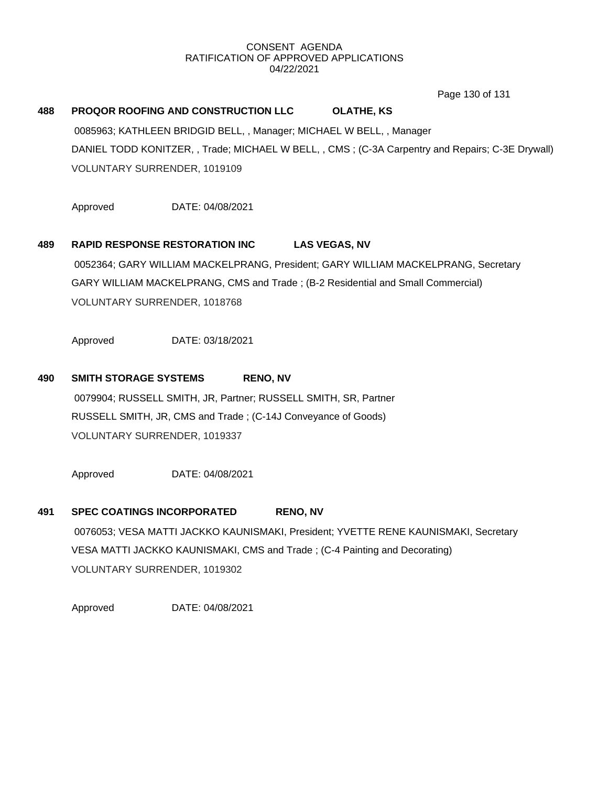Page 130 of 131

## **488 PROQOR ROOFING AND CONSTRUCTION LLC OLATHE, KS**

0085963; KATHLEEN BRIDGID BELL, , Manager; MICHAEL W BELL, , Manager DANIEL TODD KONITZER, , Trade; MICHAEL W BELL, , CMS ; (C-3A Carpentry and Repairs; C-3E Drywall) VOLUNTARY SURRENDER, 1019109

Approved DATE: 04/08/2021

## **489 RAPID RESPONSE RESTORATION INC LAS VEGAS, NV**

0052364; GARY WILLIAM MACKELPRANG, President; GARY WILLIAM MACKELPRANG, Secretary GARY WILLIAM MACKELPRANG, CMS and Trade ; (B-2 Residential and Small Commercial) VOLUNTARY SURRENDER, 1018768

Approved DATE: 03/18/2021

## **490 SMITH STORAGE SYSTEMS RENO, NV**

0079904; RUSSELL SMITH, JR, Partner; RUSSELL SMITH, SR, Partner RUSSELL SMITH, JR, CMS and Trade ; (C-14J Conveyance of Goods) VOLUNTARY SURRENDER, 1019337

Approved DATE: 04/08/2021

## **491 SPEC COATINGS INCORPORATED RENO, NV**

0076053; VESA MATTI JACKKO KAUNISMAKI, President; YVETTE RENE KAUNISMAKI, Secretary VESA MATTI JACKKO KAUNISMAKI, CMS and Trade ; (C-4 Painting and Decorating) VOLUNTARY SURRENDER, 1019302

Approved DATE: 04/08/2021